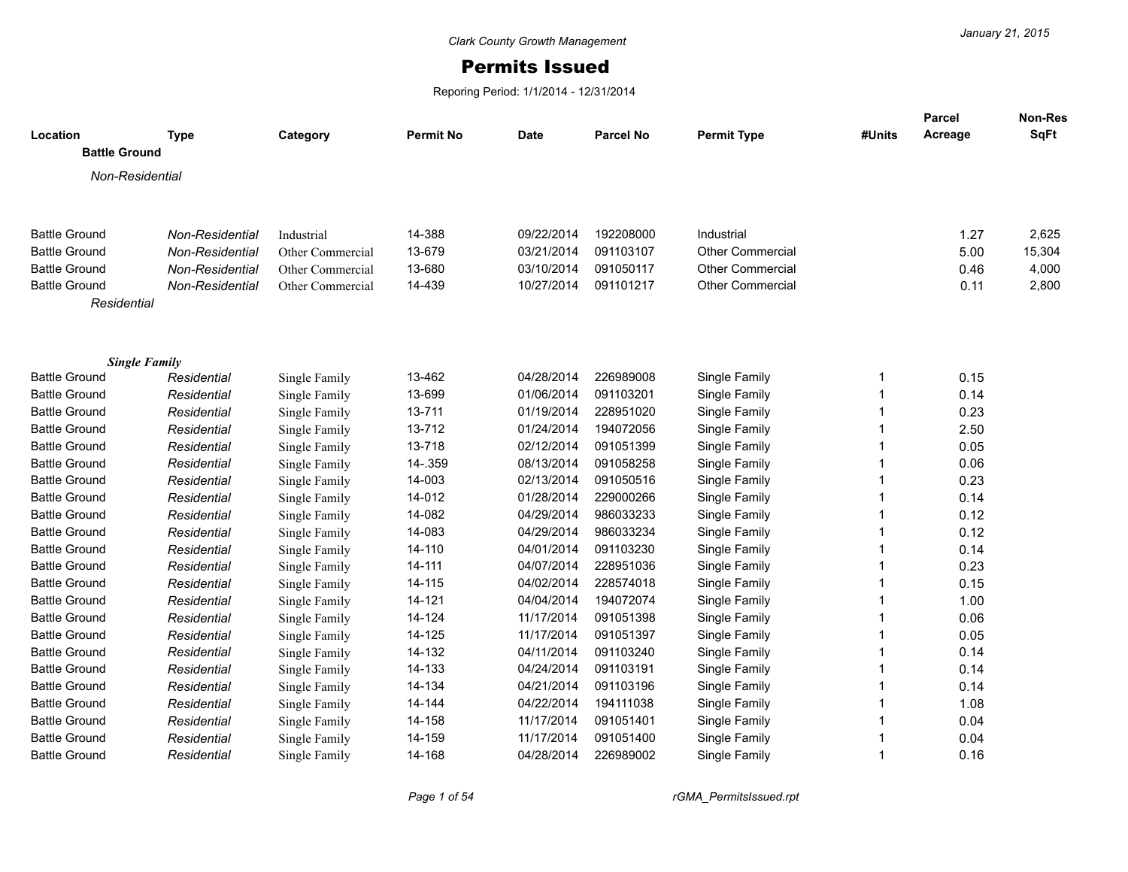## Permits Issued

Reporing Period: 1/1/2014 - 12/31/2014

| Location             | <b>Type</b>     | Category         | <b>Permit No</b> | Date       | <b>Parcel No</b> | <b>Permit Type</b>      | #Units      | <b>Parcel</b><br>Acreage | Non-Res<br>SqFt |
|----------------------|-----------------|------------------|------------------|------------|------------------|-------------------------|-------------|--------------------------|-----------------|
| <b>Battle Ground</b> |                 |                  |                  |            |                  |                         |             |                          |                 |
| Non-Residential      |                 |                  |                  |            |                  |                         |             |                          |                 |
|                      |                 |                  |                  |            |                  |                         |             |                          |                 |
| <b>Battle Ground</b> | Non-Residential | Industrial       | 14-388           | 09/22/2014 | 192208000        | Industrial              |             | 1.27                     | 2,625           |
| <b>Battle Ground</b> | Non-Residential | Other Commercial | 13-679           | 03/21/2014 | 091103107        | <b>Other Commercial</b> |             | 5.00                     | 15,304          |
| <b>Battle Ground</b> | Non-Residential | Other Commercial | 13-680           | 03/10/2014 | 091050117        | <b>Other Commercial</b> |             | 0.46                     | 4,000           |
| <b>Battle Ground</b> | Non-Residential | Other Commercial | 14-439           | 10/27/2014 | 091101217        | <b>Other Commercial</b> |             | 0.11                     | 2,800           |
| Residential          |                 |                  |                  |            |                  |                         |             |                          |                 |
|                      |                 |                  |                  |            |                  |                         |             |                          |                 |
| <b>Single Family</b> |                 |                  |                  |            |                  |                         |             |                          |                 |
| <b>Battle Ground</b> | Residential     | Single Family    | 13-462           | 04/28/2014 | 226989008        | Single Family           | -1          | 0.15                     |                 |
| <b>Battle Ground</b> | Residential     | Single Family    | 13-699           | 01/06/2014 | 091103201        | Single Family           | 1           | 0.14                     |                 |
| <b>Battle Ground</b> | Residential     | Single Family    | 13-711           | 01/19/2014 | 228951020        | Single Family           | $\mathbf 1$ | 0.23                     |                 |
| <b>Battle Ground</b> | Residential     | Single Family    | 13-712           | 01/24/2014 | 194072056        | Single Family           | 1           | 2.50                     |                 |
| <b>Battle Ground</b> | Residential     | Single Family    | 13-718           | 02/12/2014 | 091051399        | Single Family           | 1           | 0.05                     |                 |
| <b>Battle Ground</b> | Residential     | Single Family    | 14-.359          | 08/13/2014 | 091058258        | Single Family           | 1           | 0.06                     |                 |
| <b>Battle Ground</b> | Residential     | Single Family    | 14-003           | 02/13/2014 | 091050516        | Single Family           |             | 0.23                     |                 |
| <b>Battle Ground</b> | Residential     | Single Family    | 14-012           | 01/28/2014 | 229000266        | Single Family           |             | 0.14                     |                 |
| <b>Battle Ground</b> | Residential     | Single Family    | 14-082           | 04/29/2014 | 986033233        | Single Family           |             | 0.12                     |                 |
| <b>Battle Ground</b> | Residential     | Single Family    | 14-083           | 04/29/2014 | 986033234        | Single Family           | 1           | 0.12                     |                 |
| <b>Battle Ground</b> | Residential     | Single Family    | 14-110           | 04/01/2014 | 091103230        | Single Family           | 1           | 0.14                     |                 |
| <b>Battle Ground</b> | Residential     | Single Family    | 14-111           | 04/07/2014 | 228951036        | Single Family           |             | 0.23                     |                 |
| <b>Battle Ground</b> | Residential     | Single Family    | 14-115           | 04/02/2014 | 228574018        | Single Family           |             | 0.15                     |                 |
| <b>Battle Ground</b> | Residential     | Single Family    | 14-121           | 04/04/2014 | 194072074        | Single Family           |             | 1.00                     |                 |
| <b>Battle Ground</b> | Residential     | Single Family    | 14-124           | 11/17/2014 | 091051398        | Single Family           |             | 0.06                     |                 |
| <b>Battle Ground</b> | Residential     | Single Family    | 14-125           | 11/17/2014 | 091051397        | Single Family           |             | 0.05                     |                 |
| <b>Battle Ground</b> | Residential     | Single Family    | 14-132           | 04/11/2014 | 091103240        | Single Family           |             | 0.14                     |                 |
| <b>Battle Ground</b> | Residential     | Single Family    | 14-133           | 04/24/2014 | 091103191        | Single Family           | 1           | 0.14                     |                 |
| <b>Battle Ground</b> | Residential     | Single Family    | 14-134           | 04/21/2014 | 091103196        | Single Family           | 1           | 0.14                     |                 |
| <b>Battle Ground</b> | Residential     | Single Family    | 14-144           | 04/22/2014 | 194111038        | Single Family           | 1           | 1.08                     |                 |
| <b>Battle Ground</b> | Residential     | Single Family    | 14-158           | 11/17/2014 | 091051401        | Single Family           | 1           | 0.04                     |                 |
| <b>Battle Ground</b> | Residential     | Single Family    | 14-159           | 11/17/2014 | 091051400        | Single Family           | 1           | 0.04                     |                 |
| <b>Battle Ground</b> | Residential     | Single Family    | 14-168           | 04/28/2014 | 226989002        | Single Family           | 1           | 0.16                     |                 |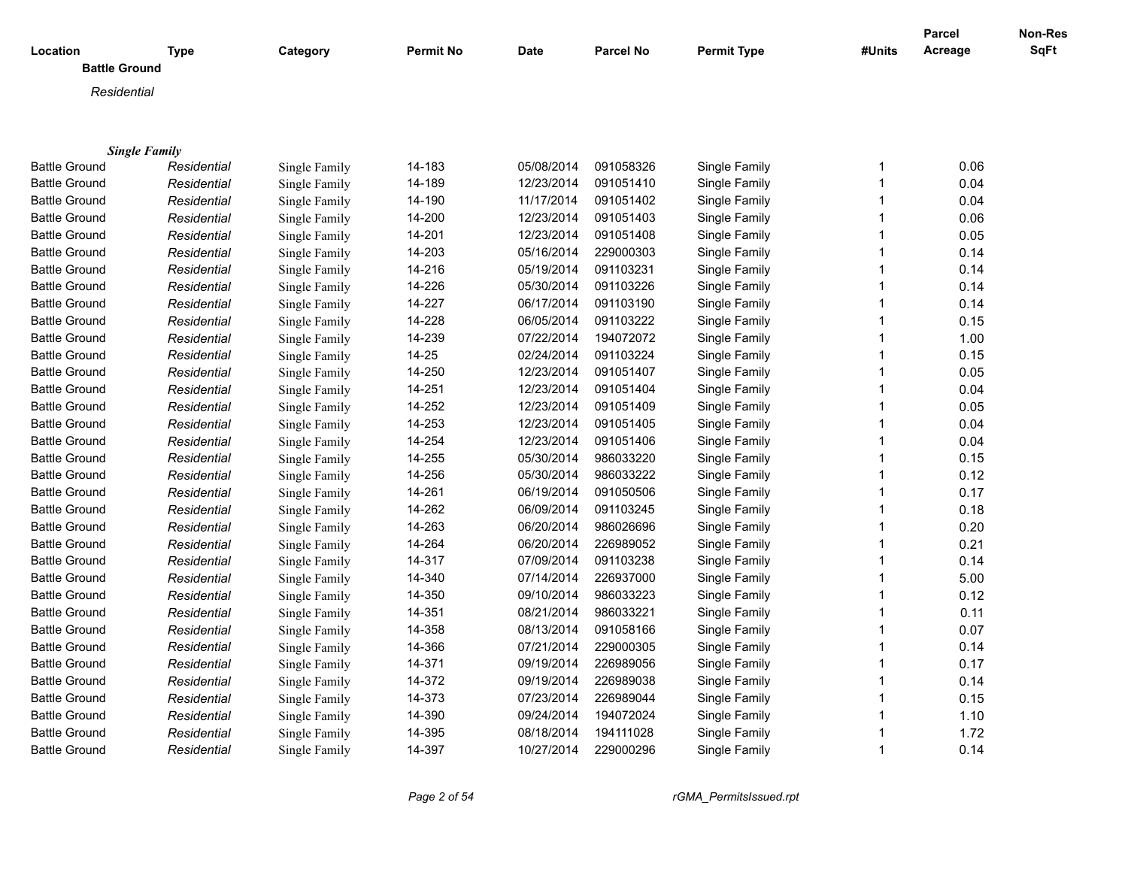| Location             | <b>Type</b>          | Category      | <b>Permit No</b> | Date       | <b>Parcel No</b> | <b>Permit Type</b> | #Units         | <b>Parcel</b><br>Acreage | Non-Res<br>SqFt |
|----------------------|----------------------|---------------|------------------|------------|------------------|--------------------|----------------|--------------------------|-----------------|
| <b>Battle Ground</b> |                      |               |                  |            |                  |                    |                |                          |                 |
| Residential          |                      |               |                  |            |                  |                    |                |                          |                 |
|                      |                      |               |                  |            |                  |                    |                |                          |                 |
|                      |                      |               |                  |            |                  |                    |                |                          |                 |
|                      | <b>Single Family</b> |               |                  |            |                  |                    |                |                          |                 |
| <b>Battle Ground</b> | Residential          | Single Family | 14-183           | 05/08/2014 | 091058326        | Single Family      | 1              | 0.06                     |                 |
| <b>Battle Ground</b> | Residential          | Single Family | 14-189           | 12/23/2014 | 091051410        | Single Family      | 1              | 0.04                     |                 |
| <b>Battle Ground</b> | Residential          | Single Family | 14-190           | 11/17/2014 | 091051402        | Single Family      | $\mathbf{1}$   | 0.04                     |                 |
| <b>Battle Ground</b> | Residential          | Single Family | 14-200           | 12/23/2014 | 091051403        | Single Family      | 1              | 0.06                     |                 |
| <b>Battle Ground</b> | Residential          | Single Family | 14-201           | 12/23/2014 | 091051408        | Single Family      | 1              | 0.05                     |                 |
| <b>Battle Ground</b> | Residential          | Single Family | 14-203           | 05/16/2014 | 229000303        | Single Family      | 1              | 0.14                     |                 |
| <b>Battle Ground</b> | Residential          | Single Family | 14-216           | 05/19/2014 | 091103231        | Single Family      | 1              | 0.14                     |                 |
| <b>Battle Ground</b> | Residential          | Single Family | 14-226           | 05/30/2014 | 091103226        | Single Family      | 1              | 0.14                     |                 |
| <b>Battle Ground</b> | Residential          | Single Family | 14-227           | 06/17/2014 | 091103190        | Single Family      | 1              | 0.14                     |                 |
| <b>Battle Ground</b> | Residential          | Single Family | 14-228           | 06/05/2014 | 091103222        | Single Family      | 1              | 0.15                     |                 |
| <b>Battle Ground</b> | Residential          | Single Family | 14-239           | 07/22/2014 | 194072072        | Single Family      | 1              | 1.00                     |                 |
| <b>Battle Ground</b> | Residential          | Single Family | $14 - 25$        | 02/24/2014 | 091103224        | Single Family      | 1              | 0.15                     |                 |
| <b>Battle Ground</b> | Residential          | Single Family | 14-250           | 12/23/2014 | 091051407        | Single Family      | $\overline{1}$ | 0.05                     |                 |
| <b>Battle Ground</b> | Residential          | Single Family | 14-251           | 12/23/2014 | 091051404        | Single Family      | 1              | 0.04                     |                 |
| <b>Battle Ground</b> | Residential          | Single Family | 14-252           | 12/23/2014 | 091051409        | Single Family      | $\overline{1}$ | 0.05                     |                 |
| <b>Battle Ground</b> | Residential          | Single Family | 14-253           | 12/23/2014 | 091051405        | Single Family      | $\overline{1}$ | 0.04                     |                 |
| <b>Battle Ground</b> | Residential          | Single Family | 14-254           | 12/23/2014 | 091051406        | Single Family      | $\mathbf{1}$   | 0.04                     |                 |
| <b>Battle Ground</b> | Residential          | Single Family | 14-255           | 05/30/2014 | 986033220        | Single Family      | 1              | 0.15                     |                 |
| <b>Battle Ground</b> | Residential          | Single Family | 14-256           | 05/30/2014 | 986033222        | Single Family      | 1              | 0.12                     |                 |
| <b>Battle Ground</b> | Residential          | Single Family | 14-261           | 06/19/2014 | 091050506        | Single Family      | $\mathbf 1$    | 0.17                     |                 |
| <b>Battle Ground</b> | Residential          | Single Family | 14-262           | 06/09/2014 | 091103245        | Single Family      | $\overline{1}$ | 0.18                     |                 |
| <b>Battle Ground</b> | Residential          | Single Family | 14-263           | 06/20/2014 | 986026696        | Single Family      | 1              | 0.20                     |                 |
| <b>Battle Ground</b> | Residential          | Single Family | 14-264           | 06/20/2014 | 226989052        | Single Family      | 1              | 0.21                     |                 |
| <b>Battle Ground</b> | Residential          | Single Family | 14-317           | 07/09/2014 | 091103238        | Single Family      | $\mathbf{1}$   | 0.14                     |                 |
| <b>Battle Ground</b> | Residential          | Single Family | 14-340           | 07/14/2014 | 226937000        | Single Family      | 1              | 5.00                     |                 |
| <b>Battle Ground</b> | Residential          | Single Family | 14-350           | 09/10/2014 | 986033223        | Single Family      | $\mathbf{1}$   | 0.12                     |                 |
| <b>Battle Ground</b> | Residential          | Single Family | 14-351           | 08/21/2014 | 986033221        | Single Family      | 1              | 0.11                     |                 |
| <b>Battle Ground</b> | Residential          | Single Family | 14-358           | 08/13/2014 | 091058166        | Single Family      | 1              | 0.07                     |                 |
| <b>Battle Ground</b> | Residential          | Single Family | 14-366           | 07/21/2014 | 229000305        | Single Family      | 1              | 0.14                     |                 |
| <b>Battle Ground</b> | Residential          | Single Family | 14-371           | 09/19/2014 | 226989056        | Single Family      | 1              | 0.17                     |                 |
| <b>Battle Ground</b> | Residential          | Single Family | 14-372           | 09/19/2014 | 226989038        | Single Family      | 1              | 0.14                     |                 |
| <b>Battle Ground</b> | Residential          | Single Family | 14-373           | 07/23/2014 | 226989044        | Single Family      | 1              | 0.15                     |                 |
| <b>Battle Ground</b> | Residential          | Single Family | 14-390           | 09/24/2014 | 194072024        | Single Family      | 1              | 1.10                     |                 |
| <b>Battle Ground</b> | Residential          | Single Family | 14-395           | 08/18/2014 | 194111028        | Single Family      | -1             | 1.72                     |                 |
| <b>Battle Ground</b> | Residential          | Single Family | 14-397           | 10/27/2014 | 229000296        | Single Family      | $\mathbf{1}$   | 0.14                     |                 |
|                      |                      |               |                  |            |                  |                    |                |                          |                 |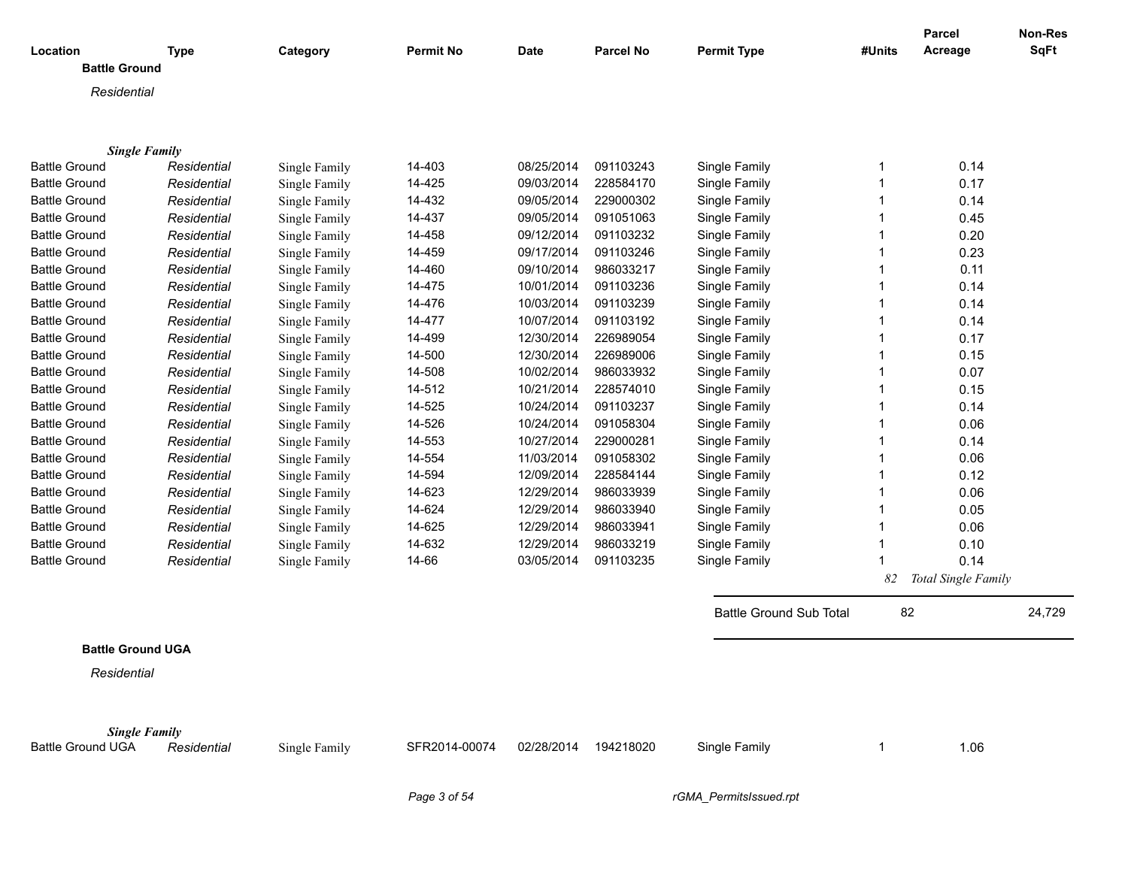| Location                 | <b>Type</b> | Category      | <b>Permit No</b> | <b>Date</b> | <b>Parcel No</b> | <b>Permit Type</b>             | #Units         | <b>Parcel</b><br>Acreage | <b>Non-Res</b><br>SqFt |
|--------------------------|-------------|---------------|------------------|-------------|------------------|--------------------------------|----------------|--------------------------|------------------------|
| <b>Battle Ground</b>     |             |               |                  |             |                  |                                |                |                          |                        |
| Residential              |             |               |                  |             |                  |                                |                |                          |                        |
|                          |             |               |                  |             |                  |                                |                |                          |                        |
|                          |             |               |                  |             |                  |                                |                |                          |                        |
| <b>Single Family</b>     |             |               |                  |             |                  |                                |                |                          |                        |
| <b>Battle Ground</b>     | Residential | Single Family | 14-403           | 08/25/2014  | 091103243        | Single Family                  | $\mathbf 1$    | 0.14                     |                        |
| <b>Battle Ground</b>     | Residential | Single Family | 14-425           | 09/03/2014  | 228584170        | Single Family                  | -1             | 0.17                     |                        |
| <b>Battle Ground</b>     | Residential | Single Family | 14-432           | 09/05/2014  | 229000302        | Single Family                  |                | 0.14                     |                        |
| <b>Battle Ground</b>     | Residential | Single Family | 14-437           | 09/05/2014  | 091051063        | Single Family                  |                | 0.45                     |                        |
| <b>Battle Ground</b>     | Residential | Single Family | 14-458           | 09/12/2014  | 091103232        | Single Family                  |                | 0.20                     |                        |
| <b>Battle Ground</b>     | Residential | Single Family | 14-459           | 09/17/2014  | 091103246        | Single Family                  |                | 0.23                     |                        |
| <b>Battle Ground</b>     | Residential | Single Family | 14-460           | 09/10/2014  | 986033217        | Single Family                  | -1             | 0.11                     |                        |
| <b>Battle Ground</b>     | Residential | Single Family | 14-475           | 10/01/2014  | 091103236        | Single Family                  |                | 0.14                     |                        |
| <b>Battle Ground</b>     | Residential | Single Family | 14-476           | 10/03/2014  | 091103239        | Single Family                  |                | 0.14                     |                        |
| <b>Battle Ground</b>     | Residential | Single Family | 14-477           | 10/07/2014  | 091103192        | Single Family                  | -1             | 0.14                     |                        |
| <b>Battle Ground</b>     | Residential | Single Family | 14-499           | 12/30/2014  | 226989054        | Single Family                  |                | 0.17                     |                        |
| <b>Battle Ground</b>     | Residential | Single Family | 14-500           | 12/30/2014  | 226989006        | Single Family                  | -1             | 0.15                     |                        |
| <b>Battle Ground</b>     | Residential | Single Family | 14-508           | 10/02/2014  | 986033932        | Single Family                  |                | 0.07                     |                        |
| <b>Battle Ground</b>     | Residential | Single Family | 14-512           | 10/21/2014  | 228574010        | Single Family                  | -1             | 0.15                     |                        |
| <b>Battle Ground</b>     | Residential | Single Family | 14-525           | 10/24/2014  | 091103237        | Single Family                  | -1             | 0.14                     |                        |
| <b>Battle Ground</b>     | Residential | Single Family | 14-526           | 10/24/2014  | 091058304        | Single Family                  | -1             | 0.06                     |                        |
| <b>Battle Ground</b>     | Residential | Single Family | 14-553           | 10/27/2014  | 229000281        | Single Family                  | -1             | 0.14                     |                        |
| <b>Battle Ground</b>     | Residential | Single Family | 14-554           | 11/03/2014  | 091058302        | Single Family                  | -1             | 0.06                     |                        |
| <b>Battle Ground</b>     | Residential | Single Family | 14-594           | 12/09/2014  | 228584144        | Single Family                  | -1             | 0.12                     |                        |
| <b>Battle Ground</b>     | Residential | Single Family | 14-623           | 12/29/2014  | 986033939        | Single Family                  | -1             | 0.06                     |                        |
| <b>Battle Ground</b>     | Residential | Single Family | 14-624           | 12/29/2014  | 986033940        | Single Family                  | -1             | 0.05                     |                        |
| <b>Battle Ground</b>     | Residential | Single Family | 14-625           | 12/29/2014  | 986033941        | Single Family                  | -1             | 0.06                     |                        |
| <b>Battle Ground</b>     | Residential | Single Family | 14-632           | 12/29/2014  | 986033219        | Single Family                  | -1             | 0.10                     |                        |
| <b>Battle Ground</b>     | Residential | Single Family | 14-66            | 03/05/2014  | 091103235        | Single Family                  | $\overline{1}$ | 0.14                     |                        |
|                          |             |               |                  |             |                  |                                | 82             | Total Single Family      |                        |
|                          |             |               |                  |             |                  |                                |                |                          |                        |
|                          |             |               |                  |             |                  | <b>Battle Ground Sub Total</b> | 82             |                          | 24,729                 |
|                          |             |               |                  |             |                  |                                |                |                          |                        |
| <b>Battle Ground UGA</b> |             |               |                  |             |                  |                                |                |                          |                        |
| Residential              |             |               |                  |             |                  |                                |                |                          |                        |
|                          |             |               |                  |             |                  |                                |                |                          |                        |
| <b>Single Family</b>     |             |               |                  |             |                  |                                |                |                          |                        |
| <b>Battle Ground UGA</b> | Residential | Single Family | SFR2014-00074    | 02/28/2014  | 194218020        | Single Family                  | 1              | 1.06                     |                        |
|                          |             |               |                  |             |                  |                                |                |                          |                        |

*Page 3 of 54 rGMA\_PermitsIssued.rpt*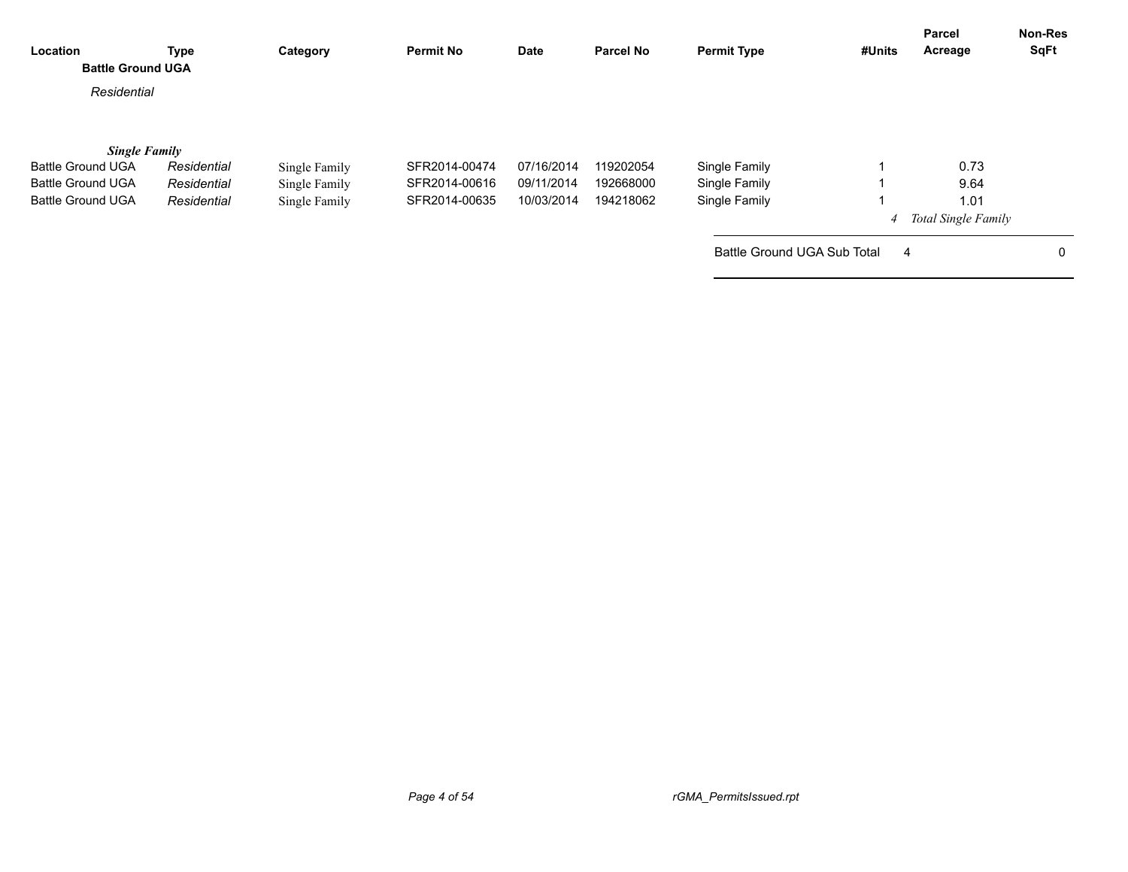| Location<br><b>Battle Ground UGA</b> | <b>Type</b> | Category      | <b>Permit No</b> | Date       | <b>Parcel No</b> | <b>Permit Type</b>          | #Units | Parcel<br>Acreage          | <b>Non-Res</b><br>SqFt |
|--------------------------------------|-------------|---------------|------------------|------------|------------------|-----------------------------|--------|----------------------------|------------------------|
| Residential                          |             |               |                  |            |                  |                             |        |                            |                        |
| <b>Single Family</b>                 |             |               |                  |            |                  |                             |        |                            |                        |
| <b>Battle Ground UGA</b>             | Residential | Single Family | SFR2014-00474    | 07/16/2014 | 119202054        | Single Family               |        | 0.73                       |                        |
| <b>Battle Ground UGA</b>             | Residential | Single Family | SFR2014-00616    | 09/11/2014 | 192668000        | Single Family               |        | 9.64                       |                        |
| <b>Battle Ground UGA</b>             | Residential | Single Family | SFR2014-00635    | 10/03/2014 | 194218062        | Single Family               |        | 1.01                       |                        |
|                                      |             |               |                  |            |                  |                             | 4      | <b>Total Single Family</b> |                        |
|                                      |             |               |                  |            |                  | Battle Ground UGA Sub Total | 4      |                            | 0                      |
|                                      |             |               |                  |            |                  |                             |        |                            |                        |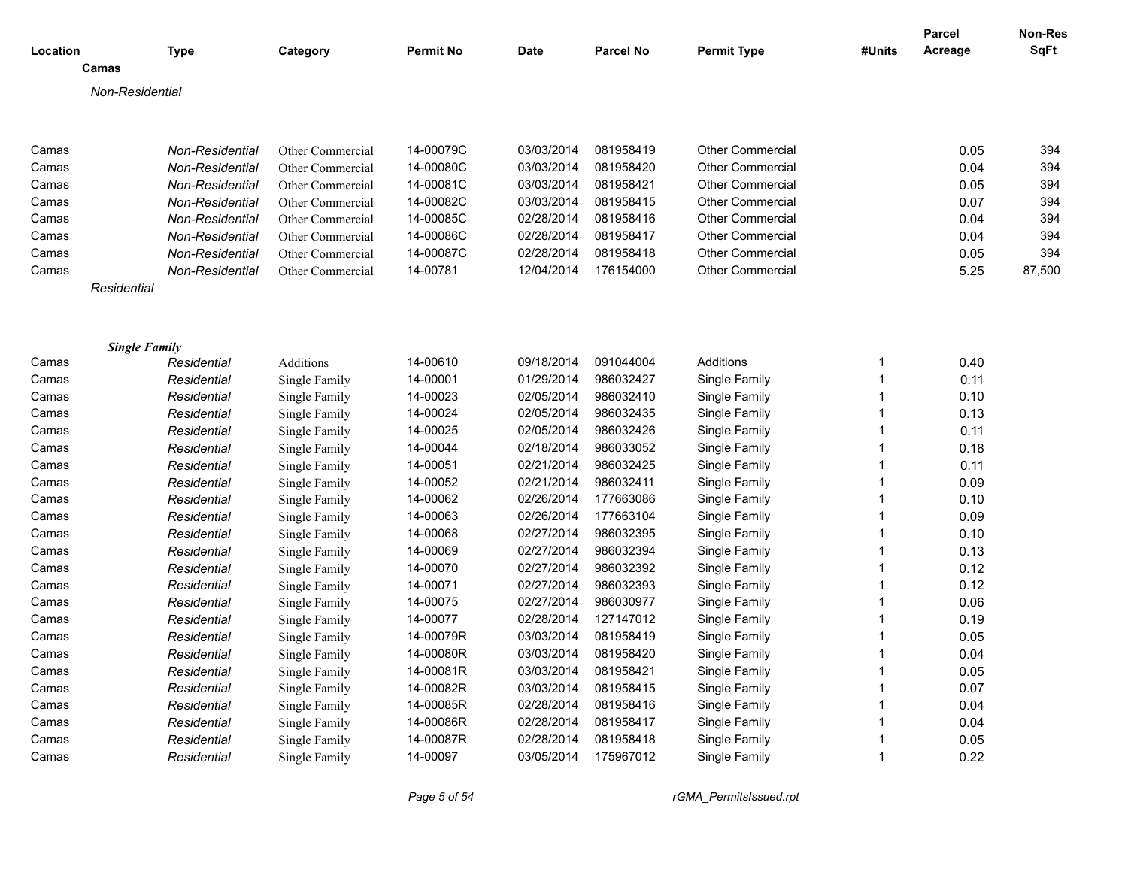| Location       |                      | <b>Type</b>                        | Category         | <b>Permit No</b> | <b>Date</b> | <b>Parcel No</b> | <b>Permit Type</b>      | #Units       | <b>Parcel</b><br>Acreage | Non-Res<br>SqFt |
|----------------|----------------------|------------------------------------|------------------|------------------|-------------|------------------|-------------------------|--------------|--------------------------|-----------------|
|                | Camas                |                                    |                  |                  |             |                  |                         |              |                          |                 |
|                | Non-Residential      |                                    |                  |                  |             |                  |                         |              |                          |                 |
| Camas          |                      | Non-Residential                    | Other Commercial | 14-00079C        | 03/03/2014  | 081958419        | <b>Other Commercial</b> |              | 0.05                     | 394             |
| Camas          |                      | Non-Residential                    | Other Commercial | 14-00080C        | 03/03/2014  | 081958420        | <b>Other Commercial</b> |              | 0.04                     | 394             |
| Camas          |                      | Non-Residential                    | Other Commercial | 14-00081C        | 03/03/2014  | 081958421        | <b>Other Commercial</b> |              | 0.05                     | 394             |
| Camas          |                      |                                    | Other Commercial | 14-00082C        | 03/03/2014  | 081958415        | <b>Other Commercial</b> |              | 0.07                     | 394             |
| Camas          |                      | Non-Residential<br>Non-Residential | Other Commercial | 14-00085C        | 02/28/2014  | 081958416        | <b>Other Commercial</b> |              | 0.04                     | 394             |
|                |                      |                                    |                  | 14-00086C        | 02/28/2014  | 081958417        | <b>Other Commercial</b> |              | 0.04                     | 394             |
| Camas<br>Camas |                      | Non-Residential                    | Other Commercial | 14-00087C        | 02/28/2014  | 081958418        | <b>Other Commercial</b> |              | 0.05                     | 394             |
| Camas          |                      | Non-Residential                    | Other Commercial | 14-00781         | 12/04/2014  | 176154000        | <b>Other Commercial</b> |              |                          |                 |
|                | Residential          | Non-Residential                    | Other Commercial |                  |             |                  |                         |              | 5.25                     | 87,500          |
|                |                      |                                    |                  |                  |             |                  |                         |              |                          |                 |
|                | <b>Single Family</b> |                                    |                  |                  |             |                  |                         |              |                          |                 |
| Camas          |                      | Residential                        | Additions        | 14-00610         | 09/18/2014  | 091044004        | Additions               | 1            | 0.40                     |                 |
| Camas          |                      | Residential                        | Single Family    | 14-00001         | 01/29/2014  | 986032427        | Single Family           | 1            | 0.11                     |                 |
| Camas          |                      | Residential                        | Single Family    | 14-00023         | 02/05/2014  | 986032410        | Single Family           | $\mathbf{1}$ | 0.10                     |                 |
| Camas          |                      | Residential                        | Single Family    | 14-00024         | 02/05/2014  | 986032435        | Single Family           | $\mathbf{1}$ | 0.13                     |                 |
| Camas          |                      | Residential                        | Single Family    | 14-00025         | 02/05/2014  | 986032426        | Single Family           | $\mathbf{1}$ | 0.11                     |                 |
| Camas          |                      | Residential                        | Single Family    | 14-00044         | 02/18/2014  | 986033052        | Single Family           | $\mathbf{1}$ | 0.18                     |                 |
| Camas          |                      | Residential                        | Single Family    | 14-00051         | 02/21/2014  | 986032425        | Single Family           | $\mathbf{1}$ | 0.11                     |                 |
| Camas          |                      | Residential                        | Single Family    | 14-00052         | 02/21/2014  | 986032411        | Single Family           | $\mathbf{1}$ | 0.09                     |                 |
| Camas          |                      | Residential                        | Single Family    | 14-00062         | 02/26/2014  | 177663086        | Single Family           | $\mathbf{1}$ | 0.10                     |                 |
| Camas          |                      | Residential                        | Single Family    | 14-00063         | 02/26/2014  | 177663104        | Single Family           | $\mathbf{1}$ | 0.09                     |                 |
| Camas          |                      | Residential                        | Single Family    | 14-00068         | 02/27/2014  | 986032395        | Single Family           | 1            | 0.10                     |                 |
| Camas          |                      | Residential                        | Single Family    | 14-00069         | 02/27/2014  | 986032394        | Single Family           | $\mathbf{1}$ | 0.13                     |                 |
| Camas          |                      | Residential                        | Single Family    | 14-00070         | 02/27/2014  | 986032392        | Single Family           | $\mathbf{1}$ | 0.12                     |                 |
| Camas          |                      | Residential                        | Single Family    | 14-00071         | 02/27/2014  | 986032393        | Single Family           | $\mathbf{1}$ | 0.12                     |                 |
| Camas          |                      | Residential                        | Single Family    | 14-00075         | 02/27/2014  | 986030977        | Single Family           | $\mathbf{1}$ | 0.06                     |                 |
| Camas          |                      | Residential                        | Single Family    | 14-00077         | 02/28/2014  | 127147012        | Single Family           | $\mathbf{1}$ | 0.19                     |                 |
| Camas          |                      | Residential                        | Single Family    | 14-00079R        | 03/03/2014  | 081958419        | Single Family           | $\mathbf{1}$ | 0.05                     |                 |
| Camas          |                      | Residential                        | Single Family    | 14-00080R        | 03/03/2014  | 081958420        | Single Family           | 1            | 0.04                     |                 |
| Camas          |                      | Residential                        | Single Family    | 14-00081R        | 03/03/2014  | 081958421        | Single Family           | $\mathbf{1}$ | 0.05                     |                 |
| Camas          |                      | Residential                        | Single Family    | 14-00082R        | 03/03/2014  | 081958415        | Single Family           | 1            | 0.07                     |                 |
| Camas          |                      | Residential                        | Single Family    | 14-00085R        | 02/28/2014  | 081958416        | Single Family           | $\mathbf{1}$ | 0.04                     |                 |
| Camas          |                      | Residential                        | Single Family    | 14-00086R        | 02/28/2014  | 081958417        | Single Family           | $\mathbf{1}$ | 0.04                     |                 |
| Camas          |                      | Residential                        | Single Family    | 14-00087R        | 02/28/2014  | 081958418        | Single Family           | 1            | 0.05                     |                 |
| Camas          |                      | Residential                        | Single Family    | 14-00097         | 03/05/2014  | 175967012        | Single Family           | $\mathbf{1}$ | 0.22                     |                 |

*Page 5 of 54 rGMA\_PermitsIssued.rpt*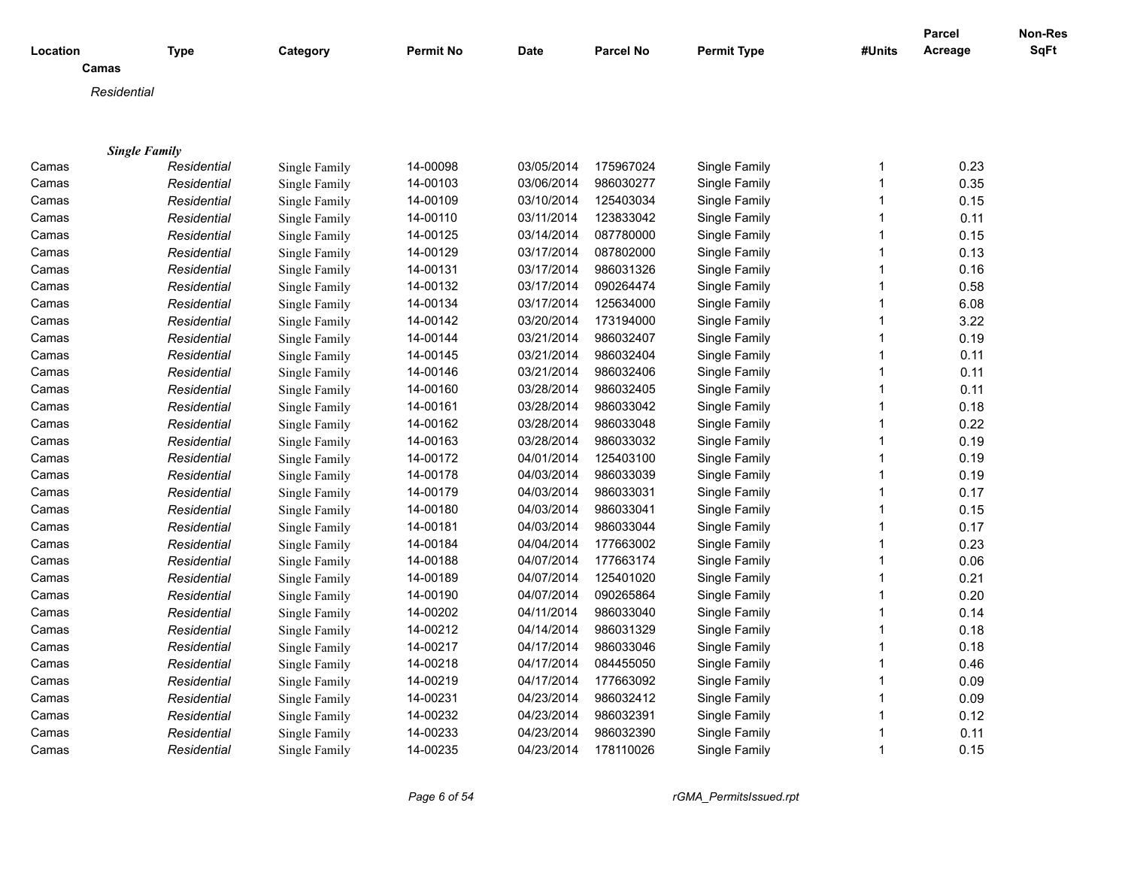| Location |                      | <b>Type</b> | Category      | <b>Permit No</b> | <b>Date</b>              | <b>Parcel No</b>       | <b>Permit Type</b> | #Units       | Parcel<br>Acreage | Non-Res<br>SqFt |
|----------|----------------------|-------------|---------------|------------------|--------------------------|------------------------|--------------------|--------------|-------------------|-----------------|
|          | Camas                |             |               |                  |                          |                        |                    |              |                   |                 |
|          | Residential          |             |               |                  |                          |                        |                    |              |                   |                 |
|          |                      |             |               |                  |                          |                        |                    |              |                   |                 |
|          |                      |             |               |                  |                          |                        |                    |              |                   |                 |
| Camas    | <b>Single Family</b> |             |               | 14-00098         | 03/05/2014               | 175967024              | Single Family      | 1            | 0.23              |                 |
|          |                      | Residential | Single Family | 14-00103         | 03/06/2014               | 986030277              | Single Family      | $\mathbf{1}$ | 0.35              |                 |
| Camas    |                      | Residential | Single Family |                  |                          |                        |                    | $\mathbf 1$  | 0.15              |                 |
| Camas    |                      | Residential | Single Family | 14-00109         | 03/10/2014<br>03/11/2014 | 125403034<br>123833042 | Single Family      | 1            | 0.11              |                 |
| Camas    |                      | Residential | Single Family | 14-00110         |                          | 087780000              | Single Family      | 1            | 0.15              |                 |
| Camas    |                      | Residential | Single Family | 14-00125         | 03/14/2014<br>03/17/2014 |                        | Single Family      |              |                   |                 |
| Camas    |                      | Residential | Single Family | 14-00129         |                          | 087802000              | Single Family      | 1            | 0.13              |                 |
| Camas    |                      | Residential | Single Family | 14-00131         | 03/17/2014               | 986031326              | Single Family      |              | 0.16              |                 |
| Camas    |                      | Residential | Single Family | 14-00132         | 03/17/2014               | 090264474              | Single Family      | 1            | 0.58              |                 |
| Camas    |                      | Residential | Single Family | 14-00134         | 03/17/2014               | 125634000              | Single Family      |              | 6.08              |                 |
| Camas    |                      | Residential | Single Family | 14-00142         | 03/20/2014               | 173194000              | Single Family      | 1            | 3.22              |                 |
| Camas    |                      | Residential | Single Family | 14-00144         | 03/21/2014               | 986032407              | Single Family      |              | 0.19              |                 |
| Camas    |                      | Residential | Single Family | 14-00145         | 03/21/2014               | 986032404              | Single Family      | 1            | 0.11              |                 |
| Camas    |                      | Residential | Single Family | 14-00146         | 03/21/2014               | 986032406              | Single Family      | 1            | 0.11              |                 |
| Camas    |                      | Residential | Single Family | 14-00160         | 03/28/2014               | 986032405              | Single Family      | 1            | 0.11              |                 |
| Camas    |                      | Residential | Single Family | 14-00161         | 03/28/2014               | 986033042              | Single Family      |              | 0.18              |                 |
| Camas    |                      | Residential | Single Family | 14-00162         | 03/28/2014               | 986033048              | Single Family      | 1            | 0.22              |                 |
| Camas    |                      | Residential | Single Family | 14-00163         | 03/28/2014               | 986033032              | Single Family      |              | 0.19              |                 |
| Camas    |                      | Residential | Single Family | 14-00172         | 04/01/2014               | 125403100              | Single Family      | 1            | 0.19              |                 |
| Camas    |                      | Residential | Single Family | 14-00178         | 04/03/2014               | 986033039              | Single Family      |              | 0.19              |                 |
| Camas    |                      | Residential | Single Family | 14-00179         | 04/03/2014               | 986033031              | Single Family      | 1            | 0.17              |                 |
| Camas    |                      | Residential | Single Family | 14-00180         | 04/03/2014               | 986033041              | Single Family      | 1            | 0.15              |                 |
| Camas    |                      | Residential | Single Family | 14-00181         | 04/03/2014               | 986033044              | Single Family      | 1            | 0.17              |                 |
| Camas    |                      | Residential | Single Family | 14-00184         | 04/04/2014               | 177663002              | Single Family      |              | 0.23              |                 |
| Camas    |                      | Residential | Single Family | 14-00188         | 04/07/2014               | 177663174              | Single Family      | 1            | 0.06              |                 |
| Camas    |                      | Residential | Single Family | 14-00189         | 04/07/2014               | 125401020              | Single Family      |              | 0.21              |                 |
| Camas    |                      | Residential | Single Family | 14-00190         | 04/07/2014               | 090265864              | Single Family      | 1            | 0.20              |                 |
| Camas    |                      | Residential | Single Family | 14-00202         | 04/11/2014               | 986033040              | Single Family      |              | 0.14              |                 |
| Camas    |                      | Residential | Single Family | 14-00212         | 04/14/2014               | 986031329              | Single Family      | 1            | 0.18              |                 |
| Camas    |                      | Residential | Single Family | 14-00217         | 04/17/2014               | 986033046              | Single Family      |              | 0.18              |                 |
| Camas    |                      | Residential | Single Family | 14-00218         | 04/17/2014               | 084455050              | Single Family      | 1            | 0.46              |                 |
| Camas    |                      | Residential | Single Family | 14-00219         | 04/17/2014               | 177663092              | Single Family      |              | 0.09              |                 |
| Camas    |                      | Residential | Single Family | 14-00231         | 04/23/2014               | 986032412              | Single Family      | 1            | 0.09              |                 |
| Camas    |                      | Residential | Single Family | 14-00232         | 04/23/2014               | 986032391              | Single Family      |              | 0.12              |                 |
| Camas    |                      | Residential | Single Family | 14-00233         | 04/23/2014               | 986032390              | Single Family      |              | 0.11              |                 |
| Camas    |                      | Residential | Single Family | 14-00235         | 04/23/2014               | 178110026              | Single Family      | 1            | 0.15              |                 |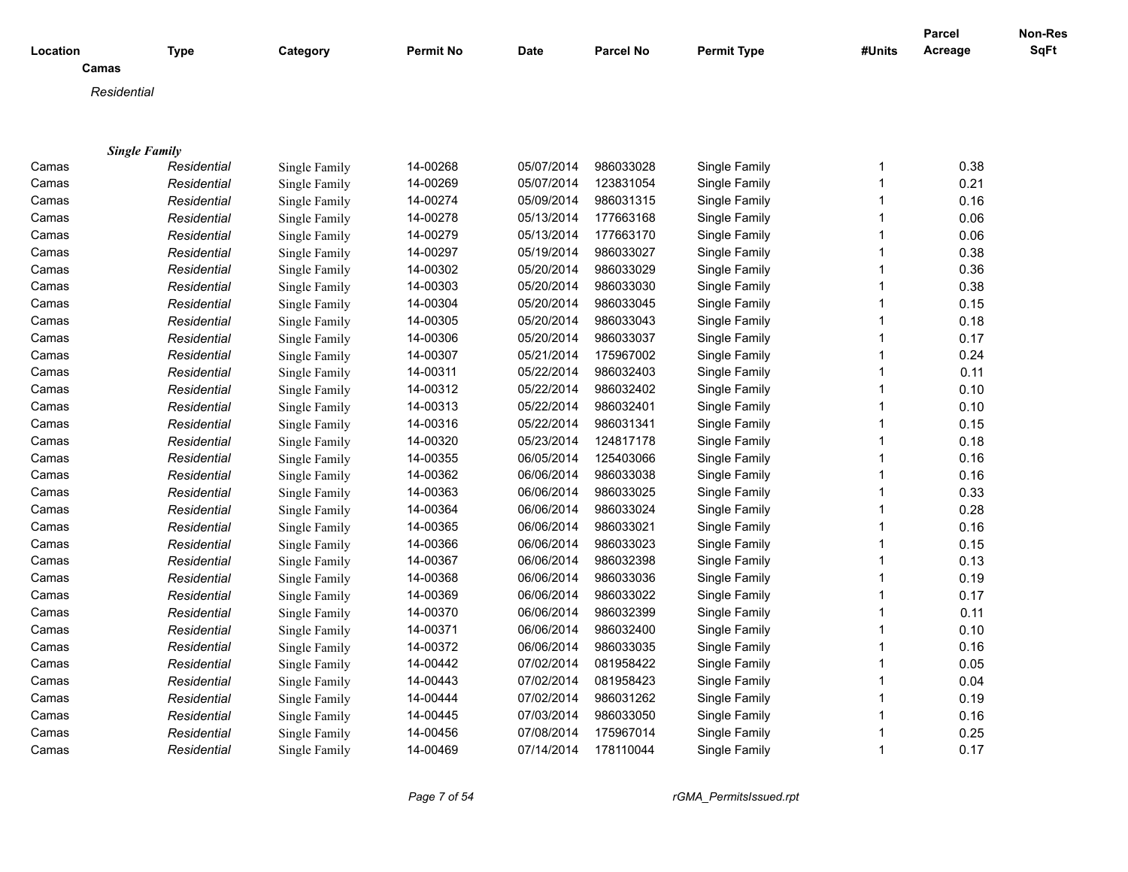| Location |                      | <b>Type</b> | Category      | <b>Permit No</b> | <b>Date</b> | <b>Parcel No</b> | <b>Permit Type</b> | #Units       | Parcel<br>Acreage | <b>Non-Res</b><br><b>SqFt</b> |
|----------|----------------------|-------------|---------------|------------------|-------------|------------------|--------------------|--------------|-------------------|-------------------------------|
|          | Camas                |             |               |                  |             |                  |                    |              |                   |                               |
|          | Residential          |             |               |                  |             |                  |                    |              |                   |                               |
|          |                      |             |               |                  |             |                  |                    |              |                   |                               |
|          | <b>Single Family</b> |             |               |                  |             |                  |                    |              |                   |                               |
| Camas    |                      | Residential | Single Family | 14-00268         | 05/07/2014  | 986033028        | Single Family      | 1            | 0.38              |                               |
| Camas    |                      | Residential | Single Family | 14-00269         | 05/07/2014  | 123831054        | Single Family      | 1            | 0.21              |                               |
| Camas    |                      | Residential | Single Family | 14-00274         | 05/09/2014  | 986031315        | Single Family      | 1            | 0.16              |                               |
| Camas    |                      | Residential | Single Family | 14-00278         | 05/13/2014  | 177663168        | Single Family      | 1            | 0.06              |                               |
| Camas    |                      | Residential | Single Family | 14-00279         | 05/13/2014  | 177663170        | Single Family      | 1            | 0.06              |                               |
| Camas    |                      | Residential | Single Family | 14-00297         | 05/19/2014  | 986033027        | Single Family      | 1            | 0.38              |                               |
| Camas    |                      | Residential | Single Family | 14-00302         | 05/20/2014  | 986033029        | Single Family      |              | 0.36              |                               |
| Camas    |                      | Residential | Single Family | 14-00303         | 05/20/2014  | 986033030        | Single Family      | 1            | 0.38              |                               |
| Camas    |                      | Residential | Single Family | 14-00304         | 05/20/2014  | 986033045        | Single Family      | 1            | 0.15              |                               |
| Camas    |                      | Residential | Single Family | 14-00305         | 05/20/2014  | 986033043        | Single Family      | 1            | 0.18              |                               |
| Camas    |                      | Residential | Single Family | 14-00306         | 05/20/2014  | 986033037        | Single Family      | 1            | 0.17              |                               |
| Camas    |                      | Residential | Single Family | 14-00307         | 05/21/2014  | 175967002        | Single Family      | 1            | 0.24              |                               |
| Camas    |                      | Residential | Single Family | 14-00311         | 05/22/2014  | 986032403        | Single Family      | 1            | 0.11              |                               |
| Camas    |                      | Residential | Single Family | 14-00312         | 05/22/2014  | 986032402        | Single Family      | 1            | 0.10              |                               |
| Camas    |                      | Residential | Single Family | 14-00313         | 05/22/2014  | 986032401        | Single Family      |              | 0.10              |                               |
| Camas    |                      | Residential | Single Family | 14-00316         | 05/22/2014  | 986031341        | Single Family      | 1            | 0.15              |                               |
| Camas    |                      | Residential | Single Family | 14-00320         | 05/23/2014  | 124817178        | Single Family      | 1            | 0.18              |                               |
| Camas    |                      | Residential | Single Family | 14-00355         | 06/05/2014  | 125403066        | Single Family      | 1            | 0.16              |                               |
| Camas    |                      | Residential | Single Family | 14-00362         | 06/06/2014  | 986033038        | Single Family      |              | 0.16              |                               |
| Camas    |                      | Residential | Single Family | 14-00363         | 06/06/2014  | 986033025        | Single Family      | 1            | 0.33              |                               |
| Camas    |                      | Residential | Single Family | 14-00364         | 06/06/2014  | 986033024        | Single Family      | 1            | 0.28              |                               |
| Camas    |                      | Residential | Single Family | 14-00365         | 06/06/2014  | 986033021        | Single Family      | 1            | 0.16              |                               |
| Camas    |                      | Residential | Single Family | 14-00366         | 06/06/2014  | 986033023        | Single Family      | 1            | 0.15              |                               |
| Camas    |                      | Residential | Single Family | 14-00367         | 06/06/2014  | 986032398        | Single Family      | 1            | 0.13              |                               |
| Camas    |                      | Residential | Single Family | 14-00368         | 06/06/2014  | 986033036        | Single Family      | 1            | 0.19              |                               |
| Camas    |                      | Residential | Single Family | 14-00369         | 06/06/2014  | 986033022        | Single Family      | 1            | 0.17              |                               |
| Camas    |                      | Residential | Single Family | 14-00370         | 06/06/2014  | 986032399        | Single Family      | 1            | 0.11              |                               |
| Camas    |                      | Residential | Single Family | 14-00371         | 06/06/2014  | 986032400        | Single Family      | 1            | 0.10              |                               |
| Camas    |                      | Residential | Single Family | 14-00372         | 06/06/2014  | 986033035        | Single Family      | 1            | 0.16              |                               |
| Camas    |                      | Residential | Single Family | 14-00442         | 07/02/2014  | 081958422        | Single Family      | 1            | 0.05              |                               |
| Camas    |                      | Residential | Single Family | 14-00443         | 07/02/2014  | 081958423        | Single Family      |              | 0.04              |                               |
| Camas    |                      | Residential | Single Family | 14-00444         | 07/02/2014  | 986031262        | Single Family      | 1            | 0.19              |                               |
| Camas    |                      | Residential | Single Family | 14-00445         | 07/03/2014  | 986033050        | Single Family      | 1            | 0.16              |                               |
| Camas    |                      | Residential | Single Family | 14-00456         | 07/08/2014  | 175967014        | Single Family      | 1            | 0.25              |                               |
| Camas    |                      | Residential | Single Family | 14-00469         | 07/14/2014  | 178110044        | Single Family      | $\mathbf{1}$ | 0.17              |                               |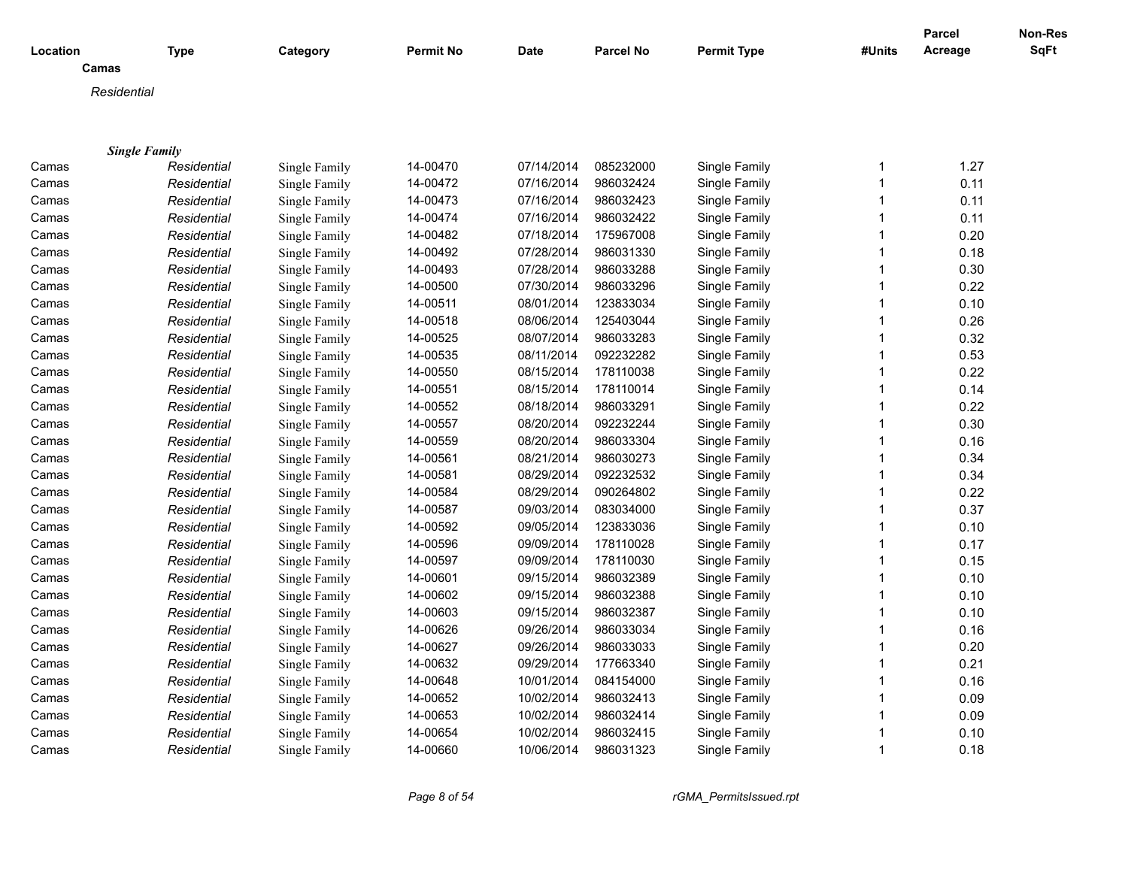| Location |                      | <b>Type</b> | Category      | <b>Permit No</b> | <b>Date</b> | <b>Parcel No</b> | <b>Permit Type</b> | #Units       | <b>Parcel</b><br>Acreage | Non-Res<br>SqFt |
|----------|----------------------|-------------|---------------|------------------|-------------|------------------|--------------------|--------------|--------------------------|-----------------|
|          | Camas                |             |               |                  |             |                  |                    |              |                          |                 |
|          | Residential          |             |               |                  |             |                  |                    |              |                          |                 |
|          |                      |             |               |                  |             |                  |                    |              |                          |                 |
|          |                      |             |               |                  |             |                  |                    |              |                          |                 |
|          | <b>Single Family</b> |             |               |                  |             |                  |                    |              |                          |                 |
| Camas    |                      | Residential | Single Family | 14-00470         | 07/14/2014  | 085232000        | Single Family      | 1            | 1.27                     |                 |
| Camas    |                      | Residential | Single Family | 14-00472         | 07/16/2014  | 986032424        | Single Family      | $\mathbf{1}$ | 0.11                     |                 |
| Camas    |                      | Residential | Single Family | 14-00473         | 07/16/2014  | 986032423        | Single Family      | $\mathbf 1$  | 0.11                     |                 |
| Camas    |                      | Residential | Single Family | 14-00474         | 07/16/2014  | 986032422        | Single Family      | 1            | 0.11                     |                 |
| Camas    |                      | Residential | Single Family | 14-00482         | 07/18/2014  | 175967008        | Single Family      | 1            | 0.20                     |                 |
| Camas    |                      | Residential | Single Family | 14-00492         | 07/28/2014  | 986031330        | Single Family      | 1            | 0.18                     |                 |
| Camas    |                      | Residential | Single Family | 14-00493         | 07/28/2014  | 986033288        | Single Family      |              | 0.30                     |                 |
| Camas    |                      | Residential | Single Family | 14-00500         | 07/30/2014  | 986033296        | Single Family      | 1            | 0.22                     |                 |
| Camas    |                      | Residential | Single Family | 14-00511         | 08/01/2014  | 123833034        | Single Family      |              | 0.10                     |                 |
| Camas    |                      | Residential | Single Family | 14-00518         | 08/06/2014  | 125403044        | Single Family      | 1            | 0.26                     |                 |
| Camas    |                      | Residential | Single Family | 14-00525         | 08/07/2014  | 986033283        | Single Family      |              | 0.32                     |                 |
| Camas    |                      | Residential | Single Family | 14-00535         | 08/11/2014  | 092232282        | Single Family      | 1            | 0.53                     |                 |
| Camas    |                      | Residential | Single Family | 14-00550         | 08/15/2014  | 178110038        | Single Family      | 1            | 0.22                     |                 |
| Camas    |                      | Residential | Single Family | 14-00551         | 08/15/2014  | 178110014        | Single Family      | 1            | 0.14                     |                 |
| Camas    |                      | Residential | Single Family | 14-00552         | 08/18/2014  | 986033291        | Single Family      |              | 0.22                     |                 |
| Camas    |                      | Residential | Single Family | 14-00557         | 08/20/2014  | 092232244        | Single Family      | 1            | 0.30                     |                 |
| Camas    |                      | Residential | Single Family | 14-00559         | 08/20/2014  | 986033304        | Single Family      |              | 0.16                     |                 |
| Camas    |                      | Residential | Single Family | 14-00561         | 08/21/2014  | 986030273        | Single Family      | 1            | 0.34                     |                 |
| Camas    |                      | Residential | Single Family | 14-00581         | 08/29/2014  | 092232532        | Single Family      |              | 0.34                     |                 |
| Camas    |                      | Residential | Single Family | 14-00584         | 08/29/2014  | 090264802        | Single Family      | 1            | 0.22                     |                 |
| Camas    |                      | Residential | Single Family | 14-00587         | 09/03/2014  | 083034000        | Single Family      | 1            | 0.37                     |                 |
| Camas    |                      | Residential | Single Family | 14-00592         | 09/05/2014  | 123833036        | Single Family      | 1            | 0.10                     |                 |
| Camas    |                      | Residential | Single Family | 14-00596         | 09/09/2014  | 178110028        | Single Family      |              | 0.17                     |                 |
| Camas    |                      | Residential | Single Family | 14-00597         | 09/09/2014  | 178110030        | Single Family      | 1            | 0.15                     |                 |
| Camas    |                      | Residential | Single Family | 14-00601         | 09/15/2014  | 986032389        | Single Family      |              | 0.10                     |                 |
| Camas    |                      | Residential | Single Family | 14-00602         | 09/15/2014  | 986032388        | Single Family      | 1            | 0.10                     |                 |
| Camas    |                      | Residential | Single Family | 14-00603         | 09/15/2014  | 986032387        | Single Family      |              | 0.10                     |                 |
| Camas    |                      | Residential | Single Family | 14-00626         | 09/26/2014  | 986033034        | Single Family      | 1            | 0.16                     |                 |
| Camas    |                      | Residential | Single Family | 14-00627         | 09/26/2014  | 986033033        | Single Family      |              | 0.20                     |                 |
| Camas    |                      | Residential | Single Family | 14-00632         | 09/29/2014  | 177663340        | Single Family      | 1            | 0.21                     |                 |
| Camas    |                      | Residential | Single Family | 14-00648         | 10/01/2014  | 084154000        | Single Family      |              | 0.16                     |                 |
| Camas    |                      | Residential | Single Family | 14-00652         | 10/02/2014  | 986032413        | Single Family      | 1            | 0.09                     |                 |
| Camas    |                      | Residential | Single Family | 14-00653         | 10/02/2014  | 986032414        | Single Family      |              | 0.09                     |                 |
| Camas    |                      | Residential | Single Family | 14-00654         | 10/02/2014  | 986032415        | Single Family      |              | 0.10                     |                 |
| Camas    |                      | Residential | Single Family | 14-00660         | 10/06/2014  | 986031323        | Single Family      | 1            | 0.18                     |                 |
|          |                      |             |               |                  |             |                  |                    |              |                          |                 |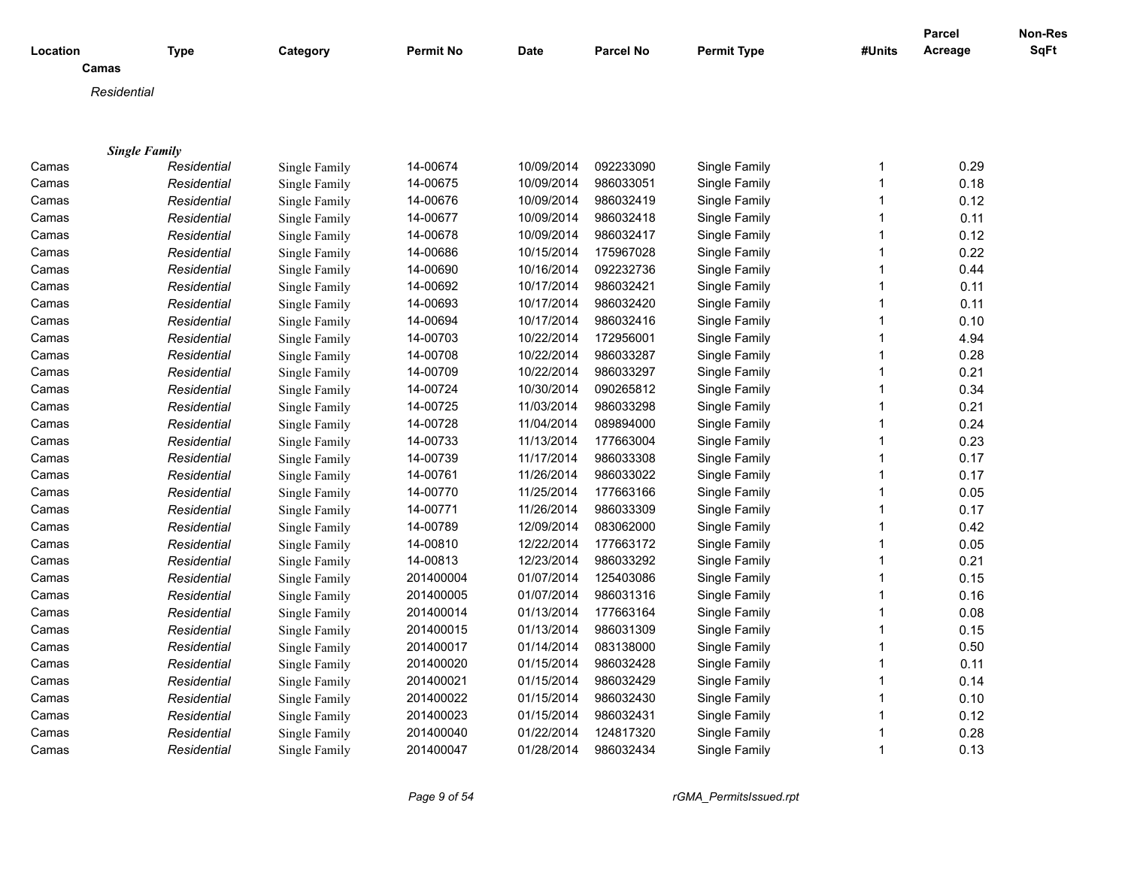| Location       |                      | <b>Type</b>                | Category                       | <b>Permit No</b> | <b>Date</b> | <b>Parcel No</b>       | <b>Permit Type</b> | #Units       | Parcel<br>Acreage | Non-Res<br>SqFt |
|----------------|----------------------|----------------------------|--------------------------------|------------------|-------------|------------------------|--------------------|--------------|-------------------|-----------------|
|                | Camas                |                            |                                |                  |             |                        |                    |              |                   |                 |
|                | Residential          |                            |                                |                  |             |                        |                    |              |                   |                 |
|                |                      |                            |                                |                  |             |                        |                    |              |                   |                 |
|                |                      |                            |                                |                  |             |                        |                    |              |                   |                 |
| Camas          | <b>Single Family</b> | Residential                | Single Family                  | 14-00674         | 10/09/2014  | 092233090              | Single Family      | 1            | 0.29              |                 |
| Camas          |                      | Residential                | Single Family                  | 14-00675         | 10/09/2014  | 986033051              | Single Family      | $\mathbf{1}$ | 0.18              |                 |
| Camas          |                      | Residential                | Single Family                  | 14-00676         | 10/09/2014  | 986032419              | Single Family      | $\mathbf 1$  | 0.12              |                 |
| Camas          |                      | Residential                | Single Family                  | 14-00677         | 10/09/2014  | 986032418              | Single Family      | 1            | 0.11              |                 |
| Camas          |                      | Residential                | Single Family                  | 14-00678         | 10/09/2014  | 986032417              | Single Family      | 1            | 0.12              |                 |
| Camas          |                      | Residential                | Single Family                  | 14-00686         | 10/15/2014  | 175967028              | Single Family      | 1            | 0.22              |                 |
| Camas          |                      | Residential                | Single Family                  | 14-00690         | 10/16/2014  | 092232736              | Single Family      |              | 0.44              |                 |
|                |                      |                            |                                | 14-00692         | 10/17/2014  | 986032421              | Single Family      | 1            | 0.11              |                 |
| Camas          |                      | Residential                | Single Family<br>Single Family | 14-00693         | 10/17/2014  | 986032420              | Single Family      |              | 0.11              |                 |
| Camas          |                      | Residential                |                                | 14-00694         | 10/17/2014  | 986032416              | Single Family      | 1            | 0.10              |                 |
| Camas          |                      | Residential                | Single Family                  | 14-00703         | 10/22/2014  | 172956001              | Single Family      |              | 4.94              |                 |
| Camas<br>Camas |                      | Residential<br>Residential | Single Family                  | 14-00708         | 10/22/2014  | 986033287              | Single Family      | 1            | 0.28              |                 |
|                |                      |                            | Single Family                  |                  | 10/22/2014  |                        |                    | 1            | 0.21              |                 |
| Camas          |                      | Residential                | Single Family                  | 14-00709         | 10/30/2014  | 986033297<br>090265812 | Single Family      | 1            |                   |                 |
| Camas          |                      | Residential                | Single Family                  | 14-00724         |             |                        | Single Family      |              | 0.34<br>0.21      |                 |
| Camas          |                      | Residential                | Single Family                  | 14-00725         | 11/03/2014  | 986033298              | Single Family      |              |                   |                 |
| Camas          |                      | Residential                | Single Family                  | 14-00728         | 11/04/2014  | 089894000              | Single Family      | 1            | 0.24              |                 |
| Camas          |                      | Residential                | Single Family                  | 14-00733         | 11/13/2014  | 177663004              | Single Family      |              | 0.23              |                 |
| Camas          |                      | Residential                | Single Family                  | 14-00739         | 11/17/2014  | 986033308              | Single Family      | 1            | 0.17              |                 |
| Camas          |                      | Residential                | Single Family                  | 14-00761         | 11/26/2014  | 986033022              | Single Family      |              | 0.17              |                 |
| Camas          |                      | Residential                | Single Family                  | 14-00770         | 11/25/2014  | 177663166              | Single Family      | 1            | 0.05              |                 |
| Camas          |                      | Residential                | Single Family                  | 14-00771         | 11/26/2014  | 986033309              | Single Family      | 1            | 0.17              |                 |
| Camas          |                      | Residential                | Single Family                  | 14-00789         | 12/09/2014  | 083062000              | Single Family      | 1            | 0.42              |                 |
| Camas          |                      | Residential                | Single Family                  | 14-00810         | 12/22/2014  | 177663172              | Single Family      |              | 0.05              |                 |
| Camas          |                      | Residential                | Single Family                  | 14-00813         | 12/23/2014  | 986033292              | Single Family      | 1            | 0.21              |                 |
| Camas          |                      | Residential                | Single Family                  | 201400004        | 01/07/2014  | 125403086              | Single Family      |              | 0.15              |                 |
| Camas          |                      | Residential                | Single Family                  | 201400005        | 01/07/2014  | 986031316              | Single Family      | 1            | 0.16              |                 |
| Camas          |                      | Residential                | Single Family                  | 201400014        | 01/13/2014  | 177663164              | Single Family      |              | 0.08              |                 |
| Camas          |                      | Residential                | Single Family                  | 201400015        | 01/13/2014  | 986031309              | Single Family      | 1            | 0.15              |                 |
| Camas          |                      | Residential                | Single Family                  | 201400017        | 01/14/2014  | 083138000              | Single Family      |              | 0.50              |                 |
| Camas          |                      | Residential                | Single Family                  | 201400020        | 01/15/2014  | 986032428              | Single Family      | 1            | 0.11              |                 |
| Camas          |                      | Residential                | Single Family                  | 201400021        | 01/15/2014  | 986032429              | Single Family      |              | 0.14              |                 |
| Camas          |                      | Residential                | Single Family                  | 201400022        | 01/15/2014  | 986032430              | Single Family      | 1            | 0.10              |                 |
| Camas          |                      | Residential                | Single Family                  | 201400023        | 01/15/2014  | 986032431              | Single Family      |              | 0.12              |                 |
| Camas          |                      | Residential                | Single Family                  | 201400040        | 01/22/2014  | 124817320              | Single Family      |              | 0.28              |                 |
| Camas          |                      | Residential                | Single Family                  | 201400047        | 01/28/2014  | 986032434              | Single Family      | 1            | 0.13              |                 |

*Page 9 of 54 rGMA\_PermitsIssued.rpt*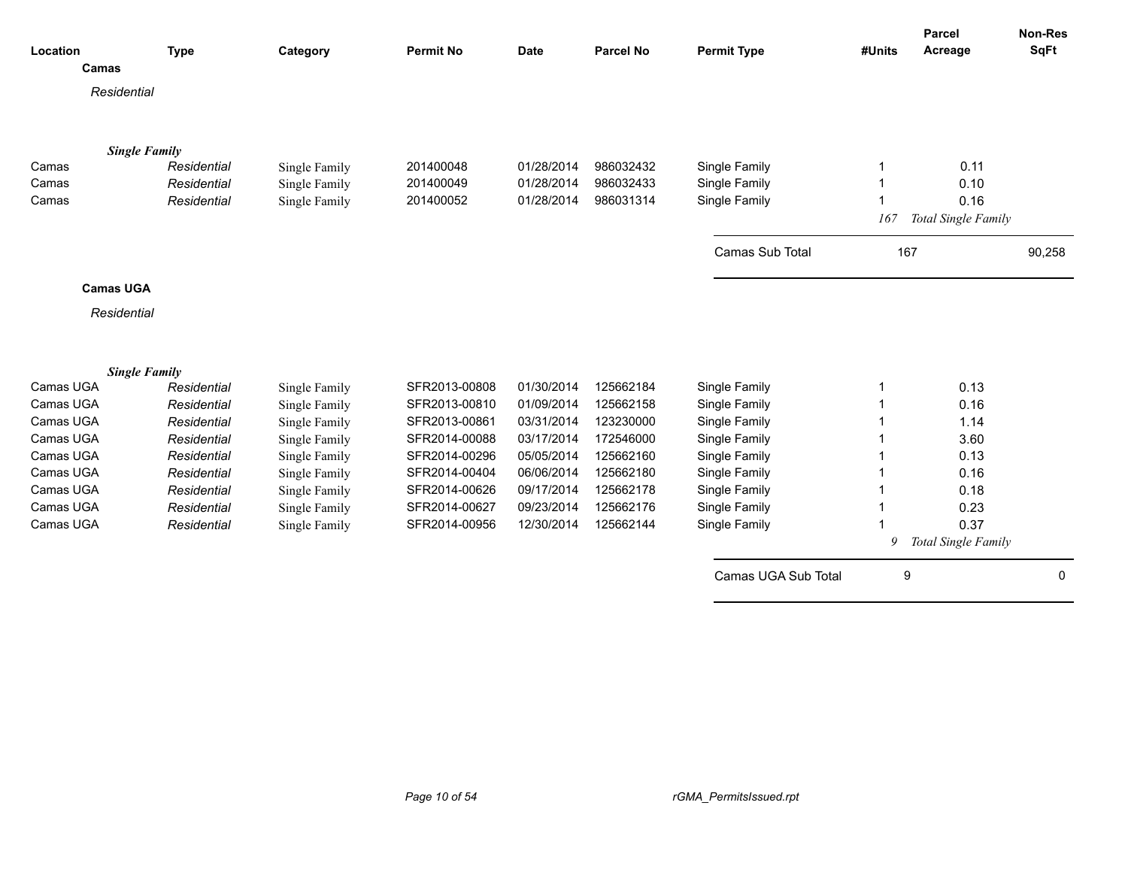| Location  |                      | <b>Type</b> | Category      | <b>Permit No</b> | <b>Date</b> | <b>Parcel No</b> | <b>Permit Type</b>     | #Units | Parcel<br>Acreage   | <b>Non-Res</b><br><b>SqFt</b> |
|-----------|----------------------|-------------|---------------|------------------|-------------|------------------|------------------------|--------|---------------------|-------------------------------|
|           | Camas                |             |               |                  |             |                  |                        |        |                     |                               |
|           | Residential          |             |               |                  |             |                  |                        |        |                     |                               |
|           |                      |             |               |                  |             |                  |                        |        |                     |                               |
|           | <b>Single Family</b> |             |               |                  |             |                  |                        |        |                     |                               |
| Camas     |                      | Residential | Single Family | 201400048        | 01/28/2014  | 986032432        | Single Family          |        | 0.11                |                               |
| Camas     |                      | Residential | Single Family | 201400049        | 01/28/2014  | 986032433        | Single Family          |        | 0.10                |                               |
| Camas     |                      | Residential | Single Family | 201400052        | 01/28/2014  | 986031314        | Single Family          |        | 0.16                |                               |
|           |                      |             |               |                  |             |                  |                        | 167    | Total Single Family |                               |
|           |                      |             |               |                  |             |                  | <b>Camas Sub Total</b> | 167    |                     | 90,258                        |
|           | <b>Camas UGA</b>     |             |               |                  |             |                  |                        |        |                     |                               |
|           | Residential          |             |               |                  |             |                  |                        |        |                     |                               |
|           |                      |             |               |                  |             |                  |                        |        |                     |                               |
|           | <b>Single Family</b> |             |               |                  |             |                  |                        |        |                     |                               |
| Camas UGA |                      | Residential | Single Family | SFR2013-00808    | 01/30/2014  | 125662184        | Single Family          |        | 0.13                |                               |
| Camas UGA |                      | Residential | Single Family | SFR2013-00810    | 01/09/2014  | 125662158        | Single Family          |        | 0.16                |                               |
| Camas UGA |                      | Residential | Single Family | SFR2013-00861    | 03/31/2014  | 123230000        | Single Family          |        | 1.14                |                               |
| Camas UGA |                      | Residential | Single Family | SFR2014-00088    | 03/17/2014  | 172546000        | Single Family          |        | 3.60                |                               |
| Camas UGA |                      | Residential | Single Family | SFR2014-00296    | 05/05/2014  | 125662160        | Single Family          |        | 0.13                |                               |
| Camas UGA |                      | Residential | Single Family | SFR2014-00404    | 06/06/2014  | 125662180        | Single Family          |        | 0.16                |                               |
| Camas UGA |                      | Residential | Single Family | SFR2014-00626    | 09/17/2014  | 125662178        | Single Family          |        | 0.18                |                               |
| Camas UGA |                      | Residential | Single Family | SFR2014-00627    | 09/23/2014  | 125662176        | Single Family          |        | 0.23                |                               |
| Camas UGA |                      | Residential | Single Family | SFR2014-00956    | 12/30/2014  | 125662144        | Single Family          |        | 0.37                |                               |
|           |                      |             |               |                  |             |                  |                        | 9      | Total Single Family |                               |
|           |                      |             |               |                  |             |                  | Camas UGA Sub Total    | 9      |                     | $\mathbf 0$                   |
|           |                      |             |               |                  |             |                  |                        |        |                     |                               |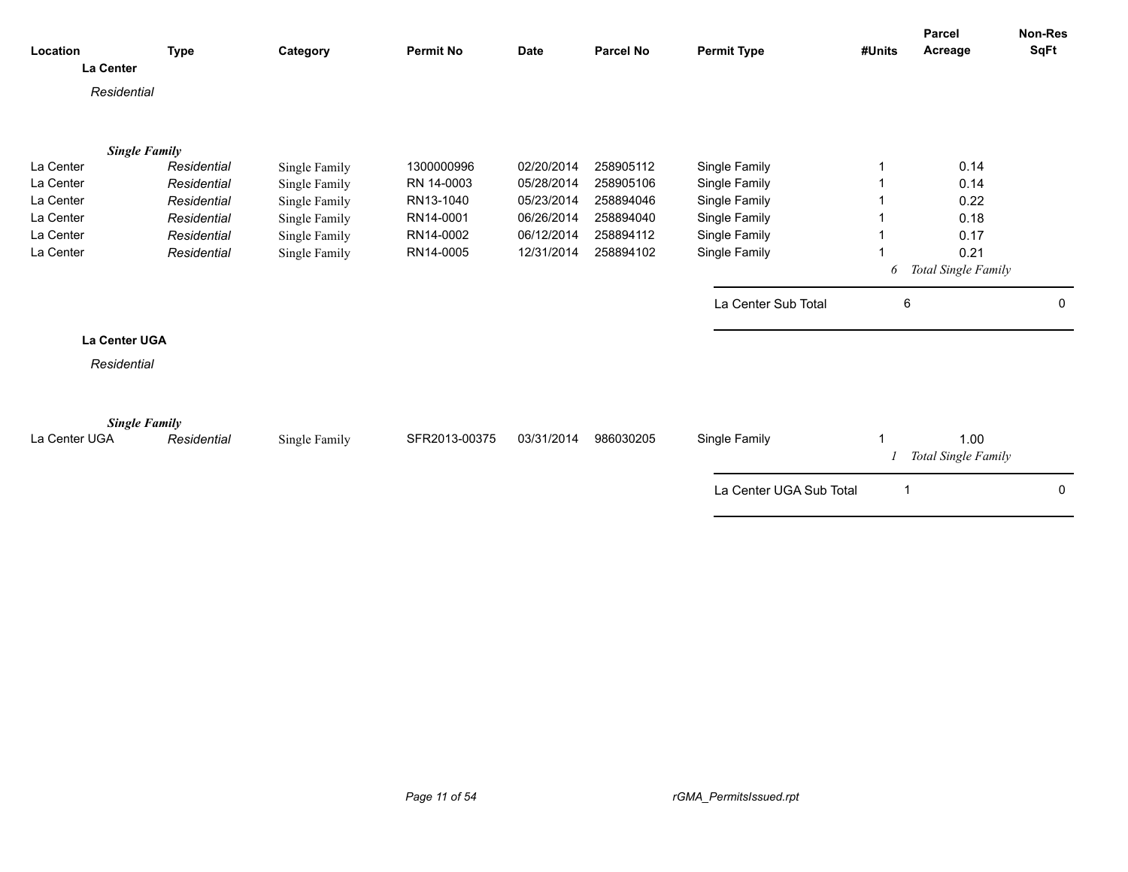| Location                              | <b>Type</b> | Category      | <b>Permit No</b> | <b>Date</b> | <b>Parcel No</b> | <b>Permit Type</b>      | #Units | Parcel<br>Acreage           | Non-Res<br>SqFt |
|---------------------------------------|-------------|---------------|------------------|-------------|------------------|-------------------------|--------|-----------------------------|-----------------|
| La Center                             |             |               |                  |             |                  |                         |        |                             |                 |
| Residential                           |             |               |                  |             |                  |                         |        |                             |                 |
| <b>Single Family</b>                  |             |               |                  |             |                  |                         |        |                             |                 |
| La Center                             | Residential | Single Family | 1300000996       | 02/20/2014  | 258905112        | Single Family           |        | 0.14                        |                 |
| La Center                             | Residential | Single Family | RN 14-0003       | 05/28/2014  | 258905106        | Single Family           |        | 0.14                        |                 |
| La Center                             | Residential | Single Family | RN13-1040        | 05/23/2014  | 258894046        | Single Family           |        | 0.22                        |                 |
| La Center                             | Residential | Single Family | RN14-0001        | 06/26/2014  | 258894040        | Single Family           |        | 0.18                        |                 |
| La Center                             | Residential | Single Family | RN14-0002        | 06/12/2014  | 258894112        | Single Family           |        | 0.17                        |                 |
| La Center                             | Residential | Single Family | RN14-0005        | 12/31/2014  | 258894102        | Single Family           |        | 0.21                        |                 |
|                                       |             |               |                  |             |                  |                         | 6      | Total Single Family         |                 |
|                                       |             |               |                  |             |                  | La Center Sub Total     | 6      |                             | 0               |
| La Center UGA                         |             |               |                  |             |                  |                         |        |                             |                 |
| Residential                           |             |               |                  |             |                  |                         |        |                             |                 |
|                                       |             |               |                  |             |                  |                         |        |                             |                 |
| <b>Single Family</b><br>La Center UGA | Residential | Single Family | SFR2013-00375    | 03/31/2014  | 986030205        | Single Family           |        | 1.00<br>Total Single Family |                 |
|                                       |             |               |                  |             |                  | La Center UGA Sub Total | -1     |                             | 0               |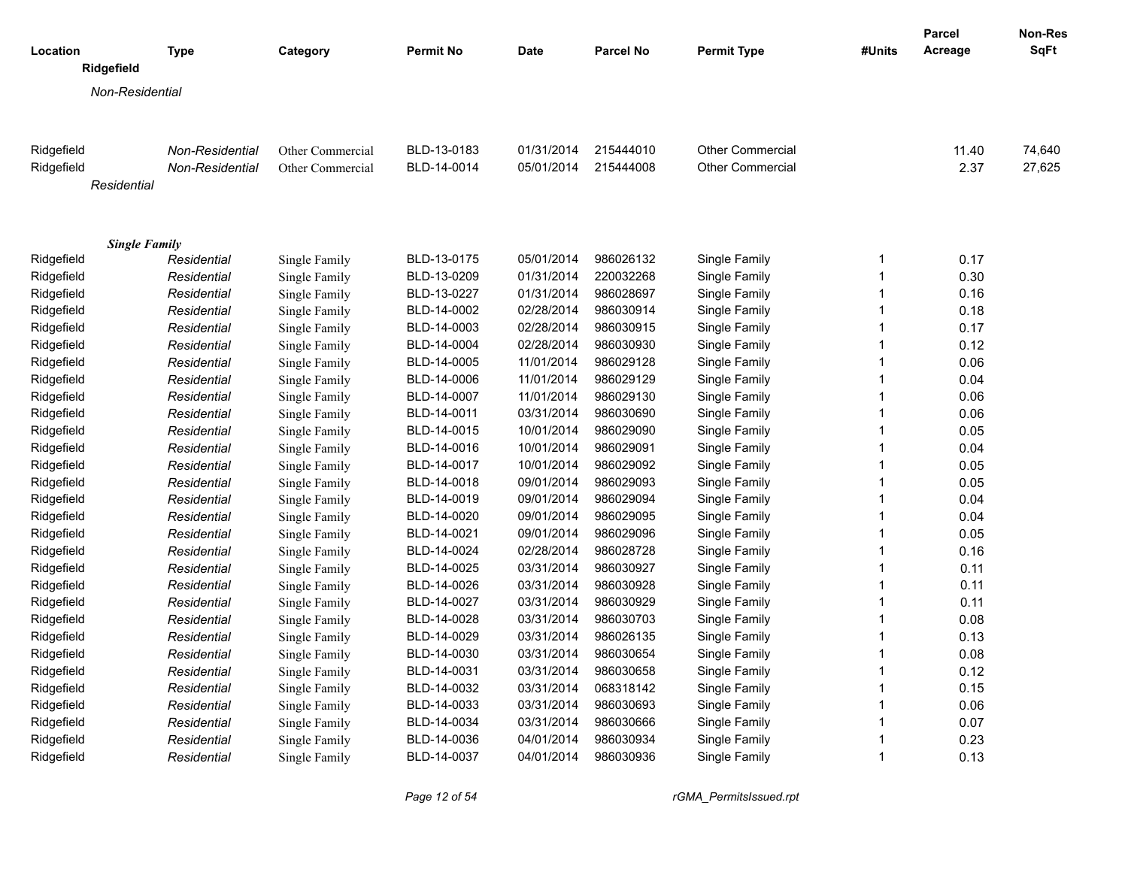| Ridgefield<br>Non-Residential<br>Ridgefield<br>Other Commercial<br>BLD-13-0183<br>01/31/2014<br>215444010<br><b>Other Commercial</b><br>11.40<br>74,640<br>Non-Residential<br>BLD-14-0014<br>Other Commercial<br>2.37<br>27,625<br>Ridgefield<br>Non-Residential<br>Other Commercial<br>05/01/2014<br>215444008<br>Residential<br><b>Single Family</b><br>Single Family<br>Ridgefield<br>Single Family<br>BLD-13-0175<br>05/01/2014<br>986026132<br>$\mathbf 1$<br>0.17<br>Residential<br>220032268<br>$\overline{1}$<br>0.30<br>Ridgefield<br>Residential<br>Single Family<br>BLD-13-0209<br>01/31/2014<br>Single Family<br>Ridgefield<br>Single Family<br>BLD-13-0227<br>986028697<br>Single Family<br>$\overline{1}$<br>0.16<br>Residential<br>01/31/2014<br>986030914<br>0.18<br>Ridgefield<br>Residential<br>Single Family<br>BLD-14-0002<br>02/28/2014<br>Single Family<br>$\overline{1}$<br>986030915<br>$\mathbf{1}$<br>Ridgefield<br>Residential<br>Single Family<br>BLD-14-0003<br>02/28/2014<br>Single Family<br>0.17<br>986030930<br>$\overline{1}$<br>Ridgefield<br>BLD-14-0004<br>02/28/2014<br>Single Family<br>0.12<br>Residential<br>Single Family<br>986029128<br>$\overline{1}$<br>0.06<br>Ridgefield<br>Residential<br>BLD-14-0005<br>11/01/2014<br>Single Family<br>Single Family<br>Ridgefield<br>BLD-14-0006<br>11/01/2014<br>986029129<br>Single Family<br>$\overline{1}$<br>0.04<br>Residential<br>Single Family<br>BLD-14-0007<br>986029130<br>$\overline{1}$<br>0.06<br>Ridgefield<br>Residential<br>Single Family<br>11/01/2014<br>Single Family<br>Ridgefield<br>BLD-14-0011<br>03/31/2014<br>986030690<br>Single Family<br>$\overline{1}$<br>0.06<br>Residential<br>Single Family<br>986029090<br>Single Family<br>0.05<br>Ridgefield<br>Residential<br>Single Family<br>BLD-14-0015<br>10/01/2014<br>$\overline{1}$<br>Ridgefield<br>986029091<br>Single Family<br>$\mathbf{1}$<br>0.04<br>Residential<br>Single Family<br>BLD-14-0016<br>10/01/2014<br>$\overline{1}$<br>Ridgefield<br>Residential<br>Single Family<br>BLD-14-0017<br>10/01/2014<br>986029092<br>Single Family<br>0.05<br>$\overline{1}$<br>0.05<br>Ridgefield<br>Residential<br>Single Family<br>BLD-14-0018<br>09/01/2014<br>986029093<br>Single Family<br>Ridgefield<br>BLD-14-0019<br>09/01/2014<br>986029094<br>Single Family<br>$\overline{1}$<br>0.04<br>Residential<br>Single Family<br>$\overline{1}$<br>BLD-14-0020<br>09/01/2014<br>986029095<br>Single Family<br>0.04<br>Ridgefield<br>Residential<br>Single Family<br>Residential<br>BLD-14-0021<br>09/01/2014<br>986029096<br>Single Family<br>$\overline{1}$<br>0.05<br>Ridgefield<br>Single Family<br>986028728<br>$\overline{1}$<br>Ridgefield<br>Residential<br>Single Family<br>BLD-14-0024<br>02/28/2014<br>Single Family<br>0.16<br>Ridgefield<br>BLD-14-0025<br>03/31/2014<br>986030927<br>Single Family<br>$\overline{1}$<br>0.11<br>Residential<br>Single Family<br>986030928<br>$\mathbf{1}$<br>BLD-14-0026<br>03/31/2014<br>Single Family<br>0.11<br>Residential<br>Single Family<br>BLD-14-0027<br>03/31/2014<br>986030929<br>$\overline{1}$<br>0.11<br>Ridgefield<br>Residential<br>Single Family<br>Single Family<br>986030703<br>Ridgefield<br>BLD-14-0028<br>03/31/2014<br>Single Family<br>$\overline{1}$<br>0.08<br>Residential<br>Single Family<br>986026135<br>$\mathbf{1}$<br>Ridgefield<br>BLD-14-0029<br>03/31/2014<br>Single Family<br>0.13<br>Residential<br>Single Family<br>986030654<br>Ridgefield<br>BLD-14-0030<br>03/31/2014<br>Single Family<br>$\overline{1}$<br>0.08<br>Residential<br>Single Family<br>BLD-14-0031<br>986030658<br>$\overline{1}$<br>0.12<br>Ridgefield<br>Residential<br>Single Family<br>03/31/2014<br>Single Family<br>BLD-14-0032<br>03/31/2014<br>068318142<br>Single Family<br>$\overline{1}$<br>0.15<br>Residential<br>Single Family<br>$\overline{1}$<br>Residential<br>Single Family<br>BLD-14-0033<br>03/31/2014<br>986030693<br>Single Family<br>0.06<br>986030666<br>Single Family<br>Ridgefield<br>Residential<br>Single Family<br>BLD-14-0034<br>03/31/2014<br>$\mathbf 1$<br>0.07<br>BLD-14-0036<br>986030934<br>Single Family<br>$\overline{1}$<br>Ridgefield<br>Residential<br>Single Family<br>04/01/2014<br>0.23<br>04/01/2014<br>986030936<br>Ridgefield<br>BLD-14-0037<br>Single Family<br>$\mathbf 1$<br>0.13<br>Residential<br>Single Family |            |             |          |                  |             |           |                    |        | Parcel  | <b>Non-Res</b> |
|---------------------------------------------------------------------------------------------------------------------------------------------------------------------------------------------------------------------------------------------------------------------------------------------------------------------------------------------------------------------------------------------------------------------------------------------------------------------------------------------------------------------------------------------------------------------------------------------------------------------------------------------------------------------------------------------------------------------------------------------------------------------------------------------------------------------------------------------------------------------------------------------------------------------------------------------------------------------------------------------------------------------------------------------------------------------------------------------------------------------------------------------------------------------------------------------------------------------------------------------------------------------------------------------------------------------------------------------------------------------------------------------------------------------------------------------------------------------------------------------------------------------------------------------------------------------------------------------------------------------------------------------------------------------------------------------------------------------------------------------------------------------------------------------------------------------------------------------------------------------------------------------------------------------------------------------------------------------------------------------------------------------------------------------------------------------------------------------------------------------------------------------------------------------------------------------------------------------------------------------------------------------------------------------------------------------------------------------------------------------------------------------------------------------------------------------------------------------------------------------------------------------------------------------------------------------------------------------------------------------------------------------------------------------------------------------------------------------------------------------------------------------------------------------------------------------------------------------------------------------------------------------------------------------------------------------------------------------------------------------------------------------------------------------------------------------------------------------------------------------------------------------------------------------------------------------------------------------------------------------------------------------------------------------------------------------------------------------------------------------------------------------------------------------------------------------------------------------------------------------------------------------------------------------------------------------------------------------------------------------------------------------------------------------------------------------------------------------------------------------------------------------------------------------------------------------------------------------------------------------------------------------------------------------------------------------------------------------------------------------------------------------------------------------------------------------------------------------------------------------------------------------------------------------------------------------------------------------------------------------------------------------------------------------------------------------------------------------------------------------------------------|------------|-------------|----------|------------------|-------------|-----------|--------------------|--------|---------|----------------|
|                                                                                                                                                                                                                                                                                                                                                                                                                                                                                                                                                                                                                                                                                                                                                                                                                                                                                                                                                                                                                                                                                                                                                                                                                                                                                                                                                                                                                                                                                                                                                                                                                                                                                                                                                                                                                                                                                                                                                                                                                                                                                                                                                                                                                                                                                                                                                                                                                                                                                                                                                                                                                                                                                                                                                                                                                                                                                                                                                                                                                                                                                                                                                                                                                                                                                                                                                                                                                                                                                                                                                                                                                                                                                                                                                                                                                                                                                                                                                                                                                                                                                                                                                                                                                                                                                                                                                                                       | Location   | <b>Type</b> | Category | <b>Permit No</b> | <b>Date</b> | Parcel No | <b>Permit Type</b> | #Units | Acreage | SqFt           |
|                                                                                                                                                                                                                                                                                                                                                                                                                                                                                                                                                                                                                                                                                                                                                                                                                                                                                                                                                                                                                                                                                                                                                                                                                                                                                                                                                                                                                                                                                                                                                                                                                                                                                                                                                                                                                                                                                                                                                                                                                                                                                                                                                                                                                                                                                                                                                                                                                                                                                                                                                                                                                                                                                                                                                                                                                                                                                                                                                                                                                                                                                                                                                                                                                                                                                                                                                                                                                                                                                                                                                                                                                                                                                                                                                                                                                                                                                                                                                                                                                                                                                                                                                                                                                                                                                                                                                                                       |            |             |          |                  |             |           |                    |        |         |                |
|                                                                                                                                                                                                                                                                                                                                                                                                                                                                                                                                                                                                                                                                                                                                                                                                                                                                                                                                                                                                                                                                                                                                                                                                                                                                                                                                                                                                                                                                                                                                                                                                                                                                                                                                                                                                                                                                                                                                                                                                                                                                                                                                                                                                                                                                                                                                                                                                                                                                                                                                                                                                                                                                                                                                                                                                                                                                                                                                                                                                                                                                                                                                                                                                                                                                                                                                                                                                                                                                                                                                                                                                                                                                                                                                                                                                                                                                                                                                                                                                                                                                                                                                                                                                                                                                                                                                                                                       |            |             |          |                  |             |           |                    |        |         |                |
|                                                                                                                                                                                                                                                                                                                                                                                                                                                                                                                                                                                                                                                                                                                                                                                                                                                                                                                                                                                                                                                                                                                                                                                                                                                                                                                                                                                                                                                                                                                                                                                                                                                                                                                                                                                                                                                                                                                                                                                                                                                                                                                                                                                                                                                                                                                                                                                                                                                                                                                                                                                                                                                                                                                                                                                                                                                                                                                                                                                                                                                                                                                                                                                                                                                                                                                                                                                                                                                                                                                                                                                                                                                                                                                                                                                                                                                                                                                                                                                                                                                                                                                                                                                                                                                                                                                                                                                       |            |             |          |                  |             |           |                    |        |         |                |
|                                                                                                                                                                                                                                                                                                                                                                                                                                                                                                                                                                                                                                                                                                                                                                                                                                                                                                                                                                                                                                                                                                                                                                                                                                                                                                                                                                                                                                                                                                                                                                                                                                                                                                                                                                                                                                                                                                                                                                                                                                                                                                                                                                                                                                                                                                                                                                                                                                                                                                                                                                                                                                                                                                                                                                                                                                                                                                                                                                                                                                                                                                                                                                                                                                                                                                                                                                                                                                                                                                                                                                                                                                                                                                                                                                                                                                                                                                                                                                                                                                                                                                                                                                                                                                                                                                                                                                                       |            |             |          |                  |             |           |                    |        |         |                |
|                                                                                                                                                                                                                                                                                                                                                                                                                                                                                                                                                                                                                                                                                                                                                                                                                                                                                                                                                                                                                                                                                                                                                                                                                                                                                                                                                                                                                                                                                                                                                                                                                                                                                                                                                                                                                                                                                                                                                                                                                                                                                                                                                                                                                                                                                                                                                                                                                                                                                                                                                                                                                                                                                                                                                                                                                                                                                                                                                                                                                                                                                                                                                                                                                                                                                                                                                                                                                                                                                                                                                                                                                                                                                                                                                                                                                                                                                                                                                                                                                                                                                                                                                                                                                                                                                                                                                                                       |            |             |          |                  |             |           |                    |        |         |                |
|                                                                                                                                                                                                                                                                                                                                                                                                                                                                                                                                                                                                                                                                                                                                                                                                                                                                                                                                                                                                                                                                                                                                                                                                                                                                                                                                                                                                                                                                                                                                                                                                                                                                                                                                                                                                                                                                                                                                                                                                                                                                                                                                                                                                                                                                                                                                                                                                                                                                                                                                                                                                                                                                                                                                                                                                                                                                                                                                                                                                                                                                                                                                                                                                                                                                                                                                                                                                                                                                                                                                                                                                                                                                                                                                                                                                                                                                                                                                                                                                                                                                                                                                                                                                                                                                                                                                                                                       |            |             |          |                  |             |           |                    |        |         |                |
|                                                                                                                                                                                                                                                                                                                                                                                                                                                                                                                                                                                                                                                                                                                                                                                                                                                                                                                                                                                                                                                                                                                                                                                                                                                                                                                                                                                                                                                                                                                                                                                                                                                                                                                                                                                                                                                                                                                                                                                                                                                                                                                                                                                                                                                                                                                                                                                                                                                                                                                                                                                                                                                                                                                                                                                                                                                                                                                                                                                                                                                                                                                                                                                                                                                                                                                                                                                                                                                                                                                                                                                                                                                                                                                                                                                                                                                                                                                                                                                                                                                                                                                                                                                                                                                                                                                                                                                       |            |             |          |                  |             |           |                    |        |         |                |
|                                                                                                                                                                                                                                                                                                                                                                                                                                                                                                                                                                                                                                                                                                                                                                                                                                                                                                                                                                                                                                                                                                                                                                                                                                                                                                                                                                                                                                                                                                                                                                                                                                                                                                                                                                                                                                                                                                                                                                                                                                                                                                                                                                                                                                                                                                                                                                                                                                                                                                                                                                                                                                                                                                                                                                                                                                                                                                                                                                                                                                                                                                                                                                                                                                                                                                                                                                                                                                                                                                                                                                                                                                                                                                                                                                                                                                                                                                                                                                                                                                                                                                                                                                                                                                                                                                                                                                                       |            |             |          |                  |             |           |                    |        |         |                |
|                                                                                                                                                                                                                                                                                                                                                                                                                                                                                                                                                                                                                                                                                                                                                                                                                                                                                                                                                                                                                                                                                                                                                                                                                                                                                                                                                                                                                                                                                                                                                                                                                                                                                                                                                                                                                                                                                                                                                                                                                                                                                                                                                                                                                                                                                                                                                                                                                                                                                                                                                                                                                                                                                                                                                                                                                                                                                                                                                                                                                                                                                                                                                                                                                                                                                                                                                                                                                                                                                                                                                                                                                                                                                                                                                                                                                                                                                                                                                                                                                                                                                                                                                                                                                                                                                                                                                                                       |            |             |          |                  |             |           |                    |        |         |                |
|                                                                                                                                                                                                                                                                                                                                                                                                                                                                                                                                                                                                                                                                                                                                                                                                                                                                                                                                                                                                                                                                                                                                                                                                                                                                                                                                                                                                                                                                                                                                                                                                                                                                                                                                                                                                                                                                                                                                                                                                                                                                                                                                                                                                                                                                                                                                                                                                                                                                                                                                                                                                                                                                                                                                                                                                                                                                                                                                                                                                                                                                                                                                                                                                                                                                                                                                                                                                                                                                                                                                                                                                                                                                                                                                                                                                                                                                                                                                                                                                                                                                                                                                                                                                                                                                                                                                                                                       |            |             |          |                  |             |           |                    |        |         |                |
|                                                                                                                                                                                                                                                                                                                                                                                                                                                                                                                                                                                                                                                                                                                                                                                                                                                                                                                                                                                                                                                                                                                                                                                                                                                                                                                                                                                                                                                                                                                                                                                                                                                                                                                                                                                                                                                                                                                                                                                                                                                                                                                                                                                                                                                                                                                                                                                                                                                                                                                                                                                                                                                                                                                                                                                                                                                                                                                                                                                                                                                                                                                                                                                                                                                                                                                                                                                                                                                                                                                                                                                                                                                                                                                                                                                                                                                                                                                                                                                                                                                                                                                                                                                                                                                                                                                                                                                       |            |             |          |                  |             |           |                    |        |         |                |
|                                                                                                                                                                                                                                                                                                                                                                                                                                                                                                                                                                                                                                                                                                                                                                                                                                                                                                                                                                                                                                                                                                                                                                                                                                                                                                                                                                                                                                                                                                                                                                                                                                                                                                                                                                                                                                                                                                                                                                                                                                                                                                                                                                                                                                                                                                                                                                                                                                                                                                                                                                                                                                                                                                                                                                                                                                                                                                                                                                                                                                                                                                                                                                                                                                                                                                                                                                                                                                                                                                                                                                                                                                                                                                                                                                                                                                                                                                                                                                                                                                                                                                                                                                                                                                                                                                                                                                                       |            |             |          |                  |             |           |                    |        |         |                |
|                                                                                                                                                                                                                                                                                                                                                                                                                                                                                                                                                                                                                                                                                                                                                                                                                                                                                                                                                                                                                                                                                                                                                                                                                                                                                                                                                                                                                                                                                                                                                                                                                                                                                                                                                                                                                                                                                                                                                                                                                                                                                                                                                                                                                                                                                                                                                                                                                                                                                                                                                                                                                                                                                                                                                                                                                                                                                                                                                                                                                                                                                                                                                                                                                                                                                                                                                                                                                                                                                                                                                                                                                                                                                                                                                                                                                                                                                                                                                                                                                                                                                                                                                                                                                                                                                                                                                                                       |            |             |          |                  |             |           |                    |        |         |                |
|                                                                                                                                                                                                                                                                                                                                                                                                                                                                                                                                                                                                                                                                                                                                                                                                                                                                                                                                                                                                                                                                                                                                                                                                                                                                                                                                                                                                                                                                                                                                                                                                                                                                                                                                                                                                                                                                                                                                                                                                                                                                                                                                                                                                                                                                                                                                                                                                                                                                                                                                                                                                                                                                                                                                                                                                                                                                                                                                                                                                                                                                                                                                                                                                                                                                                                                                                                                                                                                                                                                                                                                                                                                                                                                                                                                                                                                                                                                                                                                                                                                                                                                                                                                                                                                                                                                                                                                       |            |             |          |                  |             |           |                    |        |         |                |
|                                                                                                                                                                                                                                                                                                                                                                                                                                                                                                                                                                                                                                                                                                                                                                                                                                                                                                                                                                                                                                                                                                                                                                                                                                                                                                                                                                                                                                                                                                                                                                                                                                                                                                                                                                                                                                                                                                                                                                                                                                                                                                                                                                                                                                                                                                                                                                                                                                                                                                                                                                                                                                                                                                                                                                                                                                                                                                                                                                                                                                                                                                                                                                                                                                                                                                                                                                                                                                                                                                                                                                                                                                                                                                                                                                                                                                                                                                                                                                                                                                                                                                                                                                                                                                                                                                                                                                                       |            |             |          |                  |             |           |                    |        |         |                |
|                                                                                                                                                                                                                                                                                                                                                                                                                                                                                                                                                                                                                                                                                                                                                                                                                                                                                                                                                                                                                                                                                                                                                                                                                                                                                                                                                                                                                                                                                                                                                                                                                                                                                                                                                                                                                                                                                                                                                                                                                                                                                                                                                                                                                                                                                                                                                                                                                                                                                                                                                                                                                                                                                                                                                                                                                                                                                                                                                                                                                                                                                                                                                                                                                                                                                                                                                                                                                                                                                                                                                                                                                                                                                                                                                                                                                                                                                                                                                                                                                                                                                                                                                                                                                                                                                                                                                                                       |            |             |          |                  |             |           |                    |        |         |                |
|                                                                                                                                                                                                                                                                                                                                                                                                                                                                                                                                                                                                                                                                                                                                                                                                                                                                                                                                                                                                                                                                                                                                                                                                                                                                                                                                                                                                                                                                                                                                                                                                                                                                                                                                                                                                                                                                                                                                                                                                                                                                                                                                                                                                                                                                                                                                                                                                                                                                                                                                                                                                                                                                                                                                                                                                                                                                                                                                                                                                                                                                                                                                                                                                                                                                                                                                                                                                                                                                                                                                                                                                                                                                                                                                                                                                                                                                                                                                                                                                                                                                                                                                                                                                                                                                                                                                                                                       |            |             |          |                  |             |           |                    |        |         |                |
|                                                                                                                                                                                                                                                                                                                                                                                                                                                                                                                                                                                                                                                                                                                                                                                                                                                                                                                                                                                                                                                                                                                                                                                                                                                                                                                                                                                                                                                                                                                                                                                                                                                                                                                                                                                                                                                                                                                                                                                                                                                                                                                                                                                                                                                                                                                                                                                                                                                                                                                                                                                                                                                                                                                                                                                                                                                                                                                                                                                                                                                                                                                                                                                                                                                                                                                                                                                                                                                                                                                                                                                                                                                                                                                                                                                                                                                                                                                                                                                                                                                                                                                                                                                                                                                                                                                                                                                       |            |             |          |                  |             |           |                    |        |         |                |
|                                                                                                                                                                                                                                                                                                                                                                                                                                                                                                                                                                                                                                                                                                                                                                                                                                                                                                                                                                                                                                                                                                                                                                                                                                                                                                                                                                                                                                                                                                                                                                                                                                                                                                                                                                                                                                                                                                                                                                                                                                                                                                                                                                                                                                                                                                                                                                                                                                                                                                                                                                                                                                                                                                                                                                                                                                                                                                                                                                                                                                                                                                                                                                                                                                                                                                                                                                                                                                                                                                                                                                                                                                                                                                                                                                                                                                                                                                                                                                                                                                                                                                                                                                                                                                                                                                                                                                                       |            |             |          |                  |             |           |                    |        |         |                |
|                                                                                                                                                                                                                                                                                                                                                                                                                                                                                                                                                                                                                                                                                                                                                                                                                                                                                                                                                                                                                                                                                                                                                                                                                                                                                                                                                                                                                                                                                                                                                                                                                                                                                                                                                                                                                                                                                                                                                                                                                                                                                                                                                                                                                                                                                                                                                                                                                                                                                                                                                                                                                                                                                                                                                                                                                                                                                                                                                                                                                                                                                                                                                                                                                                                                                                                                                                                                                                                                                                                                                                                                                                                                                                                                                                                                                                                                                                                                                                                                                                                                                                                                                                                                                                                                                                                                                                                       |            |             |          |                  |             |           |                    |        |         |                |
|                                                                                                                                                                                                                                                                                                                                                                                                                                                                                                                                                                                                                                                                                                                                                                                                                                                                                                                                                                                                                                                                                                                                                                                                                                                                                                                                                                                                                                                                                                                                                                                                                                                                                                                                                                                                                                                                                                                                                                                                                                                                                                                                                                                                                                                                                                                                                                                                                                                                                                                                                                                                                                                                                                                                                                                                                                                                                                                                                                                                                                                                                                                                                                                                                                                                                                                                                                                                                                                                                                                                                                                                                                                                                                                                                                                                                                                                                                                                                                                                                                                                                                                                                                                                                                                                                                                                                                                       |            |             |          |                  |             |           |                    |        |         |                |
|                                                                                                                                                                                                                                                                                                                                                                                                                                                                                                                                                                                                                                                                                                                                                                                                                                                                                                                                                                                                                                                                                                                                                                                                                                                                                                                                                                                                                                                                                                                                                                                                                                                                                                                                                                                                                                                                                                                                                                                                                                                                                                                                                                                                                                                                                                                                                                                                                                                                                                                                                                                                                                                                                                                                                                                                                                                                                                                                                                                                                                                                                                                                                                                                                                                                                                                                                                                                                                                                                                                                                                                                                                                                                                                                                                                                                                                                                                                                                                                                                                                                                                                                                                                                                                                                                                                                                                                       |            |             |          |                  |             |           |                    |        |         |                |
|                                                                                                                                                                                                                                                                                                                                                                                                                                                                                                                                                                                                                                                                                                                                                                                                                                                                                                                                                                                                                                                                                                                                                                                                                                                                                                                                                                                                                                                                                                                                                                                                                                                                                                                                                                                                                                                                                                                                                                                                                                                                                                                                                                                                                                                                                                                                                                                                                                                                                                                                                                                                                                                                                                                                                                                                                                                                                                                                                                                                                                                                                                                                                                                                                                                                                                                                                                                                                                                                                                                                                                                                                                                                                                                                                                                                                                                                                                                                                                                                                                                                                                                                                                                                                                                                                                                                                                                       |            |             |          |                  |             |           |                    |        |         |                |
|                                                                                                                                                                                                                                                                                                                                                                                                                                                                                                                                                                                                                                                                                                                                                                                                                                                                                                                                                                                                                                                                                                                                                                                                                                                                                                                                                                                                                                                                                                                                                                                                                                                                                                                                                                                                                                                                                                                                                                                                                                                                                                                                                                                                                                                                                                                                                                                                                                                                                                                                                                                                                                                                                                                                                                                                                                                                                                                                                                                                                                                                                                                                                                                                                                                                                                                                                                                                                                                                                                                                                                                                                                                                                                                                                                                                                                                                                                                                                                                                                                                                                                                                                                                                                                                                                                                                                                                       |            |             |          |                  |             |           |                    |        |         |                |
|                                                                                                                                                                                                                                                                                                                                                                                                                                                                                                                                                                                                                                                                                                                                                                                                                                                                                                                                                                                                                                                                                                                                                                                                                                                                                                                                                                                                                                                                                                                                                                                                                                                                                                                                                                                                                                                                                                                                                                                                                                                                                                                                                                                                                                                                                                                                                                                                                                                                                                                                                                                                                                                                                                                                                                                                                                                                                                                                                                                                                                                                                                                                                                                                                                                                                                                                                                                                                                                                                                                                                                                                                                                                                                                                                                                                                                                                                                                                                                                                                                                                                                                                                                                                                                                                                                                                                                                       |            |             |          |                  |             |           |                    |        |         |                |
|                                                                                                                                                                                                                                                                                                                                                                                                                                                                                                                                                                                                                                                                                                                                                                                                                                                                                                                                                                                                                                                                                                                                                                                                                                                                                                                                                                                                                                                                                                                                                                                                                                                                                                                                                                                                                                                                                                                                                                                                                                                                                                                                                                                                                                                                                                                                                                                                                                                                                                                                                                                                                                                                                                                                                                                                                                                                                                                                                                                                                                                                                                                                                                                                                                                                                                                                                                                                                                                                                                                                                                                                                                                                                                                                                                                                                                                                                                                                                                                                                                                                                                                                                                                                                                                                                                                                                                                       |            |             |          |                  |             |           |                    |        |         |                |
|                                                                                                                                                                                                                                                                                                                                                                                                                                                                                                                                                                                                                                                                                                                                                                                                                                                                                                                                                                                                                                                                                                                                                                                                                                                                                                                                                                                                                                                                                                                                                                                                                                                                                                                                                                                                                                                                                                                                                                                                                                                                                                                                                                                                                                                                                                                                                                                                                                                                                                                                                                                                                                                                                                                                                                                                                                                                                                                                                                                                                                                                                                                                                                                                                                                                                                                                                                                                                                                                                                                                                                                                                                                                                                                                                                                                                                                                                                                                                                                                                                                                                                                                                                                                                                                                                                                                                                                       |            |             |          |                  |             |           |                    |        |         |                |
|                                                                                                                                                                                                                                                                                                                                                                                                                                                                                                                                                                                                                                                                                                                                                                                                                                                                                                                                                                                                                                                                                                                                                                                                                                                                                                                                                                                                                                                                                                                                                                                                                                                                                                                                                                                                                                                                                                                                                                                                                                                                                                                                                                                                                                                                                                                                                                                                                                                                                                                                                                                                                                                                                                                                                                                                                                                                                                                                                                                                                                                                                                                                                                                                                                                                                                                                                                                                                                                                                                                                                                                                                                                                                                                                                                                                                                                                                                                                                                                                                                                                                                                                                                                                                                                                                                                                                                                       | Ridgefield |             |          |                  |             |           |                    |        |         |                |
|                                                                                                                                                                                                                                                                                                                                                                                                                                                                                                                                                                                                                                                                                                                                                                                                                                                                                                                                                                                                                                                                                                                                                                                                                                                                                                                                                                                                                                                                                                                                                                                                                                                                                                                                                                                                                                                                                                                                                                                                                                                                                                                                                                                                                                                                                                                                                                                                                                                                                                                                                                                                                                                                                                                                                                                                                                                                                                                                                                                                                                                                                                                                                                                                                                                                                                                                                                                                                                                                                                                                                                                                                                                                                                                                                                                                                                                                                                                                                                                                                                                                                                                                                                                                                                                                                                                                                                                       |            |             |          |                  |             |           |                    |        |         |                |
|                                                                                                                                                                                                                                                                                                                                                                                                                                                                                                                                                                                                                                                                                                                                                                                                                                                                                                                                                                                                                                                                                                                                                                                                                                                                                                                                                                                                                                                                                                                                                                                                                                                                                                                                                                                                                                                                                                                                                                                                                                                                                                                                                                                                                                                                                                                                                                                                                                                                                                                                                                                                                                                                                                                                                                                                                                                                                                                                                                                                                                                                                                                                                                                                                                                                                                                                                                                                                                                                                                                                                                                                                                                                                                                                                                                                                                                                                                                                                                                                                                                                                                                                                                                                                                                                                                                                                                                       |            |             |          |                  |             |           |                    |        |         |                |
|                                                                                                                                                                                                                                                                                                                                                                                                                                                                                                                                                                                                                                                                                                                                                                                                                                                                                                                                                                                                                                                                                                                                                                                                                                                                                                                                                                                                                                                                                                                                                                                                                                                                                                                                                                                                                                                                                                                                                                                                                                                                                                                                                                                                                                                                                                                                                                                                                                                                                                                                                                                                                                                                                                                                                                                                                                                                                                                                                                                                                                                                                                                                                                                                                                                                                                                                                                                                                                                                                                                                                                                                                                                                                                                                                                                                                                                                                                                                                                                                                                                                                                                                                                                                                                                                                                                                                                                       |            |             |          |                  |             |           |                    |        |         |                |
|                                                                                                                                                                                                                                                                                                                                                                                                                                                                                                                                                                                                                                                                                                                                                                                                                                                                                                                                                                                                                                                                                                                                                                                                                                                                                                                                                                                                                                                                                                                                                                                                                                                                                                                                                                                                                                                                                                                                                                                                                                                                                                                                                                                                                                                                                                                                                                                                                                                                                                                                                                                                                                                                                                                                                                                                                                                                                                                                                                                                                                                                                                                                                                                                                                                                                                                                                                                                                                                                                                                                                                                                                                                                                                                                                                                                                                                                                                                                                                                                                                                                                                                                                                                                                                                                                                                                                                                       |            |             |          |                  |             |           |                    |        |         |                |
|                                                                                                                                                                                                                                                                                                                                                                                                                                                                                                                                                                                                                                                                                                                                                                                                                                                                                                                                                                                                                                                                                                                                                                                                                                                                                                                                                                                                                                                                                                                                                                                                                                                                                                                                                                                                                                                                                                                                                                                                                                                                                                                                                                                                                                                                                                                                                                                                                                                                                                                                                                                                                                                                                                                                                                                                                                                                                                                                                                                                                                                                                                                                                                                                                                                                                                                                                                                                                                                                                                                                                                                                                                                                                                                                                                                                                                                                                                                                                                                                                                                                                                                                                                                                                                                                                                                                                                                       |            |             |          |                  |             |           |                    |        |         |                |
|                                                                                                                                                                                                                                                                                                                                                                                                                                                                                                                                                                                                                                                                                                                                                                                                                                                                                                                                                                                                                                                                                                                                                                                                                                                                                                                                                                                                                                                                                                                                                                                                                                                                                                                                                                                                                                                                                                                                                                                                                                                                                                                                                                                                                                                                                                                                                                                                                                                                                                                                                                                                                                                                                                                                                                                                                                                                                                                                                                                                                                                                                                                                                                                                                                                                                                                                                                                                                                                                                                                                                                                                                                                                                                                                                                                                                                                                                                                                                                                                                                                                                                                                                                                                                                                                                                                                                                                       | Ridgefield |             |          |                  |             |           |                    |        |         |                |
|                                                                                                                                                                                                                                                                                                                                                                                                                                                                                                                                                                                                                                                                                                                                                                                                                                                                                                                                                                                                                                                                                                                                                                                                                                                                                                                                                                                                                                                                                                                                                                                                                                                                                                                                                                                                                                                                                                                                                                                                                                                                                                                                                                                                                                                                                                                                                                                                                                                                                                                                                                                                                                                                                                                                                                                                                                                                                                                                                                                                                                                                                                                                                                                                                                                                                                                                                                                                                                                                                                                                                                                                                                                                                                                                                                                                                                                                                                                                                                                                                                                                                                                                                                                                                                                                                                                                                                                       | Ridgefield |             |          |                  |             |           |                    |        |         |                |
|                                                                                                                                                                                                                                                                                                                                                                                                                                                                                                                                                                                                                                                                                                                                                                                                                                                                                                                                                                                                                                                                                                                                                                                                                                                                                                                                                                                                                                                                                                                                                                                                                                                                                                                                                                                                                                                                                                                                                                                                                                                                                                                                                                                                                                                                                                                                                                                                                                                                                                                                                                                                                                                                                                                                                                                                                                                                                                                                                                                                                                                                                                                                                                                                                                                                                                                                                                                                                                                                                                                                                                                                                                                                                                                                                                                                                                                                                                                                                                                                                                                                                                                                                                                                                                                                                                                                                                                       |            |             |          |                  |             |           |                    |        |         |                |
|                                                                                                                                                                                                                                                                                                                                                                                                                                                                                                                                                                                                                                                                                                                                                                                                                                                                                                                                                                                                                                                                                                                                                                                                                                                                                                                                                                                                                                                                                                                                                                                                                                                                                                                                                                                                                                                                                                                                                                                                                                                                                                                                                                                                                                                                                                                                                                                                                                                                                                                                                                                                                                                                                                                                                                                                                                                                                                                                                                                                                                                                                                                                                                                                                                                                                                                                                                                                                                                                                                                                                                                                                                                                                                                                                                                                                                                                                                                                                                                                                                                                                                                                                                                                                                                                                                                                                                                       |            |             |          |                  |             |           |                    |        |         |                |
|                                                                                                                                                                                                                                                                                                                                                                                                                                                                                                                                                                                                                                                                                                                                                                                                                                                                                                                                                                                                                                                                                                                                                                                                                                                                                                                                                                                                                                                                                                                                                                                                                                                                                                                                                                                                                                                                                                                                                                                                                                                                                                                                                                                                                                                                                                                                                                                                                                                                                                                                                                                                                                                                                                                                                                                                                                                                                                                                                                                                                                                                                                                                                                                                                                                                                                                                                                                                                                                                                                                                                                                                                                                                                                                                                                                                                                                                                                                                                                                                                                                                                                                                                                                                                                                                                                                                                                                       |            |             |          |                  |             |           |                    |        |         |                |

*Page 12 of 54 rGMA\_PermitsIssued.rpt*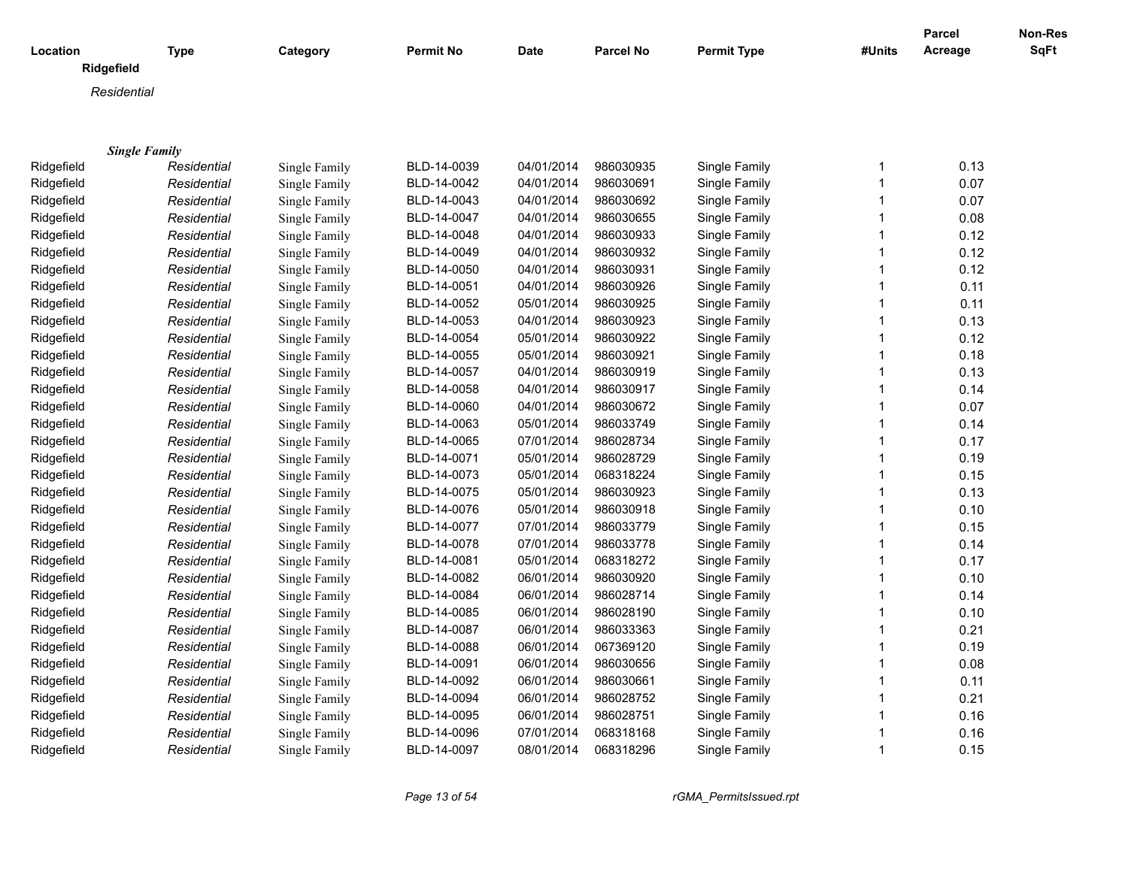| Location             | <b>Type</b> | Category      | <b>Permit No</b> | <b>Date</b> | <b>Parcel No</b> | <b>Permit Type</b> | #Units       | Parcel<br>Acreage | Non-Res<br>SqFt |
|----------------------|-------------|---------------|------------------|-------------|------------------|--------------------|--------------|-------------------|-----------------|
| Ridgefield           |             |               |                  |             |                  |                    |              |                   |                 |
| Residential          |             |               |                  |             |                  |                    |              |                   |                 |
|                      |             |               |                  |             |                  |                    |              |                   |                 |
|                      |             |               |                  |             |                  |                    |              |                   |                 |
| <b>Single Family</b> |             |               |                  |             |                  |                    |              |                   |                 |
| Ridgefield           | Residential | Single Family | BLD-14-0039      | 04/01/2014  | 986030935        | Single Family      | 1            | 0.13              |                 |
| Ridgefield           | Residential | Single Family | BLD-14-0042      | 04/01/2014  | 986030691        | Single Family      | 1            | 0.07              |                 |
| Ridgefield           | Residential | Single Family | BLD-14-0043      | 04/01/2014  | 986030692        | Single Family      | 1            | 0.07              |                 |
| Ridgefield           | Residential | Single Family | BLD-14-0047      | 04/01/2014  | 986030655        | Single Family      | 1            | 0.08              |                 |
| Ridgefield           | Residential | Single Family | BLD-14-0048      | 04/01/2014  | 986030933        | Single Family      | 1            | 0.12              |                 |
| Ridgefield           | Residential | Single Family | BLD-14-0049      | 04/01/2014  | 986030932        | Single Family      | 1            | 0.12              |                 |
| Ridgefield           | Residential | Single Family | BLD-14-0050      | 04/01/2014  | 986030931        | Single Family      | $\mathbf{1}$ | 0.12              |                 |
| Ridgefield           | Residential | Single Family | BLD-14-0051      | 04/01/2014  | 986030926        | Single Family      | 1            | 0.11              |                 |
| Ridgefield           | Residential | Single Family | BLD-14-0052      | 05/01/2014  | 986030925        | Single Family      | 1            | 0.11              |                 |
| Ridgefield           | Residential | Single Family | BLD-14-0053      | 04/01/2014  | 986030923        | Single Family      | 1            | 0.13              |                 |
| Ridgefield           | Residential | Single Family | BLD-14-0054      | 05/01/2014  | 986030922        | Single Family      | 1            | 0.12              |                 |
| Ridgefield           | Residential | Single Family | BLD-14-0055      | 05/01/2014  | 986030921        | Single Family      | 1            | 0.18              |                 |
| Ridgefield           | Residential | Single Family | BLD-14-0057      | 04/01/2014  | 986030919        | Single Family      | 1            | 0.13              |                 |
| Ridgefield           | Residential | Single Family | BLD-14-0058      | 04/01/2014  | 986030917        | Single Family      |              | 0.14              |                 |
| Ridgefield           | Residential | Single Family | BLD-14-0060      | 04/01/2014  | 986030672        | Single Family      | 1            | 0.07              |                 |
| Ridgefield           | Residential | Single Family | BLD-14-0063      | 05/01/2014  | 986033749        | Single Family      | 1            | 0.14              |                 |
| Ridgefield           | Residential | Single Family | BLD-14-0065      | 07/01/2014  | 986028734        | Single Family      | 1            | 0.17              |                 |
| Ridgefield           | Residential | Single Family | BLD-14-0071      | 05/01/2014  | 986028729        | Single Family      | 1            | 0.19              |                 |
| Ridgefield           | Residential | Single Family | BLD-14-0073      | 05/01/2014  | 068318224        | Single Family      | 1            | 0.15              |                 |
| Ridgefield           | Residential | Single Family | BLD-14-0075      | 05/01/2014  | 986030923        | Single Family      | 1            | 0.13              |                 |
| Ridgefield           | Residential | Single Family | BLD-14-0076      | 05/01/2014  | 986030918        | Single Family      | 1            | 0.10              |                 |
| Ridgefield           | Residential | Single Family | BLD-14-0077      | 07/01/2014  | 986033779        | Single Family      |              | 0.15              |                 |
| Ridgefield           | Residential | Single Family | BLD-14-0078      | 07/01/2014  | 986033778        | Single Family      | 1            | 0.14              |                 |
| Ridgefield           | Residential | Single Family | BLD-14-0081      | 05/01/2014  | 068318272        | Single Family      | 1            | 0.17              |                 |
| Ridgefield           | Residential | Single Family | BLD-14-0082      | 06/01/2014  | 986030920        | Single Family      | 1            | 0.10              |                 |
| Ridgefield           | Residential | Single Family | BLD-14-0084      | 06/01/2014  | 986028714        | Single Family      | 1            | 0.14              |                 |
| Ridgefield           | Residential | Single Family | BLD-14-0085      | 06/01/2014  | 986028190        | Single Family      | 1            | 0.10              |                 |
| Ridgefield           | Residential | Single Family | BLD-14-0087      | 06/01/2014  | 986033363        | Single Family      | 1            | 0.21              |                 |
| Ridgefield           | Residential | Single Family | BLD-14-0088      | 06/01/2014  | 067369120        | Single Family      | 1            | 0.19              |                 |
| Ridgefield           | Residential | Single Family | BLD-14-0091      | 06/01/2014  | 986030656        | Single Family      |              | 0.08              |                 |
| Ridgefield           | Residential | Single Family | BLD-14-0092      | 06/01/2014  | 986030661        | Single Family      | 1            | 0.11              |                 |
| Ridgefield           | Residential | Single Family | BLD-14-0094      | 06/01/2014  | 986028752        | Single Family      | 1            | 0.21              |                 |
| Ridgefield           | Residential | Single Family | BLD-14-0095      | 06/01/2014  | 986028751        | Single Family      | 1            | 0.16              |                 |
| Ridgefield           | Residential | Single Family | BLD-14-0096      | 07/01/2014  | 068318168        | Single Family      |              | 0.16              |                 |
| Ridgefield           | Residential | Single Family | BLD-14-0097      | 08/01/2014  | 068318296        | Single Family      | 1            | 0.15              |                 |

*Page 13 of 54 rGMA\_PermitsIssued.rpt*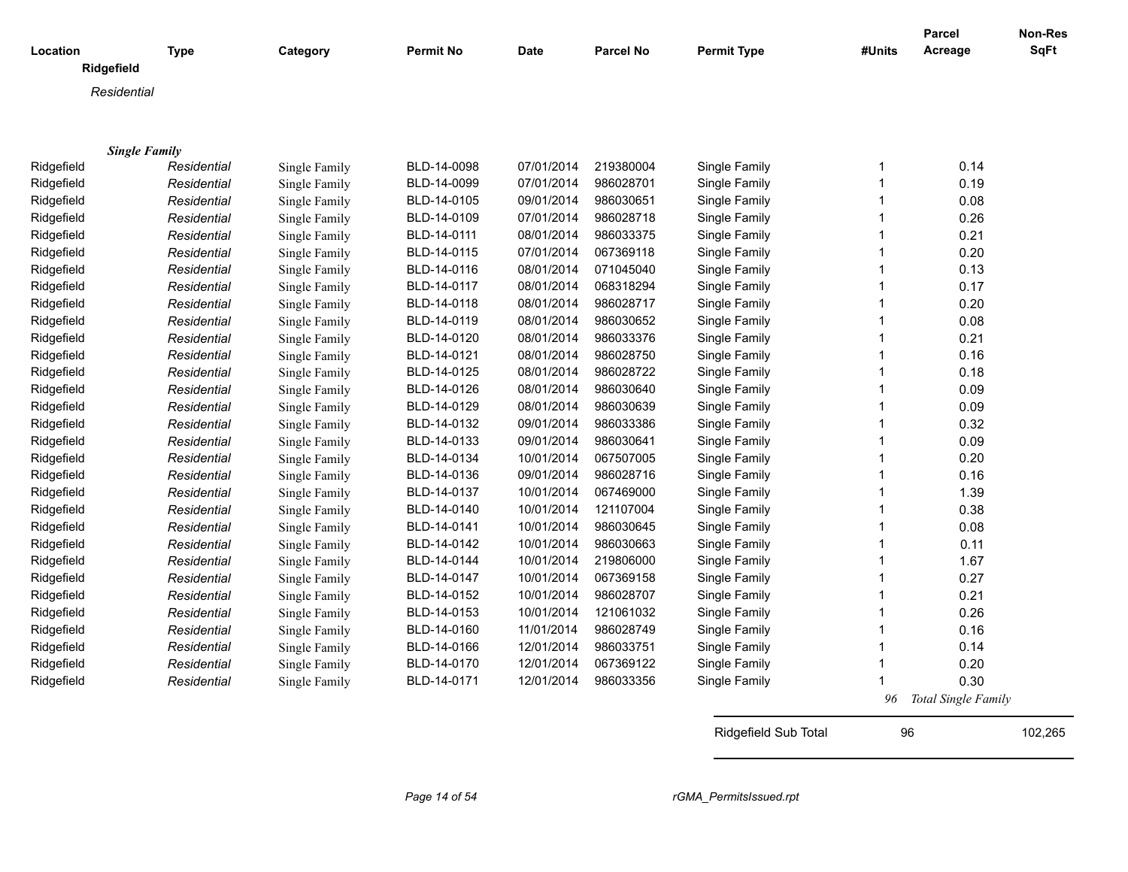|                      |             |               |                  |             |           |                    |              | Parcel              | <b>Non-Res</b> |
|----------------------|-------------|---------------|------------------|-------------|-----------|--------------------|--------------|---------------------|----------------|
| Location             | <b>Type</b> | Category      | <b>Permit No</b> | <b>Date</b> | Parcel No | <b>Permit Type</b> | #Units       | Acreage             | <b>SqFt</b>    |
| Ridgefield           |             |               |                  |             |           |                    |              |                     |                |
| Residential          |             |               |                  |             |           |                    |              |                     |                |
|                      |             |               |                  |             |           |                    |              |                     |                |
|                      |             |               |                  |             |           |                    |              |                     |                |
| <b>Single Family</b> |             |               |                  |             |           |                    |              |                     |                |
| Ridgefield           | Residential | Single Family | BLD-14-0098      | 07/01/2014  | 219380004 | Single Family      | 1            | 0.14                |                |
| Ridgefield           | Residential | Single Family | BLD-14-0099      | 07/01/2014  | 986028701 | Single Family      | $\mathbf{1}$ | 0.19                |                |
| Ridgefield           | Residential | Single Family | BLD-14-0105      | 09/01/2014  | 986030651 | Single Family      | 1            | 0.08                |                |
| Ridgefield           | Residential | Single Family | BLD-14-0109      | 07/01/2014  | 986028718 | Single Family      |              | 0.26                |                |
| Ridgefield           | Residential | Single Family | BLD-14-0111      | 08/01/2014  | 986033375 | Single Family      | 1            | 0.21                |                |
| Ridgefield           | Residential | Single Family | BLD-14-0115      | 07/01/2014  | 067369118 | Single Family      | 1            | 0.20                |                |
| Ridgefield           | Residential | Single Family | BLD-14-0116      | 08/01/2014  | 071045040 | Single Family      | 1            | 0.13                |                |
| Ridgefield           | Residential | Single Family | BLD-14-0117      | 08/01/2014  | 068318294 | Single Family      | 1            | 0.17                |                |
| Ridgefield           | Residential | Single Family | BLD-14-0118      | 08/01/2014  | 986028717 | Single Family      | 1            | 0.20                |                |
| Ridgefield           | Residential | Single Family | BLD-14-0119      | 08/01/2014  | 986030652 | Single Family      | 1            | 0.08                |                |
| Ridgefield           | Residential | Single Family | BLD-14-0120      | 08/01/2014  | 986033376 | Single Family      |              | 0.21                |                |
| Ridgefield           | Residential | Single Family | BLD-14-0121      | 08/01/2014  | 986028750 | Single Family      | 1            | 0.16                |                |
| Ridgefield           | Residential | Single Family | BLD-14-0125      | 08/01/2014  | 986028722 | Single Family      | 1            | 0.18                |                |
| Ridgefield           | Residential | Single Family | BLD-14-0126      | 08/01/2014  | 986030640 | Single Family      | 1            | 0.09                |                |
| Ridgefield           | Residential | Single Family | BLD-14-0129      | 08/01/2014  | 986030639 | Single Family      | 1            | 0.09                |                |
| Ridgefield           | Residential | Single Family | BLD-14-0132      | 09/01/2014  | 986033386 | Single Family      | $\mathbf 1$  | 0.32                |                |
| Ridgefield           | Residential | Single Family | BLD-14-0133      | 09/01/2014  | 986030641 | Single Family      | 1            | 0.09                |                |
| Ridgefield           | Residential | Single Family | BLD-14-0134      | 10/01/2014  | 067507005 | Single Family      | 1            | 0.20                |                |
| Ridgefield           | Residential | Single Family | BLD-14-0136      | 09/01/2014  | 986028716 | Single Family      | 1            | 0.16                |                |
| Ridgefield           | Residential | Single Family | BLD-14-0137      | 10/01/2014  | 067469000 | Single Family      | 1            | 1.39                |                |
| Ridgefield           | Residential | Single Family | BLD-14-0140      | 10/01/2014  | 121107004 | Single Family      | 1            | 0.38                |                |
| Ridgefield           | Residential | Single Family | BLD-14-0141      | 10/01/2014  | 986030645 | Single Family      | 1            | 0.08                |                |
| Ridgefield           | Residential | Single Family | BLD-14-0142      | 10/01/2014  | 986030663 | Single Family      | 1            | 0.11                |                |
| Ridgefield           | Residential | Single Family | BLD-14-0144      | 10/01/2014  | 219806000 | Single Family      | 1            | 1.67                |                |
| Ridgefield           | Residential | Single Family | BLD-14-0147      | 10/01/2014  | 067369158 | Single Family      |              | 0.27                |                |
| Ridgefield           | Residential | Single Family | BLD-14-0152      | 10/01/2014  | 986028707 | Single Family      | $\mathbf 1$  | 0.21                |                |
| Ridgefield           | Residential | Single Family | BLD-14-0153      | 10/01/2014  | 121061032 | Single Family      | 1            | 0.26                |                |
| Ridgefield           | Residential | Single Family | BLD-14-0160      | 11/01/2014  | 986028749 | Single Family      | 1            | 0.16                |                |
| Ridgefield           | Residential | Single Family | BLD-14-0166      | 12/01/2014  | 986033751 | Single Family      | 1            | 0.14                |                |
| Ridgefield           | Residential | Single Family | BLD-14-0170      | 12/01/2014  | 067369122 | Single Family      | 1            | 0.20                |                |
| Ridgefield           | Residential | Single Family | BLD-14-0171      | 12/01/2014  | 986033356 | Single Family      |              | 0.30                |                |
|                      |             |               |                  |             |           |                    | 96           | Total Single Family |                |
|                      |             |               |                  |             |           |                    |              |                     |                |

Ridgefield Sub Total 96 102,265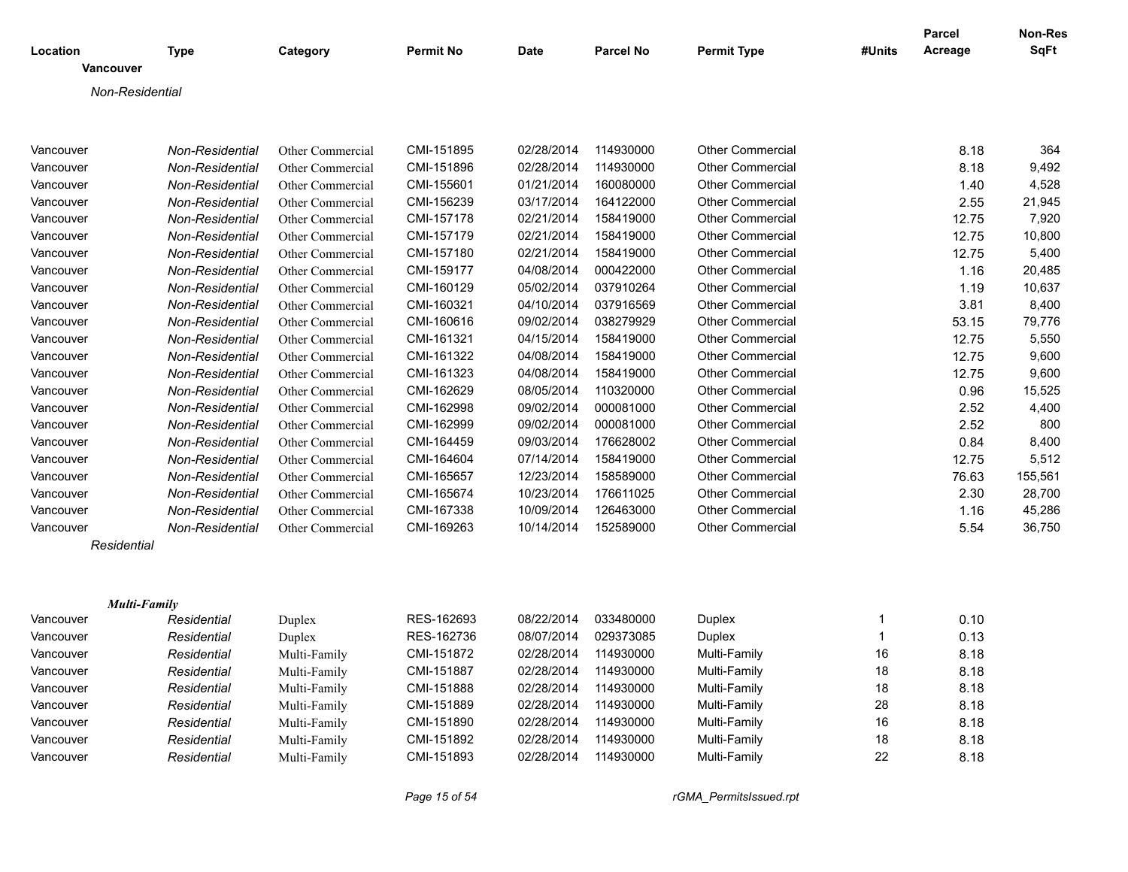| Location            | <b>Type</b>     | Category         | <b>Permit No</b> | <b>Date</b> | <b>Parcel No</b> | <b>Permit Type</b>      | #Units | <b>Parcel</b><br>Acreage | Non-Res<br><b>SqFt</b> |
|---------------------|-----------------|------------------|------------------|-------------|------------------|-------------------------|--------|--------------------------|------------------------|
| Vancouver           |                 |                  |                  |             |                  |                         |        |                          |                        |
| Non-Residential     |                 |                  |                  |             |                  |                         |        |                          |                        |
|                     |                 |                  |                  |             |                  |                         |        |                          |                        |
| Vancouver           | Non-Residential | Other Commercial | CMI-151895       | 02/28/2014  | 114930000        | <b>Other Commercial</b> |        | 8.18                     | 364                    |
| Vancouver           | Non-Residential | Other Commercial | CMI-151896       | 02/28/2014  | 114930000        | <b>Other Commercial</b> |        | 8.18                     | 9,492                  |
| Vancouver           | Non-Residential | Other Commercial | CMI-155601       | 01/21/2014  | 160080000        | <b>Other Commercial</b> |        | 1.40                     | 4,528                  |
| Vancouver           | Non-Residential | Other Commercial | CMI-156239       | 03/17/2014  | 164122000        | <b>Other Commercial</b> |        | 2.55                     | 21,945                 |
| Vancouver           | Non-Residential | Other Commercial | CMI-157178       | 02/21/2014  | 158419000        | <b>Other Commercial</b> |        | 12.75                    | 7,920                  |
| Vancouver           | Non-Residential | Other Commercial | CMI-157179       | 02/21/2014  | 158419000        | <b>Other Commercial</b> |        | 12.75                    | 10,800                 |
| Vancouver           | Non-Residential | Other Commercial | CMI-157180       | 02/21/2014  | 158419000        | <b>Other Commercial</b> |        | 12.75                    | 5,400                  |
| Vancouver           | Non-Residential | Other Commercial | CMI-159177       | 04/08/2014  | 000422000        | <b>Other Commercial</b> |        | 1.16                     | 20,485                 |
| Vancouver           | Non-Residential | Other Commercial | CMI-160129       | 05/02/2014  | 037910264        | <b>Other Commercial</b> |        | 1.19                     | 10,637                 |
| Vancouver           | Non-Residential | Other Commercial | CMI-160321       | 04/10/2014  | 037916569        | <b>Other Commercial</b> |        | 3.81                     | 8,400                  |
| Vancouver           | Non-Residential | Other Commercial | CMI-160616       | 09/02/2014  | 038279929        | <b>Other Commercial</b> |        | 53.15                    | 79,776                 |
| Vancouver           | Non-Residential | Other Commercial | CMI-161321       | 04/15/2014  | 158419000        | <b>Other Commercial</b> |        | 12.75                    | 5,550                  |
| Vancouver           | Non-Residential | Other Commercial | CMI-161322       | 04/08/2014  | 158419000        | <b>Other Commercial</b> |        | 12.75                    | 9,600                  |
| Vancouver           | Non-Residential | Other Commercial | CMI-161323       | 04/08/2014  | 158419000        | <b>Other Commercial</b> |        | 12.75                    | 9,600                  |
| Vancouver           | Non-Residential | Other Commercial | CMI-162629       | 08/05/2014  | 110320000        | <b>Other Commercial</b> |        | 0.96                     | 15,525                 |
| Vancouver           | Non-Residential | Other Commercial | CMI-162998       | 09/02/2014  | 000081000        | <b>Other Commercial</b> |        | 2.52                     | 4,400                  |
| Vancouver           | Non-Residential | Other Commercial | CMI-162999       | 09/02/2014  | 000081000        | <b>Other Commercial</b> |        | 2.52                     | 800                    |
| Vancouver           | Non-Residential | Other Commercial | CMI-164459       | 09/03/2014  | 176628002        | <b>Other Commercial</b> |        | 0.84                     | 8,400                  |
| Vancouver           | Non-Residential | Other Commercial | CMI-164604       | 07/14/2014  | 158419000        | <b>Other Commercial</b> |        | 12.75                    | 5,512                  |
| Vancouver           | Non-Residential | Other Commercial | CMI-165657       | 12/23/2014  | 158589000        | <b>Other Commercial</b> |        | 76.63                    | 155,561                |
| Vancouver           | Non-Residential | Other Commercial | CMI-165674       | 10/23/2014  | 176611025        | <b>Other Commercial</b> |        | 2.30                     | 28,700                 |
| Vancouver           | Non-Residential | Other Commercial | CMI-167338       | 10/09/2014  | 126463000        | <b>Other Commercial</b> |        | 1.16                     | 45,286                 |
| Vancouver           | Non-Residential | Other Commercial | CMI-169263       | 10/14/2014  | 152589000        | Other Commercial        |        | 5.54                     | 36,750                 |
| Residential         |                 |                  |                  |             |                  |                         |        |                          |                        |
|                     |                 |                  |                  |             |                  |                         |        |                          |                        |
| <b>Multi-Family</b> |                 |                  |                  |             |                  |                         |        |                          |                        |
| Vancouver           | Residential     | Duplex           | RES-162693       | 08/22/2014  | 033480000        | Duplex                  |        | 0.10                     |                        |
| Vancouver           | Residential     | Duplex           | RES-162736       | 08/07/2014  | 029373085        | Duplex                  |        | 0.13                     |                        |
| Vancouver           | Residential     | Multi-Family     | CMI-151872       | 02/28/2014  | 114930000        | Multi-Family            | 16     | 8.18                     |                        |
| Vancouver           | Residential     | Multi-Family     | CMI-151887       | 02/28/2014  | 114930000        | Multi-Family            | 18     | 8.18                     |                        |
| Vancouver           | Residential     | Multi-Family     | CMI-151888       | 02/28/2014  | 114930000        | Multi-Family            | 18     | 8.18                     |                        |
| Vancouver           | Residential     | Multi-Family     | CMI-151889       | 02/28/2014  | 114930000        | Multi-Family            | 28     | 8.18                     |                        |
| Vancouver           | Residential     | Multi-Family     | CMI-151890       | 02/28/2014  | 114930000        | Multi-Family            | 16     | 8.18                     |                        |
| Vancouver           | Residential     | Multi-Family     | CMI-151892       | 02/28/2014  | 114930000        | Multi-Family            | 18     | 8.18                     |                        |
| Vancouver           | Residential     | Multi-Family     | CMI-151893       | 02/28/2014  | 114930000        | Multi-Family            | 22     | 8.18                     |                        |

*Page 15 of 54 rGMA\_PermitsIssued.rpt*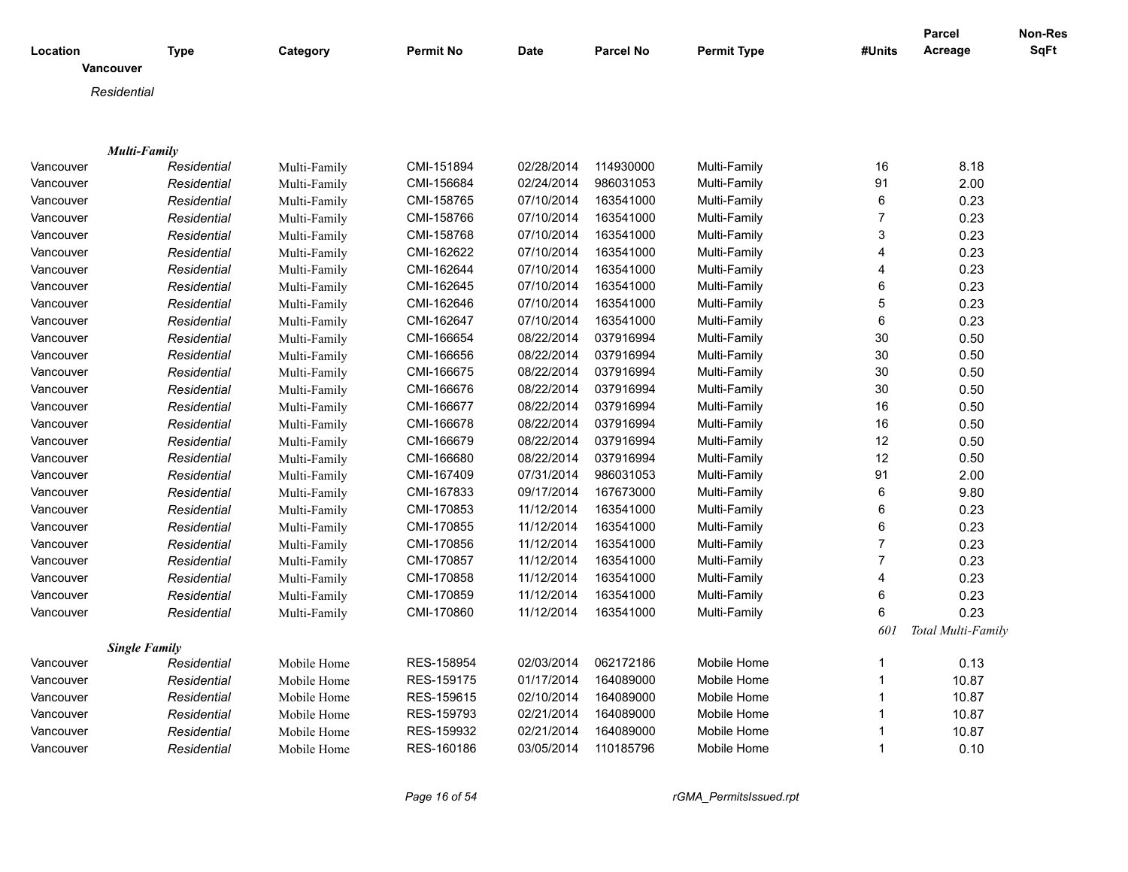| Location         | <b>Type</b>          | Category     | <b>Permit No</b> | <b>Date</b> | <b>Parcel No</b> | <b>Permit Type</b> | #Units         | <b>Parcel</b><br>Acreage | Non-Res<br>SqFt |
|------------------|----------------------|--------------|------------------|-------------|------------------|--------------------|----------------|--------------------------|-----------------|
| <b>Vancouver</b> |                      |              |                  |             |                  |                    |                |                          |                 |
| Residential      |                      |              |                  |             |                  |                    |                |                          |                 |
|                  |                      |              |                  |             |                  |                    |                |                          |                 |
|                  |                      |              |                  |             |                  |                    |                |                          |                 |
|                  | <b>Multi-Family</b>  |              |                  |             |                  |                    |                |                          |                 |
| Vancouver        | Residential          | Multi-Family | CMI-151894       | 02/28/2014  | 114930000        | Multi-Family       | 16             | 8.18                     |                 |
| Vancouver        | Residential          | Multi-Family | CMI-156684       | 02/24/2014  | 986031053        | Multi-Family       | 91             | 2.00                     |                 |
| Vancouver        | Residential          | Multi-Family | CMI-158765       | 07/10/2014  | 163541000        | Multi-Family       | 6              | 0.23                     |                 |
| Vancouver        | Residential          | Multi-Family | CMI-158766       | 07/10/2014  | 163541000        | Multi-Family       | $\overline{7}$ | 0.23                     |                 |
| Vancouver        | Residential          | Multi-Family | CMI-158768       | 07/10/2014  | 163541000        | Multi-Family       | $\mathsf 3$    | 0.23                     |                 |
| Vancouver        | Residential          | Multi-Family | CMI-162622       | 07/10/2014  | 163541000        | Multi-Family       | 4              | 0.23                     |                 |
| Vancouver        | Residential          | Multi-Family | CMI-162644       | 07/10/2014  | 163541000        | Multi-Family       | 4              | 0.23                     |                 |
| Vancouver        | Residential          | Multi-Family | CMI-162645       | 07/10/2014  | 163541000        | Multi-Family       | 6              | 0.23                     |                 |
| Vancouver        | Residential          | Multi-Family | CMI-162646       | 07/10/2014  | 163541000        | Multi-Family       | 5              | 0.23                     |                 |
| Vancouver        | Residential          | Multi-Family | CMI-162647       | 07/10/2014  | 163541000        | Multi-Family       | $\,6\,$        | 0.23                     |                 |
| Vancouver        | Residential          | Multi-Family | CMI-166654       | 08/22/2014  | 037916994        | Multi-Family       | 30             | 0.50                     |                 |
| Vancouver        | Residential          | Multi-Family | CMI-166656       | 08/22/2014  | 037916994        | Multi-Family       | 30             | 0.50                     |                 |
| Vancouver        | Residential          | Multi-Family | CMI-166675       | 08/22/2014  | 037916994        | Multi-Family       | 30             | 0.50                     |                 |
| Vancouver        | Residential          | Multi-Family | CMI-166676       | 08/22/2014  | 037916994        | Multi-Family       | 30             | 0.50                     |                 |
| Vancouver        | Residential          | Multi-Family | CMI-166677       | 08/22/2014  | 037916994        | Multi-Family       | 16             | 0.50                     |                 |
| Vancouver        | Residential          | Multi-Family | CMI-166678       | 08/22/2014  | 037916994        | Multi-Family       | 16             | 0.50                     |                 |
| Vancouver        | Residential          | Multi-Family | CMI-166679       | 08/22/2014  | 037916994        | Multi-Family       | 12             | 0.50                     |                 |
| Vancouver        | Residential          | Multi-Family | CMI-166680       | 08/22/2014  | 037916994        | Multi-Family       | 12             | 0.50                     |                 |
| Vancouver        | Residential          | Multi-Family | CMI-167409       | 07/31/2014  | 986031053        | Multi-Family       | 91             | 2.00                     |                 |
| Vancouver        | Residential          | Multi-Family | CMI-167833       | 09/17/2014  | 167673000        | Multi-Family       | $\,6$          | 9.80                     |                 |
| Vancouver        | Residential          | Multi-Family | CMI-170853       | 11/12/2014  | 163541000        | Multi-Family       | 6              | 0.23                     |                 |
| Vancouver        | Residential          | Multi-Family | CMI-170855       | 11/12/2014  | 163541000        | Multi-Family       | 6              | 0.23                     |                 |
| Vancouver        | Residential          | Multi-Family | CMI-170856       | 11/12/2014  | 163541000        | Multi-Family       | $\overline{7}$ | 0.23                     |                 |
| Vancouver        | Residential          | Multi-Family | CMI-170857       | 11/12/2014  | 163541000        | Multi-Family       | $\overline{7}$ | 0.23                     |                 |
| Vancouver        | Residential          | Multi-Family | CMI-170858       | 11/12/2014  | 163541000        | Multi-Family       | 4              | 0.23                     |                 |
| Vancouver        | Residential          | Multi-Family | CMI-170859       | 11/12/2014  | 163541000        | Multi-Family       | $\,6\,$        | 0.23                     |                 |
| Vancouver        | Residential          | Multi-Family | CMI-170860       | 11/12/2014  | 163541000        | Multi-Family       | 6              | 0.23                     |                 |
|                  |                      |              |                  |             |                  |                    | 60.            | Total Multi-Family       |                 |
|                  | <b>Single Family</b> |              |                  |             |                  |                    |                |                          |                 |
| Vancouver        | Residential          | Mobile Home  | RES-158954       | 02/03/2014  | 062172186        | Mobile Home        | $\mathbf{1}$   | 0.13                     |                 |
| Vancouver        | Residential          | Mobile Home  | RES-159175       | 01/17/2014  | 164089000        | Mobile Home        | $\mathbf{1}$   | 10.87                    |                 |
| Vancouver        | Residential          | Mobile Home  | RES-159615       | 02/10/2014  | 164089000        | Mobile Home        | $\mathbf 1$    | 10.87                    |                 |
| Vancouver        | Residential          | Mobile Home  | RES-159793       | 02/21/2014  | 164089000        | Mobile Home        | 1              | 10.87                    |                 |
| Vancouver        | Residential          | Mobile Home  | RES-159932       | 02/21/2014  | 164089000        | Mobile Home        | 1              | 10.87                    |                 |
| Vancouver        | Residential          | Mobile Home  | RES-160186       | 03/05/2014  | 110185796        | Mobile Home        | $\mathbf 1$    | 0.10                     |                 |

*Page 16 of 54 rGMA\_PermitsIssued.rpt*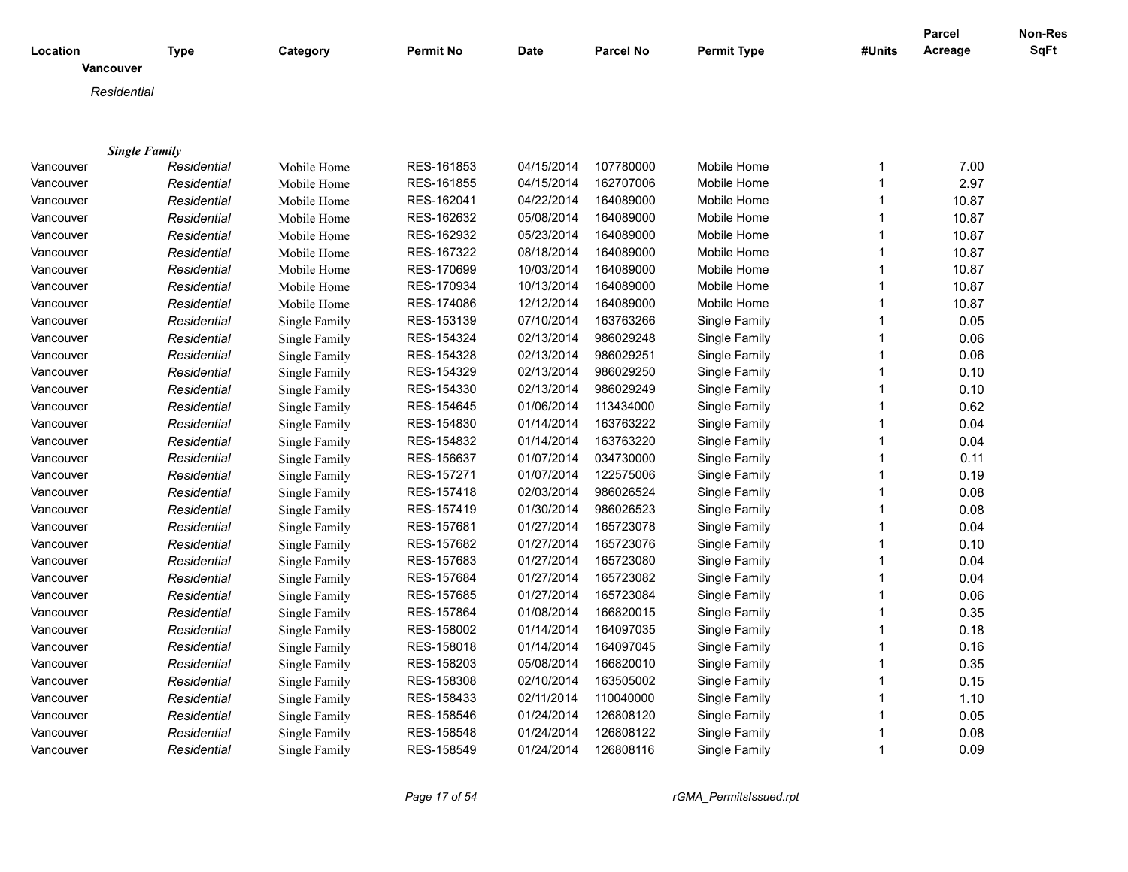| Location             | <b>Type</b> | Category      | <b>Permit No</b> | <b>Date</b> | <b>Parcel No</b> | <b>Permit Type</b> | #Units       | Parcel<br>Acreage | Non-Res<br><b>SqFt</b> |
|----------------------|-------------|---------------|------------------|-------------|------------------|--------------------|--------------|-------------------|------------------------|
| Vancouver            |             |               |                  |             |                  |                    |              |                   |                        |
| Residential          |             |               |                  |             |                  |                    |              |                   |                        |
|                      |             |               |                  |             |                  |                    |              |                   |                        |
|                      |             |               |                  |             |                  |                    |              |                   |                        |
| <b>Single Family</b> |             |               |                  |             |                  |                    |              |                   |                        |
| Vancouver            | Residential | Mobile Home   | RES-161853       | 04/15/2014  | 107780000        | Mobile Home        | 1            | 7.00              |                        |
| Vancouver            | Residential | Mobile Home   | RES-161855       | 04/15/2014  | 162707006        | Mobile Home        | $\mathbf{1}$ | 2.97              |                        |
| Vancouver            | Residential | Mobile Home   | RES-162041       | 04/22/2014  | 164089000        | Mobile Home        | 1            | 10.87             |                        |
| Vancouver            | Residential | Mobile Home   | RES-162632       | 05/08/2014  | 164089000        | Mobile Home        | $\mathbf{1}$ | 10.87             |                        |
| Vancouver            | Residential | Mobile Home   | RES-162932       | 05/23/2014  | 164089000        | Mobile Home        |              | 10.87             |                        |
| Vancouver            | Residential | Mobile Home   | RES-167322       | 08/18/2014  | 164089000        | Mobile Home        | $\mathbf{1}$ | 10.87             |                        |
| Vancouver            | Residential | Mobile Home   | RES-170699       | 10/03/2014  | 164089000        | Mobile Home        |              | 10.87             |                        |
| Vancouver            | Residential | Mobile Home   | RES-170934       | 10/13/2014  | 164089000        | Mobile Home        | 1            | 10.87             |                        |
| Vancouver            | Residential | Mobile Home   | RES-174086       | 12/12/2014  | 164089000        | Mobile Home        | 1            | 10.87             |                        |
| Vancouver            | Residential | Single Family | RES-153139       | 07/10/2014  | 163763266        | Single Family      | $\mathbf{1}$ | 0.05              |                        |
| Vancouver            | Residential | Single Family | RES-154324       | 02/13/2014  | 986029248        | Single Family      | 1            | 0.06              |                        |
| Vancouver            | Residential | Single Family | RES-154328       | 02/13/2014  | 986029251        | Single Family      | 1            | 0.06              |                        |
| Vancouver            | Residential | Single Family | RES-154329       | 02/13/2014  | 986029250        | Single Family      |              | 0.10              |                        |
| Vancouver            | Residential | Single Family | RES-154330       | 02/13/2014  | 986029249        | Single Family      | $\mathbf{1}$ | 0.10              |                        |
| Vancouver            | Residential | Single Family | RES-154645       | 01/06/2014  | 113434000        | Single Family      |              | 0.62              |                        |
| Vancouver            | Residential | Single Family | RES-154830       | 01/14/2014  | 163763222        | Single Family      | 1            | 0.04              |                        |
| Vancouver            | Residential | Single Family | RES-154832       | 01/14/2014  | 163763220        | Single Family      |              | 0.04              |                        |
| Vancouver            | Residential | Single Family | RES-156637       | 01/07/2014  | 034730000        | Single Family      | $\mathbf{1}$ | 0.11              |                        |
| Vancouver            | Residential | Single Family | RES-157271       | 01/07/2014  | 122575006        | Single Family      |              | 0.19              |                        |
| Vancouver            | Residential | Single Family | RES-157418       | 02/03/2014  | 986026524        | Single Family      | 1            | 0.08              |                        |
| Vancouver            | Residential | Single Family | RES-157419       | 01/30/2014  | 986026523        | Single Family      |              | 0.08              |                        |
| Vancouver            | Residential | Single Family | RES-157681       | 01/27/2014  | 165723078        | Single Family      |              | 0.04              |                        |
| Vancouver            | Residential | Single Family | RES-157682       | 01/27/2014  | 165723076        | Single Family      |              | 0.10              |                        |
| Vancouver            | Residential | Single Family | RES-157683       | 01/27/2014  | 165723080        | Single Family      | 1            | 0.04              |                        |
| Vancouver            | Residential | Single Family | RES-157684       | 01/27/2014  | 165723082        | Single Family      |              | 0.04              |                        |
| Vancouver            | Residential | Single Family | RES-157685       | 01/27/2014  | 165723084        | Single Family      | $\mathbf{1}$ | 0.06              |                        |
| Vancouver            | Residential | Single Family | RES-157864       | 01/08/2014  | 166820015        | Single Family      |              | 0.35              |                        |
| Vancouver            | Residential | Single Family | RES-158002       | 01/14/2014  | 164097035        | Single Family      | 1            | 0.18              |                        |
| Vancouver            | Residential | Single Family | RES-158018       | 01/14/2014  | 164097045        | Single Family      |              | 0.16              |                        |
| Vancouver            | Residential | Single Family | RES-158203       | 05/08/2014  | 166820010        | Single Family      |              | 0.35              |                        |
| Vancouver            | Residential | Single Family | RES-158308       | 02/10/2014  | 163505002        | Single Family      |              | 0.15              |                        |
| Vancouver            | Residential | Single Family | RES-158433       | 02/11/2014  | 110040000        | Single Family      | 1            | 1.10              |                        |
| Vancouver            | Residential | Single Family | RES-158546       | 01/24/2014  | 126808120        | Single Family      |              | 0.05              |                        |
|                      |             |               | RES-158548       | 01/24/2014  | 126808122        | Single Family      | 1            | 0.08              |                        |
| Vancouver            | Residential | Single Family |                  | 01/24/2014  |                  |                    | $\mathbf{1}$ |                   |                        |
| Vancouver            | Residential | Single Family | RES-158549       |             | 126808116        | Single Family      |              | 0.09              |                        |

*Page 17 of 54 rGMA\_PermitsIssued.rpt*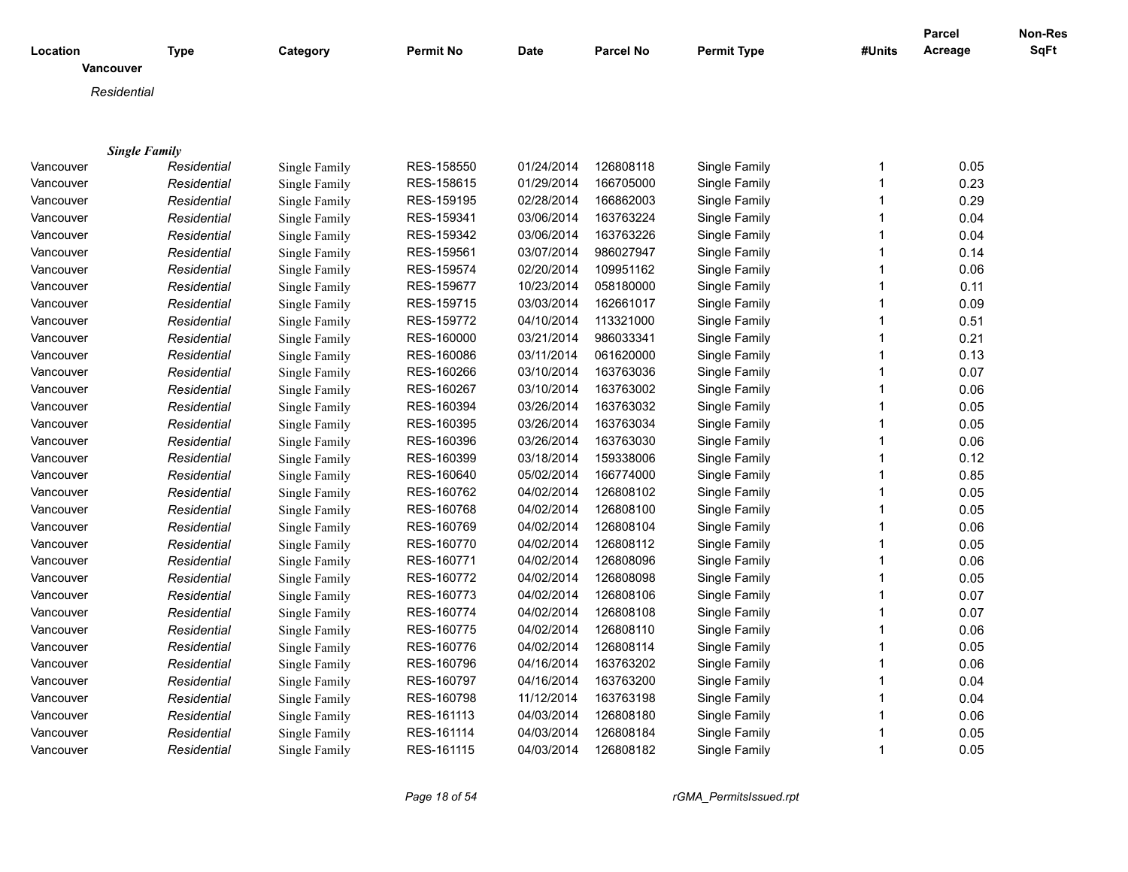| Location    | <b>Type</b>          | Category             | <b>Permit No</b> | Date       | <b>Parcel No</b> | <b>Permit Type</b> | #Units       | <b>Parcel</b><br>Acreage | Non-Res<br><b>SqFt</b> |
|-------------|----------------------|----------------------|------------------|------------|------------------|--------------------|--------------|--------------------------|------------------------|
| Vancouver   |                      |                      |                  |            |                  |                    |              |                          |                        |
| Residential |                      |                      |                  |            |                  |                    |              |                          |                        |
|             |                      |                      |                  |            |                  |                    |              |                          |                        |
|             |                      |                      |                  |            |                  |                    |              |                          |                        |
|             | <b>Single Family</b> |                      |                  |            |                  |                    |              |                          |                        |
| Vancouver   | Residential          | Single Family        | RES-158550       | 01/24/2014 | 126808118        | Single Family      | 1            | 0.05                     |                        |
| Vancouver   | Residential          | Single Family        | RES-158615       | 01/29/2014 | 166705000        | Single Family      | $\mathbf{1}$ | 0.23                     |                        |
| Vancouver   | Residential          | Single Family        | RES-159195       | 02/28/2014 | 166862003        | Single Family      | $\mathbf{1}$ | 0.29                     |                        |
| Vancouver   | Residential          | Single Family        | RES-159341       | 03/06/2014 | 163763224        | Single Family      | $\mathbf{1}$ | 0.04                     |                        |
| Vancouver   | Residential          | Single Family        | RES-159342       | 03/06/2014 | 163763226        | Single Family      | $\mathbf{1}$ | 0.04                     |                        |
| Vancouver   | Residential          | Single Family        | RES-159561       | 03/07/2014 | 986027947        | Single Family      | $\mathbf{1}$ | 0.14                     |                        |
| Vancouver   | Residential          | Single Family        | RES-159574       | 02/20/2014 | 109951162        | Single Family      | 1            | 0.06                     |                        |
| Vancouver   | Residential          | Single Family        | RES-159677       | 10/23/2014 | 058180000        | Single Family      | $\mathbf 1$  | 0.11                     |                        |
| Vancouver   | Residential          | Single Family        | RES-159715       | 03/03/2014 | 162661017        | Single Family      | $\mathbf 1$  | 0.09                     |                        |
| Vancouver   | Residential          | Single Family        | RES-159772       | 04/10/2014 | 113321000        | Single Family      | $\mathbf{1}$ | 0.51                     |                        |
| Vancouver   | Residential          | Single Family        | RES-160000       | 03/21/2014 | 986033341        | Single Family      | $\mathbf{1}$ | 0.21                     |                        |
| Vancouver   | Residential          | Single Family        | RES-160086       | 03/11/2014 | 061620000        | Single Family      | $\mathbf 1$  | 0.13                     |                        |
| Vancouver   | Residential          | Single Family        | RES-160266       | 03/10/2014 | 163763036        | Single Family      | $\mathbf{1}$ | 0.07                     |                        |
| Vancouver   | Residential          | Single Family        | RES-160267       | 03/10/2014 | 163763002        | Single Family      | $\mathbf{1}$ | 0.06                     |                        |
| Vancouver   | Residential          | Single Family        | RES-160394       | 03/26/2014 | 163763032        | Single Family      | $\mathbf{1}$ | 0.05                     |                        |
| Vancouver   | Residential          | Single Family        | RES-160395       | 03/26/2014 | 163763034        | Single Family      | $\mathbf{1}$ | 0.05                     |                        |
| Vancouver   | Residential          | Single Family        | RES-160396       | 03/26/2014 | 163763030        | Single Family      | $\mathbf{1}$ | 0.06                     |                        |
| Vancouver   | Residential          | Single Family        | RES-160399       | 03/18/2014 | 159338006        | Single Family      | $\mathbf{1}$ | 0.12                     |                        |
| Vancouver   | Residential          | Single Family        | RES-160640       | 05/02/2014 | 166774000        | Single Family      | 1            | 0.85                     |                        |
| Vancouver   | Residential          | Single Family        | RES-160762       | 04/02/2014 | 126808102        | Single Family      | $\mathbf 1$  | 0.05                     |                        |
| Vancouver   | Residential          | Single Family        | RES-160768       | 04/02/2014 | 126808100        | Single Family      | $\mathbf 1$  | 0.05                     |                        |
| Vancouver   | Residential          | Single Family        | RES-160769       | 04/02/2014 | 126808104        | Single Family      | $\mathbf{1}$ | 0.06                     |                        |
| Vancouver   | Residential          | Single Family        | RES-160770       | 04/02/2014 | 126808112        | Single Family      | $\mathbf{1}$ | 0.05                     |                        |
| Vancouver   | Residential          | Single Family        | RES-160771       | 04/02/2014 | 126808096        | Single Family      | $\mathbf{1}$ | 0.06                     |                        |
| Vancouver   | Residential          | Single Family        | RES-160772       | 04/02/2014 | 126808098        | Single Family      | $\mathbf{1}$ | 0.05                     |                        |
| Vancouver   | Residential          | Single Family        | RES-160773       | 04/02/2014 | 126808106        | Single Family      | $\mathbf{1}$ | 0.07                     |                        |
| Vancouver   | Residential          | Single Family        | RES-160774       | 04/02/2014 | 126808108        | Single Family      | $\mathbf{1}$ | 0.07                     |                        |
| Vancouver   |                      | Single Family        | RES-160775       | 04/02/2014 | 126808110        | Single Family      | $\mathbf{1}$ | 0.06                     |                        |
| Vancouver   | Residential          | Single Family        | RES-160776       | 04/02/2014 | 126808114        | Single Family      | $\mathbf{1}$ | 0.05                     |                        |
|             | Residential          |                      | RES-160796       | 04/16/2014 | 163763202        |                    | 1            | 0.06                     |                        |
| Vancouver   | Residential          | Single Family        |                  |            |                  | Single Family      |              |                          |                        |
| Vancouver   | Residential          | Single Family        | RES-160797       | 04/16/2014 | 163763200        | Single Family      | 1            | 0.04                     |                        |
| Vancouver   | Residential          | <b>Single Family</b> | RES-160798       | 11/12/2014 | 163763198        | Single Family      | 1            | 0.04                     |                        |
| Vancouver   | Residential          | Single Family        | RES-161113       | 04/03/2014 | 126808180        | Single Family      | 1            | 0.06                     |                        |
| Vancouver   | Residential          | Single Family        | RES-161114       | 04/03/2014 | 126808184        | Single Family      | 1            | 0.05                     |                        |
| Vancouver   | Residential          | Single Family        | RES-161115       | 04/03/2014 | 126808182        | Single Family      | $\mathbf{1}$ | 0.05                     |                        |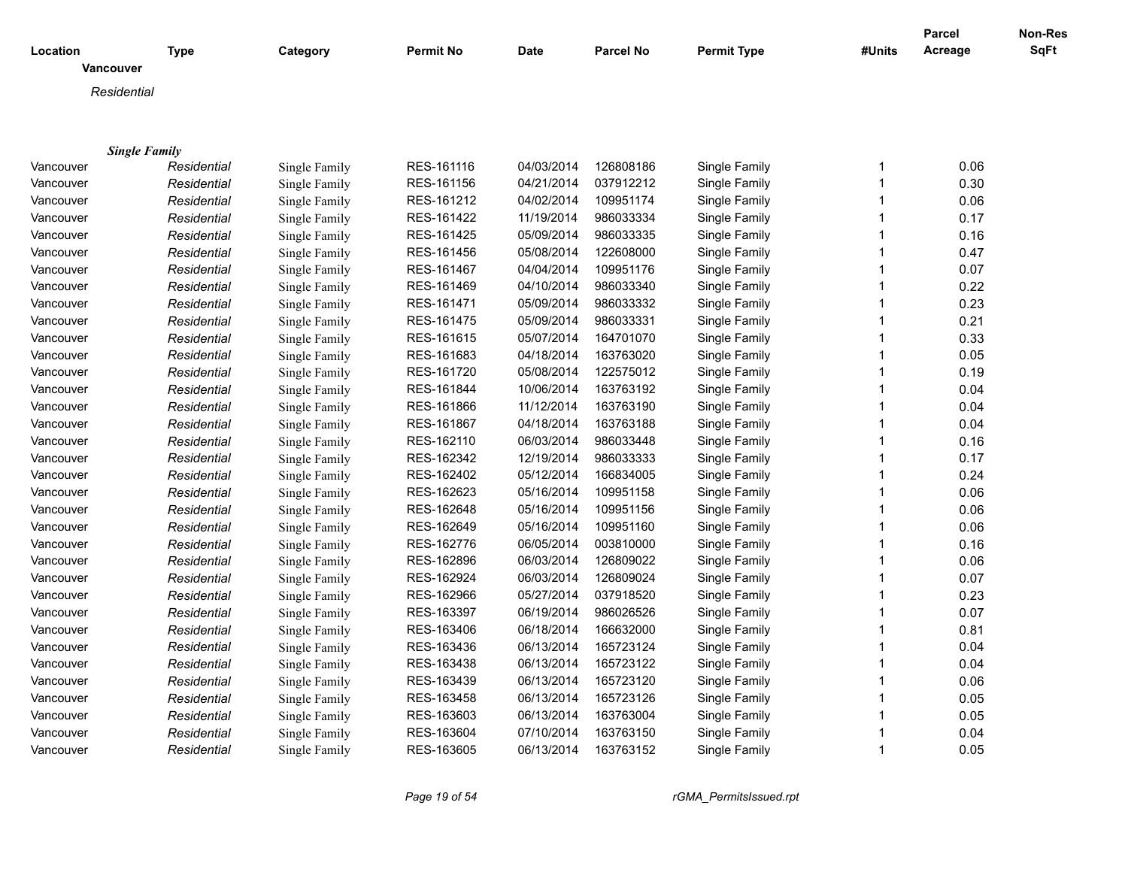| Vancouver<br>Residential<br><b>Single Family</b><br>0.06<br>Residential<br>Single Family<br>RES-161116<br>04/03/2014<br>126808186<br>Single Family<br>Vancouver<br>1<br>RES-161156<br>04/21/2014<br>037912212<br>Single Family<br>0.30<br>Vancouver<br>Residential<br>Single Family<br>$\mathbf 1$<br>RES-161212<br>04/02/2014<br>Single Family<br>0.06<br>Vancouver<br>Residential<br>Single Family<br>109951174<br>$\mathbf 1$<br>RES-161422<br>11/19/2014<br>986033334<br>Single Family<br>0.17<br>Vancouver<br>Residential<br>Single Family<br>RES-161425<br>05/09/2014<br>986033335<br>0.16<br>Vancouver<br>Residential<br>Single Family<br>Single Family<br>RES-161456<br>05/08/2014<br>122608000<br>Single Family<br>0.47<br>Vancouver<br>Residential<br>Single Family<br>04/04/2014<br>0.07<br>Vancouver<br>Single Family<br>RES-161467<br>109951176<br>Single Family<br>Residential<br>04/10/2014<br>986033340<br>0.22<br>Vancouver<br>Residential<br>Single Family<br>RES-161469<br>Single Family<br>-1<br>0.23<br>Residential<br>Single Family<br>RES-161471<br>05/09/2014<br>986033332<br>Single Family<br>Vancouver<br>-1<br>05/09/2014<br>0.21<br>Residential<br>Single Family<br>RES-161475<br>986033331<br>Single Family<br>Vancouver<br>-1<br>0.33<br>05/07/2014<br>Vancouver<br>Residential<br>Single Family<br>RES-161615<br>164701070<br>Single Family<br>$\mathbf 1$<br>0.05<br>RES-161683<br>04/18/2014<br>163763020<br>Vancouver<br>Residential<br>Single Family<br>Single Family<br>-1<br>Vancouver<br>RES-161720<br>05/08/2014<br>122575012<br>Single Family<br>0.19<br>Residential<br>Single Family<br>-1<br>RES-161844<br>10/06/2014<br>163763192<br>0.04<br>Vancouver<br>Single Family<br>Residential<br>Single Family<br>0.04<br>RES-161866<br>11/12/2014<br>163763190<br>Single Family<br>Vancouver<br>Residential<br>Single Family<br>04/18/2014<br>163763188<br>0.04<br>Vancouver<br>Residential<br>Single Family<br>RES-161867<br>Single Family<br>$\mathbf 1$<br>Single Family<br>RES-162110<br>06/03/2014<br>986033448<br>Single Family<br>0.16<br>Vancouver<br>Residential<br>$\mathbf 1$<br>12/19/2014<br>0.17<br>RES-162342<br>986033333<br>Single Family<br>Vancouver<br>Residential<br>Single Family<br>$\mathbf 1$<br>0.24<br>Single Family<br>RES-162402<br>05/12/2014<br>166834005<br>Single Family<br>Vancouver<br>Residential<br>-1<br>05/16/2014<br>0.06<br>Vancouver<br>Residential<br>RES-162623<br>109951158<br>Single Family<br>Single Family<br>RES-162648<br>05/16/2014<br>109951156<br>Single Family<br>0.06<br>Vancouver<br>Residential<br>Single Family<br>0.06<br>RES-162649<br>05/16/2014<br>109951160<br>Single Family<br>Residential<br>Single Family<br>Vancouver<br>0.16<br>RES-162776<br>06/05/2014<br>003810000<br>Single Family<br>Vancouver<br>Residential<br>Single Family<br>0.06<br>RES-162896<br>06/03/2014<br>126809022<br>Single Family<br>Vancouver<br>Residential<br>Single Family<br>-1<br>RES-162924<br>06/03/2014<br>126809024<br>Single Family<br>0.07<br>Vancouver<br>Residential<br>Single Family<br>0.23<br>RES-162966<br>05/27/2014<br>037918520<br>Single Family<br>Residential<br>Single Family<br>$\mathbf 1$<br>Vancouver<br>0.07<br>RES-163397<br>06/19/2014<br>986026526<br>Single Family<br>Vancouver<br>Residential<br>Single Family<br>$\mathbf 1$<br>RES-163406<br>06/18/2014<br>166632000<br>Single Family<br>0.81<br>Vancouver<br>Residential<br>Single Family<br>-1<br>RES-163436<br>06/13/2014<br>165723124<br>Single Family<br>0.04<br>Vancouver<br>Residential<br>Single Family<br>$\mathbf 1$<br>06/13/2014<br>165723122<br>0.04<br>Residential<br>RES-163438<br>Single Family<br>Vancouver<br>Single Family<br>RES-163439<br>06/13/2014<br>165723120<br>Single Family<br>0.06<br>Residential<br>Single Family<br>Vancouver<br>RES-163458<br>06/13/2014<br>165723126<br>Single Family<br>0.05<br>Vancouver<br>Residential<br>Single Family<br>-1<br>RES-163603<br>06/13/2014<br>163763004<br>Single Family<br>0.05<br>Vancouver<br>Residential<br>Single Family<br>07/10/2014<br>163763150<br>Single Family<br>0.04<br>Residential<br>Single Family<br>RES-163604<br>Vancouver<br>06/13/2014<br>163763152<br>RES-163605<br>$\mathbf 1$ | Location  | <b>Type</b> | Category      | <b>Permit No</b> | <b>Date</b> | <b>Parcel No</b> | <b>Permit Type</b> | #Units | <b>Parcel</b><br>Acreage | Non-Res<br><b>SqFt</b> |
|------------------------------------------------------------------------------------------------------------------------------------------------------------------------------------------------------------------------------------------------------------------------------------------------------------------------------------------------------------------------------------------------------------------------------------------------------------------------------------------------------------------------------------------------------------------------------------------------------------------------------------------------------------------------------------------------------------------------------------------------------------------------------------------------------------------------------------------------------------------------------------------------------------------------------------------------------------------------------------------------------------------------------------------------------------------------------------------------------------------------------------------------------------------------------------------------------------------------------------------------------------------------------------------------------------------------------------------------------------------------------------------------------------------------------------------------------------------------------------------------------------------------------------------------------------------------------------------------------------------------------------------------------------------------------------------------------------------------------------------------------------------------------------------------------------------------------------------------------------------------------------------------------------------------------------------------------------------------------------------------------------------------------------------------------------------------------------------------------------------------------------------------------------------------------------------------------------------------------------------------------------------------------------------------------------------------------------------------------------------------------------------------------------------------------------------------------------------------------------------------------------------------------------------------------------------------------------------------------------------------------------------------------------------------------------------------------------------------------------------------------------------------------------------------------------------------------------------------------------------------------------------------------------------------------------------------------------------------------------------------------------------------------------------------------------------------------------------------------------------------------------------------------------------------------------------------------------------------------------------------------------------------------------------------------------------------------------------------------------------------------------------------------------------------------------------------------------------------------------------------------------------------------------------------------------------------------------------------------------------------------------------------------------------------------------------------------------------------------------------------------------------------------------------------------------------------------------------------------------------------------------------------------------------------------------------------------------------------------------------------------------------------------------------------------------------------------------------------------------------------------------------------------------------------------------------------------------------------------------------|-----------|-------------|---------------|------------------|-------------|------------------|--------------------|--------|--------------------------|------------------------|
|                                                                                                                                                                                                                                                                                                                                                                                                                                                                                                                                                                                                                                                                                                                                                                                                                                                                                                                                                                                                                                                                                                                                                                                                                                                                                                                                                                                                                                                                                                                                                                                                                                                                                                                                                                                                                                                                                                                                                                                                                                                                                                                                                                                                                                                                                                                                                                                                                                                                                                                                                                                                                                                                                                                                                                                                                                                                                                                                                                                                                                                                                                                                                                                                                                                                                                                                                                                                                                                                                                                                                                                                                                                                                                                                                                                                                                                                                                                                                                                                                                                                                                                                                                                                                                          |           |             |               |                  |             |                  |                    |        |                          |                        |
|                                                                                                                                                                                                                                                                                                                                                                                                                                                                                                                                                                                                                                                                                                                                                                                                                                                                                                                                                                                                                                                                                                                                                                                                                                                                                                                                                                                                                                                                                                                                                                                                                                                                                                                                                                                                                                                                                                                                                                                                                                                                                                                                                                                                                                                                                                                                                                                                                                                                                                                                                                                                                                                                                                                                                                                                                                                                                                                                                                                                                                                                                                                                                                                                                                                                                                                                                                                                                                                                                                                                                                                                                                                                                                                                                                                                                                                                                                                                                                                                                                                                                                                                                                                                                                          |           |             |               |                  |             |                  |                    |        |                          |                        |
|                                                                                                                                                                                                                                                                                                                                                                                                                                                                                                                                                                                                                                                                                                                                                                                                                                                                                                                                                                                                                                                                                                                                                                                                                                                                                                                                                                                                                                                                                                                                                                                                                                                                                                                                                                                                                                                                                                                                                                                                                                                                                                                                                                                                                                                                                                                                                                                                                                                                                                                                                                                                                                                                                                                                                                                                                                                                                                                                                                                                                                                                                                                                                                                                                                                                                                                                                                                                                                                                                                                                                                                                                                                                                                                                                                                                                                                                                                                                                                                                                                                                                                                                                                                                                                          |           |             |               |                  |             |                  |                    |        |                          |                        |
|                                                                                                                                                                                                                                                                                                                                                                                                                                                                                                                                                                                                                                                                                                                                                                                                                                                                                                                                                                                                                                                                                                                                                                                                                                                                                                                                                                                                                                                                                                                                                                                                                                                                                                                                                                                                                                                                                                                                                                                                                                                                                                                                                                                                                                                                                                                                                                                                                                                                                                                                                                                                                                                                                                                                                                                                                                                                                                                                                                                                                                                                                                                                                                                                                                                                                                                                                                                                                                                                                                                                                                                                                                                                                                                                                                                                                                                                                                                                                                                                                                                                                                                                                                                                                                          |           |             |               |                  |             |                  |                    |        |                          |                        |
|                                                                                                                                                                                                                                                                                                                                                                                                                                                                                                                                                                                                                                                                                                                                                                                                                                                                                                                                                                                                                                                                                                                                                                                                                                                                                                                                                                                                                                                                                                                                                                                                                                                                                                                                                                                                                                                                                                                                                                                                                                                                                                                                                                                                                                                                                                                                                                                                                                                                                                                                                                                                                                                                                                                                                                                                                                                                                                                                                                                                                                                                                                                                                                                                                                                                                                                                                                                                                                                                                                                                                                                                                                                                                                                                                                                                                                                                                                                                                                                                                                                                                                                                                                                                                                          |           |             |               |                  |             |                  |                    |        |                          |                        |
|                                                                                                                                                                                                                                                                                                                                                                                                                                                                                                                                                                                                                                                                                                                                                                                                                                                                                                                                                                                                                                                                                                                                                                                                                                                                                                                                                                                                                                                                                                                                                                                                                                                                                                                                                                                                                                                                                                                                                                                                                                                                                                                                                                                                                                                                                                                                                                                                                                                                                                                                                                                                                                                                                                                                                                                                                                                                                                                                                                                                                                                                                                                                                                                                                                                                                                                                                                                                                                                                                                                                                                                                                                                                                                                                                                                                                                                                                                                                                                                                                                                                                                                                                                                                                                          |           |             |               |                  |             |                  |                    |        |                          |                        |
|                                                                                                                                                                                                                                                                                                                                                                                                                                                                                                                                                                                                                                                                                                                                                                                                                                                                                                                                                                                                                                                                                                                                                                                                                                                                                                                                                                                                                                                                                                                                                                                                                                                                                                                                                                                                                                                                                                                                                                                                                                                                                                                                                                                                                                                                                                                                                                                                                                                                                                                                                                                                                                                                                                                                                                                                                                                                                                                                                                                                                                                                                                                                                                                                                                                                                                                                                                                                                                                                                                                                                                                                                                                                                                                                                                                                                                                                                                                                                                                                                                                                                                                                                                                                                                          |           |             |               |                  |             |                  |                    |        |                          |                        |
|                                                                                                                                                                                                                                                                                                                                                                                                                                                                                                                                                                                                                                                                                                                                                                                                                                                                                                                                                                                                                                                                                                                                                                                                                                                                                                                                                                                                                                                                                                                                                                                                                                                                                                                                                                                                                                                                                                                                                                                                                                                                                                                                                                                                                                                                                                                                                                                                                                                                                                                                                                                                                                                                                                                                                                                                                                                                                                                                                                                                                                                                                                                                                                                                                                                                                                                                                                                                                                                                                                                                                                                                                                                                                                                                                                                                                                                                                                                                                                                                                                                                                                                                                                                                                                          |           |             |               |                  |             |                  |                    |        |                          |                        |
|                                                                                                                                                                                                                                                                                                                                                                                                                                                                                                                                                                                                                                                                                                                                                                                                                                                                                                                                                                                                                                                                                                                                                                                                                                                                                                                                                                                                                                                                                                                                                                                                                                                                                                                                                                                                                                                                                                                                                                                                                                                                                                                                                                                                                                                                                                                                                                                                                                                                                                                                                                                                                                                                                                                                                                                                                                                                                                                                                                                                                                                                                                                                                                                                                                                                                                                                                                                                                                                                                                                                                                                                                                                                                                                                                                                                                                                                                                                                                                                                                                                                                                                                                                                                                                          |           |             |               |                  |             |                  |                    |        |                          |                        |
|                                                                                                                                                                                                                                                                                                                                                                                                                                                                                                                                                                                                                                                                                                                                                                                                                                                                                                                                                                                                                                                                                                                                                                                                                                                                                                                                                                                                                                                                                                                                                                                                                                                                                                                                                                                                                                                                                                                                                                                                                                                                                                                                                                                                                                                                                                                                                                                                                                                                                                                                                                                                                                                                                                                                                                                                                                                                                                                                                                                                                                                                                                                                                                                                                                                                                                                                                                                                                                                                                                                                                                                                                                                                                                                                                                                                                                                                                                                                                                                                                                                                                                                                                                                                                                          |           |             |               |                  |             |                  |                    |        |                          |                        |
|                                                                                                                                                                                                                                                                                                                                                                                                                                                                                                                                                                                                                                                                                                                                                                                                                                                                                                                                                                                                                                                                                                                                                                                                                                                                                                                                                                                                                                                                                                                                                                                                                                                                                                                                                                                                                                                                                                                                                                                                                                                                                                                                                                                                                                                                                                                                                                                                                                                                                                                                                                                                                                                                                                                                                                                                                                                                                                                                                                                                                                                                                                                                                                                                                                                                                                                                                                                                                                                                                                                                                                                                                                                                                                                                                                                                                                                                                                                                                                                                                                                                                                                                                                                                                                          |           |             |               |                  |             |                  |                    |        |                          |                        |
|                                                                                                                                                                                                                                                                                                                                                                                                                                                                                                                                                                                                                                                                                                                                                                                                                                                                                                                                                                                                                                                                                                                                                                                                                                                                                                                                                                                                                                                                                                                                                                                                                                                                                                                                                                                                                                                                                                                                                                                                                                                                                                                                                                                                                                                                                                                                                                                                                                                                                                                                                                                                                                                                                                                                                                                                                                                                                                                                                                                                                                                                                                                                                                                                                                                                                                                                                                                                                                                                                                                                                                                                                                                                                                                                                                                                                                                                                                                                                                                                                                                                                                                                                                                                                                          |           |             |               |                  |             |                  |                    |        |                          |                        |
|                                                                                                                                                                                                                                                                                                                                                                                                                                                                                                                                                                                                                                                                                                                                                                                                                                                                                                                                                                                                                                                                                                                                                                                                                                                                                                                                                                                                                                                                                                                                                                                                                                                                                                                                                                                                                                                                                                                                                                                                                                                                                                                                                                                                                                                                                                                                                                                                                                                                                                                                                                                                                                                                                                                                                                                                                                                                                                                                                                                                                                                                                                                                                                                                                                                                                                                                                                                                                                                                                                                                                                                                                                                                                                                                                                                                                                                                                                                                                                                                                                                                                                                                                                                                                                          |           |             |               |                  |             |                  |                    |        |                          |                        |
|                                                                                                                                                                                                                                                                                                                                                                                                                                                                                                                                                                                                                                                                                                                                                                                                                                                                                                                                                                                                                                                                                                                                                                                                                                                                                                                                                                                                                                                                                                                                                                                                                                                                                                                                                                                                                                                                                                                                                                                                                                                                                                                                                                                                                                                                                                                                                                                                                                                                                                                                                                                                                                                                                                                                                                                                                                                                                                                                                                                                                                                                                                                                                                                                                                                                                                                                                                                                                                                                                                                                                                                                                                                                                                                                                                                                                                                                                                                                                                                                                                                                                                                                                                                                                                          |           |             |               |                  |             |                  |                    |        |                          |                        |
|                                                                                                                                                                                                                                                                                                                                                                                                                                                                                                                                                                                                                                                                                                                                                                                                                                                                                                                                                                                                                                                                                                                                                                                                                                                                                                                                                                                                                                                                                                                                                                                                                                                                                                                                                                                                                                                                                                                                                                                                                                                                                                                                                                                                                                                                                                                                                                                                                                                                                                                                                                                                                                                                                                                                                                                                                                                                                                                                                                                                                                                                                                                                                                                                                                                                                                                                                                                                                                                                                                                                                                                                                                                                                                                                                                                                                                                                                                                                                                                                                                                                                                                                                                                                                                          |           |             |               |                  |             |                  |                    |        |                          |                        |
|                                                                                                                                                                                                                                                                                                                                                                                                                                                                                                                                                                                                                                                                                                                                                                                                                                                                                                                                                                                                                                                                                                                                                                                                                                                                                                                                                                                                                                                                                                                                                                                                                                                                                                                                                                                                                                                                                                                                                                                                                                                                                                                                                                                                                                                                                                                                                                                                                                                                                                                                                                                                                                                                                                                                                                                                                                                                                                                                                                                                                                                                                                                                                                                                                                                                                                                                                                                                                                                                                                                                                                                                                                                                                                                                                                                                                                                                                                                                                                                                                                                                                                                                                                                                                                          |           |             |               |                  |             |                  |                    |        |                          |                        |
|                                                                                                                                                                                                                                                                                                                                                                                                                                                                                                                                                                                                                                                                                                                                                                                                                                                                                                                                                                                                                                                                                                                                                                                                                                                                                                                                                                                                                                                                                                                                                                                                                                                                                                                                                                                                                                                                                                                                                                                                                                                                                                                                                                                                                                                                                                                                                                                                                                                                                                                                                                                                                                                                                                                                                                                                                                                                                                                                                                                                                                                                                                                                                                                                                                                                                                                                                                                                                                                                                                                                                                                                                                                                                                                                                                                                                                                                                                                                                                                                                                                                                                                                                                                                                                          |           |             |               |                  |             |                  |                    |        |                          |                        |
|                                                                                                                                                                                                                                                                                                                                                                                                                                                                                                                                                                                                                                                                                                                                                                                                                                                                                                                                                                                                                                                                                                                                                                                                                                                                                                                                                                                                                                                                                                                                                                                                                                                                                                                                                                                                                                                                                                                                                                                                                                                                                                                                                                                                                                                                                                                                                                                                                                                                                                                                                                                                                                                                                                                                                                                                                                                                                                                                                                                                                                                                                                                                                                                                                                                                                                                                                                                                                                                                                                                                                                                                                                                                                                                                                                                                                                                                                                                                                                                                                                                                                                                                                                                                                                          |           |             |               |                  |             |                  |                    |        |                          |                        |
|                                                                                                                                                                                                                                                                                                                                                                                                                                                                                                                                                                                                                                                                                                                                                                                                                                                                                                                                                                                                                                                                                                                                                                                                                                                                                                                                                                                                                                                                                                                                                                                                                                                                                                                                                                                                                                                                                                                                                                                                                                                                                                                                                                                                                                                                                                                                                                                                                                                                                                                                                                                                                                                                                                                                                                                                                                                                                                                                                                                                                                                                                                                                                                                                                                                                                                                                                                                                                                                                                                                                                                                                                                                                                                                                                                                                                                                                                                                                                                                                                                                                                                                                                                                                                                          |           |             |               |                  |             |                  |                    |        |                          |                        |
|                                                                                                                                                                                                                                                                                                                                                                                                                                                                                                                                                                                                                                                                                                                                                                                                                                                                                                                                                                                                                                                                                                                                                                                                                                                                                                                                                                                                                                                                                                                                                                                                                                                                                                                                                                                                                                                                                                                                                                                                                                                                                                                                                                                                                                                                                                                                                                                                                                                                                                                                                                                                                                                                                                                                                                                                                                                                                                                                                                                                                                                                                                                                                                                                                                                                                                                                                                                                                                                                                                                                                                                                                                                                                                                                                                                                                                                                                                                                                                                                                                                                                                                                                                                                                                          |           |             |               |                  |             |                  |                    |        |                          |                        |
|                                                                                                                                                                                                                                                                                                                                                                                                                                                                                                                                                                                                                                                                                                                                                                                                                                                                                                                                                                                                                                                                                                                                                                                                                                                                                                                                                                                                                                                                                                                                                                                                                                                                                                                                                                                                                                                                                                                                                                                                                                                                                                                                                                                                                                                                                                                                                                                                                                                                                                                                                                                                                                                                                                                                                                                                                                                                                                                                                                                                                                                                                                                                                                                                                                                                                                                                                                                                                                                                                                                                                                                                                                                                                                                                                                                                                                                                                                                                                                                                                                                                                                                                                                                                                                          |           |             |               |                  |             |                  |                    |        |                          |                        |
|                                                                                                                                                                                                                                                                                                                                                                                                                                                                                                                                                                                                                                                                                                                                                                                                                                                                                                                                                                                                                                                                                                                                                                                                                                                                                                                                                                                                                                                                                                                                                                                                                                                                                                                                                                                                                                                                                                                                                                                                                                                                                                                                                                                                                                                                                                                                                                                                                                                                                                                                                                                                                                                                                                                                                                                                                                                                                                                                                                                                                                                                                                                                                                                                                                                                                                                                                                                                                                                                                                                                                                                                                                                                                                                                                                                                                                                                                                                                                                                                                                                                                                                                                                                                                                          |           |             |               |                  |             |                  |                    |        |                          |                        |
|                                                                                                                                                                                                                                                                                                                                                                                                                                                                                                                                                                                                                                                                                                                                                                                                                                                                                                                                                                                                                                                                                                                                                                                                                                                                                                                                                                                                                                                                                                                                                                                                                                                                                                                                                                                                                                                                                                                                                                                                                                                                                                                                                                                                                                                                                                                                                                                                                                                                                                                                                                                                                                                                                                                                                                                                                                                                                                                                                                                                                                                                                                                                                                                                                                                                                                                                                                                                                                                                                                                                                                                                                                                                                                                                                                                                                                                                                                                                                                                                                                                                                                                                                                                                                                          |           |             |               |                  |             |                  |                    |        |                          |                        |
|                                                                                                                                                                                                                                                                                                                                                                                                                                                                                                                                                                                                                                                                                                                                                                                                                                                                                                                                                                                                                                                                                                                                                                                                                                                                                                                                                                                                                                                                                                                                                                                                                                                                                                                                                                                                                                                                                                                                                                                                                                                                                                                                                                                                                                                                                                                                                                                                                                                                                                                                                                                                                                                                                                                                                                                                                                                                                                                                                                                                                                                                                                                                                                                                                                                                                                                                                                                                                                                                                                                                                                                                                                                                                                                                                                                                                                                                                                                                                                                                                                                                                                                                                                                                                                          |           |             |               |                  |             |                  |                    |        |                          |                        |
|                                                                                                                                                                                                                                                                                                                                                                                                                                                                                                                                                                                                                                                                                                                                                                                                                                                                                                                                                                                                                                                                                                                                                                                                                                                                                                                                                                                                                                                                                                                                                                                                                                                                                                                                                                                                                                                                                                                                                                                                                                                                                                                                                                                                                                                                                                                                                                                                                                                                                                                                                                                                                                                                                                                                                                                                                                                                                                                                                                                                                                                                                                                                                                                                                                                                                                                                                                                                                                                                                                                                                                                                                                                                                                                                                                                                                                                                                                                                                                                                                                                                                                                                                                                                                                          |           |             |               |                  |             |                  |                    |        |                          |                        |
|                                                                                                                                                                                                                                                                                                                                                                                                                                                                                                                                                                                                                                                                                                                                                                                                                                                                                                                                                                                                                                                                                                                                                                                                                                                                                                                                                                                                                                                                                                                                                                                                                                                                                                                                                                                                                                                                                                                                                                                                                                                                                                                                                                                                                                                                                                                                                                                                                                                                                                                                                                                                                                                                                                                                                                                                                                                                                                                                                                                                                                                                                                                                                                                                                                                                                                                                                                                                                                                                                                                                                                                                                                                                                                                                                                                                                                                                                                                                                                                                                                                                                                                                                                                                                                          |           |             |               |                  |             |                  |                    |        |                          |                        |
|                                                                                                                                                                                                                                                                                                                                                                                                                                                                                                                                                                                                                                                                                                                                                                                                                                                                                                                                                                                                                                                                                                                                                                                                                                                                                                                                                                                                                                                                                                                                                                                                                                                                                                                                                                                                                                                                                                                                                                                                                                                                                                                                                                                                                                                                                                                                                                                                                                                                                                                                                                                                                                                                                                                                                                                                                                                                                                                                                                                                                                                                                                                                                                                                                                                                                                                                                                                                                                                                                                                                                                                                                                                                                                                                                                                                                                                                                                                                                                                                                                                                                                                                                                                                                                          |           |             |               |                  |             |                  |                    |        |                          |                        |
|                                                                                                                                                                                                                                                                                                                                                                                                                                                                                                                                                                                                                                                                                                                                                                                                                                                                                                                                                                                                                                                                                                                                                                                                                                                                                                                                                                                                                                                                                                                                                                                                                                                                                                                                                                                                                                                                                                                                                                                                                                                                                                                                                                                                                                                                                                                                                                                                                                                                                                                                                                                                                                                                                                                                                                                                                                                                                                                                                                                                                                                                                                                                                                                                                                                                                                                                                                                                                                                                                                                                                                                                                                                                                                                                                                                                                                                                                                                                                                                                                                                                                                                                                                                                                                          |           |             |               |                  |             |                  |                    |        |                          |                        |
|                                                                                                                                                                                                                                                                                                                                                                                                                                                                                                                                                                                                                                                                                                                                                                                                                                                                                                                                                                                                                                                                                                                                                                                                                                                                                                                                                                                                                                                                                                                                                                                                                                                                                                                                                                                                                                                                                                                                                                                                                                                                                                                                                                                                                                                                                                                                                                                                                                                                                                                                                                                                                                                                                                                                                                                                                                                                                                                                                                                                                                                                                                                                                                                                                                                                                                                                                                                                                                                                                                                                                                                                                                                                                                                                                                                                                                                                                                                                                                                                                                                                                                                                                                                                                                          |           |             |               |                  |             |                  |                    |        |                          |                        |
|                                                                                                                                                                                                                                                                                                                                                                                                                                                                                                                                                                                                                                                                                                                                                                                                                                                                                                                                                                                                                                                                                                                                                                                                                                                                                                                                                                                                                                                                                                                                                                                                                                                                                                                                                                                                                                                                                                                                                                                                                                                                                                                                                                                                                                                                                                                                                                                                                                                                                                                                                                                                                                                                                                                                                                                                                                                                                                                                                                                                                                                                                                                                                                                                                                                                                                                                                                                                                                                                                                                                                                                                                                                                                                                                                                                                                                                                                                                                                                                                                                                                                                                                                                                                                                          |           |             |               |                  |             |                  |                    |        |                          |                        |
|                                                                                                                                                                                                                                                                                                                                                                                                                                                                                                                                                                                                                                                                                                                                                                                                                                                                                                                                                                                                                                                                                                                                                                                                                                                                                                                                                                                                                                                                                                                                                                                                                                                                                                                                                                                                                                                                                                                                                                                                                                                                                                                                                                                                                                                                                                                                                                                                                                                                                                                                                                                                                                                                                                                                                                                                                                                                                                                                                                                                                                                                                                                                                                                                                                                                                                                                                                                                                                                                                                                                                                                                                                                                                                                                                                                                                                                                                                                                                                                                                                                                                                                                                                                                                                          |           |             |               |                  |             |                  |                    |        |                          |                        |
|                                                                                                                                                                                                                                                                                                                                                                                                                                                                                                                                                                                                                                                                                                                                                                                                                                                                                                                                                                                                                                                                                                                                                                                                                                                                                                                                                                                                                                                                                                                                                                                                                                                                                                                                                                                                                                                                                                                                                                                                                                                                                                                                                                                                                                                                                                                                                                                                                                                                                                                                                                                                                                                                                                                                                                                                                                                                                                                                                                                                                                                                                                                                                                                                                                                                                                                                                                                                                                                                                                                                                                                                                                                                                                                                                                                                                                                                                                                                                                                                                                                                                                                                                                                                                                          |           |             |               |                  |             |                  |                    |        |                          |                        |
|                                                                                                                                                                                                                                                                                                                                                                                                                                                                                                                                                                                                                                                                                                                                                                                                                                                                                                                                                                                                                                                                                                                                                                                                                                                                                                                                                                                                                                                                                                                                                                                                                                                                                                                                                                                                                                                                                                                                                                                                                                                                                                                                                                                                                                                                                                                                                                                                                                                                                                                                                                                                                                                                                                                                                                                                                                                                                                                                                                                                                                                                                                                                                                                                                                                                                                                                                                                                                                                                                                                                                                                                                                                                                                                                                                                                                                                                                                                                                                                                                                                                                                                                                                                                                                          |           |             |               |                  |             |                  |                    |        |                          |                        |
|                                                                                                                                                                                                                                                                                                                                                                                                                                                                                                                                                                                                                                                                                                                                                                                                                                                                                                                                                                                                                                                                                                                                                                                                                                                                                                                                                                                                                                                                                                                                                                                                                                                                                                                                                                                                                                                                                                                                                                                                                                                                                                                                                                                                                                                                                                                                                                                                                                                                                                                                                                                                                                                                                                                                                                                                                                                                                                                                                                                                                                                                                                                                                                                                                                                                                                                                                                                                                                                                                                                                                                                                                                                                                                                                                                                                                                                                                                                                                                                                                                                                                                                                                                                                                                          |           |             |               |                  |             |                  |                    |        |                          |                        |
|                                                                                                                                                                                                                                                                                                                                                                                                                                                                                                                                                                                                                                                                                                                                                                                                                                                                                                                                                                                                                                                                                                                                                                                                                                                                                                                                                                                                                                                                                                                                                                                                                                                                                                                                                                                                                                                                                                                                                                                                                                                                                                                                                                                                                                                                                                                                                                                                                                                                                                                                                                                                                                                                                                                                                                                                                                                                                                                                                                                                                                                                                                                                                                                                                                                                                                                                                                                                                                                                                                                                                                                                                                                                                                                                                                                                                                                                                                                                                                                                                                                                                                                                                                                                                                          |           |             |               |                  |             |                  |                    |        |                          |                        |
|                                                                                                                                                                                                                                                                                                                                                                                                                                                                                                                                                                                                                                                                                                                                                                                                                                                                                                                                                                                                                                                                                                                                                                                                                                                                                                                                                                                                                                                                                                                                                                                                                                                                                                                                                                                                                                                                                                                                                                                                                                                                                                                                                                                                                                                                                                                                                                                                                                                                                                                                                                                                                                                                                                                                                                                                                                                                                                                                                                                                                                                                                                                                                                                                                                                                                                                                                                                                                                                                                                                                                                                                                                                                                                                                                                                                                                                                                                                                                                                                                                                                                                                                                                                                                                          |           |             |               |                  |             |                  |                    |        |                          |                        |
|                                                                                                                                                                                                                                                                                                                                                                                                                                                                                                                                                                                                                                                                                                                                                                                                                                                                                                                                                                                                                                                                                                                                                                                                                                                                                                                                                                                                                                                                                                                                                                                                                                                                                                                                                                                                                                                                                                                                                                                                                                                                                                                                                                                                                                                                                                                                                                                                                                                                                                                                                                                                                                                                                                                                                                                                                                                                                                                                                                                                                                                                                                                                                                                                                                                                                                                                                                                                                                                                                                                                                                                                                                                                                                                                                                                                                                                                                                                                                                                                                                                                                                                                                                                                                                          |           |             |               |                  |             |                  |                    |        |                          |                        |
|                                                                                                                                                                                                                                                                                                                                                                                                                                                                                                                                                                                                                                                                                                                                                                                                                                                                                                                                                                                                                                                                                                                                                                                                                                                                                                                                                                                                                                                                                                                                                                                                                                                                                                                                                                                                                                                                                                                                                                                                                                                                                                                                                                                                                                                                                                                                                                                                                                                                                                                                                                                                                                                                                                                                                                                                                                                                                                                                                                                                                                                                                                                                                                                                                                                                                                                                                                                                                                                                                                                                                                                                                                                                                                                                                                                                                                                                                                                                                                                                                                                                                                                                                                                                                                          |           |             |               |                  |             |                  |                    |        |                          |                        |
|                                                                                                                                                                                                                                                                                                                                                                                                                                                                                                                                                                                                                                                                                                                                                                                                                                                                                                                                                                                                                                                                                                                                                                                                                                                                                                                                                                                                                                                                                                                                                                                                                                                                                                                                                                                                                                                                                                                                                                                                                                                                                                                                                                                                                                                                                                                                                                                                                                                                                                                                                                                                                                                                                                                                                                                                                                                                                                                                                                                                                                                                                                                                                                                                                                                                                                                                                                                                                                                                                                                                                                                                                                                                                                                                                                                                                                                                                                                                                                                                                                                                                                                                                                                                                                          |           |             |               |                  |             |                  |                    |        |                          |                        |
|                                                                                                                                                                                                                                                                                                                                                                                                                                                                                                                                                                                                                                                                                                                                                                                                                                                                                                                                                                                                                                                                                                                                                                                                                                                                                                                                                                                                                                                                                                                                                                                                                                                                                                                                                                                                                                                                                                                                                                                                                                                                                                                                                                                                                                                                                                                                                                                                                                                                                                                                                                                                                                                                                                                                                                                                                                                                                                                                                                                                                                                                                                                                                                                                                                                                                                                                                                                                                                                                                                                                                                                                                                                                                                                                                                                                                                                                                                                                                                                                                                                                                                                                                                                                                                          | Vancouver | Residential | Single Family |                  |             |                  | Single Family      |        | 0.05                     |                        |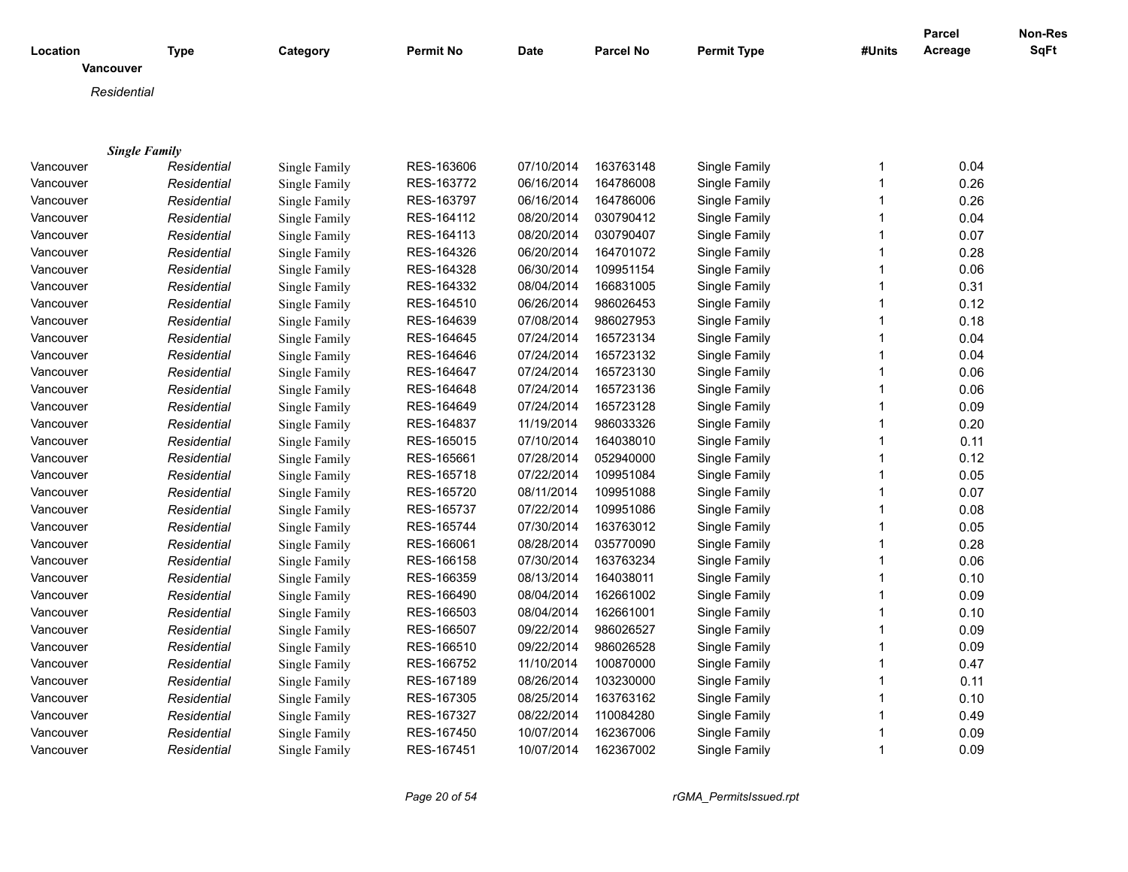| Location         | <b>Type</b>          | Category      | <b>Permit No</b> | <b>Date</b> | <b>Parcel No</b> | <b>Permit Type</b> | #Units       | <b>Parcel</b><br>Acreage | Non-Res<br>SqFt |
|------------------|----------------------|---------------|------------------|-------------|------------------|--------------------|--------------|--------------------------|-----------------|
| <b>Vancouver</b> |                      |               |                  |             |                  |                    |              |                          |                 |
| Residential      |                      |               |                  |             |                  |                    |              |                          |                 |
|                  |                      |               |                  |             |                  |                    |              |                          |                 |
|                  |                      |               |                  |             |                  |                    |              |                          |                 |
|                  | <b>Single Family</b> |               |                  |             |                  |                    |              |                          |                 |
| Vancouver        | Residential          | Single Family | RES-163606       | 07/10/2014  | 163763148        | Single Family      | $\mathbf{1}$ | 0.04                     |                 |
| Vancouver        | Residential          | Single Family | RES-163772       | 06/16/2014  | 164786008        | Single Family      | $\mathbf{1}$ | 0.26                     |                 |
| Vancouver        | Residential          | Single Family | RES-163797       | 06/16/2014  | 164786006        | Single Family      | $\mathbf{1}$ | 0.26                     |                 |
| Vancouver        | Residential          | Single Family | RES-164112       | 08/20/2014  | 030790412        | Single Family      | $\mathbf{1}$ | 0.04                     |                 |
| Vancouver        | Residential          | Single Family | RES-164113       | 08/20/2014  | 030790407        | Single Family      | $\mathbf{1}$ | 0.07                     |                 |
| Vancouver        | Residential          | Single Family | RES-164326       | 06/20/2014  | 164701072        | Single Family      | $\mathbf{1}$ | 0.28                     |                 |
| Vancouver        | Residential          | Single Family | RES-164328       | 06/30/2014  | 109951154        | Single Family      | $\mathbf{1}$ | 0.06                     |                 |
| Vancouver        | Residential          | Single Family | RES-164332       | 08/04/2014  | 166831005        | Single Family      | $\mathbf{1}$ | 0.31                     |                 |
| Vancouver        | Residential          | Single Family | RES-164510       | 06/26/2014  | 986026453        | Single Family      | $\mathbf{1}$ | 0.12                     |                 |
| Vancouver        | Residential          | Single Family | RES-164639       | 07/08/2014  | 986027953        | Single Family      | $\mathbf{1}$ | 0.18                     |                 |
| Vancouver        | Residential          | Single Family | RES-164645       | 07/24/2014  | 165723134        | Single Family      | $\mathbf{1}$ | 0.04                     |                 |
| Vancouver        | Residential          | Single Family | RES-164646       | 07/24/2014  | 165723132        | Single Family      | $\mathbf 1$  | 0.04                     |                 |
| Vancouver        | Residential          | Single Family | RES-164647       | 07/24/2014  | 165723130        | Single Family      | $\mathbf 1$  | 0.06                     |                 |
| Vancouver        | Residential          | Single Family | RES-164648       | 07/24/2014  | 165723136        | Single Family      | $\mathbf{1}$ | 0.06                     |                 |
| Vancouver        | Residential          | Single Family | RES-164649       | 07/24/2014  | 165723128        | Single Family      | $\mathbf{1}$ | 0.09                     |                 |
| Vancouver        | Residential          | Single Family | RES-164837       | 11/19/2014  | 986033326        | Single Family      | $\mathbf{1}$ | 0.20                     |                 |
| Vancouver        | Residential          | Single Family | RES-165015       | 07/10/2014  | 164038010        | Single Family      | $\mathbf{1}$ | 0.11                     |                 |
| Vancouver        | Residential          | Single Family | RES-165661       | 07/28/2014  | 052940000        | Single Family      | $\mathbf{1}$ | 0.12                     |                 |
| Vancouver        | Residential          | Single Family | RES-165718       | 07/22/2014  | 109951084        | Single Family      | $\mathbf{1}$ | 0.05                     |                 |
| Vancouver        | Residential          | Single Family | RES-165720       | 08/11/2014  | 109951088        | Single Family      | $\mathbf 1$  | 0.07                     |                 |
| Vancouver        | Residential          | Single Family | RES-165737       | 07/22/2014  | 109951086        | Single Family      | $\mathbf 1$  | 0.08                     |                 |
| Vancouver        | Residential          | Single Family | RES-165744       | 07/30/2014  | 163763012        | Single Family      | $\mathbf{1}$ | 0.05                     |                 |
| Vancouver        | Residential          | Single Family | RES-166061       | 08/28/2014  | 035770090        | Single Family      | $\mathbf{1}$ | 0.28                     |                 |
| Vancouver        | Residential          | Single Family | RES-166158       | 07/30/2014  | 163763234        | Single Family      | $\mathbf{1}$ | 0.06                     |                 |
| Vancouver        | Residential          | Single Family | RES-166359       | 08/13/2014  | 164038011        | Single Family      | $\mathbf{1}$ | 0.10                     |                 |
| Vancouver        | Residential          | Single Family | RES-166490       | 08/04/2014  | 162661002        | Single Family      | $\mathbf{1}$ | 0.09                     |                 |
| Vancouver        | Residential          | Single Family | RES-166503       | 08/04/2014  | 162661001        | Single Family      | $\mathbf{1}$ | 0.10                     |                 |
| Vancouver        | Residential          | Single Family | RES-166507       | 09/22/2014  | 986026527        | Single Family      | $\mathbf{1}$ | 0.09                     |                 |
| Vancouver        | Residential          | Single Family | RES-166510       | 09/22/2014  | 986026528        | Single Family      | $\mathbf{1}$ | 0.09                     |                 |
| Vancouver        | Residential          | Single Family | RES-166752       | 11/10/2014  | 100870000        | Single Family      | $\mathbf{1}$ | 0.47                     |                 |
| Vancouver        | Residential          | Single Family | RES-167189       | 08/26/2014  | 103230000        | Single Family      | $\mathbf{1}$ | 0.11                     |                 |
| Vancouver        | Residential          | Single Family | RES-167305       | 08/25/2014  | 163763162        | Single Family      | $\mathbf{1}$ | 0.10                     |                 |
| Vancouver        | Residential          | Single Family | RES-167327       | 08/22/2014  | 110084280        | Single Family      | 1            | 0.49                     |                 |
| Vancouver        | Residential          | Single Family | RES-167450       | 10/07/2014  | 162367006        | Single Family      | 1            | 0.09                     |                 |
| Vancouver        | Residential          | Single Family | RES-167451       | 10/07/2014  | 162367002        | Single Family      | $\mathbf{1}$ | 0.09                     |                 |
|                  |                      |               |                  |             |                  |                    |              |                          |                 |

*Page 20 of 54 rGMA\_PermitsIssued.rpt*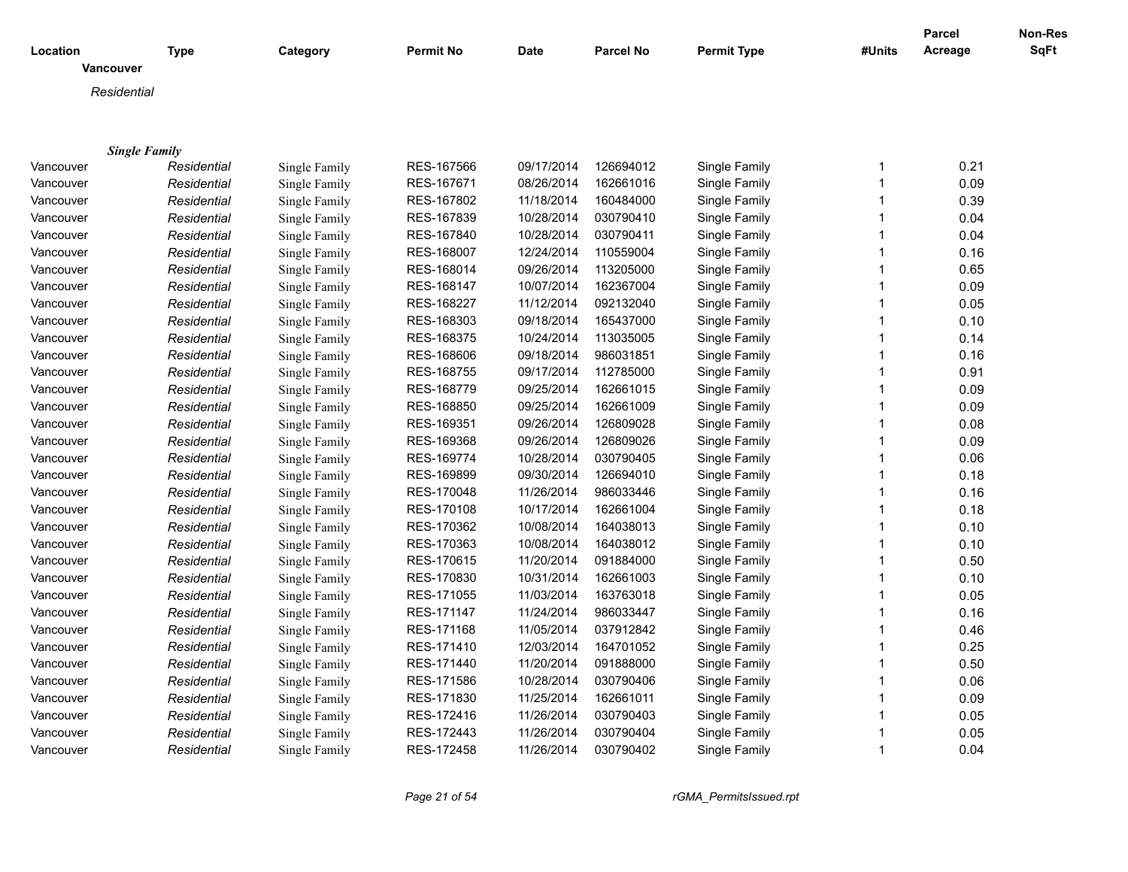| <b>Vancouver</b><br>Residential<br><b>Single Family</b><br>RES-167566<br>09/17/2014<br>126694012<br>Single Family<br>0.21<br>Vancouver<br>Residential<br>Single Family<br>$\mathbf{1}$<br>$\mathbf{1}$<br>0.09<br>Single Family<br>RES-167671<br>08/26/2014<br>162661016<br>Single Family<br>Vancouver<br>Residential<br>$\mathbf{1}$<br>0.39<br>Single Family<br>RES-167802<br>11/18/2014<br>160484000<br>Single Family<br>Vancouver<br>Residential<br>030790410<br>0.04<br>Vancouver<br>Residential<br>Single Family<br>RES-167839<br>10/28/2014<br>Single Family<br>1<br>$\mathbf{1}$<br>Vancouver<br>Residential<br>RES-167840<br>10/28/2014<br>030790411<br>Single Family<br>0.04<br>Single Family<br>12/24/2014<br>110559004<br>$\mathbf{1}$<br>0.16<br>Vancouver<br>RES-168007<br>Single Family<br>Residential<br>Single Family<br>Single Family<br>RES-168014<br>09/26/2014<br>113205000<br>Single Family<br>$\mathbf{1}$<br>0.65<br>Vancouver<br>Residential<br>0.09<br>Residential<br>Single Family<br>RES-168147<br>10/07/2014<br>162367004<br>Single Family<br>$\mathbf 1$<br>Vancouver<br>Single Family<br>RES-168227<br>11/12/2014<br>092132040<br>Single Family<br>$\mathbf{1}$<br>0.05<br>Vancouver<br>Residential<br>09/18/2014<br>$\mathbf{1}$<br>0.10<br>Residential<br>Single Family<br>RES-168303<br>165437000<br>Single Family<br>Vancouver<br>0.14<br>Single Family<br>RES-168375<br>10/24/2014<br>113035005<br>Single Family<br>1<br>Vancouver<br>Residential<br>09/18/2014<br>0.16<br>Vancouver<br>Residential<br>RES-168606<br>986031851<br>Single Family<br>1<br>Single Family<br>$\mathbf{1}$<br>Vancouver<br>RES-168755<br>09/17/2014<br>112785000<br>Single Family<br>0.91<br>Residential<br>Single Family<br>RES-168779<br>09/25/2014<br>$\mathbf{1}$<br>0.09<br>Vancouver<br>Residential<br>162661015<br>Single Family<br>Single Family<br>Single Family<br>RES-168850<br>09/25/2014<br>162661009<br>Single Family<br>$\mathbf{1}$<br>0.09<br>Vancouver<br>Residential<br>09/26/2014<br>0.08<br>Vancouver<br>Residential<br>Single Family<br>RES-169351<br>126809028<br>Single Family<br>$\mathbf{1}$<br>0.09<br>Single Family<br>RES-169368<br>09/26/2014<br>126809026<br>Single Family<br>$\mathbf{1}$<br>Vancouver<br>Residential<br>10/28/2014<br>$\mathbf{1}$<br>0.06<br>Residential<br>Single Family<br>RES-169774<br>030790405<br>Single Family<br>Vancouver<br>$\mathbf{1}$<br>0.18<br>Single Family<br>RES-169899<br>09/30/2014<br>126694010<br>Single Family<br>Vancouver<br>Residential<br>RES-170048<br>11/26/2014<br>986033446<br>$\mathbf{1}$<br>0.16<br>Vancouver<br>Residential<br>Single Family<br>Single Family<br>$\mathbf{1}$<br>Vancouver<br>RES-170108<br>10/17/2014<br>162661004<br>Single Family<br>0.18<br>Residential<br>Single Family<br>0.10<br>Residential<br>RES-170362<br>10/08/2014<br>164038013<br>Single Family<br>$\mathbf{1}$<br>Vancouver<br>Single Family<br>Single Family<br>RES-170363<br>10/08/2014<br>164038012<br>Single Family<br>$\mathbf{1}$<br>0.10<br>Vancouver<br>Residential<br>0.50<br>Vancouver<br>Residential<br>Single Family<br>RES-170615<br>11/20/2014<br>091884000<br>Single Family<br>$\mathbf{1}$<br>$\mathbf{1}$<br>0.10<br>Single Family<br>RES-170830<br>10/31/2014<br>162661003<br>Single Family<br>Vancouver<br>Residential<br>$\mathbf{1}$<br>0.05<br>Single Family<br>RES-171055<br>11/03/2014<br>163763018<br>Single Family<br>Vancouver<br>Residential<br>$\mathbf{1}$<br>0.16<br>Residential<br>RES-171147<br>11/24/2014<br>986033447<br>Single Family<br>Vancouver<br>Single Family<br>RES-171168<br>11/05/2014<br>Vancouver<br>037912842<br>Single Family<br>1<br>0.46<br>Residential<br>Single Family<br>$\mathbf{1}$<br>Vancouver<br>RES-171410<br>12/03/2014<br>164701052<br>Single Family<br>0.25<br>Residential<br>Single Family<br>0.50<br>RES-171440<br>11/20/2014<br>091888000<br>Single Family<br>$\mathbf{1}$<br>Vancouver<br>Residential<br>Single Family<br>Single Family<br>RES-171586<br>10/28/2014<br>030790406<br>Single Family<br>$\mathbf{1}$<br>0.06<br>Vancouver<br>Residential<br>0.09<br>Vancouver<br>Residential<br>Single Family<br>RES-171830<br>11/25/2014<br>162661011<br>Single Family<br>$\mathbf{1}$<br>Single Family<br>RES-172416<br>11/26/2014<br>030790403<br>Single Family<br>$\mathbf{1}$<br>0.05<br>Vancouver<br>Residential<br>0.05<br>Residential<br>Single Family<br>RES-172443<br>11/26/2014<br>030790404<br>Single Family<br>1<br>Vancouver<br>$\mathbf{1}$<br>RES-172458<br>11/26/2014<br>030790402<br>Vancouver<br>Residential | Location | <b>Type</b> | Category      | <b>Permit No</b> | <b>Date</b> | <b>Parcel No</b> | <b>Permit Type</b> | #Units | <b>Parcel</b><br>Acreage | Non-Res<br><b>SqFt</b> |
|------------------------------------------------------------------------------------------------------------------------------------------------------------------------------------------------------------------------------------------------------------------------------------------------------------------------------------------------------------------------------------------------------------------------------------------------------------------------------------------------------------------------------------------------------------------------------------------------------------------------------------------------------------------------------------------------------------------------------------------------------------------------------------------------------------------------------------------------------------------------------------------------------------------------------------------------------------------------------------------------------------------------------------------------------------------------------------------------------------------------------------------------------------------------------------------------------------------------------------------------------------------------------------------------------------------------------------------------------------------------------------------------------------------------------------------------------------------------------------------------------------------------------------------------------------------------------------------------------------------------------------------------------------------------------------------------------------------------------------------------------------------------------------------------------------------------------------------------------------------------------------------------------------------------------------------------------------------------------------------------------------------------------------------------------------------------------------------------------------------------------------------------------------------------------------------------------------------------------------------------------------------------------------------------------------------------------------------------------------------------------------------------------------------------------------------------------------------------------------------------------------------------------------------------------------------------------------------------------------------------------------------------------------------------------------------------------------------------------------------------------------------------------------------------------------------------------------------------------------------------------------------------------------------------------------------------------------------------------------------------------------------------------------------------------------------------------------------------------------------------------------------------------------------------------------------------------------------------------------------------------------------------------------------------------------------------------------------------------------------------------------------------------------------------------------------------------------------------------------------------------------------------------------------------------------------------------------------------------------------------------------------------------------------------------------------------------------------------------------------------------------------------------------------------------------------------------------------------------------------------------------------------------------------------------------------------------------------------------------------------------------------------------------------------------------------------------------------------------------------------------------------------------------------------------------------------------------------------------------------------------------------------------------------------------------------------------------------------------------------------------------------------------------------------------------------------------------------------------------------------------------------------------------------------------------------------------------|----------|-------------|---------------|------------------|-------------|------------------|--------------------|--------|--------------------------|------------------------|
|                                                                                                                                                                                                                                                                                                                                                                                                                                                                                                                                                                                                                                                                                                                                                                                                                                                                                                                                                                                                                                                                                                                                                                                                                                                                                                                                                                                                                                                                                                                                                                                                                                                                                                                                                                                                                                                                                                                                                                                                                                                                                                                                                                                                                                                                                                                                                                                                                                                                                                                                                                                                                                                                                                                                                                                                                                                                                                                                                                                                                                                                                                                                                                                                                                                                                                                                                                                                                                                                                                                                                                                                                                                                                                                                                                                                                                                                                                                                                                                                                                                                                                                                                                                                                                                                                                                                                                                                                                                                                                                                                                                    |          |             |               |                  |             |                  |                    |        |                          |                        |
|                                                                                                                                                                                                                                                                                                                                                                                                                                                                                                                                                                                                                                                                                                                                                                                                                                                                                                                                                                                                                                                                                                                                                                                                                                                                                                                                                                                                                                                                                                                                                                                                                                                                                                                                                                                                                                                                                                                                                                                                                                                                                                                                                                                                                                                                                                                                                                                                                                                                                                                                                                                                                                                                                                                                                                                                                                                                                                                                                                                                                                                                                                                                                                                                                                                                                                                                                                                                                                                                                                                                                                                                                                                                                                                                                                                                                                                                                                                                                                                                                                                                                                                                                                                                                                                                                                                                                                                                                                                                                                                                                                                    |          |             |               |                  |             |                  |                    |        |                          |                        |
|                                                                                                                                                                                                                                                                                                                                                                                                                                                                                                                                                                                                                                                                                                                                                                                                                                                                                                                                                                                                                                                                                                                                                                                                                                                                                                                                                                                                                                                                                                                                                                                                                                                                                                                                                                                                                                                                                                                                                                                                                                                                                                                                                                                                                                                                                                                                                                                                                                                                                                                                                                                                                                                                                                                                                                                                                                                                                                                                                                                                                                                                                                                                                                                                                                                                                                                                                                                                                                                                                                                                                                                                                                                                                                                                                                                                                                                                                                                                                                                                                                                                                                                                                                                                                                                                                                                                                                                                                                                                                                                                                                                    |          |             |               |                  |             |                  |                    |        |                          |                        |
|                                                                                                                                                                                                                                                                                                                                                                                                                                                                                                                                                                                                                                                                                                                                                                                                                                                                                                                                                                                                                                                                                                                                                                                                                                                                                                                                                                                                                                                                                                                                                                                                                                                                                                                                                                                                                                                                                                                                                                                                                                                                                                                                                                                                                                                                                                                                                                                                                                                                                                                                                                                                                                                                                                                                                                                                                                                                                                                                                                                                                                                                                                                                                                                                                                                                                                                                                                                                                                                                                                                                                                                                                                                                                                                                                                                                                                                                                                                                                                                                                                                                                                                                                                                                                                                                                                                                                                                                                                                                                                                                                                                    |          |             |               |                  |             |                  |                    |        |                          |                        |
|                                                                                                                                                                                                                                                                                                                                                                                                                                                                                                                                                                                                                                                                                                                                                                                                                                                                                                                                                                                                                                                                                                                                                                                                                                                                                                                                                                                                                                                                                                                                                                                                                                                                                                                                                                                                                                                                                                                                                                                                                                                                                                                                                                                                                                                                                                                                                                                                                                                                                                                                                                                                                                                                                                                                                                                                                                                                                                                                                                                                                                                                                                                                                                                                                                                                                                                                                                                                                                                                                                                                                                                                                                                                                                                                                                                                                                                                                                                                                                                                                                                                                                                                                                                                                                                                                                                                                                                                                                                                                                                                                                                    |          |             |               |                  |             |                  |                    |        |                          |                        |
|                                                                                                                                                                                                                                                                                                                                                                                                                                                                                                                                                                                                                                                                                                                                                                                                                                                                                                                                                                                                                                                                                                                                                                                                                                                                                                                                                                                                                                                                                                                                                                                                                                                                                                                                                                                                                                                                                                                                                                                                                                                                                                                                                                                                                                                                                                                                                                                                                                                                                                                                                                                                                                                                                                                                                                                                                                                                                                                                                                                                                                                                                                                                                                                                                                                                                                                                                                                                                                                                                                                                                                                                                                                                                                                                                                                                                                                                                                                                                                                                                                                                                                                                                                                                                                                                                                                                                                                                                                                                                                                                                                                    |          |             |               |                  |             |                  |                    |        |                          |                        |
|                                                                                                                                                                                                                                                                                                                                                                                                                                                                                                                                                                                                                                                                                                                                                                                                                                                                                                                                                                                                                                                                                                                                                                                                                                                                                                                                                                                                                                                                                                                                                                                                                                                                                                                                                                                                                                                                                                                                                                                                                                                                                                                                                                                                                                                                                                                                                                                                                                                                                                                                                                                                                                                                                                                                                                                                                                                                                                                                                                                                                                                                                                                                                                                                                                                                                                                                                                                                                                                                                                                                                                                                                                                                                                                                                                                                                                                                                                                                                                                                                                                                                                                                                                                                                                                                                                                                                                                                                                                                                                                                                                                    |          |             |               |                  |             |                  |                    |        |                          |                        |
|                                                                                                                                                                                                                                                                                                                                                                                                                                                                                                                                                                                                                                                                                                                                                                                                                                                                                                                                                                                                                                                                                                                                                                                                                                                                                                                                                                                                                                                                                                                                                                                                                                                                                                                                                                                                                                                                                                                                                                                                                                                                                                                                                                                                                                                                                                                                                                                                                                                                                                                                                                                                                                                                                                                                                                                                                                                                                                                                                                                                                                                                                                                                                                                                                                                                                                                                                                                                                                                                                                                                                                                                                                                                                                                                                                                                                                                                                                                                                                                                                                                                                                                                                                                                                                                                                                                                                                                                                                                                                                                                                                                    |          |             |               |                  |             |                  |                    |        |                          |                        |
|                                                                                                                                                                                                                                                                                                                                                                                                                                                                                                                                                                                                                                                                                                                                                                                                                                                                                                                                                                                                                                                                                                                                                                                                                                                                                                                                                                                                                                                                                                                                                                                                                                                                                                                                                                                                                                                                                                                                                                                                                                                                                                                                                                                                                                                                                                                                                                                                                                                                                                                                                                                                                                                                                                                                                                                                                                                                                                                                                                                                                                                                                                                                                                                                                                                                                                                                                                                                                                                                                                                                                                                                                                                                                                                                                                                                                                                                                                                                                                                                                                                                                                                                                                                                                                                                                                                                                                                                                                                                                                                                                                                    |          |             |               |                  |             |                  |                    |        |                          |                        |
|                                                                                                                                                                                                                                                                                                                                                                                                                                                                                                                                                                                                                                                                                                                                                                                                                                                                                                                                                                                                                                                                                                                                                                                                                                                                                                                                                                                                                                                                                                                                                                                                                                                                                                                                                                                                                                                                                                                                                                                                                                                                                                                                                                                                                                                                                                                                                                                                                                                                                                                                                                                                                                                                                                                                                                                                                                                                                                                                                                                                                                                                                                                                                                                                                                                                                                                                                                                                                                                                                                                                                                                                                                                                                                                                                                                                                                                                                                                                                                                                                                                                                                                                                                                                                                                                                                                                                                                                                                                                                                                                                                                    |          |             |               |                  |             |                  |                    |        |                          |                        |
|                                                                                                                                                                                                                                                                                                                                                                                                                                                                                                                                                                                                                                                                                                                                                                                                                                                                                                                                                                                                                                                                                                                                                                                                                                                                                                                                                                                                                                                                                                                                                                                                                                                                                                                                                                                                                                                                                                                                                                                                                                                                                                                                                                                                                                                                                                                                                                                                                                                                                                                                                                                                                                                                                                                                                                                                                                                                                                                                                                                                                                                                                                                                                                                                                                                                                                                                                                                                                                                                                                                                                                                                                                                                                                                                                                                                                                                                                                                                                                                                                                                                                                                                                                                                                                                                                                                                                                                                                                                                                                                                                                                    |          |             |               |                  |             |                  |                    |        |                          |                        |
|                                                                                                                                                                                                                                                                                                                                                                                                                                                                                                                                                                                                                                                                                                                                                                                                                                                                                                                                                                                                                                                                                                                                                                                                                                                                                                                                                                                                                                                                                                                                                                                                                                                                                                                                                                                                                                                                                                                                                                                                                                                                                                                                                                                                                                                                                                                                                                                                                                                                                                                                                                                                                                                                                                                                                                                                                                                                                                                                                                                                                                                                                                                                                                                                                                                                                                                                                                                                                                                                                                                                                                                                                                                                                                                                                                                                                                                                                                                                                                                                                                                                                                                                                                                                                                                                                                                                                                                                                                                                                                                                                                                    |          |             |               |                  |             |                  |                    |        |                          |                        |
|                                                                                                                                                                                                                                                                                                                                                                                                                                                                                                                                                                                                                                                                                                                                                                                                                                                                                                                                                                                                                                                                                                                                                                                                                                                                                                                                                                                                                                                                                                                                                                                                                                                                                                                                                                                                                                                                                                                                                                                                                                                                                                                                                                                                                                                                                                                                                                                                                                                                                                                                                                                                                                                                                                                                                                                                                                                                                                                                                                                                                                                                                                                                                                                                                                                                                                                                                                                                                                                                                                                                                                                                                                                                                                                                                                                                                                                                                                                                                                                                                                                                                                                                                                                                                                                                                                                                                                                                                                                                                                                                                                                    |          |             |               |                  |             |                  |                    |        |                          |                        |
|                                                                                                                                                                                                                                                                                                                                                                                                                                                                                                                                                                                                                                                                                                                                                                                                                                                                                                                                                                                                                                                                                                                                                                                                                                                                                                                                                                                                                                                                                                                                                                                                                                                                                                                                                                                                                                                                                                                                                                                                                                                                                                                                                                                                                                                                                                                                                                                                                                                                                                                                                                                                                                                                                                                                                                                                                                                                                                                                                                                                                                                                                                                                                                                                                                                                                                                                                                                                                                                                                                                                                                                                                                                                                                                                                                                                                                                                                                                                                                                                                                                                                                                                                                                                                                                                                                                                                                                                                                                                                                                                                                                    |          |             |               |                  |             |                  |                    |        |                          |                        |
|                                                                                                                                                                                                                                                                                                                                                                                                                                                                                                                                                                                                                                                                                                                                                                                                                                                                                                                                                                                                                                                                                                                                                                                                                                                                                                                                                                                                                                                                                                                                                                                                                                                                                                                                                                                                                                                                                                                                                                                                                                                                                                                                                                                                                                                                                                                                                                                                                                                                                                                                                                                                                                                                                                                                                                                                                                                                                                                                                                                                                                                                                                                                                                                                                                                                                                                                                                                                                                                                                                                                                                                                                                                                                                                                                                                                                                                                                                                                                                                                                                                                                                                                                                                                                                                                                                                                                                                                                                                                                                                                                                                    |          |             |               |                  |             |                  |                    |        |                          |                        |
|                                                                                                                                                                                                                                                                                                                                                                                                                                                                                                                                                                                                                                                                                                                                                                                                                                                                                                                                                                                                                                                                                                                                                                                                                                                                                                                                                                                                                                                                                                                                                                                                                                                                                                                                                                                                                                                                                                                                                                                                                                                                                                                                                                                                                                                                                                                                                                                                                                                                                                                                                                                                                                                                                                                                                                                                                                                                                                                                                                                                                                                                                                                                                                                                                                                                                                                                                                                                                                                                                                                                                                                                                                                                                                                                                                                                                                                                                                                                                                                                                                                                                                                                                                                                                                                                                                                                                                                                                                                                                                                                                                                    |          |             |               |                  |             |                  |                    |        |                          |                        |
|                                                                                                                                                                                                                                                                                                                                                                                                                                                                                                                                                                                                                                                                                                                                                                                                                                                                                                                                                                                                                                                                                                                                                                                                                                                                                                                                                                                                                                                                                                                                                                                                                                                                                                                                                                                                                                                                                                                                                                                                                                                                                                                                                                                                                                                                                                                                                                                                                                                                                                                                                                                                                                                                                                                                                                                                                                                                                                                                                                                                                                                                                                                                                                                                                                                                                                                                                                                                                                                                                                                                                                                                                                                                                                                                                                                                                                                                                                                                                                                                                                                                                                                                                                                                                                                                                                                                                                                                                                                                                                                                                                                    |          |             |               |                  |             |                  |                    |        |                          |                        |
|                                                                                                                                                                                                                                                                                                                                                                                                                                                                                                                                                                                                                                                                                                                                                                                                                                                                                                                                                                                                                                                                                                                                                                                                                                                                                                                                                                                                                                                                                                                                                                                                                                                                                                                                                                                                                                                                                                                                                                                                                                                                                                                                                                                                                                                                                                                                                                                                                                                                                                                                                                                                                                                                                                                                                                                                                                                                                                                                                                                                                                                                                                                                                                                                                                                                                                                                                                                                                                                                                                                                                                                                                                                                                                                                                                                                                                                                                                                                                                                                                                                                                                                                                                                                                                                                                                                                                                                                                                                                                                                                                                                    |          |             |               |                  |             |                  |                    |        |                          |                        |
|                                                                                                                                                                                                                                                                                                                                                                                                                                                                                                                                                                                                                                                                                                                                                                                                                                                                                                                                                                                                                                                                                                                                                                                                                                                                                                                                                                                                                                                                                                                                                                                                                                                                                                                                                                                                                                                                                                                                                                                                                                                                                                                                                                                                                                                                                                                                                                                                                                                                                                                                                                                                                                                                                                                                                                                                                                                                                                                                                                                                                                                                                                                                                                                                                                                                                                                                                                                                                                                                                                                                                                                                                                                                                                                                                                                                                                                                                                                                                                                                                                                                                                                                                                                                                                                                                                                                                                                                                                                                                                                                                                                    |          |             |               |                  |             |                  |                    |        |                          |                        |
|                                                                                                                                                                                                                                                                                                                                                                                                                                                                                                                                                                                                                                                                                                                                                                                                                                                                                                                                                                                                                                                                                                                                                                                                                                                                                                                                                                                                                                                                                                                                                                                                                                                                                                                                                                                                                                                                                                                                                                                                                                                                                                                                                                                                                                                                                                                                                                                                                                                                                                                                                                                                                                                                                                                                                                                                                                                                                                                                                                                                                                                                                                                                                                                                                                                                                                                                                                                                                                                                                                                                                                                                                                                                                                                                                                                                                                                                                                                                                                                                                                                                                                                                                                                                                                                                                                                                                                                                                                                                                                                                                                                    |          |             |               |                  |             |                  |                    |        |                          |                        |
|                                                                                                                                                                                                                                                                                                                                                                                                                                                                                                                                                                                                                                                                                                                                                                                                                                                                                                                                                                                                                                                                                                                                                                                                                                                                                                                                                                                                                                                                                                                                                                                                                                                                                                                                                                                                                                                                                                                                                                                                                                                                                                                                                                                                                                                                                                                                                                                                                                                                                                                                                                                                                                                                                                                                                                                                                                                                                                                                                                                                                                                                                                                                                                                                                                                                                                                                                                                                                                                                                                                                                                                                                                                                                                                                                                                                                                                                                                                                                                                                                                                                                                                                                                                                                                                                                                                                                                                                                                                                                                                                                                                    |          |             |               |                  |             |                  |                    |        |                          |                        |
|                                                                                                                                                                                                                                                                                                                                                                                                                                                                                                                                                                                                                                                                                                                                                                                                                                                                                                                                                                                                                                                                                                                                                                                                                                                                                                                                                                                                                                                                                                                                                                                                                                                                                                                                                                                                                                                                                                                                                                                                                                                                                                                                                                                                                                                                                                                                                                                                                                                                                                                                                                                                                                                                                                                                                                                                                                                                                                                                                                                                                                                                                                                                                                                                                                                                                                                                                                                                                                                                                                                                                                                                                                                                                                                                                                                                                                                                                                                                                                                                                                                                                                                                                                                                                                                                                                                                                                                                                                                                                                                                                                                    |          |             |               |                  |             |                  |                    |        |                          |                        |
|                                                                                                                                                                                                                                                                                                                                                                                                                                                                                                                                                                                                                                                                                                                                                                                                                                                                                                                                                                                                                                                                                                                                                                                                                                                                                                                                                                                                                                                                                                                                                                                                                                                                                                                                                                                                                                                                                                                                                                                                                                                                                                                                                                                                                                                                                                                                                                                                                                                                                                                                                                                                                                                                                                                                                                                                                                                                                                                                                                                                                                                                                                                                                                                                                                                                                                                                                                                                                                                                                                                                                                                                                                                                                                                                                                                                                                                                                                                                                                                                                                                                                                                                                                                                                                                                                                                                                                                                                                                                                                                                                                                    |          |             |               |                  |             |                  |                    |        |                          |                        |
|                                                                                                                                                                                                                                                                                                                                                                                                                                                                                                                                                                                                                                                                                                                                                                                                                                                                                                                                                                                                                                                                                                                                                                                                                                                                                                                                                                                                                                                                                                                                                                                                                                                                                                                                                                                                                                                                                                                                                                                                                                                                                                                                                                                                                                                                                                                                                                                                                                                                                                                                                                                                                                                                                                                                                                                                                                                                                                                                                                                                                                                                                                                                                                                                                                                                                                                                                                                                                                                                                                                                                                                                                                                                                                                                                                                                                                                                                                                                                                                                                                                                                                                                                                                                                                                                                                                                                                                                                                                                                                                                                                                    |          |             |               |                  |             |                  |                    |        |                          |                        |
|                                                                                                                                                                                                                                                                                                                                                                                                                                                                                                                                                                                                                                                                                                                                                                                                                                                                                                                                                                                                                                                                                                                                                                                                                                                                                                                                                                                                                                                                                                                                                                                                                                                                                                                                                                                                                                                                                                                                                                                                                                                                                                                                                                                                                                                                                                                                                                                                                                                                                                                                                                                                                                                                                                                                                                                                                                                                                                                                                                                                                                                                                                                                                                                                                                                                                                                                                                                                                                                                                                                                                                                                                                                                                                                                                                                                                                                                                                                                                                                                                                                                                                                                                                                                                                                                                                                                                                                                                                                                                                                                                                                    |          |             |               |                  |             |                  |                    |        |                          |                        |
|                                                                                                                                                                                                                                                                                                                                                                                                                                                                                                                                                                                                                                                                                                                                                                                                                                                                                                                                                                                                                                                                                                                                                                                                                                                                                                                                                                                                                                                                                                                                                                                                                                                                                                                                                                                                                                                                                                                                                                                                                                                                                                                                                                                                                                                                                                                                                                                                                                                                                                                                                                                                                                                                                                                                                                                                                                                                                                                                                                                                                                                                                                                                                                                                                                                                                                                                                                                                                                                                                                                                                                                                                                                                                                                                                                                                                                                                                                                                                                                                                                                                                                                                                                                                                                                                                                                                                                                                                                                                                                                                                                                    |          |             |               |                  |             |                  |                    |        |                          |                        |
|                                                                                                                                                                                                                                                                                                                                                                                                                                                                                                                                                                                                                                                                                                                                                                                                                                                                                                                                                                                                                                                                                                                                                                                                                                                                                                                                                                                                                                                                                                                                                                                                                                                                                                                                                                                                                                                                                                                                                                                                                                                                                                                                                                                                                                                                                                                                                                                                                                                                                                                                                                                                                                                                                                                                                                                                                                                                                                                                                                                                                                                                                                                                                                                                                                                                                                                                                                                                                                                                                                                                                                                                                                                                                                                                                                                                                                                                                                                                                                                                                                                                                                                                                                                                                                                                                                                                                                                                                                                                                                                                                                                    |          |             |               |                  |             |                  |                    |        |                          |                        |
|                                                                                                                                                                                                                                                                                                                                                                                                                                                                                                                                                                                                                                                                                                                                                                                                                                                                                                                                                                                                                                                                                                                                                                                                                                                                                                                                                                                                                                                                                                                                                                                                                                                                                                                                                                                                                                                                                                                                                                                                                                                                                                                                                                                                                                                                                                                                                                                                                                                                                                                                                                                                                                                                                                                                                                                                                                                                                                                                                                                                                                                                                                                                                                                                                                                                                                                                                                                                                                                                                                                                                                                                                                                                                                                                                                                                                                                                                                                                                                                                                                                                                                                                                                                                                                                                                                                                                                                                                                                                                                                                                                                    |          |             |               |                  |             |                  |                    |        |                          |                        |
|                                                                                                                                                                                                                                                                                                                                                                                                                                                                                                                                                                                                                                                                                                                                                                                                                                                                                                                                                                                                                                                                                                                                                                                                                                                                                                                                                                                                                                                                                                                                                                                                                                                                                                                                                                                                                                                                                                                                                                                                                                                                                                                                                                                                                                                                                                                                                                                                                                                                                                                                                                                                                                                                                                                                                                                                                                                                                                                                                                                                                                                                                                                                                                                                                                                                                                                                                                                                                                                                                                                                                                                                                                                                                                                                                                                                                                                                                                                                                                                                                                                                                                                                                                                                                                                                                                                                                                                                                                                                                                                                                                                    |          |             |               |                  |             |                  |                    |        |                          |                        |
|                                                                                                                                                                                                                                                                                                                                                                                                                                                                                                                                                                                                                                                                                                                                                                                                                                                                                                                                                                                                                                                                                                                                                                                                                                                                                                                                                                                                                                                                                                                                                                                                                                                                                                                                                                                                                                                                                                                                                                                                                                                                                                                                                                                                                                                                                                                                                                                                                                                                                                                                                                                                                                                                                                                                                                                                                                                                                                                                                                                                                                                                                                                                                                                                                                                                                                                                                                                                                                                                                                                                                                                                                                                                                                                                                                                                                                                                                                                                                                                                                                                                                                                                                                                                                                                                                                                                                                                                                                                                                                                                                                                    |          |             |               |                  |             |                  |                    |        |                          |                        |
|                                                                                                                                                                                                                                                                                                                                                                                                                                                                                                                                                                                                                                                                                                                                                                                                                                                                                                                                                                                                                                                                                                                                                                                                                                                                                                                                                                                                                                                                                                                                                                                                                                                                                                                                                                                                                                                                                                                                                                                                                                                                                                                                                                                                                                                                                                                                                                                                                                                                                                                                                                                                                                                                                                                                                                                                                                                                                                                                                                                                                                                                                                                                                                                                                                                                                                                                                                                                                                                                                                                                                                                                                                                                                                                                                                                                                                                                                                                                                                                                                                                                                                                                                                                                                                                                                                                                                                                                                                                                                                                                                                                    |          |             |               |                  |             |                  |                    |        |                          |                        |
|                                                                                                                                                                                                                                                                                                                                                                                                                                                                                                                                                                                                                                                                                                                                                                                                                                                                                                                                                                                                                                                                                                                                                                                                                                                                                                                                                                                                                                                                                                                                                                                                                                                                                                                                                                                                                                                                                                                                                                                                                                                                                                                                                                                                                                                                                                                                                                                                                                                                                                                                                                                                                                                                                                                                                                                                                                                                                                                                                                                                                                                                                                                                                                                                                                                                                                                                                                                                                                                                                                                                                                                                                                                                                                                                                                                                                                                                                                                                                                                                                                                                                                                                                                                                                                                                                                                                                                                                                                                                                                                                                                                    |          |             |               |                  |             |                  |                    |        |                          |                        |
|                                                                                                                                                                                                                                                                                                                                                                                                                                                                                                                                                                                                                                                                                                                                                                                                                                                                                                                                                                                                                                                                                                                                                                                                                                                                                                                                                                                                                                                                                                                                                                                                                                                                                                                                                                                                                                                                                                                                                                                                                                                                                                                                                                                                                                                                                                                                                                                                                                                                                                                                                                                                                                                                                                                                                                                                                                                                                                                                                                                                                                                                                                                                                                                                                                                                                                                                                                                                                                                                                                                                                                                                                                                                                                                                                                                                                                                                                                                                                                                                                                                                                                                                                                                                                                                                                                                                                                                                                                                                                                                                                                                    |          |             |               |                  |             |                  |                    |        |                          |                        |
|                                                                                                                                                                                                                                                                                                                                                                                                                                                                                                                                                                                                                                                                                                                                                                                                                                                                                                                                                                                                                                                                                                                                                                                                                                                                                                                                                                                                                                                                                                                                                                                                                                                                                                                                                                                                                                                                                                                                                                                                                                                                                                                                                                                                                                                                                                                                                                                                                                                                                                                                                                                                                                                                                                                                                                                                                                                                                                                                                                                                                                                                                                                                                                                                                                                                                                                                                                                                                                                                                                                                                                                                                                                                                                                                                                                                                                                                                                                                                                                                                                                                                                                                                                                                                                                                                                                                                                                                                                                                                                                                                                                    |          |             |               |                  |             |                  |                    |        |                          |                        |
|                                                                                                                                                                                                                                                                                                                                                                                                                                                                                                                                                                                                                                                                                                                                                                                                                                                                                                                                                                                                                                                                                                                                                                                                                                                                                                                                                                                                                                                                                                                                                                                                                                                                                                                                                                                                                                                                                                                                                                                                                                                                                                                                                                                                                                                                                                                                                                                                                                                                                                                                                                                                                                                                                                                                                                                                                                                                                                                                                                                                                                                                                                                                                                                                                                                                                                                                                                                                                                                                                                                                                                                                                                                                                                                                                                                                                                                                                                                                                                                                                                                                                                                                                                                                                                                                                                                                                                                                                                                                                                                                                                                    |          |             |               |                  |             |                  |                    |        |                          |                        |
|                                                                                                                                                                                                                                                                                                                                                                                                                                                                                                                                                                                                                                                                                                                                                                                                                                                                                                                                                                                                                                                                                                                                                                                                                                                                                                                                                                                                                                                                                                                                                                                                                                                                                                                                                                                                                                                                                                                                                                                                                                                                                                                                                                                                                                                                                                                                                                                                                                                                                                                                                                                                                                                                                                                                                                                                                                                                                                                                                                                                                                                                                                                                                                                                                                                                                                                                                                                                                                                                                                                                                                                                                                                                                                                                                                                                                                                                                                                                                                                                                                                                                                                                                                                                                                                                                                                                                                                                                                                                                                                                                                                    |          |             |               |                  |             |                  |                    |        |                          |                        |
|                                                                                                                                                                                                                                                                                                                                                                                                                                                                                                                                                                                                                                                                                                                                                                                                                                                                                                                                                                                                                                                                                                                                                                                                                                                                                                                                                                                                                                                                                                                                                                                                                                                                                                                                                                                                                                                                                                                                                                                                                                                                                                                                                                                                                                                                                                                                                                                                                                                                                                                                                                                                                                                                                                                                                                                                                                                                                                                                                                                                                                                                                                                                                                                                                                                                                                                                                                                                                                                                                                                                                                                                                                                                                                                                                                                                                                                                                                                                                                                                                                                                                                                                                                                                                                                                                                                                                                                                                                                                                                                                                                                    |          |             |               |                  |             |                  |                    |        |                          |                        |
|                                                                                                                                                                                                                                                                                                                                                                                                                                                                                                                                                                                                                                                                                                                                                                                                                                                                                                                                                                                                                                                                                                                                                                                                                                                                                                                                                                                                                                                                                                                                                                                                                                                                                                                                                                                                                                                                                                                                                                                                                                                                                                                                                                                                                                                                                                                                                                                                                                                                                                                                                                                                                                                                                                                                                                                                                                                                                                                                                                                                                                                                                                                                                                                                                                                                                                                                                                                                                                                                                                                                                                                                                                                                                                                                                                                                                                                                                                                                                                                                                                                                                                                                                                                                                                                                                                                                                                                                                                                                                                                                                                                    |          |             |               |                  |             |                  |                    |        |                          |                        |
|                                                                                                                                                                                                                                                                                                                                                                                                                                                                                                                                                                                                                                                                                                                                                                                                                                                                                                                                                                                                                                                                                                                                                                                                                                                                                                                                                                                                                                                                                                                                                                                                                                                                                                                                                                                                                                                                                                                                                                                                                                                                                                                                                                                                                                                                                                                                                                                                                                                                                                                                                                                                                                                                                                                                                                                                                                                                                                                                                                                                                                                                                                                                                                                                                                                                                                                                                                                                                                                                                                                                                                                                                                                                                                                                                                                                                                                                                                                                                                                                                                                                                                                                                                                                                                                                                                                                                                                                                                                                                                                                                                                    |          |             |               |                  |             |                  |                    |        |                          |                        |
|                                                                                                                                                                                                                                                                                                                                                                                                                                                                                                                                                                                                                                                                                                                                                                                                                                                                                                                                                                                                                                                                                                                                                                                                                                                                                                                                                                                                                                                                                                                                                                                                                                                                                                                                                                                                                                                                                                                                                                                                                                                                                                                                                                                                                                                                                                                                                                                                                                                                                                                                                                                                                                                                                                                                                                                                                                                                                                                                                                                                                                                                                                                                                                                                                                                                                                                                                                                                                                                                                                                                                                                                                                                                                                                                                                                                                                                                                                                                                                                                                                                                                                                                                                                                                                                                                                                                                                                                                                                                                                                                                                                    |          |             | Single Family |                  |             |                  | Single Family      |        | 0.04                     |                        |

*Page 21 of 54 rGMA\_PermitsIssued.rpt*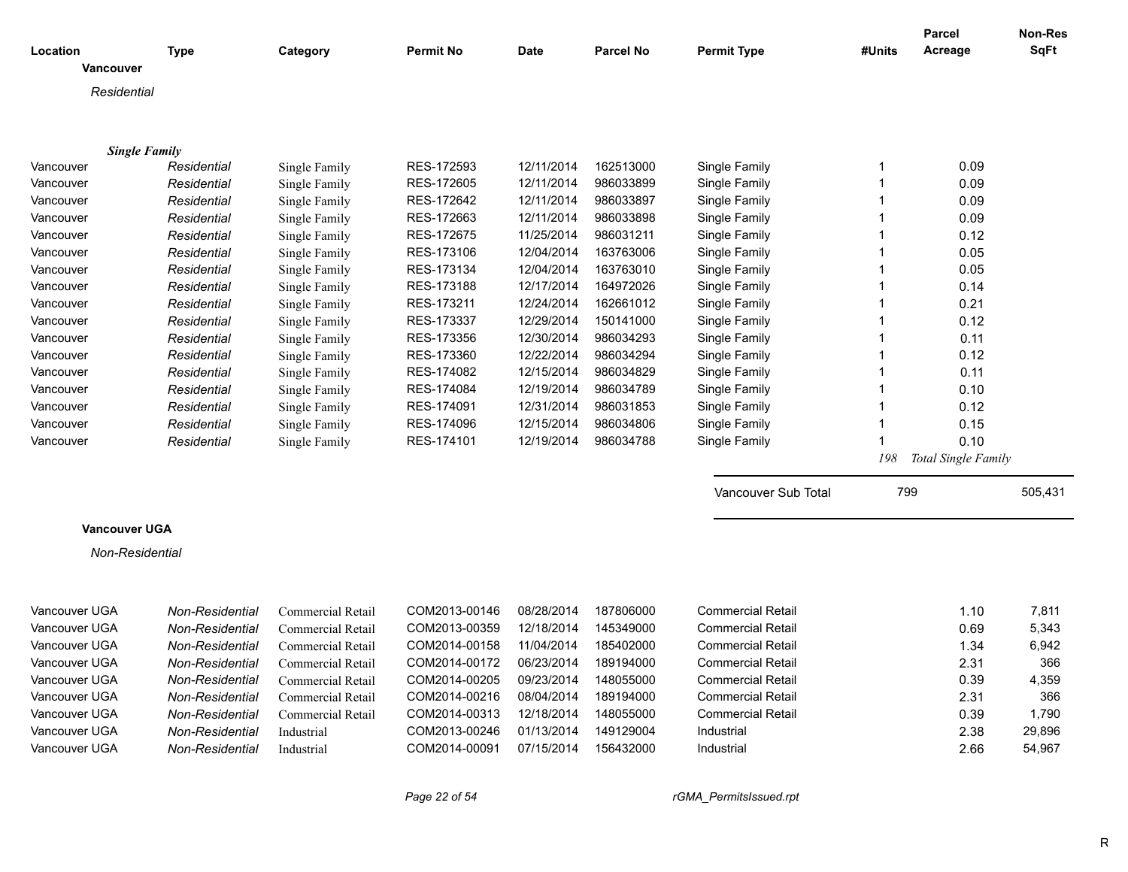| Location<br><b>Vancouver</b>      | Type                   | Category          | Permit No     | Date       | <b>Parcel No</b> | <b>Permit Type</b>       | #Units         | Parcel<br>Acreage   | <b>Non-Res</b><br><b>SqFt</b> |
|-----------------------------------|------------------------|-------------------|---------------|------------|------------------|--------------------------|----------------|---------------------|-------------------------------|
| Residential                       |                        |                   |               |            |                  |                          |                |                     |                               |
|                                   |                        |                   |               |            |                  |                          |                |                     |                               |
|                                   |                        |                   |               |            |                  |                          |                |                     |                               |
| <b>Single Family</b><br>Vancouver | Residential            | Single Family     | RES-172593    | 12/11/2014 | 162513000        | Single Family            | $\mathbf{1}$   | 0.09                |                               |
| Vancouver                         | Residential            | Single Family     | RES-172605    | 12/11/2014 | 986033899        | Single Family            | $\mathbf{1}$   | 0.09                |                               |
| Vancouver                         | Residential            | Single Family     | RES-172642    | 12/11/2014 | 986033897        | Single Family            | $\overline{1}$ | 0.09                |                               |
| Vancouver                         | Residential            | Single Family     | RES-172663    | 12/11/2014 | 986033898        | Single Family            | $\mathbf{1}$   | 0.09                |                               |
| Vancouver                         | Residential            | Single Family     | RES-172675    | 11/25/2014 | 986031211        | Single Family            | $\overline{1}$ | 0.12                |                               |
| Vancouver                         | Residential            | Single Family     | RES-173106    | 12/04/2014 | 163763006        | Single Family            | $\mathbf{1}$   | 0.05                |                               |
| Vancouver                         | Residential            | Single Family     | RES-173134    | 12/04/2014 | 163763010        | Single Family            | $\overline{1}$ | 0.05                |                               |
| Vancouver                         | Residential            | Single Family     | RES-173188    | 12/17/2014 | 164972026        | Single Family            | $\mathbf{1}$   | 0.14                |                               |
| Vancouver                         | Residential            | Single Family     | RES-173211    | 12/24/2014 | 162661012        | Single Family            | $\mathbf{1}$   | 0.21                |                               |
| Vancouver                         | Residential            | Single Family     | RES-173337    | 12/29/2014 | 150141000        | Single Family            | $\mathbf{1}$   | 0.12                |                               |
| Vancouver                         | Residential            | Single Family     | RES-173356    | 12/30/2014 | 986034293        | Single Family            | $\mathbf{1}$   | 0.11                |                               |
| Vancouver                         | Residential            | Single Family     | RES-173360    | 12/22/2014 | 986034294        | Single Family            | $\overline{1}$ | 0.12                |                               |
| Vancouver                         | Residential            | Single Family     | RES-174082    | 12/15/2014 | 986034829        | Single Family            | $\overline{1}$ | 0.11                |                               |
| Vancouver                         | Residential            | Single Family     | RES-174084    | 12/19/2014 | 986034789        | Single Family            | $\mathbf{1}$   | 0.10                |                               |
| Vancouver                         | Residential            | Single Family     | RES-174091    | 12/31/2014 | 986031853        | Single Family            | $\mathbf{1}$   | 0.12                |                               |
| Vancouver                         | Residential            | Single Family     | RES-174096    | 12/15/2014 | 986034806        | Single Family            | $\overline{1}$ | 0.15                |                               |
| Vancouver                         | Residential            | Single Family     | RES-174101    | 12/19/2014 | 986034788        | Single Family            | 1              | 0.10                |                               |
|                                   |                        |                   |               |            |                  |                          | 198            | Total Single Family |                               |
|                                   |                        |                   |               |            |                  | Vancouver Sub Total      | 799            |                     | 505,431                       |
| <b>Vancouver UGA</b>              |                        |                   |               |            |                  |                          |                |                     |                               |
|                                   |                        |                   |               |            |                  |                          |                |                     |                               |
| Non-Residential                   |                        |                   |               |            |                  |                          |                |                     |                               |
|                                   |                        |                   |               |            |                  |                          |                |                     |                               |
| Vancouver UGA                     | Non-Residential        | Commercial Retail | COM2013-00146 | 08/28/2014 | 187806000        | <b>Commercial Retail</b> |                | 1.10                | 7,811                         |
| Vancouver UGA                     | <b>Non-Residential</b> | Commercial Retail | COM2013-00359 | 12/18/2014 | 145349000        | <b>Commercial Retail</b> |                | 0.69                | 5,343                         |
| Vancouver UGA                     | Non-Residential        | Commercial Retail | COM2014-00158 | 11/04/2014 | 185402000        | <b>Commercial Retail</b> |                | 1.34                | 6,942                         |
| Vancouver UGA                     | Non-Residential        | Commercial Retail | COM2014-00172 | 06/23/2014 | 189194000        | <b>Commercial Retail</b> |                | 2.31                | 366                           |
| Vancouver UGA                     | Non-Residential        | Commercial Retail | COM2014-00205 | 09/23/2014 | 148055000        | <b>Commercial Retail</b> |                | 0.39                | 4,359                         |
| Vancouver UGA                     | Non-Residential        | Commercial Retail | COM2014-00216 | 08/04/2014 | 189194000        | <b>Commercial Retail</b> |                | 2.31                | 366                           |
| Vancouver UGA                     | Non-Residential        | Commercial Retail | COM2014-00313 | 12/18/2014 | 148055000        | <b>Commercial Retail</b> |                | 0.39                | 1,790                         |
| Vancouver UGA                     | <b>Non-Residential</b> | Industrial        | COM2013-00246 | 01/13/2014 | 149129004        | Industrial               |                | 2.38                | 29,896                        |
| Vancouver UGA                     | <b>Non-Residential</b> | Industrial        | COM2014-00091 | 07/15/2014 | 156432000        | Industrial               |                | 2.66                | 54,967                        |
|                                   |                        |                   |               |            |                  |                          |                |                     |                               |

*Page 22 of 54 rGMA\_PermitsIssued.rpt*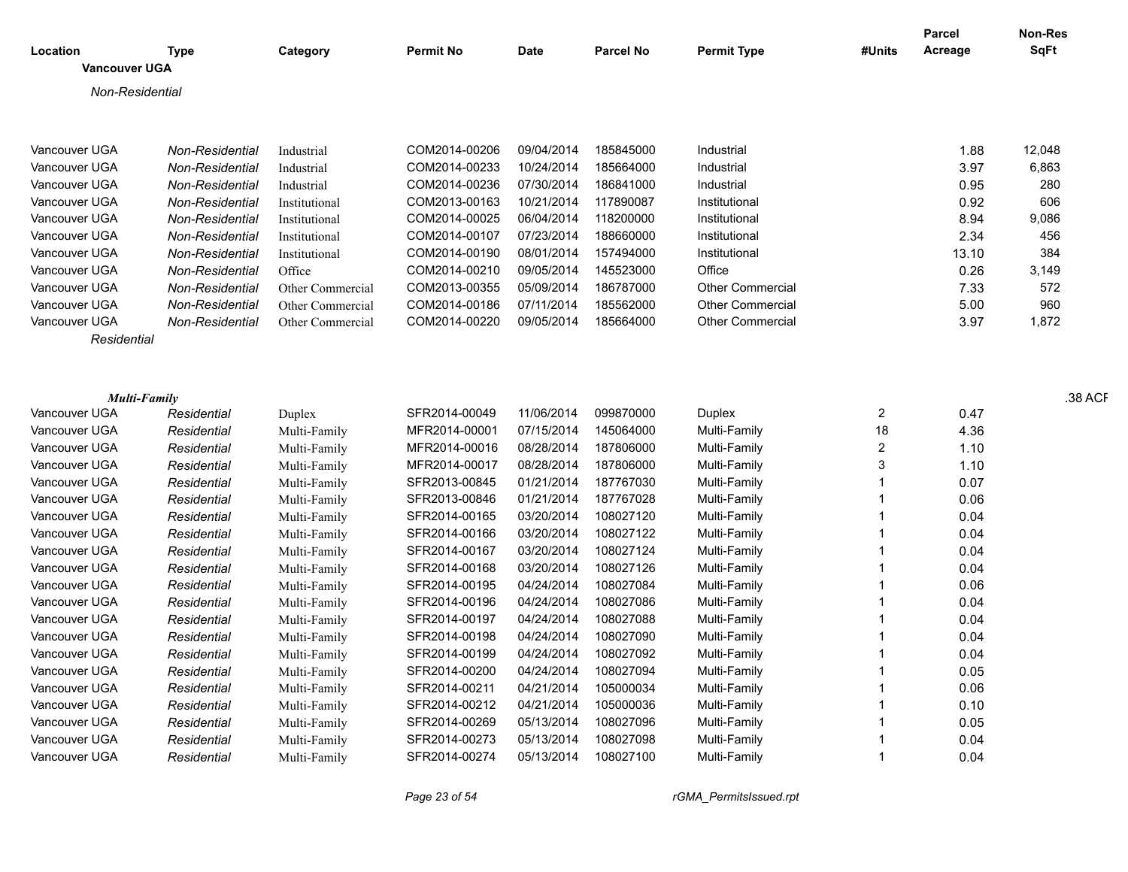| <b>SqFt</b><br>Acreage<br>Location<br><b>Type</b><br>Category<br><b>Permit No</b><br><b>Date</b><br><b>Parcel No</b><br><b>Permit Type</b><br>#Units<br><b>Vancouver UGA</b><br>Non-Residential<br>09/04/2014<br>185845000<br>12,048<br>Vancouver UGA<br>Non-Residential<br>COM2014-00206<br>Industrial<br>1.88<br>Industrial<br>10/24/2014<br>185664000<br>3.97<br>6,863<br>Vancouver UGA<br>Non-Residential<br>COM2014-00233<br>Industrial<br>Industrial<br>COM2014-00236<br>07/30/2014<br>0.95<br>280<br>Vancouver UGA<br>Non-Residential<br>186841000<br>Industrial<br>Industrial<br>COM2013-00163<br>10/21/2014<br>117890087<br>0.92<br>Vancouver UGA<br>Non-Residential<br>606<br>Institutional<br>Institutional<br>COM2014-00025<br>06/04/2014<br>118200000<br>8.94<br>9,086<br>Vancouver UGA<br>Non-Residential<br>Institutional<br>Institutional<br>188660000<br>Non-Residential<br>COM2014-00107<br>07/23/2014<br>2.34<br>456<br>Vancouver UGA<br>Institutional<br>Institutional<br>COM2014-00190<br>08/01/2014<br>157494000<br>384<br>Vancouver UGA<br>Institutional<br>13.10<br>Non-Residential<br>Institutional<br>COM2014-00210<br>09/05/2014<br>145523000<br>Office<br>0.26<br>Vancouver UGA<br>Non-Residential<br>Office<br>3,149<br>COM2013-00355<br>05/09/2014<br>186787000<br>7.33<br>572<br>Vancouver UGA<br>Non-Residential<br><b>Other Commercial</b><br>Other Commercial<br>960<br>Vancouver UGA<br>Non-Residential<br>COM2014-00186<br>07/11/2014<br>185562000<br>Other Commercial<br>5.00<br>Other Commercial<br>Vancouver UGA<br>3.97<br>1,872<br>Non-Residential<br>COM2014-00220<br>09/05/2014<br>185664000<br><b>Other Commercial</b><br>Other Commercial<br>Residential<br>.38 ACF<br><b>Multi-Family</b><br>SFR2014-00049<br>11/06/2014<br>099870000<br>Duplex<br>Vancouver UGA<br>Residential<br>2<br>0.47<br>Duplex<br>18<br>4.36<br>Vancouver UGA<br>MFR2014-00001<br>07/15/2014<br>145064000<br>Residential<br>Multi-Family<br>Multi-Family<br>08/28/2014<br>Vancouver UGA<br>MFR2014-00016<br>187806000<br>Multi-Family<br>$\overline{2}$<br>1.10<br>Residential<br>Multi-Family<br>MFR2014-00017<br>08/28/2014<br>187806000<br>Vancouver UGA<br>Multi-Family<br>3<br>1.10<br>Residential<br>Multi-Family<br>Vancouver UGA<br>SFR2013-00845<br>01/21/2014<br>187767030<br>Multi-Family<br>0.07<br>Residential<br>Multi-Family<br>SFR2013-00846<br>187767028<br>Vancouver UGA<br>01/21/2014<br>Multi-Family<br>0.06<br>Residential<br>Multi-Family<br>SFR2014-00165<br>03/20/2014<br>108027120<br>Multi-Family<br>Vancouver UGA<br>0.04<br>Residential<br>Multi-Family<br>SFR2014-00166<br>03/20/2014<br>108027122<br>Vancouver UGA<br>Multi-Family<br>0.04<br>Residential<br>Multi-Family<br>Vancouver UGA<br>SFR2014-00167<br>03/20/2014<br>108027124<br>0.04<br>Residential<br>Multi-Family<br>Multi-Family<br>SFR2014-00168<br>03/20/2014<br>108027126<br>Vancouver UGA<br>Residential<br>Multi-Family<br>0.04<br>Multi-Family<br>SFR2014-00195<br>04/24/2014<br>108027084<br>0.06<br>Vancouver UGA<br>Residential<br>Multi-Family<br>Multi-Family<br>SFR2014-00196<br>04/24/2014<br>108027086<br>Vancouver UGA<br>Multi-Family<br>0.04<br>Residential<br>Multi-Family<br>SFR2014-00197<br>04/24/2014<br>108027088<br>Vancouver UGA<br>Multi-Family<br>0.04<br>Residential<br>Multi-Family<br>SFR2014-00198<br>04/24/2014<br>108027090<br>Vancouver UGA<br>Multi-Family<br>Residential<br>0.04<br>Multi-Family<br>SFR2014-00199<br>04/24/2014<br>108027092<br>Vancouver UGA<br>Multi-Family<br>0.04<br>Residential<br>Multi-Family<br>SFR2014-00200<br>04/24/2014<br>108027094<br>0.05<br>Vancouver UGA<br>Multi-Family<br>Residential<br>Multi-Family<br>SFR2014-00211<br>Vancouver UGA<br>Residential<br>04/21/2014<br>105000034<br>Multi-Family<br>0.06<br>Multi-Family<br>SFR2014-00212<br>04/21/2014<br>105000036<br>0.10<br>Vancouver UGA<br>Multi-Family<br>Residential<br>Multi-Family<br>SFR2014-00269<br>05/13/2014<br>108027096<br>0.05<br>Vancouver UGA<br>Residential<br>Multi-Family<br>Multi-Family<br>05/13/2014<br>108027098<br>Vancouver UGA<br>Residential<br>SFR2014-00273<br>Multi-Family<br>0.04<br>Multi-Family |               |             |              |               |            |           |              | Parcel | Non-Res |
|-------------------------------------------------------------------------------------------------------------------------------------------------------------------------------------------------------------------------------------------------------------------------------------------------------------------------------------------------------------------------------------------------------------------------------------------------------------------------------------------------------------------------------------------------------------------------------------------------------------------------------------------------------------------------------------------------------------------------------------------------------------------------------------------------------------------------------------------------------------------------------------------------------------------------------------------------------------------------------------------------------------------------------------------------------------------------------------------------------------------------------------------------------------------------------------------------------------------------------------------------------------------------------------------------------------------------------------------------------------------------------------------------------------------------------------------------------------------------------------------------------------------------------------------------------------------------------------------------------------------------------------------------------------------------------------------------------------------------------------------------------------------------------------------------------------------------------------------------------------------------------------------------------------------------------------------------------------------------------------------------------------------------------------------------------------------------------------------------------------------------------------------------------------------------------------------------------------------------------------------------------------------------------------------------------------------------------------------------------------------------------------------------------------------------------------------------------------------------------------------------------------------------------------------------------------------------------------------------------------------------------------------------------------------------------------------------------------------------------------------------------------------------------------------------------------------------------------------------------------------------------------------------------------------------------------------------------------------------------------------------------------------------------------------------------------------------------------------------------------------------------------------------------------------------------------------------------------------------------------------------------------------------------------------------------------------------------------------------------------------------------------------------------------------------------------------------------------------------------------------------------------------------------------------------------------------------------------------------------------------------------------------------------------------------------------------------------------------------------------------------------------------------------------------------------------------------------------------------------------------------------------------------------------------------------------------------------------------------------------------------------------------------------------------------------------------------------------------------------------------------------------------------------------------------------|---------------|-------------|--------------|---------------|------------|-----------|--------------|--------|---------|
|                                                                                                                                                                                                                                                                                                                                                                                                                                                                                                                                                                                                                                                                                                                                                                                                                                                                                                                                                                                                                                                                                                                                                                                                                                                                                                                                                                                                                                                                                                                                                                                                                                                                                                                                                                                                                                                                                                                                                                                                                                                                                                                                                                                                                                                                                                                                                                                                                                                                                                                                                                                                                                                                                                                                                                                                                                                                                                                                                                                                                                                                                                                                                                                                                                                                                                                                                                                                                                                                                                                                                                                                                                                                                                                                                                                                                                                                                                                                                                                                                                                                                                                                                                               |               |             |              |               |            |           |              |        |         |
|                                                                                                                                                                                                                                                                                                                                                                                                                                                                                                                                                                                                                                                                                                                                                                                                                                                                                                                                                                                                                                                                                                                                                                                                                                                                                                                                                                                                                                                                                                                                                                                                                                                                                                                                                                                                                                                                                                                                                                                                                                                                                                                                                                                                                                                                                                                                                                                                                                                                                                                                                                                                                                                                                                                                                                                                                                                                                                                                                                                                                                                                                                                                                                                                                                                                                                                                                                                                                                                                                                                                                                                                                                                                                                                                                                                                                                                                                                                                                                                                                                                                                                                                                                               |               |             |              |               |            |           |              |        |         |
|                                                                                                                                                                                                                                                                                                                                                                                                                                                                                                                                                                                                                                                                                                                                                                                                                                                                                                                                                                                                                                                                                                                                                                                                                                                                                                                                                                                                                                                                                                                                                                                                                                                                                                                                                                                                                                                                                                                                                                                                                                                                                                                                                                                                                                                                                                                                                                                                                                                                                                                                                                                                                                                                                                                                                                                                                                                                                                                                                                                                                                                                                                                                                                                                                                                                                                                                                                                                                                                                                                                                                                                                                                                                                                                                                                                                                                                                                                                                                                                                                                                                                                                                                                               |               |             |              |               |            |           |              |        |         |
|                                                                                                                                                                                                                                                                                                                                                                                                                                                                                                                                                                                                                                                                                                                                                                                                                                                                                                                                                                                                                                                                                                                                                                                                                                                                                                                                                                                                                                                                                                                                                                                                                                                                                                                                                                                                                                                                                                                                                                                                                                                                                                                                                                                                                                                                                                                                                                                                                                                                                                                                                                                                                                                                                                                                                                                                                                                                                                                                                                                                                                                                                                                                                                                                                                                                                                                                                                                                                                                                                                                                                                                                                                                                                                                                                                                                                                                                                                                                                                                                                                                                                                                                                                               |               |             |              |               |            |           |              |        |         |
|                                                                                                                                                                                                                                                                                                                                                                                                                                                                                                                                                                                                                                                                                                                                                                                                                                                                                                                                                                                                                                                                                                                                                                                                                                                                                                                                                                                                                                                                                                                                                                                                                                                                                                                                                                                                                                                                                                                                                                                                                                                                                                                                                                                                                                                                                                                                                                                                                                                                                                                                                                                                                                                                                                                                                                                                                                                                                                                                                                                                                                                                                                                                                                                                                                                                                                                                                                                                                                                                                                                                                                                                                                                                                                                                                                                                                                                                                                                                                                                                                                                                                                                                                                               |               |             |              |               |            |           |              |        |         |
|                                                                                                                                                                                                                                                                                                                                                                                                                                                                                                                                                                                                                                                                                                                                                                                                                                                                                                                                                                                                                                                                                                                                                                                                                                                                                                                                                                                                                                                                                                                                                                                                                                                                                                                                                                                                                                                                                                                                                                                                                                                                                                                                                                                                                                                                                                                                                                                                                                                                                                                                                                                                                                                                                                                                                                                                                                                                                                                                                                                                                                                                                                                                                                                                                                                                                                                                                                                                                                                                                                                                                                                                                                                                                                                                                                                                                                                                                                                                                                                                                                                                                                                                                                               |               |             |              |               |            |           |              |        |         |
|                                                                                                                                                                                                                                                                                                                                                                                                                                                                                                                                                                                                                                                                                                                                                                                                                                                                                                                                                                                                                                                                                                                                                                                                                                                                                                                                                                                                                                                                                                                                                                                                                                                                                                                                                                                                                                                                                                                                                                                                                                                                                                                                                                                                                                                                                                                                                                                                                                                                                                                                                                                                                                                                                                                                                                                                                                                                                                                                                                                                                                                                                                                                                                                                                                                                                                                                                                                                                                                                                                                                                                                                                                                                                                                                                                                                                                                                                                                                                                                                                                                                                                                                                                               |               |             |              |               |            |           |              |        |         |
|                                                                                                                                                                                                                                                                                                                                                                                                                                                                                                                                                                                                                                                                                                                                                                                                                                                                                                                                                                                                                                                                                                                                                                                                                                                                                                                                                                                                                                                                                                                                                                                                                                                                                                                                                                                                                                                                                                                                                                                                                                                                                                                                                                                                                                                                                                                                                                                                                                                                                                                                                                                                                                                                                                                                                                                                                                                                                                                                                                                                                                                                                                                                                                                                                                                                                                                                                                                                                                                                                                                                                                                                                                                                                                                                                                                                                                                                                                                                                                                                                                                                                                                                                                               |               |             |              |               |            |           |              |        |         |
|                                                                                                                                                                                                                                                                                                                                                                                                                                                                                                                                                                                                                                                                                                                                                                                                                                                                                                                                                                                                                                                                                                                                                                                                                                                                                                                                                                                                                                                                                                                                                                                                                                                                                                                                                                                                                                                                                                                                                                                                                                                                                                                                                                                                                                                                                                                                                                                                                                                                                                                                                                                                                                                                                                                                                                                                                                                                                                                                                                                                                                                                                                                                                                                                                                                                                                                                                                                                                                                                                                                                                                                                                                                                                                                                                                                                                                                                                                                                                                                                                                                                                                                                                                               |               |             |              |               |            |           |              |        |         |
|                                                                                                                                                                                                                                                                                                                                                                                                                                                                                                                                                                                                                                                                                                                                                                                                                                                                                                                                                                                                                                                                                                                                                                                                                                                                                                                                                                                                                                                                                                                                                                                                                                                                                                                                                                                                                                                                                                                                                                                                                                                                                                                                                                                                                                                                                                                                                                                                                                                                                                                                                                                                                                                                                                                                                                                                                                                                                                                                                                                                                                                                                                                                                                                                                                                                                                                                                                                                                                                                                                                                                                                                                                                                                                                                                                                                                                                                                                                                                                                                                                                                                                                                                                               |               |             |              |               |            |           |              |        |         |
|                                                                                                                                                                                                                                                                                                                                                                                                                                                                                                                                                                                                                                                                                                                                                                                                                                                                                                                                                                                                                                                                                                                                                                                                                                                                                                                                                                                                                                                                                                                                                                                                                                                                                                                                                                                                                                                                                                                                                                                                                                                                                                                                                                                                                                                                                                                                                                                                                                                                                                                                                                                                                                                                                                                                                                                                                                                                                                                                                                                                                                                                                                                                                                                                                                                                                                                                                                                                                                                                                                                                                                                                                                                                                                                                                                                                                                                                                                                                                                                                                                                                                                                                                                               |               |             |              |               |            |           |              |        |         |
|                                                                                                                                                                                                                                                                                                                                                                                                                                                                                                                                                                                                                                                                                                                                                                                                                                                                                                                                                                                                                                                                                                                                                                                                                                                                                                                                                                                                                                                                                                                                                                                                                                                                                                                                                                                                                                                                                                                                                                                                                                                                                                                                                                                                                                                                                                                                                                                                                                                                                                                                                                                                                                                                                                                                                                                                                                                                                                                                                                                                                                                                                                                                                                                                                                                                                                                                                                                                                                                                                                                                                                                                                                                                                                                                                                                                                                                                                                                                                                                                                                                                                                                                                                               |               |             |              |               |            |           |              |        |         |
|                                                                                                                                                                                                                                                                                                                                                                                                                                                                                                                                                                                                                                                                                                                                                                                                                                                                                                                                                                                                                                                                                                                                                                                                                                                                                                                                                                                                                                                                                                                                                                                                                                                                                                                                                                                                                                                                                                                                                                                                                                                                                                                                                                                                                                                                                                                                                                                                                                                                                                                                                                                                                                                                                                                                                                                                                                                                                                                                                                                                                                                                                                                                                                                                                                                                                                                                                                                                                                                                                                                                                                                                                                                                                                                                                                                                                                                                                                                                                                                                                                                                                                                                                                               |               |             |              |               |            |           |              |        |         |
|                                                                                                                                                                                                                                                                                                                                                                                                                                                                                                                                                                                                                                                                                                                                                                                                                                                                                                                                                                                                                                                                                                                                                                                                                                                                                                                                                                                                                                                                                                                                                                                                                                                                                                                                                                                                                                                                                                                                                                                                                                                                                                                                                                                                                                                                                                                                                                                                                                                                                                                                                                                                                                                                                                                                                                                                                                                                                                                                                                                                                                                                                                                                                                                                                                                                                                                                                                                                                                                                                                                                                                                                                                                                                                                                                                                                                                                                                                                                                                                                                                                                                                                                                                               |               |             |              |               |            |           |              |        |         |
|                                                                                                                                                                                                                                                                                                                                                                                                                                                                                                                                                                                                                                                                                                                                                                                                                                                                                                                                                                                                                                                                                                                                                                                                                                                                                                                                                                                                                                                                                                                                                                                                                                                                                                                                                                                                                                                                                                                                                                                                                                                                                                                                                                                                                                                                                                                                                                                                                                                                                                                                                                                                                                                                                                                                                                                                                                                                                                                                                                                                                                                                                                                                                                                                                                                                                                                                                                                                                                                                                                                                                                                                                                                                                                                                                                                                                                                                                                                                                                                                                                                                                                                                                                               |               |             |              |               |            |           |              |        |         |
|                                                                                                                                                                                                                                                                                                                                                                                                                                                                                                                                                                                                                                                                                                                                                                                                                                                                                                                                                                                                                                                                                                                                                                                                                                                                                                                                                                                                                                                                                                                                                                                                                                                                                                                                                                                                                                                                                                                                                                                                                                                                                                                                                                                                                                                                                                                                                                                                                                                                                                                                                                                                                                                                                                                                                                                                                                                                                                                                                                                                                                                                                                                                                                                                                                                                                                                                                                                                                                                                                                                                                                                                                                                                                                                                                                                                                                                                                                                                                                                                                                                                                                                                                                               |               |             |              |               |            |           |              |        |         |
|                                                                                                                                                                                                                                                                                                                                                                                                                                                                                                                                                                                                                                                                                                                                                                                                                                                                                                                                                                                                                                                                                                                                                                                                                                                                                                                                                                                                                                                                                                                                                                                                                                                                                                                                                                                                                                                                                                                                                                                                                                                                                                                                                                                                                                                                                                                                                                                                                                                                                                                                                                                                                                                                                                                                                                                                                                                                                                                                                                                                                                                                                                                                                                                                                                                                                                                                                                                                                                                                                                                                                                                                                                                                                                                                                                                                                                                                                                                                                                                                                                                                                                                                                                               |               |             |              |               |            |           |              |        |         |
|                                                                                                                                                                                                                                                                                                                                                                                                                                                                                                                                                                                                                                                                                                                                                                                                                                                                                                                                                                                                                                                                                                                                                                                                                                                                                                                                                                                                                                                                                                                                                                                                                                                                                                                                                                                                                                                                                                                                                                                                                                                                                                                                                                                                                                                                                                                                                                                                                                                                                                                                                                                                                                                                                                                                                                                                                                                                                                                                                                                                                                                                                                                                                                                                                                                                                                                                                                                                                                                                                                                                                                                                                                                                                                                                                                                                                                                                                                                                                                                                                                                                                                                                                                               |               |             |              |               |            |           |              |        |         |
|                                                                                                                                                                                                                                                                                                                                                                                                                                                                                                                                                                                                                                                                                                                                                                                                                                                                                                                                                                                                                                                                                                                                                                                                                                                                                                                                                                                                                                                                                                                                                                                                                                                                                                                                                                                                                                                                                                                                                                                                                                                                                                                                                                                                                                                                                                                                                                                                                                                                                                                                                                                                                                                                                                                                                                                                                                                                                                                                                                                                                                                                                                                                                                                                                                                                                                                                                                                                                                                                                                                                                                                                                                                                                                                                                                                                                                                                                                                                                                                                                                                                                                                                                                               |               |             |              |               |            |           |              |        |         |
|                                                                                                                                                                                                                                                                                                                                                                                                                                                                                                                                                                                                                                                                                                                                                                                                                                                                                                                                                                                                                                                                                                                                                                                                                                                                                                                                                                                                                                                                                                                                                                                                                                                                                                                                                                                                                                                                                                                                                                                                                                                                                                                                                                                                                                                                                                                                                                                                                                                                                                                                                                                                                                                                                                                                                                                                                                                                                                                                                                                                                                                                                                                                                                                                                                                                                                                                                                                                                                                                                                                                                                                                                                                                                                                                                                                                                                                                                                                                                                                                                                                                                                                                                                               |               |             |              |               |            |           |              |        |         |
|                                                                                                                                                                                                                                                                                                                                                                                                                                                                                                                                                                                                                                                                                                                                                                                                                                                                                                                                                                                                                                                                                                                                                                                                                                                                                                                                                                                                                                                                                                                                                                                                                                                                                                                                                                                                                                                                                                                                                                                                                                                                                                                                                                                                                                                                                                                                                                                                                                                                                                                                                                                                                                                                                                                                                                                                                                                                                                                                                                                                                                                                                                                                                                                                                                                                                                                                                                                                                                                                                                                                                                                                                                                                                                                                                                                                                                                                                                                                                                                                                                                                                                                                                                               |               |             |              |               |            |           |              |        |         |
|                                                                                                                                                                                                                                                                                                                                                                                                                                                                                                                                                                                                                                                                                                                                                                                                                                                                                                                                                                                                                                                                                                                                                                                                                                                                                                                                                                                                                                                                                                                                                                                                                                                                                                                                                                                                                                                                                                                                                                                                                                                                                                                                                                                                                                                                                                                                                                                                                                                                                                                                                                                                                                                                                                                                                                                                                                                                                                                                                                                                                                                                                                                                                                                                                                                                                                                                                                                                                                                                                                                                                                                                                                                                                                                                                                                                                                                                                                                                                                                                                                                                                                                                                                               |               |             |              |               |            |           |              |        |         |
|                                                                                                                                                                                                                                                                                                                                                                                                                                                                                                                                                                                                                                                                                                                                                                                                                                                                                                                                                                                                                                                                                                                                                                                                                                                                                                                                                                                                                                                                                                                                                                                                                                                                                                                                                                                                                                                                                                                                                                                                                                                                                                                                                                                                                                                                                                                                                                                                                                                                                                                                                                                                                                                                                                                                                                                                                                                                                                                                                                                                                                                                                                                                                                                                                                                                                                                                                                                                                                                                                                                                                                                                                                                                                                                                                                                                                                                                                                                                                                                                                                                                                                                                                                               |               |             |              |               |            |           |              |        |         |
|                                                                                                                                                                                                                                                                                                                                                                                                                                                                                                                                                                                                                                                                                                                                                                                                                                                                                                                                                                                                                                                                                                                                                                                                                                                                                                                                                                                                                                                                                                                                                                                                                                                                                                                                                                                                                                                                                                                                                                                                                                                                                                                                                                                                                                                                                                                                                                                                                                                                                                                                                                                                                                                                                                                                                                                                                                                                                                                                                                                                                                                                                                                                                                                                                                                                                                                                                                                                                                                                                                                                                                                                                                                                                                                                                                                                                                                                                                                                                                                                                                                                                                                                                                               |               |             |              |               |            |           |              |        |         |
|                                                                                                                                                                                                                                                                                                                                                                                                                                                                                                                                                                                                                                                                                                                                                                                                                                                                                                                                                                                                                                                                                                                                                                                                                                                                                                                                                                                                                                                                                                                                                                                                                                                                                                                                                                                                                                                                                                                                                                                                                                                                                                                                                                                                                                                                                                                                                                                                                                                                                                                                                                                                                                                                                                                                                                                                                                                                                                                                                                                                                                                                                                                                                                                                                                                                                                                                                                                                                                                                                                                                                                                                                                                                                                                                                                                                                                                                                                                                                                                                                                                                                                                                                                               |               |             |              |               |            |           |              |        |         |
|                                                                                                                                                                                                                                                                                                                                                                                                                                                                                                                                                                                                                                                                                                                                                                                                                                                                                                                                                                                                                                                                                                                                                                                                                                                                                                                                                                                                                                                                                                                                                                                                                                                                                                                                                                                                                                                                                                                                                                                                                                                                                                                                                                                                                                                                                                                                                                                                                                                                                                                                                                                                                                                                                                                                                                                                                                                                                                                                                                                                                                                                                                                                                                                                                                                                                                                                                                                                                                                                                                                                                                                                                                                                                                                                                                                                                                                                                                                                                                                                                                                                                                                                                                               |               |             |              |               |            |           |              |        |         |
|                                                                                                                                                                                                                                                                                                                                                                                                                                                                                                                                                                                                                                                                                                                                                                                                                                                                                                                                                                                                                                                                                                                                                                                                                                                                                                                                                                                                                                                                                                                                                                                                                                                                                                                                                                                                                                                                                                                                                                                                                                                                                                                                                                                                                                                                                                                                                                                                                                                                                                                                                                                                                                                                                                                                                                                                                                                                                                                                                                                                                                                                                                                                                                                                                                                                                                                                                                                                                                                                                                                                                                                                                                                                                                                                                                                                                                                                                                                                                                                                                                                                                                                                                                               |               |             |              |               |            |           |              |        |         |
|                                                                                                                                                                                                                                                                                                                                                                                                                                                                                                                                                                                                                                                                                                                                                                                                                                                                                                                                                                                                                                                                                                                                                                                                                                                                                                                                                                                                                                                                                                                                                                                                                                                                                                                                                                                                                                                                                                                                                                                                                                                                                                                                                                                                                                                                                                                                                                                                                                                                                                                                                                                                                                                                                                                                                                                                                                                                                                                                                                                                                                                                                                                                                                                                                                                                                                                                                                                                                                                                                                                                                                                                                                                                                                                                                                                                                                                                                                                                                                                                                                                                                                                                                                               |               |             |              |               |            |           |              |        |         |
|                                                                                                                                                                                                                                                                                                                                                                                                                                                                                                                                                                                                                                                                                                                                                                                                                                                                                                                                                                                                                                                                                                                                                                                                                                                                                                                                                                                                                                                                                                                                                                                                                                                                                                                                                                                                                                                                                                                                                                                                                                                                                                                                                                                                                                                                                                                                                                                                                                                                                                                                                                                                                                                                                                                                                                                                                                                                                                                                                                                                                                                                                                                                                                                                                                                                                                                                                                                                                                                                                                                                                                                                                                                                                                                                                                                                                                                                                                                                                                                                                                                                                                                                                                               |               |             |              |               |            |           |              |        |         |
|                                                                                                                                                                                                                                                                                                                                                                                                                                                                                                                                                                                                                                                                                                                                                                                                                                                                                                                                                                                                                                                                                                                                                                                                                                                                                                                                                                                                                                                                                                                                                                                                                                                                                                                                                                                                                                                                                                                                                                                                                                                                                                                                                                                                                                                                                                                                                                                                                                                                                                                                                                                                                                                                                                                                                                                                                                                                                                                                                                                                                                                                                                                                                                                                                                                                                                                                                                                                                                                                                                                                                                                                                                                                                                                                                                                                                                                                                                                                                                                                                                                                                                                                                                               |               |             |              |               |            |           |              |        |         |
|                                                                                                                                                                                                                                                                                                                                                                                                                                                                                                                                                                                                                                                                                                                                                                                                                                                                                                                                                                                                                                                                                                                                                                                                                                                                                                                                                                                                                                                                                                                                                                                                                                                                                                                                                                                                                                                                                                                                                                                                                                                                                                                                                                                                                                                                                                                                                                                                                                                                                                                                                                                                                                                                                                                                                                                                                                                                                                                                                                                                                                                                                                                                                                                                                                                                                                                                                                                                                                                                                                                                                                                                                                                                                                                                                                                                                                                                                                                                                                                                                                                                                                                                                                               |               |             |              |               |            |           |              |        |         |
|                                                                                                                                                                                                                                                                                                                                                                                                                                                                                                                                                                                                                                                                                                                                                                                                                                                                                                                                                                                                                                                                                                                                                                                                                                                                                                                                                                                                                                                                                                                                                                                                                                                                                                                                                                                                                                                                                                                                                                                                                                                                                                                                                                                                                                                                                                                                                                                                                                                                                                                                                                                                                                                                                                                                                                                                                                                                                                                                                                                                                                                                                                                                                                                                                                                                                                                                                                                                                                                                                                                                                                                                                                                                                                                                                                                                                                                                                                                                                                                                                                                                                                                                                                               |               |             |              |               |            |           |              |        |         |
|                                                                                                                                                                                                                                                                                                                                                                                                                                                                                                                                                                                                                                                                                                                                                                                                                                                                                                                                                                                                                                                                                                                                                                                                                                                                                                                                                                                                                                                                                                                                                                                                                                                                                                                                                                                                                                                                                                                                                                                                                                                                                                                                                                                                                                                                                                                                                                                                                                                                                                                                                                                                                                                                                                                                                                                                                                                                                                                                                                                                                                                                                                                                                                                                                                                                                                                                                                                                                                                                                                                                                                                                                                                                                                                                                                                                                                                                                                                                                                                                                                                                                                                                                                               |               |             |              |               |            |           |              |        |         |
|                                                                                                                                                                                                                                                                                                                                                                                                                                                                                                                                                                                                                                                                                                                                                                                                                                                                                                                                                                                                                                                                                                                                                                                                                                                                                                                                                                                                                                                                                                                                                                                                                                                                                                                                                                                                                                                                                                                                                                                                                                                                                                                                                                                                                                                                                                                                                                                                                                                                                                                                                                                                                                                                                                                                                                                                                                                                                                                                                                                                                                                                                                                                                                                                                                                                                                                                                                                                                                                                                                                                                                                                                                                                                                                                                                                                                                                                                                                                                                                                                                                                                                                                                                               |               |             |              |               |            |           |              |        |         |
|                                                                                                                                                                                                                                                                                                                                                                                                                                                                                                                                                                                                                                                                                                                                                                                                                                                                                                                                                                                                                                                                                                                                                                                                                                                                                                                                                                                                                                                                                                                                                                                                                                                                                                                                                                                                                                                                                                                                                                                                                                                                                                                                                                                                                                                                                                                                                                                                                                                                                                                                                                                                                                                                                                                                                                                                                                                                                                                                                                                                                                                                                                                                                                                                                                                                                                                                                                                                                                                                                                                                                                                                                                                                                                                                                                                                                                                                                                                                                                                                                                                                                                                                                                               |               |             |              |               |            |           |              |        |         |
|                                                                                                                                                                                                                                                                                                                                                                                                                                                                                                                                                                                                                                                                                                                                                                                                                                                                                                                                                                                                                                                                                                                                                                                                                                                                                                                                                                                                                                                                                                                                                                                                                                                                                                                                                                                                                                                                                                                                                                                                                                                                                                                                                                                                                                                                                                                                                                                                                                                                                                                                                                                                                                                                                                                                                                                                                                                                                                                                                                                                                                                                                                                                                                                                                                                                                                                                                                                                                                                                                                                                                                                                                                                                                                                                                                                                                                                                                                                                                                                                                                                                                                                                                                               |               |             |              |               |            |           |              |        |         |
|                                                                                                                                                                                                                                                                                                                                                                                                                                                                                                                                                                                                                                                                                                                                                                                                                                                                                                                                                                                                                                                                                                                                                                                                                                                                                                                                                                                                                                                                                                                                                                                                                                                                                                                                                                                                                                                                                                                                                                                                                                                                                                                                                                                                                                                                                                                                                                                                                                                                                                                                                                                                                                                                                                                                                                                                                                                                                                                                                                                                                                                                                                                                                                                                                                                                                                                                                                                                                                                                                                                                                                                                                                                                                                                                                                                                                                                                                                                                                                                                                                                                                                                                                                               |               |             |              |               |            |           |              |        |         |
|                                                                                                                                                                                                                                                                                                                                                                                                                                                                                                                                                                                                                                                                                                                                                                                                                                                                                                                                                                                                                                                                                                                                                                                                                                                                                                                                                                                                                                                                                                                                                                                                                                                                                                                                                                                                                                                                                                                                                                                                                                                                                                                                                                                                                                                                                                                                                                                                                                                                                                                                                                                                                                                                                                                                                                                                                                                                                                                                                                                                                                                                                                                                                                                                                                                                                                                                                                                                                                                                                                                                                                                                                                                                                                                                                                                                                                                                                                                                                                                                                                                                                                                                                                               |               |             |              |               |            |           |              |        |         |
|                                                                                                                                                                                                                                                                                                                                                                                                                                                                                                                                                                                                                                                                                                                                                                                                                                                                                                                                                                                                                                                                                                                                                                                                                                                                                                                                                                                                                                                                                                                                                                                                                                                                                                                                                                                                                                                                                                                                                                                                                                                                                                                                                                                                                                                                                                                                                                                                                                                                                                                                                                                                                                                                                                                                                                                                                                                                                                                                                                                                                                                                                                                                                                                                                                                                                                                                                                                                                                                                                                                                                                                                                                                                                                                                                                                                                                                                                                                                                                                                                                                                                                                                                                               |               |             |              |               |            |           |              |        |         |
|                                                                                                                                                                                                                                                                                                                                                                                                                                                                                                                                                                                                                                                                                                                                                                                                                                                                                                                                                                                                                                                                                                                                                                                                                                                                                                                                                                                                                                                                                                                                                                                                                                                                                                                                                                                                                                                                                                                                                                                                                                                                                                                                                                                                                                                                                                                                                                                                                                                                                                                                                                                                                                                                                                                                                                                                                                                                                                                                                                                                                                                                                                                                                                                                                                                                                                                                                                                                                                                                                                                                                                                                                                                                                                                                                                                                                                                                                                                                                                                                                                                                                                                                                                               |               |             |              |               |            |           |              |        |         |
|                                                                                                                                                                                                                                                                                                                                                                                                                                                                                                                                                                                                                                                                                                                                                                                                                                                                                                                                                                                                                                                                                                                                                                                                                                                                                                                                                                                                                                                                                                                                                                                                                                                                                                                                                                                                                                                                                                                                                                                                                                                                                                                                                                                                                                                                                                                                                                                                                                                                                                                                                                                                                                                                                                                                                                                                                                                                                                                                                                                                                                                                                                                                                                                                                                                                                                                                                                                                                                                                                                                                                                                                                                                                                                                                                                                                                                                                                                                                                                                                                                                                                                                                                                               | Vancouver UGA | Residential | Multi-Family | SFR2014-00274 | 05/13/2014 | 108027100 | Multi-Family | 0.04   |         |

*Page 23 of 54 rGMA\_PermitsIssued.rpt*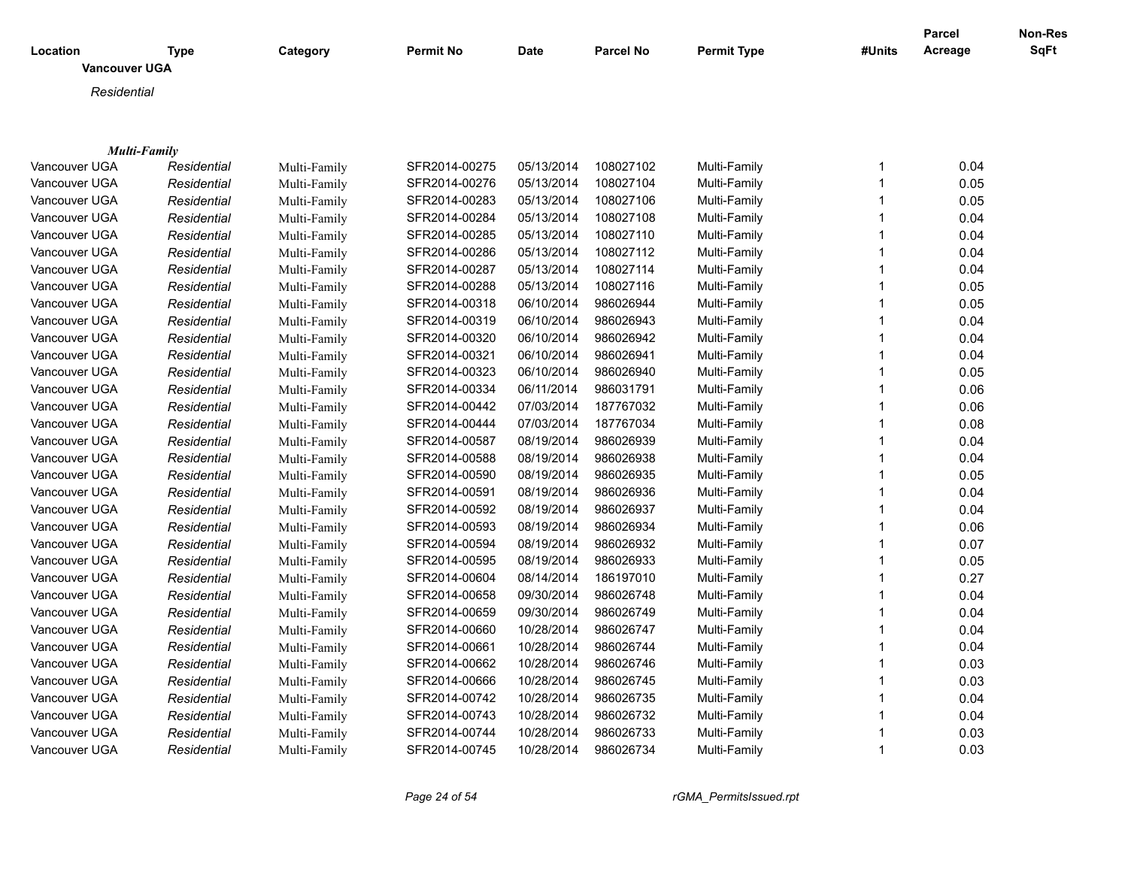|                      |             |              |                  |             |                  |                    |              | <b>Parcel</b> | <b>Non-Res</b> |
|----------------------|-------------|--------------|------------------|-------------|------------------|--------------------|--------------|---------------|----------------|
| Location             | <b>Type</b> | Category     | <b>Permit No</b> | <b>Date</b> | <b>Parcel No</b> | <b>Permit Type</b> | #Units       | Acreage       | <b>SqFt</b>    |
| <b>Vancouver UGA</b> |             |              |                  |             |                  |                    |              |               |                |
| Residential          |             |              |                  |             |                  |                    |              |               |                |
|                      |             |              |                  |             |                  |                    |              |               |                |
|                      |             |              |                  |             |                  |                    |              |               |                |
| Multi-Family         |             |              |                  |             |                  |                    |              |               |                |
| Vancouver UGA        | Residential | Multi-Family | SFR2014-00275    | 05/13/2014  | 108027102        | Multi-Family       | $\mathbf{1}$ | 0.04          |                |
| Vancouver UGA        | Residential | Multi-Family | SFR2014-00276    | 05/13/2014  | 108027104        | Multi-Family       | $\mathbf{1}$ | 0.05          |                |
| Vancouver UGA        | Residential | Multi-Family | SFR2014-00283    | 05/13/2014  | 108027106        | Multi-Family       | $\mathbf{1}$ | 0.05          |                |
| Vancouver UGA        | Residential | Multi-Family | SFR2014-00284    | 05/13/2014  | 108027108        | Multi-Family       | $\mathbf{1}$ | 0.04          |                |
| Vancouver UGA        | Residential | Multi-Family | SFR2014-00285    | 05/13/2014  | 108027110        | Multi-Family       | 1            | 0.04          |                |
| Vancouver UGA        | Residential | Multi-Family | SFR2014-00286    | 05/13/2014  | 108027112        | Multi-Family       | $\mathbf{1}$ | 0.04          |                |
| Vancouver UGA        | Residential | Multi-Family | SFR2014-00287    | 05/13/2014  | 108027114        | Multi-Family       | $\mathbf{1}$ | 0.04          |                |
| Vancouver UGA        | Residential | Multi-Family | SFR2014-00288    | 05/13/2014  | 108027116        | Multi-Family       | $\mathbf{1}$ | 0.05          |                |
| Vancouver UGA        | Residential | Multi-Family | SFR2014-00318    | 06/10/2014  | 986026944        | Multi-Family       | $\mathbf{1}$ | 0.05          |                |
| Vancouver UGA        | Residential | Multi-Family | SFR2014-00319    | 06/10/2014  | 986026943        | Multi-Family       | $\mathbf{1}$ | 0.04          |                |
| Vancouver UGA        | Residential | Multi-Family | SFR2014-00320    | 06/10/2014  | 986026942        | Multi-Family       | $\mathbf{1}$ | 0.04          |                |
| Vancouver UGA        | Residential | Multi-Family | SFR2014-00321    | 06/10/2014  | 986026941        | Multi-Family       | $\mathbf{1}$ | 0.04          |                |
| Vancouver UGA        | Residential | Multi-Family | SFR2014-00323    | 06/10/2014  | 986026940        | Multi-Family       | $\mathbf{1}$ | 0.05          |                |
| Vancouver UGA        | Residential | Multi-Family | SFR2014-00334    | 06/11/2014  | 986031791        | Multi-Family       | $\mathbf{1}$ | 0.06          |                |
| Vancouver UGA        | Residential | Multi-Family | SFR2014-00442    | 07/03/2014  | 187767032        | Multi-Family       | 1            | 0.06          |                |
| Vancouver UGA        | Residential | Multi-Family | SFR2014-00444    | 07/03/2014  | 187767034        | Multi-Family       | 1            | 0.08          |                |
| Vancouver UGA        | Residential | Multi-Family | SFR2014-00587    | 08/19/2014  | 986026939        | Multi-Family       | $\mathbf 1$  | 0.04          |                |
| Vancouver UGA        | Residential | Multi-Family | SFR2014-00588    | 08/19/2014  | 986026938        | Multi-Family       | $\mathbf{1}$ | 0.04          |                |
| Vancouver UGA        | Residential | Multi-Family | SFR2014-00590    | 08/19/2014  | 986026935        | Multi-Family       | $\mathbf{1}$ | 0.05          |                |
| Vancouver UGA        | Residential | Multi-Family | SFR2014-00591    | 08/19/2014  | 986026936        | Multi-Family       | $\mathbf{1}$ | 0.04          |                |
| Vancouver UGA        | Residential | Multi-Family | SFR2014-00592    | 08/19/2014  | 986026937        | Multi-Family       | $\mathbf{1}$ | 0.04          |                |
| Vancouver UGA        | Residential | Multi-Family | SFR2014-00593    | 08/19/2014  | 986026934        | Multi-Family       | $\mathbf{1}$ | 0.06          |                |
| Vancouver UGA        | Residential | Multi-Family | SFR2014-00594    | 08/19/2014  | 986026932        | Multi-Family       | $\mathbf{1}$ | 0.07          |                |
| Vancouver UGA        | Residential | Multi-Family | SFR2014-00595    | 08/19/2014  | 986026933        | Multi-Family       | $\mathbf 1$  | 0.05          |                |
| Vancouver UGA        | Residential | Multi-Family | SFR2014-00604    | 08/14/2014  | 186197010        | Multi-Family       | $\mathbf{1}$ | 0.27          |                |
| Vancouver UGA        | Residential | Multi-Family | SFR2014-00658    | 09/30/2014  | 986026748        | Multi-Family       | $\mathbf{1}$ | 0.04          |                |
| Vancouver UGA        | Residential | Multi-Family | SFR2014-00659    | 09/30/2014  | 986026749        | Multi-Family       | 1            | 0.04          |                |
| Vancouver UGA        | Residential | Multi-Family | SFR2014-00660    | 10/28/2014  | 986026747        | Multi-Family       | $\mathbf{1}$ | 0.04          |                |
| Vancouver UGA        | Residential | Multi-Family | SFR2014-00661    | 10/28/2014  | 986026744        | Multi-Family       | $\mathbf{1}$ | 0.04          |                |
| Vancouver UGA        | Residential | Multi-Family | SFR2014-00662    | 10/28/2014  | 986026746        | Multi-Family       | $\mathbf{1}$ | 0.03          |                |
| Vancouver UGA        | Residential | Multi-Family | SFR2014-00666    | 10/28/2014  | 986026745        | Multi-Family       | 1            | 0.03          |                |
| Vancouver UGA        | Residential | Multi-Family | SFR2014-00742    | 10/28/2014  | 986026735        | Multi-Family       | $\mathbf{1}$ | 0.04          |                |
| Vancouver UGA        | Residential | Multi-Family | SFR2014-00743    | 10/28/2014  | 986026732        | Multi-Family       | $\mathbf{1}$ | 0.04          |                |
| Vancouver UGA        | Residential | Multi-Family | SFR2014-00744    | 10/28/2014  | 986026733        | Multi-Family       | $\mathbf{1}$ | 0.03          |                |
| Vancouver UGA        | Residential | Multi-Family | SFR2014-00745    | 10/28/2014  | 986026734        | Multi-Family       | $\mathbf{1}$ | 0.03          |                |
|                      |             |              |                  |             |                  |                    |              |               |                |

*Page 24 of 54 rGMA\_PermitsIssued.rpt*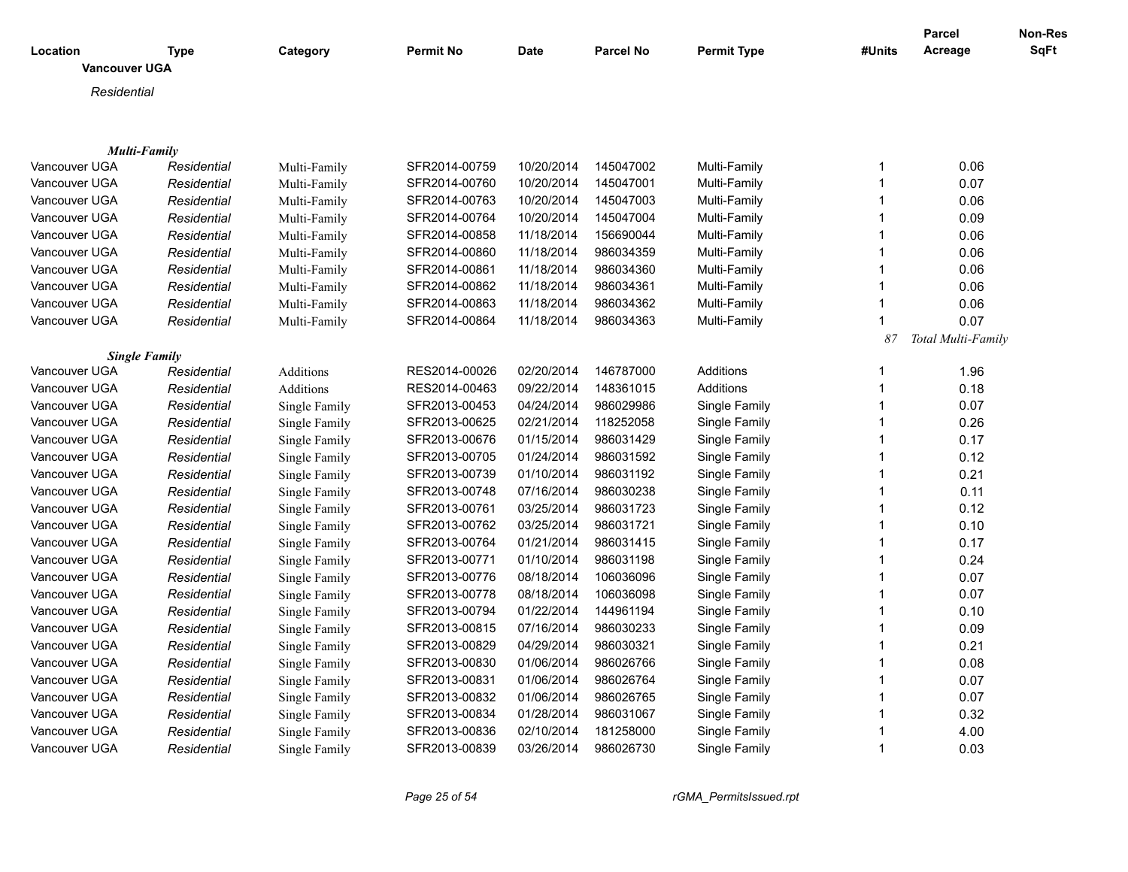| Location             | <b>Type</b> | Category         | <b>Permit No</b> | Date       | <b>Parcel No</b> | <b>Permit Type</b> | #Units       | Parcel<br>Acreage  | <b>Non-Res</b><br>SqFt |
|----------------------|-------------|------------------|------------------|------------|------------------|--------------------|--------------|--------------------|------------------------|
| Vancouver UGA        |             |                  |                  |            |                  |                    |              |                    |                        |
| Residential          |             |                  |                  |            |                  |                    |              |                    |                        |
|                      |             |                  |                  |            |                  |                    |              |                    |                        |
|                      |             |                  |                  |            |                  |                    |              |                    |                        |
| <b>Multi-Family</b>  |             |                  |                  |            |                  |                    |              |                    |                        |
| Vancouver UGA        | Residential | Multi-Family     | SFR2014-00759    | 10/20/2014 | 145047002        | Multi-Family       | $\mathbf{1}$ | 0.06               |                        |
| Vancouver UGA        | Residential | Multi-Family     | SFR2014-00760    | 10/20/2014 | 145047001        | Multi-Family       | $\mathbf{1}$ | 0.07               |                        |
| Vancouver UGA        | Residential | Multi-Family     | SFR2014-00763    | 10/20/2014 | 145047003        | Multi-Family       | $\mathbf{1}$ | 0.06               |                        |
| Vancouver UGA        | Residential | Multi-Family     | SFR2014-00764    | 10/20/2014 | 145047004        | Multi-Family       | $\mathbf{1}$ | 0.09               |                        |
| Vancouver UGA        | Residential | Multi-Family     | SFR2014-00858    | 11/18/2014 | 156690044        | Multi-Family       | $\mathbf{1}$ | 0.06               |                        |
| Vancouver UGA        | Residential | Multi-Family     | SFR2014-00860    | 11/18/2014 | 986034359        | Multi-Family       | $\mathbf{1}$ | 0.06               |                        |
| Vancouver UGA        | Residential | Multi-Family     | SFR2014-00861    | 11/18/2014 | 986034360        | Multi-Family       | $\mathbf{1}$ | 0.06               |                        |
| Vancouver UGA        | Residential | Multi-Family     | SFR2014-00862    | 11/18/2014 | 986034361        | Multi-Family       | $\mathbf{1}$ | 0.06               |                        |
| Vancouver UGA        | Residential | Multi-Family     | SFR2014-00863    | 11/18/2014 | 986034362        | Multi-Family       | $\mathbf{1}$ | 0.06               |                        |
| Vancouver UGA        | Residential | Multi-Family     | SFR2014-00864    | 11/18/2014 | 986034363        | Multi-Family       | $\mathbf{1}$ | 0.07               |                        |
|                      |             |                  |                  |            |                  |                    | 87           | Total Multi-Family |                        |
| <b>Single Family</b> |             |                  |                  |            |                  |                    |              |                    |                        |
| Vancouver UGA        | Residential | Additions        | RES2014-00026    | 02/20/2014 | 146787000        | Additions          | $\mathbf{1}$ | 1.96               |                        |
| Vancouver UGA        | Residential | <b>Additions</b> | RES2014-00463    | 09/22/2014 | 148361015        | <b>Additions</b>   | $\mathbf{1}$ | 0.18               |                        |
| Vancouver UGA        | Residential | Single Family    | SFR2013-00453    | 04/24/2014 | 986029986        | Single Family      | $\mathbf{1}$ | 0.07               |                        |
| Vancouver UGA        | Residential | Single Family    | SFR2013-00625    | 02/21/2014 | 118252058        | Single Family      | $\mathbf{1}$ | 0.26               |                        |
| Vancouver UGA        | Residential | Single Family    | SFR2013-00676    | 01/15/2014 | 986031429        | Single Family      | $\mathbf{1}$ | 0.17               |                        |
| Vancouver UGA        | Residential | Single Family    | SFR2013-00705    | 01/24/2014 | 986031592        | Single Family      | $\mathbf{1}$ | 0.12               |                        |
| Vancouver UGA        | Residential | Single Family    | SFR2013-00739    | 01/10/2014 | 986031192        | Single Family      | $\mathbf{1}$ | 0.21               |                        |
| Vancouver UGA        | Residential | Single Family    | SFR2013-00748    | 07/16/2014 | 986030238        | Single Family      | $\mathbf{1}$ | 0.11               |                        |
| Vancouver UGA        | Residential | Single Family    | SFR2013-00761    | 03/25/2014 | 986031723        | Single Family      | $\mathbf{1}$ | 0.12               |                        |
| Vancouver UGA        | Residential | Single Family    | SFR2013-00762    | 03/25/2014 | 986031721        | Single Family      | $\mathbf{1}$ | 0.10               |                        |
| Vancouver UGA        | Residential | Single Family    | SFR2013-00764    | 01/21/2014 | 986031415        | Single Family      | $\mathbf{1}$ | 0.17               |                        |
| Vancouver UGA        | Residential | Single Family    | SFR2013-00771    | 01/10/2014 | 986031198        | Single Family      | $\mathbf{1}$ | 0.24               |                        |
| Vancouver UGA        | Residential | Single Family    | SFR2013-00776    | 08/18/2014 | 106036096        | Single Family      | $\mathbf{1}$ | 0.07               |                        |
| Vancouver UGA        | Residential | Single Family    | SFR2013-00778    | 08/18/2014 | 106036098        | Single Family      | $\mathbf{1}$ | 0.07               |                        |
| Vancouver UGA        | Residential | Single Family    | SFR2013-00794    | 01/22/2014 | 144961194        | Single Family      | $\mathbf{1}$ | 0.10               |                        |
| Vancouver UGA        | Residential | Single Family    | SFR2013-00815    | 07/16/2014 | 986030233        | Single Family      | $\mathbf{1}$ | 0.09               |                        |
| Vancouver UGA        | Residential | Single Family    | SFR2013-00829    | 04/29/2014 | 986030321        | Single Family      | $\mathbf{1}$ | 0.21               |                        |
| Vancouver UGA        | Residential | Single Family    | SFR2013-00830    | 01/06/2014 | 986026766        | Single Family      | $\mathbf{1}$ | 0.08               |                        |
| Vancouver UGA        | Residential | Single Family    | SFR2013-00831    | 01/06/2014 | 986026764        | Single Family      | $\mathbf{1}$ | 0.07               |                        |
| Vancouver UGA        | Residential | Single Family    | SFR2013-00832    | 01/06/2014 | 986026765        | Single Family      | $\mathbf{1}$ | 0.07               |                        |
| Vancouver UGA        | Residential | Single Family    | SFR2013-00834    | 01/28/2014 | 986031067        | Single Family      | $\mathbf{1}$ | 0.32               |                        |
| Vancouver UGA        | Residential | Single Family    | SFR2013-00836    | 02/10/2014 | 181258000        | Single Family      | $\mathbf 1$  | 4.00               |                        |
| Vancouver UGA        | Residential | Single Family    | SFR2013-00839    | 03/26/2014 | 986026730        | Single Family      | $\mathbf{1}$ | 0.03               |                        |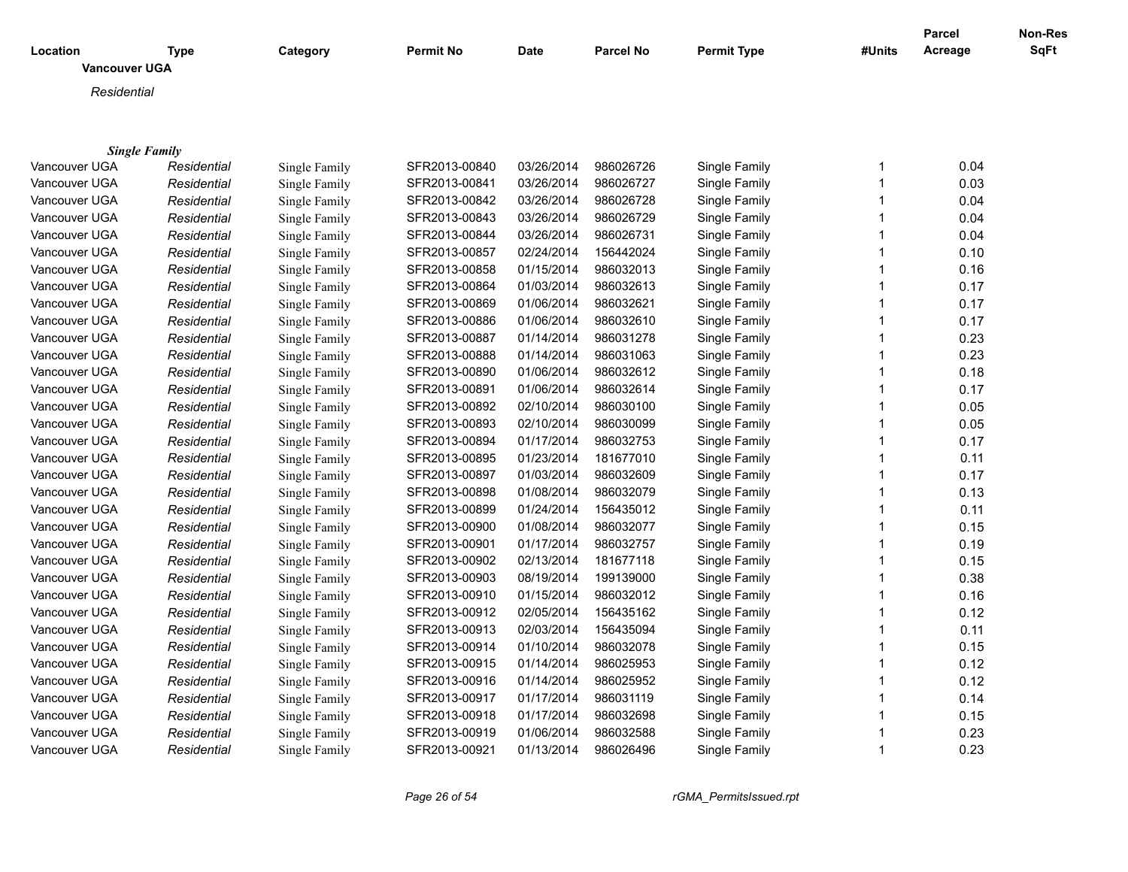| <b>SqFt</b><br>Acreage<br>Location<br><b>Type</b><br>Category<br><b>Permit No</b><br><b>Date</b><br><b>Parcel No</b><br><b>Permit Type</b><br>#Units<br><b>Vancouver UGA</b><br>Residential<br><b>Single Family</b><br>Vancouver UGA<br>SFR2013-00840<br>03/26/2014<br>986026726<br>Single Family<br>$\mathbf{1}$<br>0.04<br>Residential<br>Single Family<br>$\mathbf{1}$<br>0.03<br>Vancouver UGA<br>Single Family<br>SFR2013-00841<br>03/26/2014<br>986026727<br>Single Family<br>Residential<br>0.04<br>Vancouver UGA<br>Single Family<br>SFR2013-00842<br>03/26/2014<br>986026728<br>Single Family<br>$\mathbf{1}$<br>Residential<br>986026729<br>$\mathbf{1}$<br>Vancouver UGA<br>Single Family<br>SFR2013-00843<br>03/26/2014<br>Single Family<br>0.04<br>Residential<br>986026731<br>Vancouver UGA<br>SFR2013-00844<br>03/26/2014<br>Single Family<br>$\mathbf 1$<br>0.04<br>Residential<br>Single Family<br>Vancouver UGA<br>SFR2013-00857<br>02/24/2014<br>156442024<br>Single Family<br>1<br>0.10<br>Residential<br>Single Family<br>SFR2013-00858<br>01/15/2014<br>986032013<br>0.16<br>Vancouver UGA<br>Residential<br>Single Family<br>Single Family<br>$\mathbf 1$<br>SFR2013-00864<br>01/03/2014<br>986032613<br>Single Family<br>$\mathbf{1}$<br>0.17<br>Vancouver UGA<br>Residential<br>Single Family<br>01/06/2014<br>986032621<br>$\mathbf{1}$<br>0.17<br>Vancouver UGA<br>Single Family<br>SFR2013-00869<br>Single Family<br>Residential<br>SFR2013-00886<br>01/06/2014<br>986032610<br>Single Family<br>$\mathbf{1}$<br>0.17<br>Vancouver UGA<br>Residential<br>Single Family<br>01/14/2014<br>986031278<br>$\mathbf{1}$<br>0.23<br>Vancouver UGA<br>Residential<br>Single Family<br>SFR2013-00887<br>Single Family<br>01/14/2014<br>986031063<br>$\mathbf{1}$<br>0.23<br>Vancouver UGA<br>Residential<br>Single Family<br>SFR2013-00888<br>Single Family<br>01/06/2014<br>986032612<br>$\mathbf{1}$<br>Vancouver UGA<br>SFR2013-00890<br>Single Family<br>0.18<br>Residential<br>Single Family<br>SFR2013-00891<br>01/06/2014<br>986032614<br>Single Family<br>Vancouver UGA<br>1<br>0.17<br>Residential<br>Single Family<br>SFR2013-00892<br>02/10/2014<br>986030100<br>Single Family<br>$\mathbf 1$<br>0.05<br>Vancouver UGA<br>Residential<br>Single Family<br>Single Family<br>SFR2013-00893<br>02/10/2014<br>986030099<br>Single Family<br>$\mathbf 1$<br>0.05<br>Vancouver UGA<br>Residential<br>01/17/2014<br>986032753<br>Single Family<br>$\mathbf{1}$<br>0.17<br>Vancouver UGA<br>Residential<br>Single Family<br>SFR2013-00894<br>SFR2013-00895<br>01/23/2014<br>181677010<br>Single Family<br>$\mathbf{1}$<br>0.11<br>Vancouver UGA<br>Residential<br>Single Family<br>0.17<br>SFR2013-00897<br>01/03/2014<br>986032609<br>Single Family<br>$\mathbf 1$<br>Vancouver UGA<br>Residential<br>Single Family<br>SFR2013-00898<br>01/08/2014<br>986032079<br>Single Family<br>$\mathbf{1}$<br>0.13<br>Vancouver UGA<br>Residential<br>Single Family<br>SFR2013-00899<br>01/24/2014<br>156435012<br>$\mathbf{1}$<br>Vancouver UGA<br>Single Family<br>Single Family<br>0.11<br>Residential<br>0.15<br>Vancouver UGA<br>Residential<br>Single Family<br>SFR2013-00900<br>01/08/2014<br>986032077<br>Single Family<br>$\mathbf{1}$<br>0.19<br>Vancouver UGA<br>Single Family<br>SFR2013-00901<br>01/17/2014<br>986032757<br>Single Family<br>$\mathbf{1}$<br>Residential<br>0.15<br>Vancouver UGA<br>Residential<br>Single Family<br>SFR2013-00902<br>02/13/2014<br>181677118<br>Single Family<br>$\mathbf{1}$<br>$\mathbf{1}$<br>Vancouver UGA<br>Single Family<br>SFR2013-00903<br>08/19/2014<br>199139000<br>Single Family<br>0.38<br>Residential<br>Vancouver UGA<br>Single Family<br>SFR2013-00910<br>01/15/2014<br>986032012<br>Single Family<br>$\mathbf{1}$<br>0.16<br>Residential<br>Vancouver UGA<br>SFR2013-00912<br>02/05/2014<br>156435162<br>Single Family<br>$\mathbf{1}$<br>0.12<br>Residential<br>Single Family<br>Vancouver UGA<br>SFR2013-00913<br>02/03/2014<br>156435094<br>Single Family<br>$\mathbf{1}$<br>0.11<br>Residential<br>Single Family<br>$\mathbf{1}$<br>Vancouver UGA<br>SFR2013-00914<br>01/10/2014<br>986032078<br>Single Family<br>0.15<br>Residential<br>Single Family<br>SFR2013-00915<br>01/14/2014<br>986025953<br>0.12<br>Vancouver UGA<br>Residential<br>Single Family<br>Single Family<br>1<br>0.12<br>Vancouver UGA<br>Residential<br>Single Family<br>SFR2013-00916<br>01/14/2014<br>986025952<br>Single Family<br>1<br>0.14<br>01/17/2014<br>986031119<br>Single Family<br>Vancouver UGA<br>Residential<br>Single Family<br>SFR2013-00917<br>1<br>$\mathbf{1}$<br>Vancouver UGA<br>Residential<br>Single Family<br>SFR2013-00918<br>01/17/2014<br>986032698<br>Single Family<br>0.15<br>0.23<br>Vancouver UGA<br>Residential<br>Single Family<br>SFR2013-00919<br>01/06/2014<br>986032588<br>Single Family<br>1 |               |             |               |               |            |           |               |              | <b>Parcel</b> | Non-Res |
|------------------------------------------------------------------------------------------------------------------------------------------------------------------------------------------------------------------------------------------------------------------------------------------------------------------------------------------------------------------------------------------------------------------------------------------------------------------------------------------------------------------------------------------------------------------------------------------------------------------------------------------------------------------------------------------------------------------------------------------------------------------------------------------------------------------------------------------------------------------------------------------------------------------------------------------------------------------------------------------------------------------------------------------------------------------------------------------------------------------------------------------------------------------------------------------------------------------------------------------------------------------------------------------------------------------------------------------------------------------------------------------------------------------------------------------------------------------------------------------------------------------------------------------------------------------------------------------------------------------------------------------------------------------------------------------------------------------------------------------------------------------------------------------------------------------------------------------------------------------------------------------------------------------------------------------------------------------------------------------------------------------------------------------------------------------------------------------------------------------------------------------------------------------------------------------------------------------------------------------------------------------------------------------------------------------------------------------------------------------------------------------------------------------------------------------------------------------------------------------------------------------------------------------------------------------------------------------------------------------------------------------------------------------------------------------------------------------------------------------------------------------------------------------------------------------------------------------------------------------------------------------------------------------------------------------------------------------------------------------------------------------------------------------------------------------------------------------------------------------------------------------------------------------------------------------------------------------------------------------------------------------------------------------------------------------------------------------------------------------------------------------------------------------------------------------------------------------------------------------------------------------------------------------------------------------------------------------------------------------------------------------------------------------------------------------------------------------------------------------------------------------------------------------------------------------------------------------------------------------------------------------------------------------------------------------------------------------------------------------------------------------------------------------------------------------------------------------------------------------------------------------------------------------------------------------------------------------------------------------------------------------------------------------------------------------------------------------------------------------------------------------------------------------------------------------------------------------------------------------------------------------------------------------------------------------------------------------------------------------------------------------------------------------------------------------------------------------------------------------------------------------------------------------------------------------------------------------------------------------------------------------|---------------|-------------|---------------|---------------|------------|-----------|---------------|--------------|---------------|---------|
|                                                                                                                                                                                                                                                                                                                                                                                                                                                                                                                                                                                                                                                                                                                                                                                                                                                                                                                                                                                                                                                                                                                                                                                                                                                                                                                                                                                                                                                                                                                                                                                                                                                                                                                                                                                                                                                                                                                                                                                                                                                                                                                                                                                                                                                                                                                                                                                                                                                                                                                                                                                                                                                                                                                                                                                                                                                                                                                                                                                                                                                                                                                                                                                                                                                                                                                                                                                                                                                                                                                                                                                                                                                                                                                                                                                                                                                                                                                                                                                                                                                                                                                                                                                                                                                                                                                                                                                                                                                                                                                                                                                                                                                                                                                                                                                                                                                                                          |               |             |               |               |            |           |               |              |               |         |
|                                                                                                                                                                                                                                                                                                                                                                                                                                                                                                                                                                                                                                                                                                                                                                                                                                                                                                                                                                                                                                                                                                                                                                                                                                                                                                                                                                                                                                                                                                                                                                                                                                                                                                                                                                                                                                                                                                                                                                                                                                                                                                                                                                                                                                                                                                                                                                                                                                                                                                                                                                                                                                                                                                                                                                                                                                                                                                                                                                                                                                                                                                                                                                                                                                                                                                                                                                                                                                                                                                                                                                                                                                                                                                                                                                                                                                                                                                                                                                                                                                                                                                                                                                                                                                                                                                                                                                                                                                                                                                                                                                                                                                                                                                                                                                                                                                                                                          |               |             |               |               |            |           |               |              |               |         |
|                                                                                                                                                                                                                                                                                                                                                                                                                                                                                                                                                                                                                                                                                                                                                                                                                                                                                                                                                                                                                                                                                                                                                                                                                                                                                                                                                                                                                                                                                                                                                                                                                                                                                                                                                                                                                                                                                                                                                                                                                                                                                                                                                                                                                                                                                                                                                                                                                                                                                                                                                                                                                                                                                                                                                                                                                                                                                                                                                                                                                                                                                                                                                                                                                                                                                                                                                                                                                                                                                                                                                                                                                                                                                                                                                                                                                                                                                                                                                                                                                                                                                                                                                                                                                                                                                                                                                                                                                                                                                                                                                                                                                                                                                                                                                                                                                                                                                          |               |             |               |               |            |           |               |              |               |         |
|                                                                                                                                                                                                                                                                                                                                                                                                                                                                                                                                                                                                                                                                                                                                                                                                                                                                                                                                                                                                                                                                                                                                                                                                                                                                                                                                                                                                                                                                                                                                                                                                                                                                                                                                                                                                                                                                                                                                                                                                                                                                                                                                                                                                                                                                                                                                                                                                                                                                                                                                                                                                                                                                                                                                                                                                                                                                                                                                                                                                                                                                                                                                                                                                                                                                                                                                                                                                                                                                                                                                                                                                                                                                                                                                                                                                                                                                                                                                                                                                                                                                                                                                                                                                                                                                                                                                                                                                                                                                                                                                                                                                                                                                                                                                                                                                                                                                                          |               |             |               |               |            |           |               |              |               |         |
|                                                                                                                                                                                                                                                                                                                                                                                                                                                                                                                                                                                                                                                                                                                                                                                                                                                                                                                                                                                                                                                                                                                                                                                                                                                                                                                                                                                                                                                                                                                                                                                                                                                                                                                                                                                                                                                                                                                                                                                                                                                                                                                                                                                                                                                                                                                                                                                                                                                                                                                                                                                                                                                                                                                                                                                                                                                                                                                                                                                                                                                                                                                                                                                                                                                                                                                                                                                                                                                                                                                                                                                                                                                                                                                                                                                                                                                                                                                                                                                                                                                                                                                                                                                                                                                                                                                                                                                                                                                                                                                                                                                                                                                                                                                                                                                                                                                                                          |               |             |               |               |            |           |               |              |               |         |
|                                                                                                                                                                                                                                                                                                                                                                                                                                                                                                                                                                                                                                                                                                                                                                                                                                                                                                                                                                                                                                                                                                                                                                                                                                                                                                                                                                                                                                                                                                                                                                                                                                                                                                                                                                                                                                                                                                                                                                                                                                                                                                                                                                                                                                                                                                                                                                                                                                                                                                                                                                                                                                                                                                                                                                                                                                                                                                                                                                                                                                                                                                                                                                                                                                                                                                                                                                                                                                                                                                                                                                                                                                                                                                                                                                                                                                                                                                                                                                                                                                                                                                                                                                                                                                                                                                                                                                                                                                                                                                                                                                                                                                                                                                                                                                                                                                                                                          |               |             |               |               |            |           |               |              |               |         |
|                                                                                                                                                                                                                                                                                                                                                                                                                                                                                                                                                                                                                                                                                                                                                                                                                                                                                                                                                                                                                                                                                                                                                                                                                                                                                                                                                                                                                                                                                                                                                                                                                                                                                                                                                                                                                                                                                                                                                                                                                                                                                                                                                                                                                                                                                                                                                                                                                                                                                                                                                                                                                                                                                                                                                                                                                                                                                                                                                                                                                                                                                                                                                                                                                                                                                                                                                                                                                                                                                                                                                                                                                                                                                                                                                                                                                                                                                                                                                                                                                                                                                                                                                                                                                                                                                                                                                                                                                                                                                                                                                                                                                                                                                                                                                                                                                                                                                          |               |             |               |               |            |           |               |              |               |         |
|                                                                                                                                                                                                                                                                                                                                                                                                                                                                                                                                                                                                                                                                                                                                                                                                                                                                                                                                                                                                                                                                                                                                                                                                                                                                                                                                                                                                                                                                                                                                                                                                                                                                                                                                                                                                                                                                                                                                                                                                                                                                                                                                                                                                                                                                                                                                                                                                                                                                                                                                                                                                                                                                                                                                                                                                                                                                                                                                                                                                                                                                                                                                                                                                                                                                                                                                                                                                                                                                                                                                                                                                                                                                                                                                                                                                                                                                                                                                                                                                                                                                                                                                                                                                                                                                                                                                                                                                                                                                                                                                                                                                                                                                                                                                                                                                                                                                                          |               |             |               |               |            |           |               |              |               |         |
|                                                                                                                                                                                                                                                                                                                                                                                                                                                                                                                                                                                                                                                                                                                                                                                                                                                                                                                                                                                                                                                                                                                                                                                                                                                                                                                                                                                                                                                                                                                                                                                                                                                                                                                                                                                                                                                                                                                                                                                                                                                                                                                                                                                                                                                                                                                                                                                                                                                                                                                                                                                                                                                                                                                                                                                                                                                                                                                                                                                                                                                                                                                                                                                                                                                                                                                                                                                                                                                                                                                                                                                                                                                                                                                                                                                                                                                                                                                                                                                                                                                                                                                                                                                                                                                                                                                                                                                                                                                                                                                                                                                                                                                                                                                                                                                                                                                                                          |               |             |               |               |            |           |               |              |               |         |
|                                                                                                                                                                                                                                                                                                                                                                                                                                                                                                                                                                                                                                                                                                                                                                                                                                                                                                                                                                                                                                                                                                                                                                                                                                                                                                                                                                                                                                                                                                                                                                                                                                                                                                                                                                                                                                                                                                                                                                                                                                                                                                                                                                                                                                                                                                                                                                                                                                                                                                                                                                                                                                                                                                                                                                                                                                                                                                                                                                                                                                                                                                                                                                                                                                                                                                                                                                                                                                                                                                                                                                                                                                                                                                                                                                                                                                                                                                                                                                                                                                                                                                                                                                                                                                                                                                                                                                                                                                                                                                                                                                                                                                                                                                                                                                                                                                                                                          |               |             |               |               |            |           |               |              |               |         |
|                                                                                                                                                                                                                                                                                                                                                                                                                                                                                                                                                                                                                                                                                                                                                                                                                                                                                                                                                                                                                                                                                                                                                                                                                                                                                                                                                                                                                                                                                                                                                                                                                                                                                                                                                                                                                                                                                                                                                                                                                                                                                                                                                                                                                                                                                                                                                                                                                                                                                                                                                                                                                                                                                                                                                                                                                                                                                                                                                                                                                                                                                                                                                                                                                                                                                                                                                                                                                                                                                                                                                                                                                                                                                                                                                                                                                                                                                                                                                                                                                                                                                                                                                                                                                                                                                                                                                                                                                                                                                                                                                                                                                                                                                                                                                                                                                                                                                          |               |             |               |               |            |           |               |              |               |         |
|                                                                                                                                                                                                                                                                                                                                                                                                                                                                                                                                                                                                                                                                                                                                                                                                                                                                                                                                                                                                                                                                                                                                                                                                                                                                                                                                                                                                                                                                                                                                                                                                                                                                                                                                                                                                                                                                                                                                                                                                                                                                                                                                                                                                                                                                                                                                                                                                                                                                                                                                                                                                                                                                                                                                                                                                                                                                                                                                                                                                                                                                                                                                                                                                                                                                                                                                                                                                                                                                                                                                                                                                                                                                                                                                                                                                                                                                                                                                                                                                                                                                                                                                                                                                                                                                                                                                                                                                                                                                                                                                                                                                                                                                                                                                                                                                                                                                                          |               |             |               |               |            |           |               |              |               |         |
|                                                                                                                                                                                                                                                                                                                                                                                                                                                                                                                                                                                                                                                                                                                                                                                                                                                                                                                                                                                                                                                                                                                                                                                                                                                                                                                                                                                                                                                                                                                                                                                                                                                                                                                                                                                                                                                                                                                                                                                                                                                                                                                                                                                                                                                                                                                                                                                                                                                                                                                                                                                                                                                                                                                                                                                                                                                                                                                                                                                                                                                                                                                                                                                                                                                                                                                                                                                                                                                                                                                                                                                                                                                                                                                                                                                                                                                                                                                                                                                                                                                                                                                                                                                                                                                                                                                                                                                                                                                                                                                                                                                                                                                                                                                                                                                                                                                                                          |               |             |               |               |            |           |               |              |               |         |
|                                                                                                                                                                                                                                                                                                                                                                                                                                                                                                                                                                                                                                                                                                                                                                                                                                                                                                                                                                                                                                                                                                                                                                                                                                                                                                                                                                                                                                                                                                                                                                                                                                                                                                                                                                                                                                                                                                                                                                                                                                                                                                                                                                                                                                                                                                                                                                                                                                                                                                                                                                                                                                                                                                                                                                                                                                                                                                                                                                                                                                                                                                                                                                                                                                                                                                                                                                                                                                                                                                                                                                                                                                                                                                                                                                                                                                                                                                                                                                                                                                                                                                                                                                                                                                                                                                                                                                                                                                                                                                                                                                                                                                                                                                                                                                                                                                                                                          |               |             |               |               |            |           |               |              |               |         |
|                                                                                                                                                                                                                                                                                                                                                                                                                                                                                                                                                                                                                                                                                                                                                                                                                                                                                                                                                                                                                                                                                                                                                                                                                                                                                                                                                                                                                                                                                                                                                                                                                                                                                                                                                                                                                                                                                                                                                                                                                                                                                                                                                                                                                                                                                                                                                                                                                                                                                                                                                                                                                                                                                                                                                                                                                                                                                                                                                                                                                                                                                                                                                                                                                                                                                                                                                                                                                                                                                                                                                                                                                                                                                                                                                                                                                                                                                                                                                                                                                                                                                                                                                                                                                                                                                                                                                                                                                                                                                                                                                                                                                                                                                                                                                                                                                                                                                          |               |             |               |               |            |           |               |              |               |         |
|                                                                                                                                                                                                                                                                                                                                                                                                                                                                                                                                                                                                                                                                                                                                                                                                                                                                                                                                                                                                                                                                                                                                                                                                                                                                                                                                                                                                                                                                                                                                                                                                                                                                                                                                                                                                                                                                                                                                                                                                                                                                                                                                                                                                                                                                                                                                                                                                                                                                                                                                                                                                                                                                                                                                                                                                                                                                                                                                                                                                                                                                                                                                                                                                                                                                                                                                                                                                                                                                                                                                                                                                                                                                                                                                                                                                                                                                                                                                                                                                                                                                                                                                                                                                                                                                                                                                                                                                                                                                                                                                                                                                                                                                                                                                                                                                                                                                                          |               |             |               |               |            |           |               |              |               |         |
|                                                                                                                                                                                                                                                                                                                                                                                                                                                                                                                                                                                                                                                                                                                                                                                                                                                                                                                                                                                                                                                                                                                                                                                                                                                                                                                                                                                                                                                                                                                                                                                                                                                                                                                                                                                                                                                                                                                                                                                                                                                                                                                                                                                                                                                                                                                                                                                                                                                                                                                                                                                                                                                                                                                                                                                                                                                                                                                                                                                                                                                                                                                                                                                                                                                                                                                                                                                                                                                                                                                                                                                                                                                                                                                                                                                                                                                                                                                                                                                                                                                                                                                                                                                                                                                                                                                                                                                                                                                                                                                                                                                                                                                                                                                                                                                                                                                                                          |               |             |               |               |            |           |               |              |               |         |
|                                                                                                                                                                                                                                                                                                                                                                                                                                                                                                                                                                                                                                                                                                                                                                                                                                                                                                                                                                                                                                                                                                                                                                                                                                                                                                                                                                                                                                                                                                                                                                                                                                                                                                                                                                                                                                                                                                                                                                                                                                                                                                                                                                                                                                                                                                                                                                                                                                                                                                                                                                                                                                                                                                                                                                                                                                                                                                                                                                                                                                                                                                                                                                                                                                                                                                                                                                                                                                                                                                                                                                                                                                                                                                                                                                                                                                                                                                                                                                                                                                                                                                                                                                                                                                                                                                                                                                                                                                                                                                                                                                                                                                                                                                                                                                                                                                                                                          |               |             |               |               |            |           |               |              |               |         |
|                                                                                                                                                                                                                                                                                                                                                                                                                                                                                                                                                                                                                                                                                                                                                                                                                                                                                                                                                                                                                                                                                                                                                                                                                                                                                                                                                                                                                                                                                                                                                                                                                                                                                                                                                                                                                                                                                                                                                                                                                                                                                                                                                                                                                                                                                                                                                                                                                                                                                                                                                                                                                                                                                                                                                                                                                                                                                                                                                                                                                                                                                                                                                                                                                                                                                                                                                                                                                                                                                                                                                                                                                                                                                                                                                                                                                                                                                                                                                                                                                                                                                                                                                                                                                                                                                                                                                                                                                                                                                                                                                                                                                                                                                                                                                                                                                                                                                          |               |             |               |               |            |           |               |              |               |         |
|                                                                                                                                                                                                                                                                                                                                                                                                                                                                                                                                                                                                                                                                                                                                                                                                                                                                                                                                                                                                                                                                                                                                                                                                                                                                                                                                                                                                                                                                                                                                                                                                                                                                                                                                                                                                                                                                                                                                                                                                                                                                                                                                                                                                                                                                                                                                                                                                                                                                                                                                                                                                                                                                                                                                                                                                                                                                                                                                                                                                                                                                                                                                                                                                                                                                                                                                                                                                                                                                                                                                                                                                                                                                                                                                                                                                                                                                                                                                                                                                                                                                                                                                                                                                                                                                                                                                                                                                                                                                                                                                                                                                                                                                                                                                                                                                                                                                                          |               |             |               |               |            |           |               |              |               |         |
|                                                                                                                                                                                                                                                                                                                                                                                                                                                                                                                                                                                                                                                                                                                                                                                                                                                                                                                                                                                                                                                                                                                                                                                                                                                                                                                                                                                                                                                                                                                                                                                                                                                                                                                                                                                                                                                                                                                                                                                                                                                                                                                                                                                                                                                                                                                                                                                                                                                                                                                                                                                                                                                                                                                                                                                                                                                                                                                                                                                                                                                                                                                                                                                                                                                                                                                                                                                                                                                                                                                                                                                                                                                                                                                                                                                                                                                                                                                                                                                                                                                                                                                                                                                                                                                                                                                                                                                                                                                                                                                                                                                                                                                                                                                                                                                                                                                                                          |               |             |               |               |            |           |               |              |               |         |
|                                                                                                                                                                                                                                                                                                                                                                                                                                                                                                                                                                                                                                                                                                                                                                                                                                                                                                                                                                                                                                                                                                                                                                                                                                                                                                                                                                                                                                                                                                                                                                                                                                                                                                                                                                                                                                                                                                                                                                                                                                                                                                                                                                                                                                                                                                                                                                                                                                                                                                                                                                                                                                                                                                                                                                                                                                                                                                                                                                                                                                                                                                                                                                                                                                                                                                                                                                                                                                                                                                                                                                                                                                                                                                                                                                                                                                                                                                                                                                                                                                                                                                                                                                                                                                                                                                                                                                                                                                                                                                                                                                                                                                                                                                                                                                                                                                                                                          |               |             |               |               |            |           |               |              |               |         |
|                                                                                                                                                                                                                                                                                                                                                                                                                                                                                                                                                                                                                                                                                                                                                                                                                                                                                                                                                                                                                                                                                                                                                                                                                                                                                                                                                                                                                                                                                                                                                                                                                                                                                                                                                                                                                                                                                                                                                                                                                                                                                                                                                                                                                                                                                                                                                                                                                                                                                                                                                                                                                                                                                                                                                                                                                                                                                                                                                                                                                                                                                                                                                                                                                                                                                                                                                                                                                                                                                                                                                                                                                                                                                                                                                                                                                                                                                                                                                                                                                                                                                                                                                                                                                                                                                                                                                                                                                                                                                                                                                                                                                                                                                                                                                                                                                                                                                          |               |             |               |               |            |           |               |              |               |         |
|                                                                                                                                                                                                                                                                                                                                                                                                                                                                                                                                                                                                                                                                                                                                                                                                                                                                                                                                                                                                                                                                                                                                                                                                                                                                                                                                                                                                                                                                                                                                                                                                                                                                                                                                                                                                                                                                                                                                                                                                                                                                                                                                                                                                                                                                                                                                                                                                                                                                                                                                                                                                                                                                                                                                                                                                                                                                                                                                                                                                                                                                                                                                                                                                                                                                                                                                                                                                                                                                                                                                                                                                                                                                                                                                                                                                                                                                                                                                                                                                                                                                                                                                                                                                                                                                                                                                                                                                                                                                                                                                                                                                                                                                                                                                                                                                                                                                                          |               |             |               |               |            |           |               |              |               |         |
|                                                                                                                                                                                                                                                                                                                                                                                                                                                                                                                                                                                                                                                                                                                                                                                                                                                                                                                                                                                                                                                                                                                                                                                                                                                                                                                                                                                                                                                                                                                                                                                                                                                                                                                                                                                                                                                                                                                                                                                                                                                                                                                                                                                                                                                                                                                                                                                                                                                                                                                                                                                                                                                                                                                                                                                                                                                                                                                                                                                                                                                                                                                                                                                                                                                                                                                                                                                                                                                                                                                                                                                                                                                                                                                                                                                                                                                                                                                                                                                                                                                                                                                                                                                                                                                                                                                                                                                                                                                                                                                                                                                                                                                                                                                                                                                                                                                                                          |               |             |               |               |            |           |               |              |               |         |
|                                                                                                                                                                                                                                                                                                                                                                                                                                                                                                                                                                                                                                                                                                                                                                                                                                                                                                                                                                                                                                                                                                                                                                                                                                                                                                                                                                                                                                                                                                                                                                                                                                                                                                                                                                                                                                                                                                                                                                                                                                                                                                                                                                                                                                                                                                                                                                                                                                                                                                                                                                                                                                                                                                                                                                                                                                                                                                                                                                                                                                                                                                                                                                                                                                                                                                                                                                                                                                                                                                                                                                                                                                                                                                                                                                                                                                                                                                                                                                                                                                                                                                                                                                                                                                                                                                                                                                                                                                                                                                                                                                                                                                                                                                                                                                                                                                                                                          |               |             |               |               |            |           |               |              |               |         |
|                                                                                                                                                                                                                                                                                                                                                                                                                                                                                                                                                                                                                                                                                                                                                                                                                                                                                                                                                                                                                                                                                                                                                                                                                                                                                                                                                                                                                                                                                                                                                                                                                                                                                                                                                                                                                                                                                                                                                                                                                                                                                                                                                                                                                                                                                                                                                                                                                                                                                                                                                                                                                                                                                                                                                                                                                                                                                                                                                                                                                                                                                                                                                                                                                                                                                                                                                                                                                                                                                                                                                                                                                                                                                                                                                                                                                                                                                                                                                                                                                                                                                                                                                                                                                                                                                                                                                                                                                                                                                                                                                                                                                                                                                                                                                                                                                                                                                          |               |             |               |               |            |           |               |              |               |         |
|                                                                                                                                                                                                                                                                                                                                                                                                                                                                                                                                                                                                                                                                                                                                                                                                                                                                                                                                                                                                                                                                                                                                                                                                                                                                                                                                                                                                                                                                                                                                                                                                                                                                                                                                                                                                                                                                                                                                                                                                                                                                                                                                                                                                                                                                                                                                                                                                                                                                                                                                                                                                                                                                                                                                                                                                                                                                                                                                                                                                                                                                                                                                                                                                                                                                                                                                                                                                                                                                                                                                                                                                                                                                                                                                                                                                                                                                                                                                                                                                                                                                                                                                                                                                                                                                                                                                                                                                                                                                                                                                                                                                                                                                                                                                                                                                                                                                                          |               |             |               |               |            |           |               |              |               |         |
|                                                                                                                                                                                                                                                                                                                                                                                                                                                                                                                                                                                                                                                                                                                                                                                                                                                                                                                                                                                                                                                                                                                                                                                                                                                                                                                                                                                                                                                                                                                                                                                                                                                                                                                                                                                                                                                                                                                                                                                                                                                                                                                                                                                                                                                                                                                                                                                                                                                                                                                                                                                                                                                                                                                                                                                                                                                                                                                                                                                                                                                                                                                                                                                                                                                                                                                                                                                                                                                                                                                                                                                                                                                                                                                                                                                                                                                                                                                                                                                                                                                                                                                                                                                                                                                                                                                                                                                                                                                                                                                                                                                                                                                                                                                                                                                                                                                                                          |               |             |               |               |            |           |               |              |               |         |
|                                                                                                                                                                                                                                                                                                                                                                                                                                                                                                                                                                                                                                                                                                                                                                                                                                                                                                                                                                                                                                                                                                                                                                                                                                                                                                                                                                                                                                                                                                                                                                                                                                                                                                                                                                                                                                                                                                                                                                                                                                                                                                                                                                                                                                                                                                                                                                                                                                                                                                                                                                                                                                                                                                                                                                                                                                                                                                                                                                                                                                                                                                                                                                                                                                                                                                                                                                                                                                                                                                                                                                                                                                                                                                                                                                                                                                                                                                                                                                                                                                                                                                                                                                                                                                                                                                                                                                                                                                                                                                                                                                                                                                                                                                                                                                                                                                                                                          |               |             |               |               |            |           |               |              |               |         |
|                                                                                                                                                                                                                                                                                                                                                                                                                                                                                                                                                                                                                                                                                                                                                                                                                                                                                                                                                                                                                                                                                                                                                                                                                                                                                                                                                                                                                                                                                                                                                                                                                                                                                                                                                                                                                                                                                                                                                                                                                                                                                                                                                                                                                                                                                                                                                                                                                                                                                                                                                                                                                                                                                                                                                                                                                                                                                                                                                                                                                                                                                                                                                                                                                                                                                                                                                                                                                                                                                                                                                                                                                                                                                                                                                                                                                                                                                                                                                                                                                                                                                                                                                                                                                                                                                                                                                                                                                                                                                                                                                                                                                                                                                                                                                                                                                                                                                          |               |             |               |               |            |           |               |              |               |         |
|                                                                                                                                                                                                                                                                                                                                                                                                                                                                                                                                                                                                                                                                                                                                                                                                                                                                                                                                                                                                                                                                                                                                                                                                                                                                                                                                                                                                                                                                                                                                                                                                                                                                                                                                                                                                                                                                                                                                                                                                                                                                                                                                                                                                                                                                                                                                                                                                                                                                                                                                                                                                                                                                                                                                                                                                                                                                                                                                                                                                                                                                                                                                                                                                                                                                                                                                                                                                                                                                                                                                                                                                                                                                                                                                                                                                                                                                                                                                                                                                                                                                                                                                                                                                                                                                                                                                                                                                                                                                                                                                                                                                                                                                                                                                                                                                                                                                                          |               |             |               |               |            |           |               |              |               |         |
|                                                                                                                                                                                                                                                                                                                                                                                                                                                                                                                                                                                                                                                                                                                                                                                                                                                                                                                                                                                                                                                                                                                                                                                                                                                                                                                                                                                                                                                                                                                                                                                                                                                                                                                                                                                                                                                                                                                                                                                                                                                                                                                                                                                                                                                                                                                                                                                                                                                                                                                                                                                                                                                                                                                                                                                                                                                                                                                                                                                                                                                                                                                                                                                                                                                                                                                                                                                                                                                                                                                                                                                                                                                                                                                                                                                                                                                                                                                                                                                                                                                                                                                                                                                                                                                                                                                                                                                                                                                                                                                                                                                                                                                                                                                                                                                                                                                                                          |               |             |               |               |            |           |               |              |               |         |
|                                                                                                                                                                                                                                                                                                                                                                                                                                                                                                                                                                                                                                                                                                                                                                                                                                                                                                                                                                                                                                                                                                                                                                                                                                                                                                                                                                                                                                                                                                                                                                                                                                                                                                                                                                                                                                                                                                                                                                                                                                                                                                                                                                                                                                                                                                                                                                                                                                                                                                                                                                                                                                                                                                                                                                                                                                                                                                                                                                                                                                                                                                                                                                                                                                                                                                                                                                                                                                                                                                                                                                                                                                                                                                                                                                                                                                                                                                                                                                                                                                                                                                                                                                                                                                                                                                                                                                                                                                                                                                                                                                                                                                                                                                                                                                                                                                                                                          |               |             |               |               |            |           |               |              |               |         |
|                                                                                                                                                                                                                                                                                                                                                                                                                                                                                                                                                                                                                                                                                                                                                                                                                                                                                                                                                                                                                                                                                                                                                                                                                                                                                                                                                                                                                                                                                                                                                                                                                                                                                                                                                                                                                                                                                                                                                                                                                                                                                                                                                                                                                                                                                                                                                                                                                                                                                                                                                                                                                                                                                                                                                                                                                                                                                                                                                                                                                                                                                                                                                                                                                                                                                                                                                                                                                                                                                                                                                                                                                                                                                                                                                                                                                                                                                                                                                                                                                                                                                                                                                                                                                                                                                                                                                                                                                                                                                                                                                                                                                                                                                                                                                                                                                                                                                          |               |             |               |               |            |           |               |              |               |         |
|                                                                                                                                                                                                                                                                                                                                                                                                                                                                                                                                                                                                                                                                                                                                                                                                                                                                                                                                                                                                                                                                                                                                                                                                                                                                                                                                                                                                                                                                                                                                                                                                                                                                                                                                                                                                                                                                                                                                                                                                                                                                                                                                                                                                                                                                                                                                                                                                                                                                                                                                                                                                                                                                                                                                                                                                                                                                                                                                                                                                                                                                                                                                                                                                                                                                                                                                                                                                                                                                                                                                                                                                                                                                                                                                                                                                                                                                                                                                                                                                                                                                                                                                                                                                                                                                                                                                                                                                                                                                                                                                                                                                                                                                                                                                                                                                                                                                                          |               |             |               |               |            |           |               |              |               |         |
|                                                                                                                                                                                                                                                                                                                                                                                                                                                                                                                                                                                                                                                                                                                                                                                                                                                                                                                                                                                                                                                                                                                                                                                                                                                                                                                                                                                                                                                                                                                                                                                                                                                                                                                                                                                                                                                                                                                                                                                                                                                                                                                                                                                                                                                                                                                                                                                                                                                                                                                                                                                                                                                                                                                                                                                                                                                                                                                                                                                                                                                                                                                                                                                                                                                                                                                                                                                                                                                                                                                                                                                                                                                                                                                                                                                                                                                                                                                                                                                                                                                                                                                                                                                                                                                                                                                                                                                                                                                                                                                                                                                                                                                                                                                                                                                                                                                                                          |               |             |               |               |            |           |               |              |               |         |
|                                                                                                                                                                                                                                                                                                                                                                                                                                                                                                                                                                                                                                                                                                                                                                                                                                                                                                                                                                                                                                                                                                                                                                                                                                                                                                                                                                                                                                                                                                                                                                                                                                                                                                                                                                                                                                                                                                                                                                                                                                                                                                                                                                                                                                                                                                                                                                                                                                                                                                                                                                                                                                                                                                                                                                                                                                                                                                                                                                                                                                                                                                                                                                                                                                                                                                                                                                                                                                                                                                                                                                                                                                                                                                                                                                                                                                                                                                                                                                                                                                                                                                                                                                                                                                                                                                                                                                                                                                                                                                                                                                                                                                                                                                                                                                                                                                                                                          |               |             |               |               |            |           |               |              |               |         |
|                                                                                                                                                                                                                                                                                                                                                                                                                                                                                                                                                                                                                                                                                                                                                                                                                                                                                                                                                                                                                                                                                                                                                                                                                                                                                                                                                                                                                                                                                                                                                                                                                                                                                                                                                                                                                                                                                                                                                                                                                                                                                                                                                                                                                                                                                                                                                                                                                                                                                                                                                                                                                                                                                                                                                                                                                                                                                                                                                                                                                                                                                                                                                                                                                                                                                                                                                                                                                                                                                                                                                                                                                                                                                                                                                                                                                                                                                                                                                                                                                                                                                                                                                                                                                                                                                                                                                                                                                                                                                                                                                                                                                                                                                                                                                                                                                                                                                          |               |             |               |               |            |           |               |              |               |         |
|                                                                                                                                                                                                                                                                                                                                                                                                                                                                                                                                                                                                                                                                                                                                                                                                                                                                                                                                                                                                                                                                                                                                                                                                                                                                                                                                                                                                                                                                                                                                                                                                                                                                                                                                                                                                                                                                                                                                                                                                                                                                                                                                                                                                                                                                                                                                                                                                                                                                                                                                                                                                                                                                                                                                                                                                                                                                                                                                                                                                                                                                                                                                                                                                                                                                                                                                                                                                                                                                                                                                                                                                                                                                                                                                                                                                                                                                                                                                                                                                                                                                                                                                                                                                                                                                                                                                                                                                                                                                                                                                                                                                                                                                                                                                                                                                                                                                                          |               |             |               |               |            |           |               |              |               |         |
|                                                                                                                                                                                                                                                                                                                                                                                                                                                                                                                                                                                                                                                                                                                                                                                                                                                                                                                                                                                                                                                                                                                                                                                                                                                                                                                                                                                                                                                                                                                                                                                                                                                                                                                                                                                                                                                                                                                                                                                                                                                                                                                                                                                                                                                                                                                                                                                                                                                                                                                                                                                                                                                                                                                                                                                                                                                                                                                                                                                                                                                                                                                                                                                                                                                                                                                                                                                                                                                                                                                                                                                                                                                                                                                                                                                                                                                                                                                                                                                                                                                                                                                                                                                                                                                                                                                                                                                                                                                                                                                                                                                                                                                                                                                                                                                                                                                                                          | Vancouver UGA | Residential | Single Family | SFR2013-00921 | 01/13/2014 | 986026496 | Single Family | $\mathbf{1}$ | 0.23          |         |

*Page 26 of 54 rGMA\_PermitsIssued.rpt*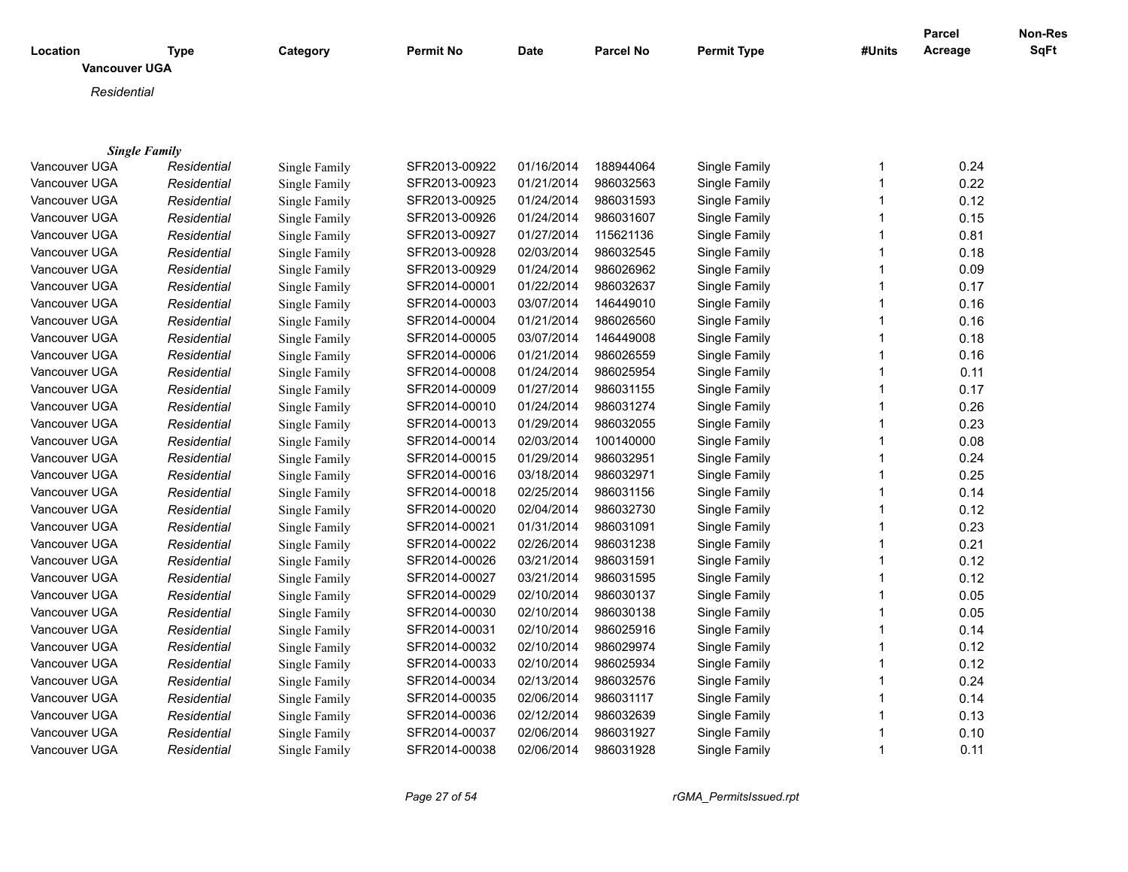|                                  |                                     |               |               |            |                  |                    |              | <b>Parcel</b> | Non-Res |
|----------------------------------|-------------------------------------|---------------|---------------|------------|------------------|--------------------|--------------|---------------|---------|
| Location<br><b>Vancouver UGA</b> | <b>Type</b>                         | Category      | Permit No     | Date       | <b>Parcel No</b> | <b>Permit Type</b> | #Units       | Acreage       | SqFt    |
|                                  |                                     |               |               |            |                  |                    |              |               |         |
| Residential                      |                                     |               |               |            |                  |                    |              |               |         |
|                                  |                                     |               |               |            |                  |                    |              |               |         |
|                                  |                                     |               |               |            |                  |                    |              |               |         |
| Vancouver UGA                    | <b>Single Family</b><br>Residential | Single Family | SFR2013-00922 | 01/16/2014 | 188944064        | Single Family      | 1            | 0.24          |         |
| Vancouver UGA                    | Residential                         | Single Family | SFR2013-00923 | 01/21/2014 | 986032563        | Single Family      | $\mathbf{1}$ | 0.22          |         |
| Vancouver UGA                    | Residential                         | Single Family | SFR2013-00925 | 01/24/2014 | 986031593        | Single Family      | $\mathbf{1}$ | 0.12          |         |
| Vancouver UGA                    | Residential                         | Single Family | SFR2013-00926 | 01/24/2014 | 986031607        | Single Family      | $\mathbf{1}$ | 0.15          |         |
| Vancouver UGA                    | Residential                         | Single Family | SFR2013-00927 | 01/27/2014 | 115621136        | Single Family      | $\mathbf{1}$ | 0.81          |         |
| Vancouver UGA                    | Residential                         | Single Family | SFR2013-00928 | 02/03/2014 | 986032545        | Single Family      | 1            | 0.18          |         |
| Vancouver UGA                    | Residential                         | Single Family | SFR2013-00929 | 01/24/2014 | 986026962        | Single Family      | $\mathbf{1}$ | 0.09          |         |
| Vancouver UGA                    | Residential                         | Single Family | SFR2014-00001 | 01/22/2014 | 986032637        | Single Family      | $\mathbf{1}$ | 0.17          |         |
| Vancouver UGA                    | Residential                         | Single Family | SFR2014-00003 | 03/07/2014 | 146449010        | Single Family      | $\mathbf{1}$ | 0.16          |         |
| Vancouver UGA                    | Residential                         | Single Family | SFR2014-00004 | 01/21/2014 | 986026560        | Single Family      | $\mathbf{1}$ | 0.16          |         |
| Vancouver UGA                    | Residential                         | Single Family | SFR2014-00005 | 03/07/2014 | 146449008        | Single Family      | $\mathbf{1}$ | 0.18          |         |
| Vancouver UGA                    | Residential                         | Single Family | SFR2014-00006 | 01/21/2014 | 986026559        | Single Family      | $\mathbf{1}$ | 0.16          |         |
| Vancouver UGA                    |                                     |               | SFR2014-00008 | 01/24/2014 | 986025954        |                    | $\mathbf{1}$ |               |         |
| Vancouver UGA                    | Residential                         | Single Family | SFR2014-00009 | 01/27/2014 | 986031155        | Single Family      | 1            | 0.11<br>0.17  |         |
|                                  | Residential                         | Single Family |               |            |                  | Single Family      | $\mathbf{1}$ |               |         |
| Vancouver UGA                    | Residential                         | Single Family | SFR2014-00010 | 01/24/2014 | 986031274        | Single Family      | $\mathbf{1}$ | 0.26          |         |
| Vancouver UGA                    | Residential                         | Single Family | SFR2014-00013 | 01/29/2014 | 986032055        | Single Family      |              | 0.23          |         |
| Vancouver UGA                    | Residential                         | Single Family | SFR2014-00014 | 02/03/2014 | 100140000        | Single Family      | $\mathbf{1}$ | 0.08          |         |
| Vancouver UGA                    | Residential                         | Single Family | SFR2014-00015 | 01/29/2014 | 986032951        | Single Family      | $\mathbf{1}$ | 0.24          |         |
| Vancouver UGA                    | Residential                         | Single Family | SFR2014-00016 | 03/18/2014 | 986032971        | Single Family      | $\mathbf{1}$ | 0.25          |         |
| Vancouver UGA                    | Residential                         | Single Family | SFR2014-00018 | 02/25/2014 | 986031156        | Single Family      | $\mathbf{1}$ | 0.14          |         |
| Vancouver UGA                    | Residential                         | Single Family | SFR2014-00020 | 02/04/2014 | 986032730        | Single Family      | $\mathbf{1}$ | 0.12          |         |
| Vancouver UGA                    | Residential                         | Single Family | SFR2014-00021 | 01/31/2014 | 986031091        | Single Family      | $\mathbf{1}$ | 0.23          |         |
| Vancouver UGA                    | Residential                         | Single Family | SFR2014-00022 | 02/26/2014 | 986031238        | Single Family      | $\mathbf{1}$ | 0.21          |         |
| Vancouver UGA                    | Residential                         | Single Family | SFR2014-00026 | 03/21/2014 | 986031591        | Single Family      | $\mathbf{1}$ | 0.12          |         |
| Vancouver UGA                    | Residential                         | Single Family | SFR2014-00027 | 03/21/2014 | 986031595        | Single Family      | $\mathbf{1}$ | 0.12          |         |
| Vancouver UGA                    | Residential                         | Single Family | SFR2014-00029 | 02/10/2014 | 986030137        | Single Family      | $\mathbf{1}$ | 0.05          |         |
| Vancouver UGA                    | Residential                         | Single Family | SFR2014-00030 | 02/10/2014 | 986030138        | Single Family      | $\mathbf{1}$ | 0.05          |         |
| Vancouver UGA                    | Residential                         | Single Family | SFR2014-00031 | 02/10/2014 | 986025916        | Single Family      | $\mathbf{1}$ | 0.14          |         |
| Vancouver UGA                    | Residential                         | Single Family | SFR2014-00032 | 02/10/2014 | 986029974        | Single Family      | $\mathbf{1}$ | 0.12          |         |
| Vancouver UGA                    | Residential                         | Single Family | SFR2014-00033 | 02/10/2014 | 986025934        | Single Family      | $\mathbf{1}$ | 0.12          |         |
| Vancouver UGA                    | Residential                         | Single Family | SFR2014-00034 | 02/13/2014 | 986032576        | Single Family      | 1            | 0.24          |         |
| Vancouver UGA                    | Residential                         | Single Family | SFR2014-00035 | 02/06/2014 | 986031117        | Single Family      | $\mathbf{1}$ | 0.14          |         |
| Vancouver UGA                    | Residential                         | Single Family | SFR2014-00036 | 02/12/2014 | 986032639        | Single Family      | $\mathbf{1}$ | 0.13          |         |
| Vancouver UGA                    | Residential                         | Single Family | SFR2014-00037 | 02/06/2014 | 986031927        | Single Family      | 1            | 0.10          |         |
| Vancouver UGA                    | Residential                         | Single Family | SFR2014-00038 | 02/06/2014 | 986031928        | Single Family      | $\mathbf{1}$ | 0.11          |         |

*Page 27 of 54 rGMA\_PermitsIssued.rpt*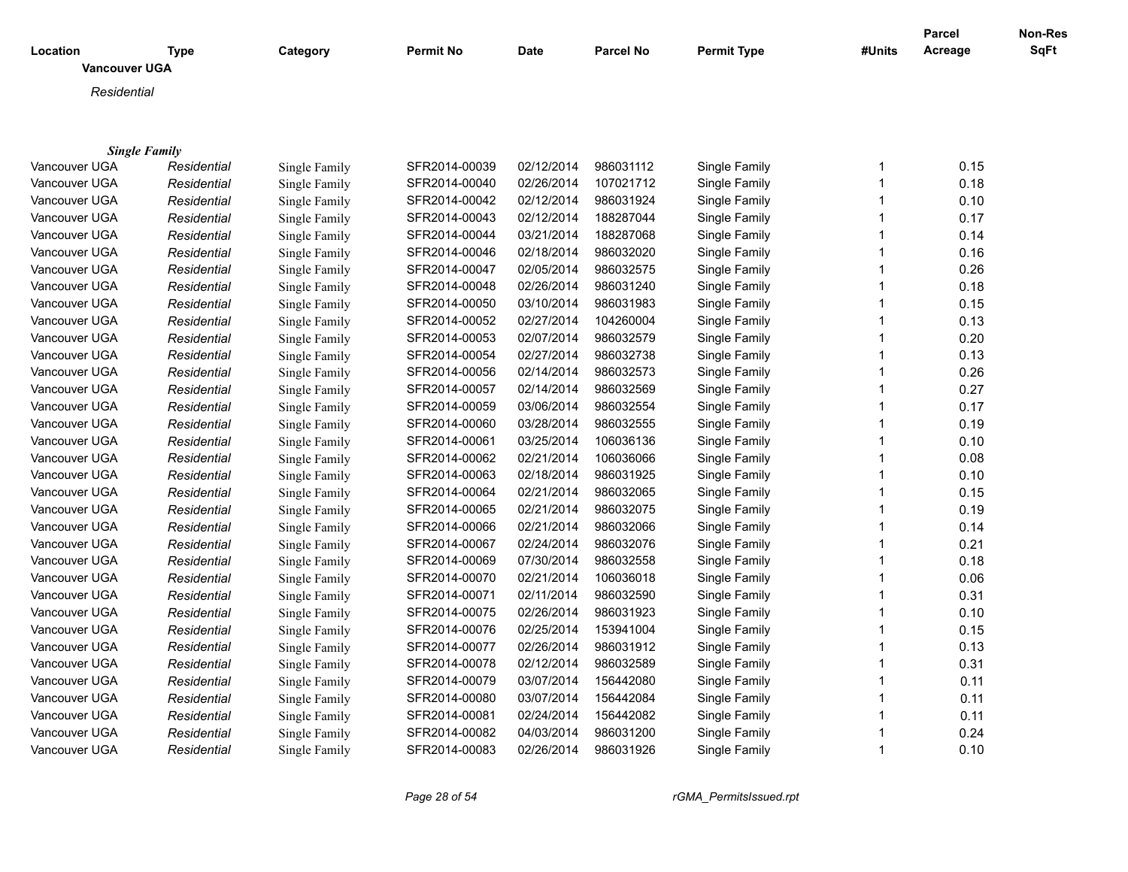|                      |                      |               |                  |             |                  |                    |              | <b>Parcel</b> | <b>Non-Res</b> |
|----------------------|----------------------|---------------|------------------|-------------|------------------|--------------------|--------------|---------------|----------------|
| Location             | <b>Type</b>          | Category      | <b>Permit No</b> | <b>Date</b> | <b>Parcel No</b> | <b>Permit Type</b> | #Units       | Acreage       | <b>SqFt</b>    |
| <b>Vancouver UGA</b> |                      |               |                  |             |                  |                    |              |               |                |
| Residential          |                      |               |                  |             |                  |                    |              |               |                |
|                      |                      |               |                  |             |                  |                    |              |               |                |
|                      |                      |               |                  |             |                  |                    |              |               |                |
|                      | <b>Single Family</b> |               |                  |             |                  |                    |              |               |                |
| Vancouver UGA        | Residential          | Single Family | SFR2014-00039    | 02/12/2014  | 986031112        | Single Family      | $\mathbf{1}$ | 0.15          |                |
| Vancouver UGA        | Residential          | Single Family | SFR2014-00040    | 02/26/2014  | 107021712        | Single Family      | $\mathbf{1}$ | 0.18          |                |
| Vancouver UGA        | Residential          | Single Family | SFR2014-00042    | 02/12/2014  | 986031924        | Single Family      | $\mathbf{1}$ | 0.10          |                |
| Vancouver UGA        | Residential          | Single Family | SFR2014-00043    | 02/12/2014  | 188287044        | Single Family      | $\mathbf{1}$ | 0.17          |                |
| Vancouver UGA        | Residential          | Single Family | SFR2014-00044    | 03/21/2014  | 188287068        | Single Family      | $\mathbf{1}$ | 0.14          |                |
| Vancouver UGA        | Residential          | Single Family | SFR2014-00046    | 02/18/2014  | 986032020        | Single Family      | 1            | 0.16          |                |
| Vancouver UGA        | Residential          | Single Family | SFR2014-00047    | 02/05/2014  | 986032575        | Single Family      | $\mathbf{1}$ | 0.26          |                |
| Vancouver UGA        | Residential          | Single Family | SFR2014-00048    | 02/26/2014  | 986031240        | Single Family      | $\mathbf{1}$ | 0.18          |                |
| Vancouver UGA        | Residential          | Single Family | SFR2014-00050    | 03/10/2014  | 986031983        | Single Family      | $\mathbf{1}$ | 0.15          |                |
| Vancouver UGA        | Residential          | Single Family | SFR2014-00052    | 02/27/2014  | 104260004        | Single Family      | $\mathbf{1}$ | 0.13          |                |
| Vancouver UGA        | Residential          | Single Family | SFR2014-00053    | 02/07/2014  | 986032579        | Single Family      | $\mathbf{1}$ | 0.20          |                |
| Vancouver UGA        | Residential          | Single Family | SFR2014-00054    | 02/27/2014  | 986032738        | Single Family      | $\mathbf{1}$ | 0.13          |                |
| Vancouver UGA        | Residential          | Single Family | SFR2014-00056    | 02/14/2014  | 986032573        | Single Family      | $\mathbf{1}$ | 0.26          |                |
| Vancouver UGA        | Residential          | Single Family | SFR2014-00057    | 02/14/2014  | 986032569        | Single Family      | 1            | 0.27          |                |
| Vancouver UGA        | Residential          | Single Family | SFR2014-00059    | 03/06/2014  | 986032554        | Single Family      | $\mathbf 1$  | 0.17          |                |
| Vancouver UGA        | Residential          | Single Family | SFR2014-00060    | 03/28/2014  | 986032555        | Single Family      | $\mathbf 1$  | 0.19          |                |
| Vancouver UGA        | Residential          | Single Family | SFR2014-00061    | 03/25/2014  | 106036136        | Single Family      | $\mathbf{1}$ | 0.10          |                |
| Vancouver UGA        | Residential          | Single Family | SFR2014-00062    | 02/21/2014  | 106036066        | Single Family      | $\mathbf{1}$ | 0.08          |                |
| Vancouver UGA        | Residential          | Single Family | SFR2014-00063    | 02/18/2014  | 986031925        | Single Family      | $\mathbf 1$  | 0.10          |                |
| Vancouver UGA        | Residential          | Single Family | SFR2014-00064    | 02/21/2014  | 986032065        | Single Family      | $\mathbf 1$  | 0.15          |                |
| Vancouver UGA        | Residential          | Single Family | SFR2014-00065    | 02/21/2014  | 986032075        | Single Family      | $\mathbf 1$  | 0.19          |                |
| Vancouver UGA        | Residential          | Single Family | SFR2014-00066    | 02/21/2014  | 986032066        | Single Family      | 1            | 0.14          |                |
| Vancouver UGA        | Residential          | Single Family | SFR2014-00067    | 02/24/2014  | 986032076        | Single Family      | $\mathbf 1$  | 0.21          |                |
| Vancouver UGA        | Residential          | Single Family | SFR2014-00069    | 07/30/2014  | 986032558        | Single Family      | $\mathbf 1$  | 0.18          |                |
| Vancouver UGA        | Residential          | Single Family | SFR2014-00070    | 02/21/2014  | 106036018        | Single Family      | $\mathbf{1}$ | 0.06          |                |
| Vancouver UGA        | Residential          | Single Family | SFR2014-00071    | 02/11/2014  | 986032590        | Single Family      | $\mathbf{1}$ | 0.31          |                |
| Vancouver UGA        | Residential          | Single Family | SFR2014-00075    | 02/26/2014  | 986031923        | Single Family      | $\mathbf 1$  | 0.10          |                |
| Vancouver UGA        | Residential          | Single Family | SFR2014-00076    | 02/25/2014  | 153941004        | Single Family      | $\mathbf 1$  | 0.15          |                |
| Vancouver UGA        | Residential          | Single Family | SFR2014-00077    | 02/26/2014  | 986031912        | Single Family      | $\mathbf{1}$ | 0.13          |                |
| Vancouver UGA        | Residential          | Single Family | SFR2014-00078    | 02/12/2014  | 986032589        | Single Family      | 1            | 0.31          |                |
| Vancouver UGA        | Residential          | Single Family | SFR2014-00079    | 03/07/2014  | 156442080        | Single Family      | 1            | 0.11          |                |
| Vancouver UGA        | Residential          | Single Family | SFR2014-00080    | 03/07/2014  | 156442084        | Single Family      | 1            | 0.11          |                |
| Vancouver UGA        | Residential          | Single Family | SFR2014-00081    | 02/24/2014  | 156442082        | Single Family      | $\mathbf{1}$ | 0.11          |                |
| Vancouver UGA        | Residential          | Single Family | SFR2014-00082    | 04/03/2014  | 986031200        | Single Family      | 1            | 0.24          |                |
| Vancouver UGA        | Residential          | Single Family | SFR2014-00083    | 02/26/2014  | 986031926        | Single Family      | $\mathbf{1}$ | 0.10          |                |
|                      |                      |               |                  |             |                  |                    |              |               |                |

*Page 28 of 54 rGMA\_PermitsIssued.rpt*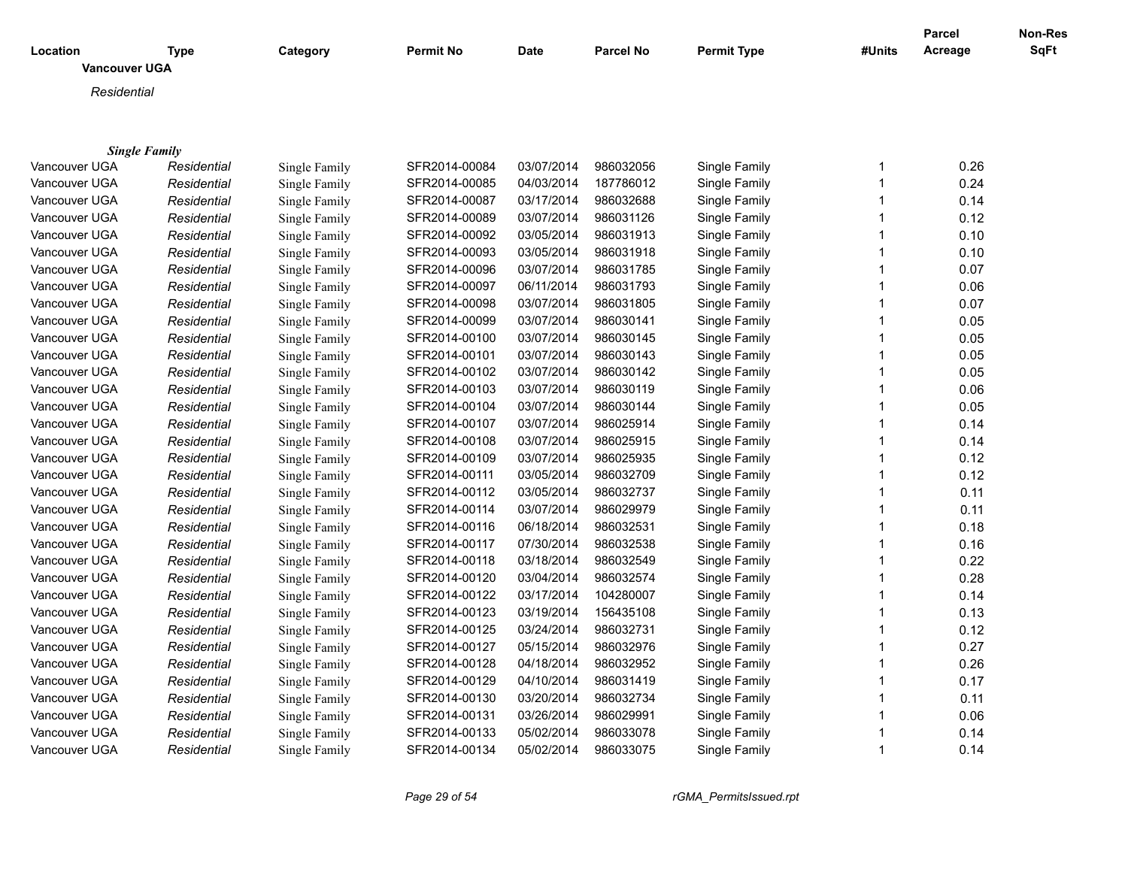| Location<br><b>Vancouver UGA</b> | <b>Type</b>          | Category      | <b>Permit No</b> | Date       | <b>Parcel No</b> | <b>Permit Type</b> | #Units      | <b>Parcel</b><br>Acreage | Non-Res<br><b>SqFt</b> |
|----------------------------------|----------------------|---------------|------------------|------------|------------------|--------------------|-------------|--------------------------|------------------------|
|                                  |                      |               |                  |            |                  |                    |             |                          |                        |
| Residential                      |                      |               |                  |            |                  |                    |             |                          |                        |
|                                  |                      |               |                  |            |                  |                    |             |                          |                        |
|                                  |                      |               |                  |            |                  |                    |             |                          |                        |
|                                  | <b>Single Family</b> |               |                  |            |                  |                    |             |                          |                        |
| Vancouver UGA                    | Residential          | Single Family | SFR2014-00084    | 03/07/2014 | 986032056        | Single Family      | -1          | 0.26                     |                        |
| Vancouver UGA                    | Residential          | Single Family | SFR2014-00085    | 04/03/2014 | 187786012        | Single Family      | -1          | 0.24                     |                        |
| Vancouver UGA                    | Residential          | Single Family | SFR2014-00087    | 03/17/2014 | 986032688        | Single Family      | $\mathbf 1$ | 0.14                     |                        |
| Vancouver UGA                    | Residential          | Single Family | SFR2014-00089    | 03/07/2014 | 986031126        | Single Family      |             | 0.12                     |                        |
| Vancouver UGA                    | Residential          | Single Family | SFR2014-00092    | 03/05/2014 | 986031913        | Single Family      |             | 0.10                     |                        |
| Vancouver UGA                    | Residential          | Single Family | SFR2014-00093    | 03/05/2014 | 986031918        | Single Family      |             | 0.10                     |                        |
| Vancouver UGA                    | Residential          | Single Family | SFR2014-00096    | 03/07/2014 | 986031785        | Single Family      |             | 0.07                     |                        |
| Vancouver UGA                    | Residential          | Single Family | SFR2014-00097    | 06/11/2014 | 986031793        | Single Family      |             | 0.06                     |                        |
| Vancouver UGA                    | Residential          | Single Family | SFR2014-00098    | 03/07/2014 | 986031805        | Single Family      |             | 0.07                     |                        |
| Vancouver UGA                    | Residential          | Single Family | SFR2014-00099    | 03/07/2014 | 986030141        | Single Family      |             | 0.05                     |                        |
| Vancouver UGA                    | Residential          | Single Family | SFR2014-00100    | 03/07/2014 | 986030145        | Single Family      | -1          | 0.05                     |                        |
| Vancouver UGA                    | Residential          | Single Family | SFR2014-00101    | 03/07/2014 | 986030143        | Single Family      |             | 0.05                     |                        |
| Vancouver UGA                    | Residential          | Single Family | SFR2014-00102    | 03/07/2014 | 986030142        | Single Family      |             | 0.05                     |                        |
| Vancouver UGA                    | Residential          | Single Family | SFR2014-00103    | 03/07/2014 | 986030119        | Single Family      |             | 0.06                     |                        |
| Vancouver UGA                    | Residential          | Single Family | SFR2014-00104    | 03/07/2014 | 986030144        | Single Family      |             | 0.05                     |                        |
| Vancouver UGA                    | Residential          | Single Family | SFR2014-00107    | 03/07/2014 | 986025914        | Single Family      | -1          | 0.14                     |                        |
| Vancouver UGA                    | Residential          | Single Family | SFR2014-00108    | 03/07/2014 | 986025915        | Single Family      |             | 0.14                     |                        |
| Vancouver UGA                    | Residential          | Single Family | SFR2014-00109    | 03/07/2014 | 986025935        | Single Family      |             | 0.12                     |                        |
| Vancouver UGA                    | Residential          | Single Family | SFR2014-00111    | 03/05/2014 | 986032709        | Single Family      |             | 0.12                     |                        |
| Vancouver UGA                    | Residential          | Single Family | SFR2014-00112    | 03/05/2014 | 986032737        | Single Family      |             | 0.11                     |                        |
| Vancouver UGA                    | Residential          | Single Family | SFR2014-00114    | 03/07/2014 | 986029979        | Single Family      |             | 0.11                     |                        |
| Vancouver UGA                    | Residential          | Single Family | SFR2014-00116    | 06/18/2014 | 986032531        | Single Family      |             | 0.18                     |                        |
| Vancouver UGA                    | Residential          | Single Family | SFR2014-00117    | 07/30/2014 | 986032538        | Single Family      |             | 0.16                     |                        |
| Vancouver UGA                    | Residential          | Single Family | SFR2014-00118    | 03/18/2014 | 986032549        | Single Family      |             | 0.22                     |                        |
| Vancouver UGA                    | Residential          | Single Family | SFR2014-00120    | 03/04/2014 | 986032574        | Single Family      |             | 0.28                     |                        |
| Vancouver UGA                    | Residential          | Single Family | SFR2014-00122    | 03/17/2014 | 104280007        | Single Family      |             | 0.14                     |                        |
| Vancouver UGA                    | Residential          | Single Family | SFR2014-00123    | 03/19/2014 | 156435108        | Single Family      |             | 0.13                     |                        |
| Vancouver UGA                    | Residential          | Single Family | SFR2014-00125    | 03/24/2014 | 986032731        | Single Family      |             | 0.12                     |                        |
| Vancouver UGA                    | Residential          | Single Family | SFR2014-00127    | 05/15/2014 | 986032976        | Single Family      |             | 0.27                     |                        |
| Vancouver UGA                    | Residential          | Single Family | SFR2014-00128    | 04/18/2014 | 986032952        | Single Family      |             | 0.26                     |                        |
| Vancouver UGA                    | Residential          | Single Family | SFR2014-00129    | 04/10/2014 | 986031419        | Single Family      |             | 0.17                     |                        |
| Vancouver UGA                    | Residential          | Single Family | SFR2014-00130    | 03/20/2014 | 986032734        | Single Family      |             | 0.11                     |                        |
| Vancouver UGA                    | Residential          | Single Family | SFR2014-00131    | 03/26/2014 | 986029991        | Single Family      |             | 0.06                     |                        |
| Vancouver UGA                    | Residential          | Single Family | SFR2014-00133    | 05/02/2014 | 986033078        | Single Family      | $\mathbf 1$ | 0.14                     |                        |

Vancouver UGA *Residential* Single Family SFR2014-00134 05/02/2014 986033075 Single Family 1 0.14

*Page 29 of 54 rGMA\_PermitsIssued.rpt*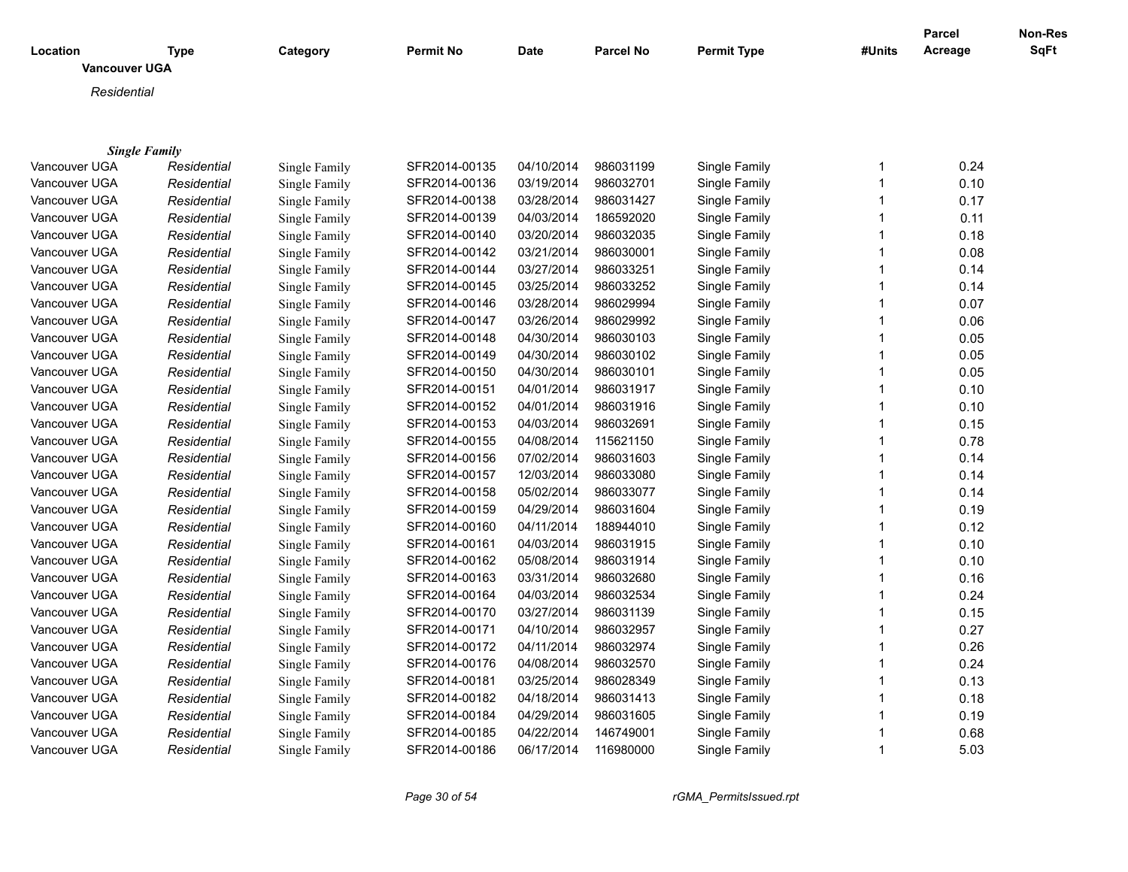|                      |                      |               |                  |             |                  |                    |              | <b>Parcel</b> | <b>Non-Res</b> |
|----------------------|----------------------|---------------|------------------|-------------|------------------|--------------------|--------------|---------------|----------------|
| Location             | Type                 | Category      | <b>Permit No</b> | <b>Date</b> | <b>Parcel No</b> | <b>Permit Type</b> | #Units       | Acreage       | SqFt           |
| <b>Vancouver UGA</b> |                      |               |                  |             |                  |                    |              |               |                |
| Residential          |                      |               |                  |             |                  |                    |              |               |                |
|                      |                      |               |                  |             |                  |                    |              |               |                |
|                      |                      |               |                  |             |                  |                    |              |               |                |
|                      | <b>Single Family</b> |               |                  |             |                  |                    |              |               |                |
| Vancouver UGA        | Residential          | Single Family | SFR2014-00135    | 04/10/2014  | 986031199        | Single Family      | 1            | 0.24          |                |
| Vancouver UGA        | Residential          | Single Family | SFR2014-00136    | 03/19/2014  | 986032701        | Single Family      | $\mathbf{1}$ | 0.10          |                |
| Vancouver UGA        | Residential          | Single Family | SFR2014-00138    | 03/28/2014  | 986031427        | Single Family      | 1            | 0.17          |                |
| Vancouver UGA        | Residential          | Single Family | SFR2014-00139    | 04/03/2014  | 186592020        | Single Family      | 1            | 0.11          |                |
| Vancouver UGA        | Residential          | Single Family | SFR2014-00140    | 03/20/2014  | 986032035        | Single Family      | 1            | 0.18          |                |
| Vancouver UGA        | Residential          | Single Family | SFR2014-00142    | 03/21/2014  | 986030001        | Single Family      |              | 0.08          |                |
| Vancouver UGA        | Residential          | Single Family | SFR2014-00144    | 03/27/2014  | 986033251        | Single Family      | 1            | 0.14          |                |
| Vancouver UGA        | Residential          | Single Family | SFR2014-00145    | 03/25/2014  | 986033252        | Single Family      |              | 0.14          |                |
| Vancouver UGA        | Residential          | Single Family | SFR2014-00146    | 03/28/2014  | 986029994        | Single Family      | 1            | 0.07          |                |
| Vancouver UGA        | Residential          | Single Family | SFR2014-00147    | 03/26/2014  | 986029992        | Single Family      |              | 0.06          |                |
| Vancouver UGA        | Residential          | Single Family | SFR2014-00148    | 04/30/2014  | 986030103        | Single Family      | 1            | 0.05          |                |
| Vancouver UGA        | Residential          | Single Family | SFR2014-00149    | 04/30/2014  | 986030102        | Single Family      |              | 0.05          |                |
| Vancouver UGA        | Residential          | Single Family | SFR2014-00150    | 04/30/2014  | 986030101        | Single Family      | 1            | 0.05          |                |
| Vancouver UGA        | Residential          | Single Family | SFR2014-00151    | 04/01/2014  | 986031917        | Single Family      |              | 0.10          |                |
| Vancouver UGA        | Residential          | Single Family | SFR2014-00152    | 04/01/2014  | 986031916        | Single Family      | 1            | 0.10          |                |
| Vancouver UGA        | Residential          | Single Family | SFR2014-00153    | 04/03/2014  | 986032691        | Single Family      | 1            | 0.15          |                |
| Vancouver UGA        | Residential          | Single Family | SFR2014-00155    | 04/08/2014  | 115621150        | Single Family      | 1            | 0.78          |                |
| Vancouver UGA        | Residential          | Single Family | SFR2014-00156    | 07/02/2014  | 986031603        | Single Family      | 1            | 0.14          |                |
| Vancouver UGA        | Residential          | Single Family | SFR2014-00157    | 12/03/2014  | 986033080        | Single Family      | 1            | 0.14          |                |
| Vancouver UGA        | Residential          | Single Family | SFR2014-00158    | 05/02/2014  | 986033077        | Single Family      | 1            | 0.14          |                |
| Vancouver UGA        | Residential          | Single Family | SFR2014-00159    | 04/29/2014  | 986031604        | Single Family      | 1            | 0.19          |                |
| Vancouver UGA        | Residential          | Single Family | SFR2014-00160    | 04/11/2014  | 188944010        | Single Family      | 1            | 0.12          |                |
| Vancouver UGA        | Residential          | Single Family | SFR2014-00161    | 04/03/2014  | 986031915        | Single Family      | 1            | 0.10          |                |
| Vancouver UGA        | Residential          | Single Family | SFR2014-00162    | 05/08/2014  | 986031914        | Single Family      | 1            | 0.10          |                |
| Vancouver UGA        | Residential          | Single Family | SFR2014-00163    | 03/31/2014  | 986032680        | Single Family      | 1            | 0.16          |                |
| Vancouver UGA        | Residential          | Single Family | SFR2014-00164    | 04/03/2014  | 986032534        | Single Family      | 1            | 0.24          |                |
| Vancouver UGA        | Residential          | Single Family | SFR2014-00170    | 03/27/2014  | 986031139        | Single Family      | 1            | 0.15          |                |
| Vancouver UGA        | Residential          | Single Family | SFR2014-00171    | 04/10/2014  | 986032957        | Single Family      | 1            | 0.27          |                |
| Vancouver UGA        | Residential          | Single Family | SFR2014-00172    | 04/11/2014  | 986032974        | Single Family      | 1            | 0.26          |                |
| Vancouver UGA        | Residential          | Single Family | SFR2014-00176    | 04/08/2014  | 986032570        | Single Family      | 1            | 0.24          |                |
| Vancouver UGA        | Residential          | Single Family | SFR2014-00181    | 03/25/2014  | 986028349        | Single Family      | 1            | 0.13          |                |
| Vancouver UGA        | Residential          | Single Family | SFR2014-00182    | 04/18/2014  | 986031413        | Single Family      | 1            | 0.18          |                |
| Vancouver UGA        | Residential          | Single Family | SFR2014-00184    | 04/29/2014  | 986031605        | Single Family      | 1            | 0.19          |                |
| Vancouver UGA        | Residential          | Single Family | SFR2014-00185    | 04/22/2014  | 146749001        | Single Family      | 1            | 0.68          |                |
| Vancouver UGA        | Residential          | Single Family | SFR2014-00186    | 06/17/2014  | 116980000        | Single Family      | $\mathbf{1}$ | 5.03          |                |
|                      |                      |               |                  |             |                  |                    |              |               |                |

*Page 30 of 54 rGMA\_PermitsIssued.rpt*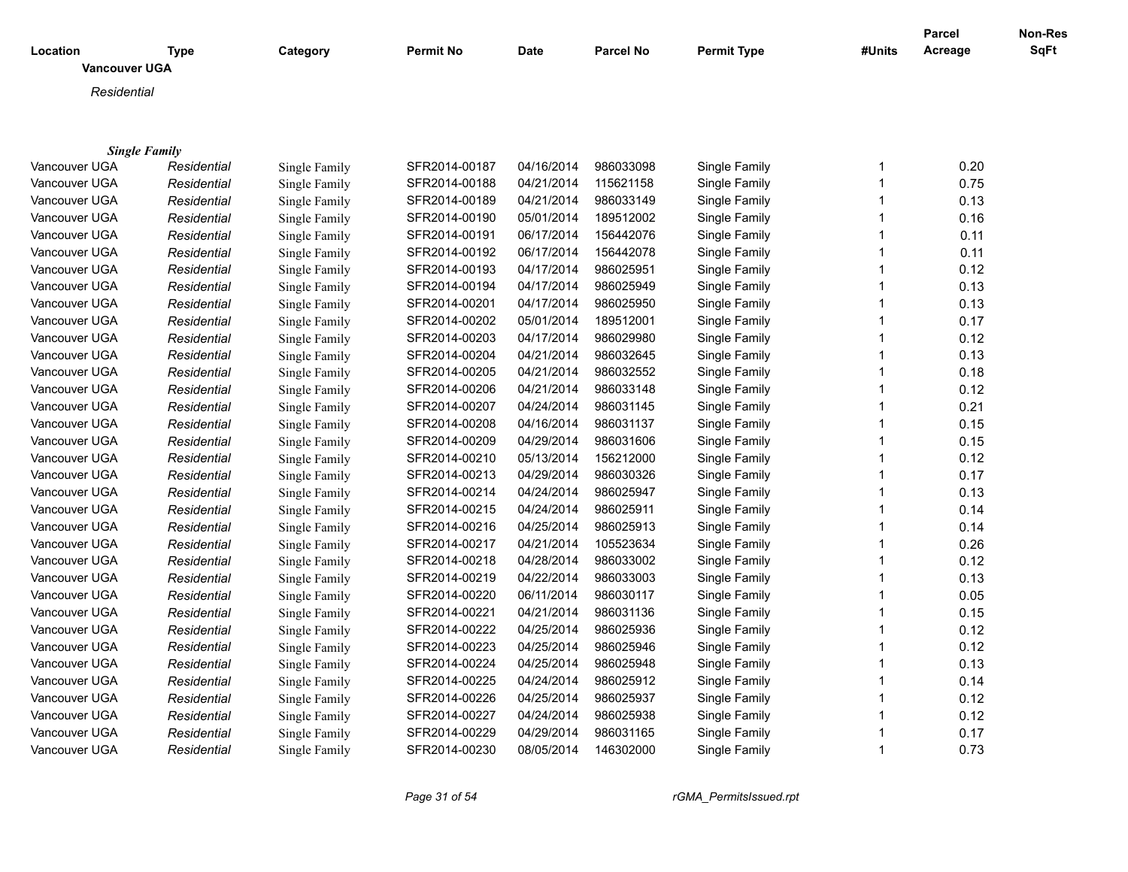| Location             | <b>Type</b>          | Category      | <b>Permit No</b> | Date       | <b>Parcel No</b> | <b>Permit Type</b> | #Units       | <b>Parcel</b><br>Acreage | Non-Res<br>SqFt |
|----------------------|----------------------|---------------|------------------|------------|------------------|--------------------|--------------|--------------------------|-----------------|
| <b>Vancouver UGA</b> |                      |               |                  |            |                  |                    |              |                          |                 |
| Residential          |                      |               |                  |            |                  |                    |              |                          |                 |
|                      |                      |               |                  |            |                  |                    |              |                          |                 |
|                      |                      |               |                  |            |                  |                    |              |                          |                 |
|                      | <b>Single Family</b> |               |                  |            |                  |                    |              |                          |                 |
| Vancouver UGA        | Residential          | Single Family | SFR2014-00187    | 04/16/2014 | 986033098        | Single Family      | 1            | 0.20                     |                 |
| Vancouver UGA        | Residential          | Single Family | SFR2014-00188    | 04/21/2014 | 115621158        | Single Family      | $\mathbf{1}$ | 0.75                     |                 |
| Vancouver UGA        | Residential          | Single Family | SFR2014-00189    | 04/21/2014 | 986033149        | Single Family      | $\mathbf{1}$ | 0.13                     |                 |
| Vancouver UGA        | Residential          | Single Family | SFR2014-00190    | 05/01/2014 | 189512002        | Single Family      | $\mathbf{1}$ | 0.16                     |                 |
| Vancouver UGA        | Residential          | Single Family | SFR2014-00191    | 06/17/2014 | 156442076        | Single Family      | $\mathbf{1}$ | 0.11                     |                 |
| Vancouver UGA        | Residential          | Single Family | SFR2014-00192    | 06/17/2014 | 156442078        | Single Family      | 1            | 0.11                     |                 |
| Vancouver UGA        | Residential          | Single Family | SFR2014-00193    | 04/17/2014 | 986025951        | Single Family      | $\mathbf{1}$ | 0.12                     |                 |
| Vancouver UGA        | Residential          | Single Family | SFR2014-00194    | 04/17/2014 | 986025949        | Single Family      | $\mathbf{1}$ | 0.13                     |                 |
| Vancouver UGA        | Residential          | Single Family | SFR2014-00201    | 04/17/2014 | 986025950        | Single Family      | $\mathbf{1}$ | 0.13                     |                 |
| Vancouver UGA        | Residential          | Single Family | SFR2014-00202    | 05/01/2014 | 189512001        | Single Family      | $\mathbf{1}$ | 0.17                     |                 |
| Vancouver UGA        | Residential          | Single Family | SFR2014-00203    | 04/17/2014 | 986029980        | Single Family      | $\mathbf{1}$ | 0.12                     |                 |
| Vancouver UGA        | Residential          | Single Family | SFR2014-00204    | 04/21/2014 | 986032645        | Single Family      | $\mathbf{1}$ | 0.13                     |                 |
| Vancouver UGA        | Residential          | Single Family | SFR2014-00205    | 04/21/2014 | 986032552        | Single Family      | $\mathbf{1}$ | 0.18                     |                 |
| Vancouver UGA        | Residential          | Single Family | SFR2014-00206    | 04/21/2014 | 986033148        | Single Family      | $\mathbf{1}$ | 0.12                     |                 |
| Vancouver UGA        | Residential          | Single Family | SFR2014-00207    | 04/24/2014 | 986031145        | Single Family      | $\mathbf{1}$ | 0.21                     |                 |
| Vancouver UGA        | Residential          | Single Family | SFR2014-00208    | 04/16/2014 | 986031137        | Single Family      | $\mathbf{1}$ | 0.15                     |                 |
| Vancouver UGA        | Residential          | Single Family | SFR2014-00209    | 04/29/2014 | 986031606        | Single Family      | $\mathbf{1}$ | 0.15                     |                 |
| Vancouver UGA        | Residential          | Single Family | SFR2014-00210    | 05/13/2014 | 156212000        | Single Family      | $\mathbf{1}$ | 0.12                     |                 |
| Vancouver UGA        | Residential          | Single Family | SFR2014-00213    | 04/29/2014 | 986030326        | Single Family      | $\mathbf{1}$ | 0.17                     |                 |
| Vancouver UGA        | Residential          | Single Family | SFR2014-00214    | 04/24/2014 | 986025947        | Single Family      | $\mathbf{1}$ | 0.13                     |                 |
| Vancouver UGA        | Residential          | Single Family | SFR2014-00215    | 04/24/2014 | 986025911        | Single Family      | $\mathbf{1}$ | 0.14                     |                 |
| Vancouver UGA        | Residential          | Single Family | SFR2014-00216    | 04/25/2014 | 986025913        | Single Family      | $\mathbf{1}$ | 0.14                     |                 |
| Vancouver UGA        | Residential          | Single Family | SFR2014-00217    | 04/21/2014 | 105523634        | Single Family      | $\mathbf{1}$ | 0.26                     |                 |
| Vancouver UGA        | Residential          | Single Family | SFR2014-00218    | 04/28/2014 | 986033002        | Single Family      | $\mathbf 1$  | 0.12                     |                 |
| Vancouver UGA        | Residential          | Single Family | SFR2014-00219    | 04/22/2014 | 986033003        | Single Family      | $\mathbf{1}$ | 0.13                     |                 |
| Vancouver UGA        | Residential          | Single Family | SFR2014-00220    | 06/11/2014 | 986030117        | Single Family      | $\mathbf{1}$ | 0.05                     |                 |
| Vancouver UGA        | Residential          | Single Family | SFR2014-00221    | 04/21/2014 | 986031136        | Single Family      | $\mathbf{1}$ | 0.15                     |                 |
| Vancouver UGA        | Residential          | Single Family | SFR2014-00222    | 04/25/2014 | 986025936        | Single Family      | $\mathbf{1}$ | 0.12                     |                 |
| Vancouver UGA        | Residential          | Single Family | SFR2014-00223    | 04/25/2014 | 986025946        | Single Family      | $\mathbf{1}$ | 0.12                     |                 |
| Vancouver UGA        | Residential          | Single Family | SFR2014-00224    | 04/25/2014 | 986025948        | Single Family      | $\mathbf{1}$ | 0.13                     |                 |
| Vancouver UGA        | Residential          | Single Family | SFR2014-00225    | 04/24/2014 | 986025912        | Single Family      | $\mathbf{1}$ | 0.14                     |                 |
| Vancouver UGA        | Residential          | Single Family | SFR2014-00226    | 04/25/2014 | 986025937        | Single Family      | $\mathbf{1}$ | 0.12                     |                 |
| Vancouver UGA        | Residential          | Single Family | SFR2014-00227    | 04/24/2014 | 986025938        | Single Family      | $\mathbf{1}$ | 0.12                     |                 |
| Vancouver UGA        | Residential          | Single Family | SFR2014-00229    | 04/29/2014 | 986031165        | Single Family      | 1            | 0.17                     |                 |
| Vancouver UGA        | Residential          | Single Family | SFR2014-00230    | 08/05/2014 | 146302000        | Single Family      | $\mathbf 1$  | 0.73                     |                 |

*Page 31 of 54 rGMA\_PermitsIssued.rpt*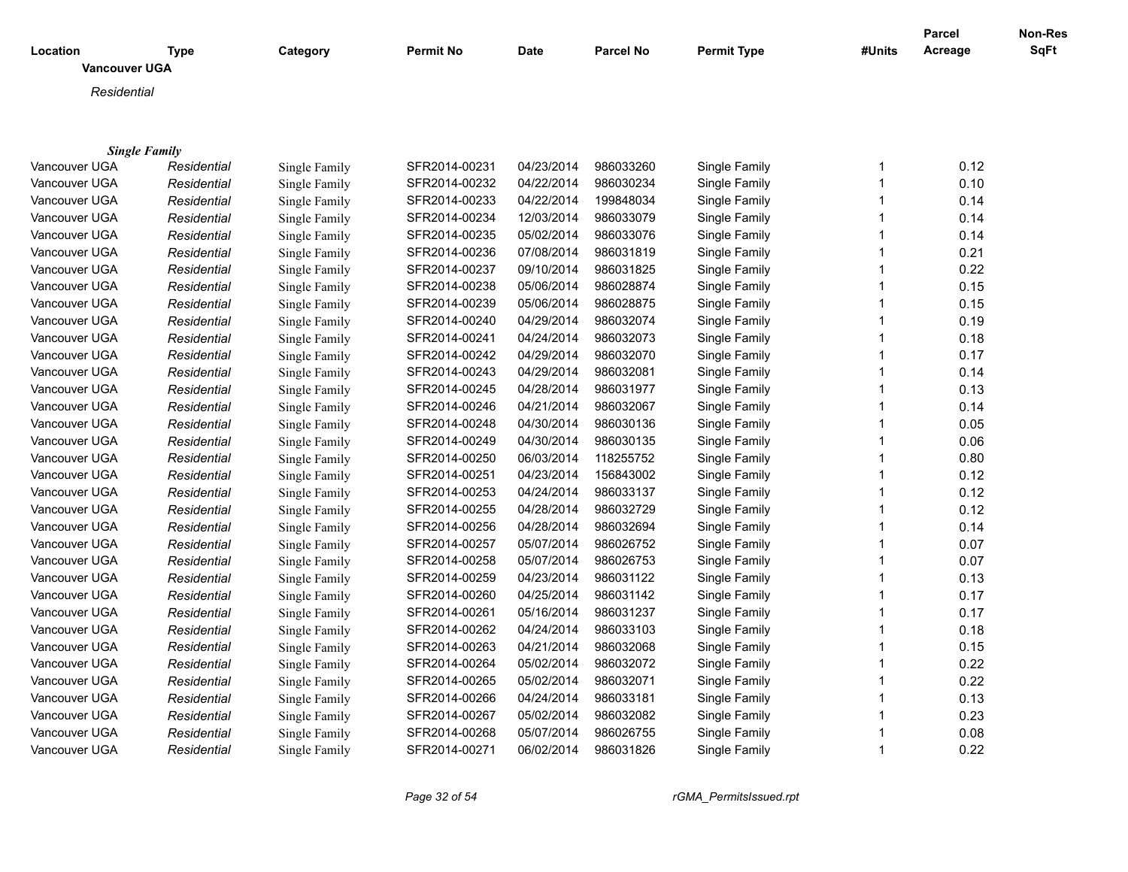| Location             | <b>Type</b>          | Category      | <b>Permit No</b> | Date       | <b>Parcel No</b> | <b>Permit Type</b> | #Units       | <b>Parcel</b><br>Acreage | Non-Res<br>SqFt |
|----------------------|----------------------|---------------|------------------|------------|------------------|--------------------|--------------|--------------------------|-----------------|
| <b>Vancouver UGA</b> |                      |               |                  |            |                  |                    |              |                          |                 |
| Residential          |                      |               |                  |            |                  |                    |              |                          |                 |
|                      |                      |               |                  |            |                  |                    |              |                          |                 |
|                      |                      |               |                  |            |                  |                    |              |                          |                 |
|                      | <b>Single Family</b> |               |                  |            |                  |                    |              |                          |                 |
| Vancouver UGA        | Residential          | Single Family | SFR2014-00231    | 04/23/2014 | 986033260        | Single Family      | 1            | 0.12                     |                 |
| Vancouver UGA        | Residential          | Single Family | SFR2014-00232    | 04/22/2014 | 986030234        | Single Family      | $\mathbf{1}$ | 0.10                     |                 |
| Vancouver UGA        | Residential          | Single Family | SFR2014-00233    | 04/22/2014 | 199848034        | Single Family      | $\mathbf{1}$ | 0.14                     |                 |
| Vancouver UGA        | Residential          | Single Family | SFR2014-00234    | 12/03/2014 | 986033079        | Single Family      | $\mathbf{1}$ | 0.14                     |                 |
| Vancouver UGA        | Residential          | Single Family | SFR2014-00235    | 05/02/2014 | 986033076        | Single Family      | $\mathbf{1}$ | 0.14                     |                 |
| Vancouver UGA        | Residential          | Single Family | SFR2014-00236    | 07/08/2014 | 986031819        | Single Family      | 1            | 0.21                     |                 |
| Vancouver UGA        | Residential          | Single Family | SFR2014-00237    | 09/10/2014 | 986031825        | Single Family      | $\mathbf{1}$ | 0.22                     |                 |
| Vancouver UGA        | Residential          | Single Family | SFR2014-00238    | 05/06/2014 | 986028874        | Single Family      | $\mathbf{1}$ | 0.15                     |                 |
| Vancouver UGA        | Residential          | Single Family | SFR2014-00239    | 05/06/2014 | 986028875        | Single Family      | $\mathbf{1}$ | 0.15                     |                 |
| Vancouver UGA        | Residential          | Single Family | SFR2014-00240    | 04/29/2014 | 986032074        | Single Family      | $\mathbf{1}$ | 0.19                     |                 |
| Vancouver UGA        | Residential          | Single Family | SFR2014-00241    | 04/24/2014 | 986032073        | Single Family      | $\mathbf{1}$ | 0.18                     |                 |
| Vancouver UGA        | Residential          | Single Family | SFR2014-00242    | 04/29/2014 | 986032070        | Single Family      | $\mathbf 1$  | 0.17                     |                 |
| Vancouver UGA        | Residential          | Single Family | SFR2014-00243    | 04/29/2014 | 986032081        | Single Family      | $\mathbf{1}$ | 0.14                     |                 |
| Vancouver UGA        | Residential          | Single Family | SFR2014-00245    | 04/28/2014 | 986031977        | Single Family      | $\mathbf{1}$ | 0.13                     |                 |
| Vancouver UGA        | Residential          | Single Family | SFR2014-00246    | 04/21/2014 | 986032067        | Single Family      | $\mathbf{1}$ | 0.14                     |                 |
| Vancouver UGA        | Residential          | Single Family | SFR2014-00248    | 04/30/2014 | 986030136        | Single Family      | $\mathbf{1}$ | 0.05                     |                 |
| Vancouver UGA        | Residential          | Single Family | SFR2014-00249    | 04/30/2014 | 986030135        | Single Family      | $\mathbf{1}$ | 0.06                     |                 |
| Vancouver UGA        | Residential          | Single Family | SFR2014-00250    | 06/03/2014 | 118255752        | Single Family      | $\mathbf{1}$ | 0.80                     |                 |
| Vancouver UGA        | Residential          | Single Family | SFR2014-00251    | 04/23/2014 | 156843002        | Single Family      | $\mathbf{1}$ | 0.12                     |                 |
| Vancouver UGA        | Residential          | Single Family | SFR2014-00253    | 04/24/2014 | 986033137        | Single Family      | $\mathbf{1}$ | 0.12                     |                 |
| Vancouver UGA        | Residential          | Single Family | SFR2014-00255    | 04/28/2014 | 986032729        | Single Family      | $\mathbf{1}$ | 0.12                     |                 |
| Vancouver UGA        | Residential          | Single Family | SFR2014-00256    | 04/28/2014 | 986032694        | Single Family      | $\mathbf{1}$ | 0.14                     |                 |
| Vancouver UGA        | Residential          | Single Family | SFR2014-00257    | 05/07/2014 | 986026752        | Single Family      | $\mathbf{1}$ | 0.07                     |                 |
| Vancouver UGA        | Residential          | Single Family | SFR2014-00258    | 05/07/2014 | 986026753        | Single Family      | $\mathbf 1$  | 0.07                     |                 |
| Vancouver UGA        | Residential          | Single Family | SFR2014-00259    | 04/23/2014 | 986031122        | Single Family      | $\mathbf{1}$ | 0.13                     |                 |
| Vancouver UGA        | Residential          | Single Family | SFR2014-00260    | 04/25/2014 | 986031142        | Single Family      | $\mathbf{1}$ | 0.17                     |                 |
| Vancouver UGA        | Residential          | Single Family | SFR2014-00261    | 05/16/2014 | 986031237        | Single Family      | $\mathbf{1}$ | 0.17                     |                 |
| Vancouver UGA        | Residential          | Single Family | SFR2014-00262    | 04/24/2014 | 986033103        | Single Family      | $\mathbf{1}$ | 0.18                     |                 |
| Vancouver UGA        | Residential          | Single Family | SFR2014-00263    | 04/21/2014 | 986032068        | Single Family      | $\mathbf{1}$ | 0.15                     |                 |
| Vancouver UGA        | Residential          | Single Family | SFR2014-00264    | 05/02/2014 | 986032072        | Single Family      | $\mathbf{1}$ | 0.22                     |                 |
| Vancouver UGA        | Residential          | Single Family | SFR2014-00265    | 05/02/2014 | 986032071        | Single Family      | $\mathbf{1}$ | 0.22                     |                 |
| Vancouver UGA        | Residential          | Single Family | SFR2014-00266    | 04/24/2014 | 986033181        | Single Family      | $\mathbf{1}$ | 0.13                     |                 |
| Vancouver UGA        | Residential          | Single Family | SFR2014-00267    | 05/02/2014 | 986032082        | Single Family      | $\mathbf{1}$ | 0.23                     |                 |
| Vancouver UGA        | Residential          | Single Family | SFR2014-00268    | 05/07/2014 | 986026755        | Single Family      | 1            | 0.08                     |                 |
| Vancouver UGA        | Residential          | Single Family | SFR2014-00271    | 06/02/2014 | 986031826        | Single Family      | $\mathbf 1$  | 0.22                     |                 |

*Page 32 of 54 rGMA\_PermitsIssued.rpt*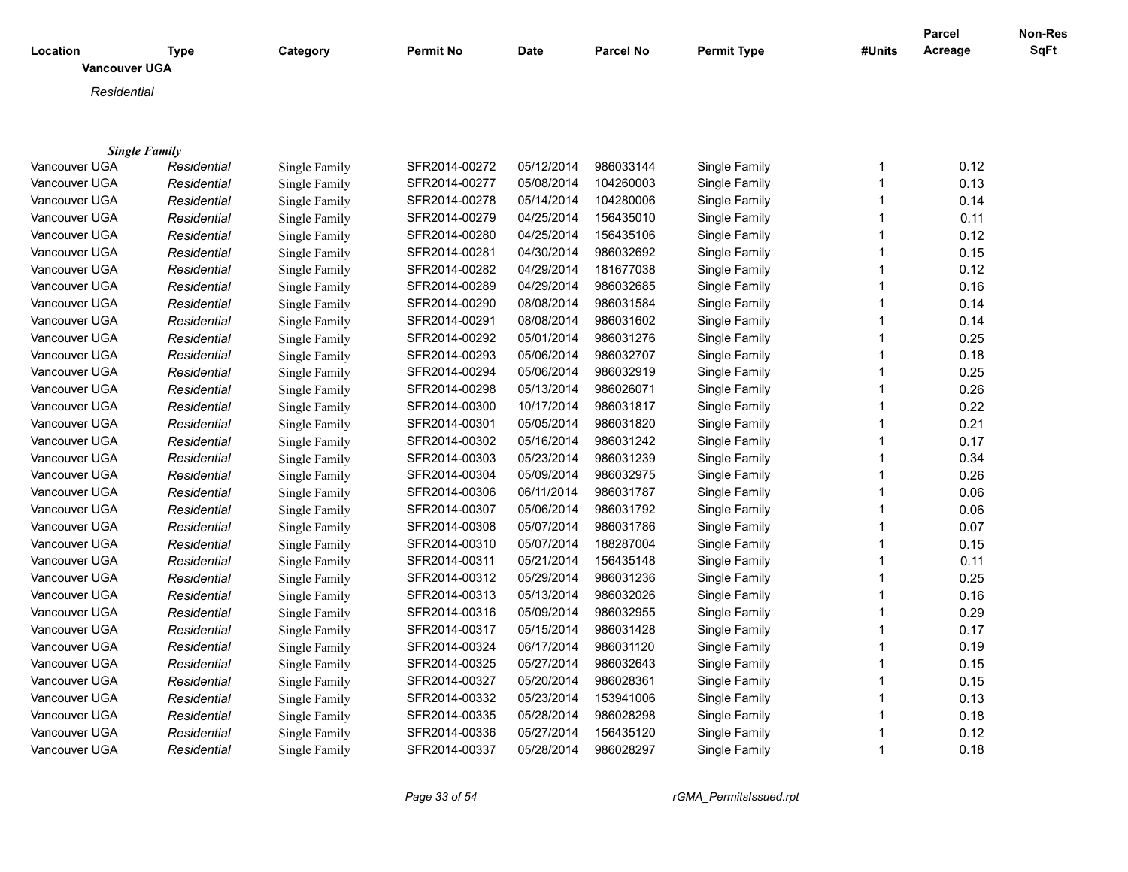|                      |             |               |                  |             |                  |                    |              | <b>Parcel</b> | <b>Non-Res</b> |
|----------------------|-------------|---------------|------------------|-------------|------------------|--------------------|--------------|---------------|----------------|
| Location             | <b>Type</b> | Category      | <b>Permit No</b> | <b>Date</b> | <b>Parcel No</b> | <b>Permit Type</b> | #Units       | Acreage       | <b>SqFt</b>    |
| <b>Vancouver UGA</b> |             |               |                  |             |                  |                    |              |               |                |
| Residential          |             |               |                  |             |                  |                    |              |               |                |
|                      |             |               |                  |             |                  |                    |              |               |                |
|                      |             |               |                  |             |                  |                    |              |               |                |
| <b>Single Family</b> |             |               |                  |             |                  |                    |              |               |                |
| Vancouver UGA        | Residential | Single Family | SFR2014-00272    | 05/12/2014  | 986033144        | Single Family      | $\mathbf{1}$ | 0.12          |                |
| Vancouver UGA        | Residential | Single Family | SFR2014-00277    | 05/08/2014  | 104260003        | Single Family      | $\mathbf{1}$ | 0.13          |                |
| Vancouver UGA        | Residential | Single Family | SFR2014-00278    | 05/14/2014  | 104280006        | Single Family      | $\mathbf 1$  | 0.14          |                |
| Vancouver UGA        | Residential | Single Family | SFR2014-00279    | 04/25/2014  | 156435010        | Single Family      | $\mathbf{1}$ | 0.11          |                |
| Vancouver UGA        | Residential | Single Family | SFR2014-00280    | 04/25/2014  | 156435106        | Single Family      | $\mathbf{1}$ | 0.12          |                |
| Vancouver UGA        | Residential | Single Family | SFR2014-00281    | 04/30/2014  | 986032692        | Single Family      | 1            | 0.15          |                |
| Vancouver UGA        | Residential | Single Family | SFR2014-00282    | 04/29/2014  | 181677038        | Single Family      | $\mathbf 1$  | 0.12          |                |
| Vancouver UGA        | Residential | Single Family | SFR2014-00289    | 04/29/2014  | 986032685        | Single Family      | $\mathbf 1$  | 0.16          |                |
| Vancouver UGA        | Residential | Single Family | SFR2014-00290    | 08/08/2014  | 986031584        | Single Family      | $\mathbf{1}$ | 0.14          |                |
| Vancouver UGA        | Residential | Single Family | SFR2014-00291    | 08/08/2014  | 986031602        | Single Family      | 1            | 0.14          |                |
| Vancouver UGA        | Residential | Single Family | SFR2014-00292    | 05/01/2014  | 986031276        | Single Family      | $\mathbf 1$  | 0.25          |                |
| Vancouver UGA        | Residential | Single Family | SFR2014-00293    | 05/06/2014  | 986032707        | Single Family      | $\mathbf 1$  | 0.18          |                |
| Vancouver UGA        | Residential | Single Family | SFR2014-00294    | 05/06/2014  | 986032919        | Single Family      | $\mathbf{1}$ | 0.25          |                |
| Vancouver UGA        | Residential | Single Family | SFR2014-00298    | 05/13/2014  | 986026071        | Single Family      | 1            | 0.26          |                |
| Vancouver UGA        | Residential | Single Family | SFR2014-00300    | 10/17/2014  | 986031817        | Single Family      | $\mathbf 1$  | 0.22          |                |
| Vancouver UGA        | Residential | Single Family | SFR2014-00301    | 05/05/2014  | 986031820        | Single Family      | $\mathbf{1}$ | 0.21          |                |
| Vancouver UGA        | Residential | Single Family | SFR2014-00302    | 05/16/2014  | 986031242        | Single Family      | $\mathbf{1}$ | 0.17          |                |
| Vancouver UGA        | Residential | Single Family | SFR2014-00303    | 05/23/2014  | 986031239        | Single Family      | 1            | 0.34          |                |
| Vancouver UGA        | Residential | Single Family | SFR2014-00304    | 05/09/2014  | 986032975        | Single Family      | $\mathbf{1}$ | 0.26          |                |
| Vancouver UGA        | Residential | Single Family | SFR2014-00306    | 06/11/2014  | 986031787        | Single Family      | $\mathbf{1}$ | 0.06          |                |
| Vancouver UGA        | Residential | Single Family | SFR2014-00307    | 05/06/2014  | 986031792        | Single Family      | $\mathbf{1}$ | 0.06          |                |
| Vancouver UGA        | Residential | Single Family | SFR2014-00308    | 05/07/2014  | 986031786        | Single Family      | 1            | 0.07          |                |
| Vancouver UGA        | Residential | Single Family | SFR2014-00310    | 05/07/2014  | 188287004        | Single Family      | $\mathbf 1$  | 0.15          |                |
| Vancouver UGA        | Residential | Single Family | SFR2014-00311    | 05/21/2014  | 156435148        | Single Family      | $\mathbf 1$  | 0.11          |                |
| Vancouver UGA        | Residential | Single Family | SFR2014-00312    | 05/29/2014  | 986031236        | Single Family      | $\mathbf{1}$ | 0.25          |                |
| Vancouver UGA        | Residential | Single Family | SFR2014-00313    | 05/13/2014  | 986032026        | Single Family      | $\mathbf{1}$ | 0.16          |                |
| Vancouver UGA        | Residential | Single Family | SFR2014-00316    | 05/09/2014  | 986032955        | Single Family      | $\mathbf 1$  | 0.29          |                |
| Vancouver UGA        | Residential | Single Family | SFR2014-00317    | 05/15/2014  | 986031428        | Single Family      | $\mathbf 1$  | 0.17          |                |
| Vancouver UGA        | Residential | Single Family | SFR2014-00324    | 06/17/2014  | 986031120        | Single Family      | $\mathbf 1$  | 0.19          |                |
| Vancouver UGA        | Residential | Single Family | SFR2014-00325    | 05/27/2014  | 986032643        | Single Family      | $\mathbf{1}$ | 0.15          |                |
| Vancouver UGA        | Residential | Single Family | SFR2014-00327    | 05/20/2014  | 986028361        | Single Family      | $\mathbf 1$  | 0.15          |                |
| Vancouver UGA        | Residential | Single Family | SFR2014-00332    | 05/23/2014  | 153941006        | Single Family      | $\mathbf 1$  | 0.13          |                |
| Vancouver UGA        | Residential | Single Family | SFR2014-00335    | 05/28/2014  | 986028298        | Single Family      | $\mathbf{1}$ | 0.18          |                |
| Vancouver UGA        | Residential | Single Family | SFR2014-00336    | 05/27/2014  | 156435120        | Single Family      | 1            | 0.12          |                |
| Vancouver UGA        | Residential | Single Family | SFR2014-00337    | 05/28/2014  | 986028297        | Single Family      | 1            | 0.18          |                |

*Page 33 of 54 rGMA\_PermitsIssued.rpt*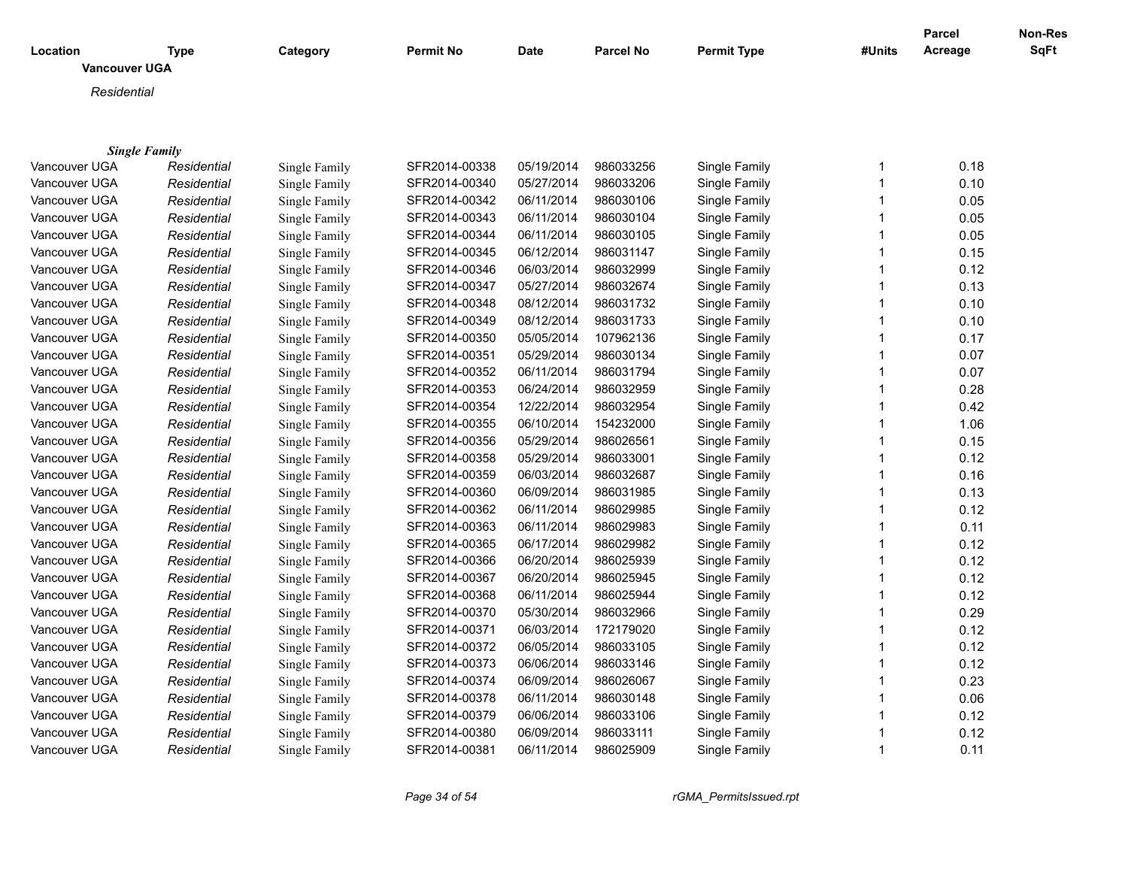| Location<br><b>Vancouver UGA</b> | <b>Type</b>          | Category      | <b>Permit No</b> | <b>Date</b> | <b>Parcel No</b> | <b>Permit Type</b> | #Units | <b>Parcel</b><br>Acreage | Non-Res<br>SqFt |
|----------------------------------|----------------------|---------------|------------------|-------------|------------------|--------------------|--------|--------------------------|-----------------|
|                                  |                      |               |                  |             |                  |                    |        |                          |                 |
| Residential                      |                      |               |                  |             |                  |                    |        |                          |                 |
|                                  |                      |               |                  |             |                  |                    |        |                          |                 |
|                                  | <b>Single Family</b> |               |                  |             |                  |                    |        |                          |                 |
| Vancouver UGA                    | Residential          | Single Family | SFR2014-00338    | 05/19/2014  | 986033256        | Single Family      | 1      | 0.18                     |                 |
| Vancouver UGA                    | Residential          | Single Family | SFR2014-00340    | 05/27/2014  | 986033206        | Single Family      | 1      | 0.10                     |                 |
| Vancouver UGA                    | Residential          | Single Family | SFR2014-00342    | 06/11/2014  | 986030106        | Single Family      | 1      | 0.05                     |                 |
| Vancouver UGA                    | Residential          | Single Family | SFR2014-00343    | 06/11/2014  | 986030104        | Single Family      | 1      | 0.05                     |                 |
| Vancouver UGA                    | Residential          | Single Family | SFR2014-00344    | 06/11/2014  | 986030105        | Single Family      | 1      | 0.05                     |                 |
| Vancouver UGA                    | Residential          | Single Family | SFR2014-00345    | 06/12/2014  | 986031147        | Single Family      | 1      | 0.15                     |                 |
| Vancouver UGA                    | Residential          | Single Family | SFR2014-00346    | 06/03/2014  | 986032999        | Single Family      | 1      | 0.12                     |                 |
| Vancouver UGA                    | Residential          | Single Family | SFR2014-00347    | 05/27/2014  | 986032674        | Single Family      | 1      | 0.13                     |                 |
| Vancouver UGA                    | Residential          | Single Family | SFR2014-00348    | 08/12/2014  | 986031732        | Single Family      | 1      | 0.10                     |                 |
| Vancouver UGA                    | Residential          | Single Family | SFR2014-00349    | 08/12/2014  | 986031733        | Single Family      | 1      | 0.10                     |                 |
| Vancouver UGA                    | Residential          | Single Family | SFR2014-00350    | 05/05/2014  | 107962136        | Single Family      | 1      | 0.17                     |                 |
| Vancouver UGA                    | Residential          | Single Family | SFR2014-00351    | 05/29/2014  | 986030134        | Single Family      | 1      | 0.07                     |                 |
| Vancouver UGA                    | Residential          | Single Family | SFR2014-00352    | 06/11/2014  | 986031794        | Single Family      | 1      | 0.07                     |                 |
| Vancouver UGA                    | Residential          | Single Family | SFR2014-00353    | 06/24/2014  | 986032959        | Single Family      | 1      | 0.28                     |                 |
| Vancouver UGA                    | Residential          | Single Family | SFR2014-00354    | 12/22/2014  | 986032954        | Single Family      | 1      | 0.42                     |                 |
| Vancouver UGA                    | Residential          | Single Family | SFR2014-00355    | 06/10/2014  | 154232000        | Single Family      | 1      | 1.06                     |                 |
| Vancouver UGA                    | Residential          | Single Family | SFR2014-00356    | 05/29/2014  | 986026561        | Single Family      | 1      | 0.15                     |                 |
| Vancouver UGA                    | Residential          | Single Family | SFR2014-00358    | 05/29/2014  | 986033001        | Single Family      | 1      | 0.12                     |                 |
| Vancouver UGA                    | Residential          | Single Family | SFR2014-00359    | 06/03/2014  | 986032687        | Single Family      | 1      | 0.16                     |                 |
| Vancouver UGA                    | Residential          | Single Family | SFR2014-00360    | 06/09/2014  | 986031985        | Single Family      | 1      | 0.13                     |                 |
| Vancouver UGA                    | Residential          | Single Family | SFR2014-00362    | 06/11/2014  | 986029985        | Single Family      | 1      | 0.12                     |                 |
| Vancouver UGA                    | Residential          | Single Family | SFR2014-00363    | 06/11/2014  | 986029983        | Single Family      | 1      | 0.11                     |                 |
| Vancouver UGA                    | Residential          | Single Family | SFR2014-00365    | 06/17/2014  | 986029982        | Single Family      | 1      | 0.12                     |                 |
| Vancouver UGA                    | Residential          | Single Family | SFR2014-00366    | 06/20/2014  | 986025939        | Single Family      | 1      | 0.12                     |                 |
| Vancouver UGA                    | Residential          | Single Family | SFR2014-00367    | 06/20/2014  | 986025945        | Single Family      | 1      | 0.12                     |                 |
| Vancouver UGA                    | Residential          | Single Family | SFR2014-00368    | 06/11/2014  | 986025944        | Single Family      | 1      | 0.12                     |                 |
| Vancouver UGA                    | Residential          | Single Family | SFR2014-00370    | 05/30/2014  | 986032966        | Single Family      | 1      | 0.29                     |                 |
| Vancouver UGA                    | Residential          | Single Family | SFR2014-00371    | 06/03/2014  | 172179020        | Single Family      | 1      | 0.12                     |                 |
| Vancouver UGA                    | Residential          | Single Family | SFR2014-00372    | 06/05/2014  | 986033105        | Single Family      | 1      | 0.12                     |                 |
| Vancouver UGA                    | Residential          | Single Family | SFR2014-00373    | 06/06/2014  | 986033146        | Single Family      | 1      | 0.12                     |                 |
| Vancouver UGA                    | Residential          | Single Family | SFR2014-00374    | 06/09/2014  | 986026067        | Single Family      | 1      | 0.23                     |                 |

Vancouver UGA *Residential* Single Family SFR2014-00378 06/11/2014 986030148 Single Family 1 0.06 Vancouver UGA *Residential* Single Family SFR2014-00379 06/06/2014 986033106 Single Family 1 0.12 Vancouver UGA *Residential* Single Family SFR2014-00380 06/09/2014 986033111 Single Family 1 0.12 Vancouver UGA *Residential* Single Family SFR2014-00381 06/11/2014 986025909 Single Family 1 0.11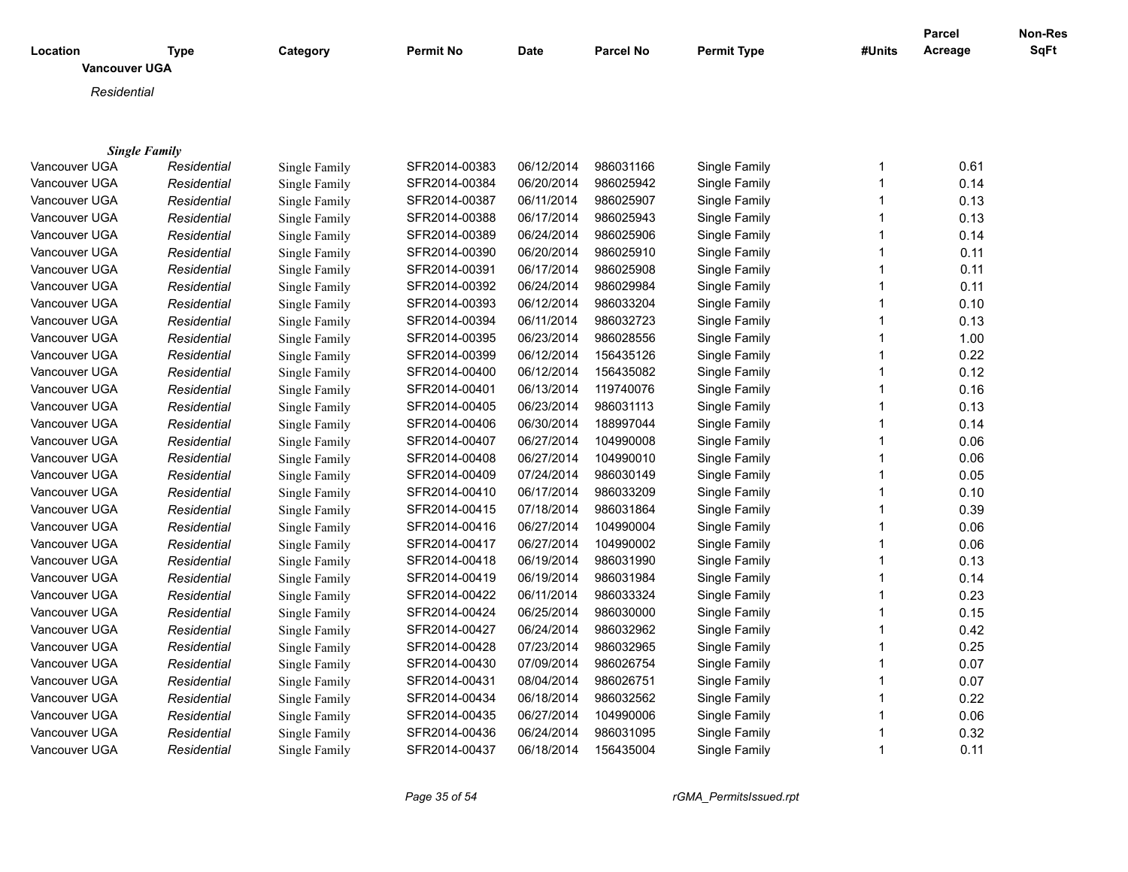| Location             | <b>Type</b>          | Category      | <b>Permit No</b> | Date       | <b>Parcel No</b> | <b>Permit Type</b> | #Units       | <b>Parcel</b><br>Acreage | Non-Res<br>SqFt |
|----------------------|----------------------|---------------|------------------|------------|------------------|--------------------|--------------|--------------------------|-----------------|
| <b>Vancouver UGA</b> |                      |               |                  |            |                  |                    |              |                          |                 |
| Residential          |                      |               |                  |            |                  |                    |              |                          |                 |
|                      |                      |               |                  |            |                  |                    |              |                          |                 |
|                      |                      |               |                  |            |                  |                    |              |                          |                 |
|                      | <b>Single Family</b> |               |                  |            |                  |                    |              |                          |                 |
| Vancouver UGA        | Residential          | Single Family | SFR2014-00383    | 06/12/2014 | 986031166        | Single Family      | 1            | 0.61                     |                 |
| Vancouver UGA        | Residential          | Single Family | SFR2014-00384    | 06/20/2014 | 986025942        | Single Family      | $\mathbf{1}$ | 0.14                     |                 |
| Vancouver UGA        | Residential          | Single Family | SFR2014-00387    | 06/11/2014 | 986025907        | Single Family      | $\mathbf{1}$ | 0.13                     |                 |
| Vancouver UGA        | Residential          | Single Family | SFR2014-00388    | 06/17/2014 | 986025943        | Single Family      | $\mathbf{1}$ | 0.13                     |                 |
| Vancouver UGA        | Residential          | Single Family | SFR2014-00389    | 06/24/2014 | 986025906        | Single Family      | $\mathbf{1}$ | 0.14                     |                 |
| Vancouver UGA        | Residential          | Single Family | SFR2014-00390    | 06/20/2014 | 986025910        | Single Family      | 1            | 0.11                     |                 |
| Vancouver UGA        | Residential          | Single Family | SFR2014-00391    | 06/17/2014 | 986025908        | Single Family      | $\mathbf{1}$ | 0.11                     |                 |
| Vancouver UGA        | Residential          | Single Family | SFR2014-00392    | 06/24/2014 | 986029984        | Single Family      | $\mathbf{1}$ | 0.11                     |                 |
| Vancouver UGA        | Residential          | Single Family | SFR2014-00393    | 06/12/2014 | 986033204        | Single Family      | $\mathbf{1}$ | 0.10                     |                 |
| Vancouver UGA        | Residential          | Single Family | SFR2014-00394    | 06/11/2014 | 986032723        | Single Family      | $\mathbf{1}$ | 0.13                     |                 |
| Vancouver UGA        | Residential          | Single Family | SFR2014-00395    | 06/23/2014 | 986028556        | Single Family      | $\mathbf{1}$ | 1.00                     |                 |
| Vancouver UGA        | Residential          | Single Family | SFR2014-00399    | 06/12/2014 | 156435126        | Single Family      | $\mathbf{1}$ | 0.22                     |                 |
| Vancouver UGA        | Residential          | Single Family | SFR2014-00400    | 06/12/2014 | 156435082        | Single Family      | $\mathbf{1}$ | 0.12                     |                 |
| Vancouver UGA        | Residential          | Single Family | SFR2014-00401    | 06/13/2014 | 119740076        | Single Family      | $\mathbf{1}$ | 0.16                     |                 |
| Vancouver UGA        | Residential          | Single Family | SFR2014-00405    | 06/23/2014 | 986031113        | Single Family      | $\mathbf{1}$ | 0.13                     |                 |
| Vancouver UGA        | Residential          | Single Family | SFR2014-00406    | 06/30/2014 | 188997044        | Single Family      | $\mathbf{1}$ | 0.14                     |                 |
| Vancouver UGA        | Residential          | Single Family | SFR2014-00407    | 06/27/2014 | 104990008        | Single Family      | $\mathbf{1}$ | 0.06                     |                 |
| Vancouver UGA        | Residential          | Single Family | SFR2014-00408    | 06/27/2014 | 104990010        | Single Family      | $\mathbf{1}$ | 0.06                     |                 |
| Vancouver UGA        | Residential          | Single Family | SFR2014-00409    | 07/24/2014 | 986030149        | Single Family      | $\mathbf{1}$ | 0.05                     |                 |
| Vancouver UGA        | Residential          | Single Family | SFR2014-00410    | 06/17/2014 | 986033209        | Single Family      | $\mathbf{1}$ | 0.10                     |                 |
| Vancouver UGA        | Residential          | Single Family | SFR2014-00415    | 07/18/2014 | 986031864        | Single Family      | $\mathbf{1}$ | 0.39                     |                 |
| Vancouver UGA        | Residential          | Single Family | SFR2014-00416    | 06/27/2014 | 104990004        | Single Family      | $\mathbf{1}$ | 0.06                     |                 |
| Vancouver UGA        | Residential          | Single Family | SFR2014-00417    | 06/27/2014 | 104990002        | Single Family      | $\mathbf{1}$ | 0.06                     |                 |
| Vancouver UGA        | Residential          | Single Family | SFR2014-00418    | 06/19/2014 | 986031990        | Single Family      | $\mathbf 1$  | 0.13                     |                 |
| Vancouver UGA        | Residential          | Single Family | SFR2014-00419    | 06/19/2014 | 986031984        | Single Family      | $\mathbf{1}$ | 0.14                     |                 |
| Vancouver UGA        | Residential          | Single Family | SFR2014-00422    | 06/11/2014 | 986033324        | Single Family      | $\mathbf{1}$ | 0.23                     |                 |
| Vancouver UGA        | Residential          | Single Family | SFR2014-00424    | 06/25/2014 | 986030000        | Single Family      | $\mathbf{1}$ | 0.15                     |                 |
| Vancouver UGA        | Residential          | Single Family | SFR2014-00427    | 06/24/2014 | 986032962        | Single Family      | $\mathbf{1}$ | 0.42                     |                 |
| Vancouver UGA        | Residential          | Single Family | SFR2014-00428    | 07/23/2014 | 986032965        | Single Family      | $\mathbf{1}$ | 0.25                     |                 |
| Vancouver UGA        | Residential          | Single Family | SFR2014-00430    | 07/09/2014 | 986026754        | Single Family      | $\mathbf{1}$ | 0.07                     |                 |
| Vancouver UGA        | Residential          | Single Family | SFR2014-00431    | 08/04/2014 | 986026751        | Single Family      | $\mathbf{1}$ | 0.07                     |                 |
| Vancouver UGA        | Residential          | Single Family | SFR2014-00434    | 06/18/2014 | 986032562        | Single Family      | $\mathbf{1}$ | 0.22                     |                 |
| Vancouver UGA        | Residential          | Single Family | SFR2014-00435    | 06/27/2014 | 104990006        | Single Family      | $\mathbf{1}$ | 0.06                     |                 |
| Vancouver UGA        | Residential          | Single Family | SFR2014-00436    | 06/24/2014 | 986031095        | Single Family      | 1            | 0.32                     |                 |
| Vancouver UGA        | Residential          | Single Family | SFR2014-00437    | 06/18/2014 | 156435004        | Single Family      | $\mathbf 1$  | 0.11                     |                 |

*Page 35 of 54 rGMA\_PermitsIssued.rpt*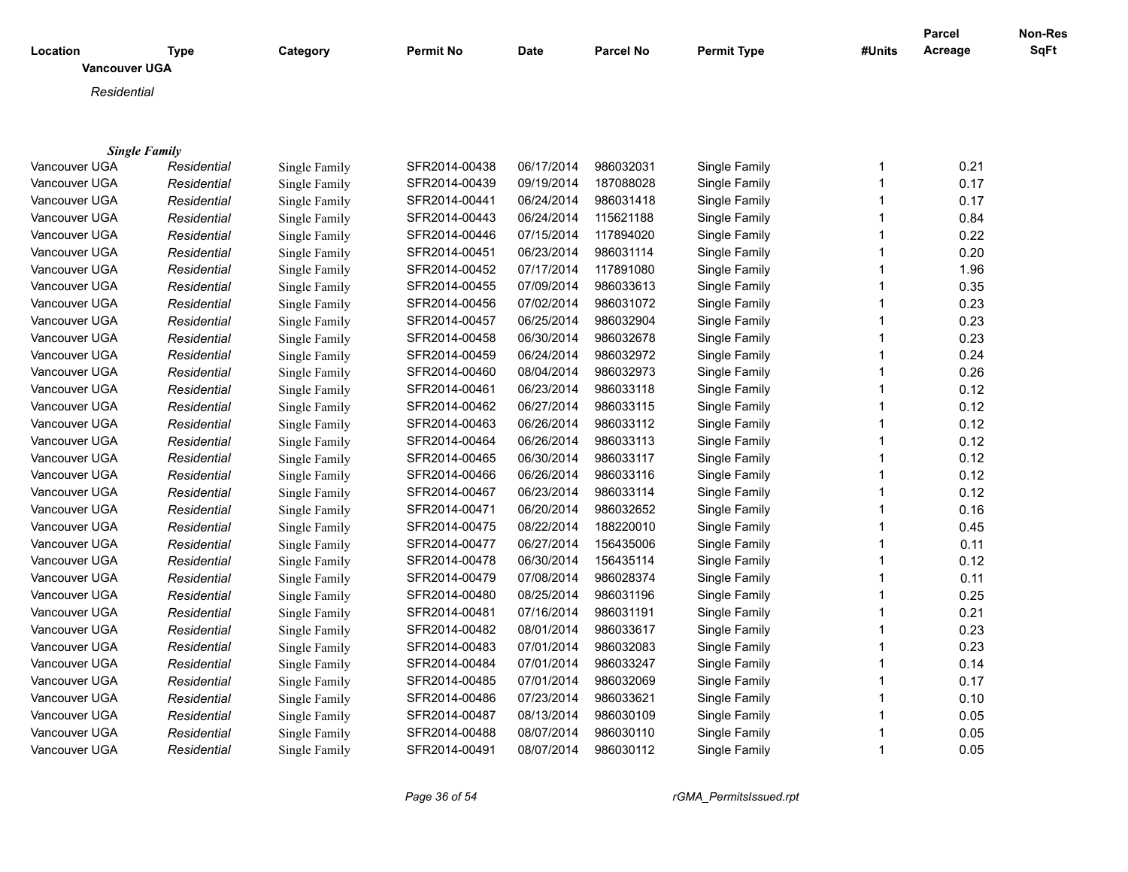|                                  |                      |               |               |             |                  |                    |              | Parcel  | Non-Res |
|----------------------------------|----------------------|---------------|---------------|-------------|------------------|--------------------|--------------|---------|---------|
| Location<br><b>Vancouver UGA</b> | <b>Type</b>          | Category      | Permit No     | <b>Date</b> | <b>Parcel No</b> | <b>Permit Type</b> | #Units       | Acreage | SqFt    |
|                                  |                      |               |               |             |                  |                    |              |         |         |
| Residential                      |                      |               |               |             |                  |                    |              |         |         |
|                                  |                      |               |               |             |                  |                    |              |         |         |
|                                  |                      |               |               |             |                  |                    |              |         |         |
|                                  | <b>Single Family</b> |               |               |             |                  |                    |              |         |         |
| Vancouver UGA                    | Residential          | Single Family | SFR2014-00438 | 06/17/2014  | 986032031        | Single Family      | 1            | 0.21    |         |
| Vancouver UGA                    | Residential          | Single Family | SFR2014-00439 | 09/19/2014  | 187088028        | Single Family      | $\mathbf{1}$ | 0.17    |         |
| Vancouver UGA                    | Residential          | Single Family | SFR2014-00441 | 06/24/2014  | 986031418        | Single Family      | $\mathbf{1}$ | 0.17    |         |
| Vancouver UGA                    | Residential          | Single Family | SFR2014-00443 | 06/24/2014  | 115621188        | Single Family      | $\mathbf 1$  | 0.84    |         |
| Vancouver UGA                    | Residential          | Single Family | SFR2014-00446 | 07/15/2014  | 117894020        | Single Family      | $\mathbf{1}$ | 0.22    |         |
| Vancouver UGA                    | Residential          | Single Family | SFR2014-00451 | 06/23/2014  | 986031114        | Single Family      | $\mathbf{1}$ | 0.20    |         |
| Vancouver UGA                    | Residential          | Single Family | SFR2014-00452 | 07/17/2014  | 117891080        | Single Family      | $\mathbf{1}$ | 1.96    |         |
| Vancouver UGA                    | Residential          | Single Family | SFR2014-00455 | 07/09/2014  | 986033613        | Single Family      | $\mathbf 1$  | 0.35    |         |
| Vancouver UGA                    | Residential          | Single Family | SFR2014-00456 | 07/02/2014  | 986031072        | Single Family      | $\mathbf{1}$ | 0.23    |         |
| Vancouver UGA                    | Residential          | Single Family | SFR2014-00457 | 06/25/2014  | 986032904        | Single Family      | $\mathbf{1}$ | 0.23    |         |
| Vancouver UGA                    | Residential          | Single Family | SFR2014-00458 | 06/30/2014  | 986032678        | Single Family      | $\mathbf{1}$ | 0.23    |         |
| Vancouver UGA                    | Residential          | Single Family | SFR2014-00459 | 06/24/2014  | 986032972        | Single Family      | $\mathbf{1}$ | 0.24    |         |
| Vancouver UGA                    | Residential          | Single Family | SFR2014-00460 | 08/04/2014  | 986032973        | Single Family      | $\mathbf{1}$ | 0.26    |         |
| Vancouver UGA                    | Residential          | Single Family | SFR2014-00461 | 06/23/2014  | 986033118        | Single Family      | $\mathbf{1}$ | 0.12    |         |
| Vancouver UGA                    | Residential          | Single Family | SFR2014-00462 | 06/27/2014  | 986033115        | Single Family      | $\mathbf 1$  | 0.12    |         |
| Vancouver UGA                    | Residential          | Single Family | SFR2014-00463 | 06/26/2014  | 986033112        | Single Family      | $\mathbf 1$  | 0.12    |         |
| Vancouver UGA                    | Residential          | Single Family | SFR2014-00464 | 06/26/2014  | 986033113        | Single Family      | $\mathbf{1}$ | 0.12    |         |
| Vancouver UGA                    | Residential          | Single Family | SFR2014-00465 | 06/30/2014  | 986033117        | Single Family      | $\mathbf{1}$ | 0.12    |         |
| Vancouver UGA                    | Residential          | Single Family | SFR2014-00466 | 06/26/2014  | 986033116        | Single Family      | $\mathbf{1}$ | 0.12    |         |
| Vancouver UGA                    | Residential          | Single Family | SFR2014-00467 | 06/23/2014  | 986033114        | Single Family      | $\mathbf 1$  | 0.12    |         |
| Vancouver UGA                    | Residential          | Single Family | SFR2014-00471 | 06/20/2014  | 986032652        | Single Family      | $\mathbf{1}$ | 0.16    |         |
| Vancouver UGA                    | Residential          | Single Family | SFR2014-00475 | 08/22/2014  | 188220010        | Single Family      | $\mathbf{1}$ | 0.45    |         |
| Vancouver UGA                    | Residential          | Single Family | SFR2014-00477 | 06/27/2014  | 156435006        | Single Family      | $\mathbf 1$  | 0.11    |         |
| Vancouver UGA                    | Residential          | Single Family | SFR2014-00478 | 06/30/2014  | 156435114        | Single Family      | $\mathbf{1}$ | 0.12    |         |
| Vancouver UGA                    | Residential          | Single Family | SFR2014-00479 | 07/08/2014  | 986028374        | Single Family      | $\mathbf{1}$ | 0.11    |         |
| Vancouver UGA                    | Residential          | Single Family | SFR2014-00480 | 08/25/2014  | 986031196        | Single Family      | $\mathbf{1}$ | 0.25    |         |
| Vancouver UGA                    | Residential          | Single Family | SFR2014-00481 | 07/16/2014  | 986031191        | Single Family      | $\mathbf{1}$ | 0.21    |         |
| Vancouver UGA                    | Residential          | Single Family | SFR2014-00482 | 08/01/2014  | 986033617        | Single Family      | $\mathbf{1}$ | 0.23    |         |
| Vancouver UGA                    | Residential          | Single Family | SFR2014-00483 | 07/01/2014  | 986032083        | Single Family      | $\mathbf{1}$ | 0.23    |         |
| Vancouver UGA                    |                      |               | SFR2014-00484 | 07/01/2014  | 986033247        | Single Family      | $\mathbf{1}$ | 0.14    |         |
|                                  | Residential          | Single Family |               |             |                  |                    | $\mathbf{1}$ |         |         |
| Vancouver UGA                    | Residential          | Single Family | SFR2014-00485 | 07/01/2014  | 986032069        | Single Family      | $\mathbf 1$  | 0.17    |         |
| Vancouver UGA                    | Residential          | Single Family | SFR2014-00486 | 07/23/2014  | 986033621        | Single Family      |              | 0.10    |         |
| Vancouver UGA                    | Residential          | Single Family | SFR2014-00487 | 08/13/2014  | 986030109        | Single Family      | $\mathbf 1$  | 0.05    |         |
| Vancouver UGA                    | Residential          | Single Family | SFR2014-00488 | 08/07/2014  | 986030110        | Single Family      | $\mathbf 1$  | 0.05    |         |
| Vancouver UGA                    | Residential          | Single Family | SFR2014-00491 | 08/07/2014  | 986030112        | Single Family      | $\mathbf{1}$ | 0.05    |         |

*Page 36 of 54 rGMA\_PermitsIssued.rpt*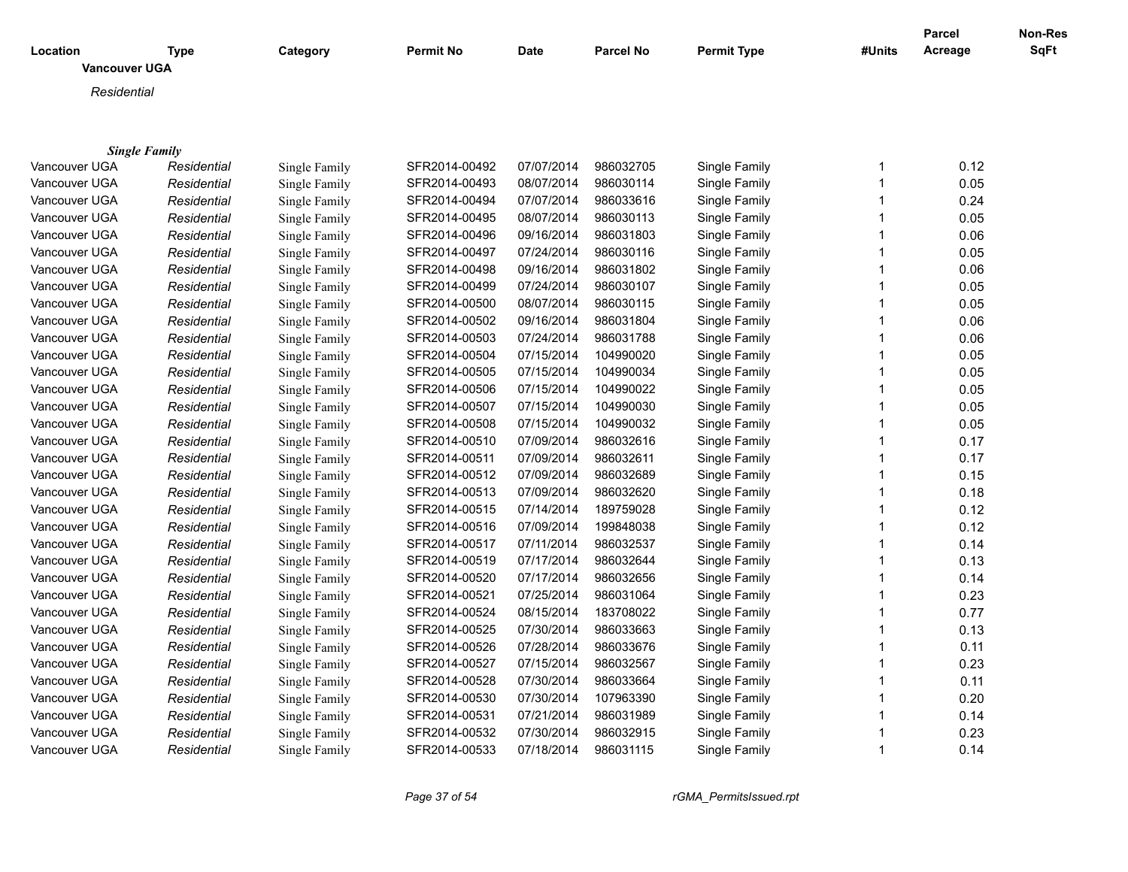|                                  |                      |               |               |             |                  |                    |              | <b>Parcel</b> | Non-Res |
|----------------------------------|----------------------|---------------|---------------|-------------|------------------|--------------------|--------------|---------------|---------|
| Location<br><b>Vancouver UGA</b> | <b>Type</b>          | Category      | Permit No     | <b>Date</b> | <b>Parcel No</b> | <b>Permit Type</b> | #Units       | Acreage       | SqFt    |
|                                  |                      |               |               |             |                  |                    |              |               |         |
| Residential                      |                      |               |               |             |                  |                    |              |               |         |
|                                  |                      |               |               |             |                  |                    |              |               |         |
|                                  |                      |               |               |             |                  |                    |              |               |         |
|                                  | <b>Single Family</b> |               |               |             |                  |                    |              |               |         |
| Vancouver UGA                    | Residential          | Single Family | SFR2014-00492 | 07/07/2014  | 986032705        | Single Family      | 1            | 0.12          |         |
| Vancouver UGA                    | Residential          | Single Family | SFR2014-00493 | 08/07/2014  | 986030114        | Single Family      | $\mathbf 1$  | 0.05          |         |
| Vancouver UGA                    | Residential          | Single Family | SFR2014-00494 | 07/07/2014  | 986033616        | Single Family      | $\mathbf 1$  | 0.24          |         |
| Vancouver UGA                    | Residential          | Single Family | SFR2014-00495 | 08/07/2014  | 986030113        | Single Family      | $\mathbf 1$  | 0.05          |         |
| Vancouver UGA                    | Residential          | Single Family | SFR2014-00496 | 09/16/2014  | 986031803        | Single Family      | $\mathbf{1}$ | 0.06          |         |
| Vancouver UGA                    | Residential          | Single Family | SFR2014-00497 | 07/24/2014  | 986030116        | Single Family      | $\mathbf{1}$ | 0.05          |         |
| Vancouver UGA                    | Residential          | Single Family | SFR2014-00498 | 09/16/2014  | 986031802        | Single Family      | $\mathbf 1$  | 0.06          |         |
| Vancouver UGA                    | Residential          | Single Family | SFR2014-00499 | 07/24/2014  | 986030107        | Single Family      | $\mathbf 1$  | 0.05          |         |
| Vancouver UGA                    | Residential          | Single Family | SFR2014-00500 | 08/07/2014  | 986030115        | Single Family      | $\mathbf{1}$ | 0.05          |         |
| Vancouver UGA                    | Residential          | Single Family | SFR2014-00502 | 09/16/2014  | 986031804        | Single Family      | $\mathbf{1}$ | 0.06          |         |
| Vancouver UGA                    | Residential          | Single Family | SFR2014-00503 | 07/24/2014  | 986031788        | Single Family      | $\mathbf{1}$ | 0.06          |         |
| Vancouver UGA                    | Residential          | Single Family | SFR2014-00504 | 07/15/2014  | 104990020        | Single Family      | $\mathbf{1}$ | 0.05          |         |
| Vancouver UGA                    | Residential          | Single Family | SFR2014-00505 | 07/15/2014  | 104990034        | Single Family      | $\mathbf{1}$ | 0.05          |         |
| Vancouver UGA                    | Residential          | Single Family | SFR2014-00506 | 07/15/2014  | 104990022        | Single Family      | $\mathbf 1$  | 0.05          |         |
| Vancouver UGA                    | Residential          | Single Family | SFR2014-00507 | 07/15/2014  | 104990030        | Single Family      | $\mathbf{1}$ | 0.05          |         |
| Vancouver UGA                    | Residential          | Single Family | SFR2014-00508 | 07/15/2014  | 104990032        | Single Family      | $\mathbf{1}$ | 0.05          |         |
| Vancouver UGA                    | Residential          | Single Family | SFR2014-00510 | 07/09/2014  | 986032616        | Single Family      | $\mathbf{1}$ | 0.17          |         |
| Vancouver UGA                    | Residential          | Single Family | SFR2014-00511 | 07/09/2014  | 986032611        | Single Family      | $\mathbf{1}$ | 0.17          |         |
| Vancouver UGA                    | Residential          | Single Family | SFR2014-00512 | 07/09/2014  | 986032689        | Single Family      | $\mathbf{1}$ | 0.15          |         |
| Vancouver UGA                    | Residential          | Single Family | SFR2014-00513 | 07/09/2014  | 986032620        | Single Family      | $\mathbf{1}$ | 0.18          |         |
| Vancouver UGA                    | Residential          | Single Family | SFR2014-00515 | 07/14/2014  | 189759028        | Single Family      | $\mathbf{1}$ | 0.12          |         |
| Vancouver UGA                    | Residential          | Single Family | SFR2014-00516 | 07/09/2014  | 199848038        | Single Family      | $\mathbf 1$  | 0.12          |         |
| Vancouver UGA                    | Residential          | Single Family | SFR2014-00517 | 07/11/2014  | 986032537        | Single Family      | $\mathbf 1$  | 0.14          |         |
| Vancouver UGA                    |                      |               | SFR2014-00519 | 07/17/2014  | 986032644        | Single Family      | 1            | 0.13          |         |
|                                  | Residential          | Single Family |               |             |                  |                    | $\mathbf 1$  |               |         |
| Vancouver UGA                    | Residential          | Single Family | SFR2014-00520 | 07/17/2014  | 986032656        | Single Family      |              | 0.14          |         |
| Vancouver UGA                    | Residential          | Single Family | SFR2014-00521 | 07/25/2014  | 986031064        | Single Family      | $\mathbf{1}$ | 0.23          |         |
| Vancouver UGA                    | Residential          | Single Family | SFR2014-00524 | 08/15/2014  | 183708022        | Single Family      | $\mathbf{1}$ | 0.77          |         |
| Vancouver UGA                    | Residential          | Single Family | SFR2014-00525 | 07/30/2014  | 986033663        | Single Family      | 1            | 0.13          |         |
| Vancouver UGA                    | Residential          | Single Family | SFR2014-00526 | 07/28/2014  | 986033676        | Single Family      | $\mathbf{1}$ | 0.11          |         |
| Vancouver UGA                    | Residential          | Single Family | SFR2014-00527 | 07/15/2014  | 986032567        | Single Family      | $\mathbf{1}$ | 0.23          |         |
| Vancouver UGA                    | Residential          | Single Family | SFR2014-00528 | 07/30/2014  | 986033664        | Single Family      | $\mathbf{1}$ | 0.11          |         |
| Vancouver UGA                    | Residential          | Single Family | SFR2014-00530 | 07/30/2014  | 107963390        | Single Family      | $\mathbf 1$  | 0.20          |         |
| Vancouver UGA                    | Residential          | Single Family | SFR2014-00531 | 07/21/2014  | 986031989        | Single Family      | 1            | 0.14          |         |
| Vancouver UGA                    | Residential          | Single Family | SFR2014-00532 | 07/30/2014  | 986032915        | Single Family      | $\mathbf{1}$ | 0.23          |         |
| Vancouver UGA                    | Residential          | Single Family | SFR2014-00533 | 07/18/2014  | 986031115        | Single Family      | $\mathbf{1}$ | 0.14          |         |

*Page 37 of 54 rGMA\_PermitsIssued.rpt*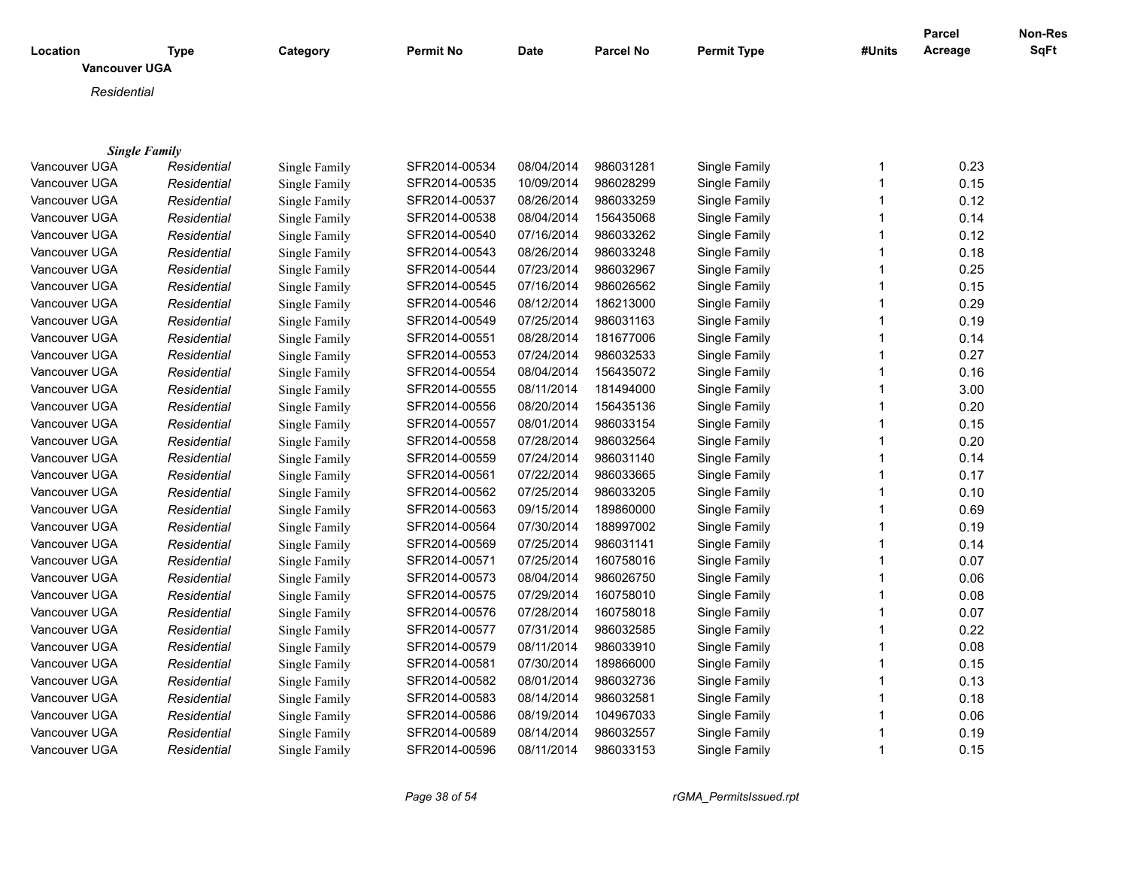| <b>SqFt</b><br>Acreage<br>Location<br><b>Type</b><br>Category<br><b>Permit No</b><br><b>Date</b><br><b>Parcel No</b><br><b>Permit Type</b><br>#Units<br><b>Vancouver UGA</b><br>Residential<br><b>Single Family</b><br>0.23<br>Vancouver UGA<br>SFR2014-00534<br>08/04/2014<br>986031281<br>Single Family<br>Residential<br>Single Family<br>1<br>986028299<br>$\overline{1}$<br>0.15<br>Vancouver UGA<br>Single Family<br>SFR2014-00535<br>10/09/2014<br>Single Family<br>Residential<br>0.12<br>Vancouver UGA<br>Single Family<br>SFR2014-00537<br>08/26/2014<br>986033259<br>Single Family<br>$\overline{1}$<br>Residential<br>1<br>0.14<br>Vancouver UGA<br>Residential<br>Single Family<br>SFR2014-00538<br>08/04/2014<br>156435068<br>Single Family<br>986033262<br>0.12<br>Vancouver UGA<br>SFR2014-00540<br>07/16/2014<br>Single Family<br>$\mathbf 1$<br>Residential<br>Single Family<br>1<br>Vancouver UGA<br>SFR2014-00543<br>08/26/2014<br>986033248<br>Single Family<br>0.18<br>Residential<br>Single Family<br>SFR2014-00544<br>07/23/2014<br>986032967<br>1<br>0.25<br>Vancouver UGA<br>Residential<br>Single Family<br>Single Family<br>SFR2014-00545<br>07/16/2014<br>986026562<br>1<br>0.15<br>Vancouver UGA<br>Residential<br>Single Family<br>Single Family<br>SFR2014-00546<br>08/12/2014<br>186213000<br>$\mathbf{1}$<br>0.29<br>Vancouver UGA<br>Single Family<br>Single Family<br>Residential<br>SFR2014-00549<br>07/25/2014<br>986031163<br>$\overline{1}$<br>0.19<br>Vancouver UGA<br>Residential<br>Single Family<br>Single Family<br>SFR2014-00551<br>08/28/2014<br>181677006<br>$\overline{1}$<br>0.14<br>Vancouver UGA<br>Residential<br>Single Family<br>Single Family<br>SFR2014-00553<br>07/24/2014<br>986032533<br>1<br>0.27<br>Vancouver UGA<br>Residential<br><b>Single Family</b><br>Single Family<br>SFR2014-00554<br>08/04/2014<br>156435072<br>1<br>Vancouver UGA<br>Single Family<br>0.16<br>Residential<br>Single Family<br>SFR2014-00555<br>08/11/2014<br>181494000<br>1<br>Vancouver UGA<br>Single Family<br>3.00<br>Residential<br>Single Family<br>SFR2014-00556<br>08/20/2014<br>156435136<br>$\mathbf 1$<br>0.20<br>Vancouver UGA<br>Residential<br>Single Family<br>Single Family<br>Single Family<br>SFR2014-00557<br>08/01/2014<br>986033154<br>$\mathbf 1$<br>0.15<br>Vancouver UGA<br>Residential<br>Single Family<br>SFR2014-00558<br>07/28/2014<br>986032564<br>$\mathbf{1}$<br>0.20<br>Vancouver UGA<br>Residential<br>Single Family<br>Single Family<br>SFR2014-00559<br>07/24/2014<br>986031140<br>1<br>0.14<br>Vancouver UGA<br>Residential<br>Single Family<br>Single Family<br>SFR2014-00561<br>07/22/2014<br>986033665<br>$\overline{1}$<br>0.17<br>Vancouver UGA<br>Residential<br>Single Family<br>Single Family<br>Residential<br>SFR2014-00562<br>07/25/2014<br>986033205<br>$\mathbf 1$<br>0.10<br>Vancouver UGA<br>Single Family<br>Single Family<br>SFR2014-00563<br>09/15/2014<br>189860000<br>1<br>Vancouver UGA<br>Single Family<br>0.69<br>Residential<br>Single Family<br>188997002<br>Vancouver UGA<br>Residential<br>Single Family<br>SFR2014-00564<br>07/30/2014<br>Single Family<br>1<br>0.19<br>Vancouver UGA<br>Single Family<br>SFR2014-00569<br>07/25/2014<br>986031141<br>Single Family<br>$\mathbf 1$<br>0.14<br>Residential<br>0.07<br>Vancouver UGA<br>Residential<br>Single Family<br>SFR2014-00571<br>07/25/2014<br>160758016<br>Single Family<br>$\mathbf 1$<br>$\overline{1}$<br>Vancouver UGA<br>Single Family<br>SFR2014-00573<br>08/04/2014<br>986026750<br>0.06<br>Residential<br>Single Family<br>Vancouver UGA<br>Single Family<br>SFR2014-00575<br>07/29/2014<br>160758010<br>Single Family<br>1<br>0.08<br>Residential<br>Vancouver UGA<br>SFR2014-00576<br>07/28/2014<br>160758018<br>Single Family<br>$\mathbf 1$<br>0.07<br>Residential<br>Single Family<br>Vancouver UGA<br>SFR2014-00577<br>07/31/2014<br>986032585<br>Single Family<br>$\mathbf 1$<br>0.22<br>Residential<br>Single Family<br>1<br>Vancouver UGA<br>SFR2014-00579<br>08/11/2014<br>986033910<br>0.08<br>Residential<br>Single Family<br>Single Family<br>189866000<br>0.15<br>Vancouver UGA<br>Residential<br>Single Family<br>SFR2014-00581<br>07/30/2014<br>Single Family<br>1<br>$\overline{1}$<br>0.13<br>Vancouver UGA<br>Residential<br>Single Family<br>SFR2014-00582<br>08/01/2014<br>986032736<br>Single Family<br>08/14/2014<br>986032581<br>0.18<br>Vancouver UGA<br>Residential<br>Single Family<br>SFR2014-00583<br>Single Family<br>1<br>$\mathbf{1}$<br>Vancouver UGA<br>Residential<br>Single Family<br>SFR2014-00586<br>08/19/2014<br>104967033<br>Single Family<br>0.06<br>Vancouver UGA<br>Residential<br>Single Family<br>SFR2014-00589<br>08/14/2014<br>986032557<br>Single Family<br>$\mathbf 1$<br>0.19<br>$\mathbf{1}$<br>Vancouver UGA<br>SFR2014-00596<br>08/11/2014<br>986033153<br>0.15<br>Residential |  |               |  |               | <b>Parcel</b> | Non-Res |
|------------------------------------------------------------------------------------------------------------------------------------------------------------------------------------------------------------------------------------------------------------------------------------------------------------------------------------------------------------------------------------------------------------------------------------------------------------------------------------------------------------------------------------------------------------------------------------------------------------------------------------------------------------------------------------------------------------------------------------------------------------------------------------------------------------------------------------------------------------------------------------------------------------------------------------------------------------------------------------------------------------------------------------------------------------------------------------------------------------------------------------------------------------------------------------------------------------------------------------------------------------------------------------------------------------------------------------------------------------------------------------------------------------------------------------------------------------------------------------------------------------------------------------------------------------------------------------------------------------------------------------------------------------------------------------------------------------------------------------------------------------------------------------------------------------------------------------------------------------------------------------------------------------------------------------------------------------------------------------------------------------------------------------------------------------------------------------------------------------------------------------------------------------------------------------------------------------------------------------------------------------------------------------------------------------------------------------------------------------------------------------------------------------------------------------------------------------------------------------------------------------------------------------------------------------------------------------------------------------------------------------------------------------------------------------------------------------------------------------------------------------------------------------------------------------------------------------------------------------------------------------------------------------------------------------------------------------------------------------------------------------------------------------------------------------------------------------------------------------------------------------------------------------------------------------------------------------------------------------------------------------------------------------------------------------------------------------------------------------------------------------------------------------------------------------------------------------------------------------------------------------------------------------------------------------------------------------------------------------------------------------------------------------------------------------------------------------------------------------------------------------------------------------------------------------------------------------------------------------------------------------------------------------------------------------------------------------------------------------------------------------------------------------------------------------------------------------------------------------------------------------------------------------------------------------------------------------------------------------------------------------------------------------------------------------------------------------------------------------------------------------------------------------------------------------------------------------------------------------------------------------------------------------------------------------------------------------------------------------------------------------------------------------------------------------------------------------------------------------------------------------------------------------------------------------------------------------------------------------------------------------------------------------|--|---------------|--|---------------|---------------|---------|
|                                                                                                                                                                                                                                                                                                                                                                                                                                                                                                                                                                                                                                                                                                                                                                                                                                                                                                                                                                                                                                                                                                                                                                                                                                                                                                                                                                                                                                                                                                                                                                                                                                                                                                                                                                                                                                                                                                                                                                                                                                                                                                                                                                                                                                                                                                                                                                                                                                                                                                                                                                                                                                                                                                                                                                                                                                                                                                                                                                                                                                                                                                                                                                                                                                                                                                                                                                                                                                                                                                                                                                                                                                                                                                                                                                                                                                                                                                                                                                                                                                                                                                                                                                                                                                                                                                                                                                                                                                                                                                                                                                                                                                                                                                                                                                                                                                                                                                            |  |               |  |               |               |         |
|                                                                                                                                                                                                                                                                                                                                                                                                                                                                                                                                                                                                                                                                                                                                                                                                                                                                                                                                                                                                                                                                                                                                                                                                                                                                                                                                                                                                                                                                                                                                                                                                                                                                                                                                                                                                                                                                                                                                                                                                                                                                                                                                                                                                                                                                                                                                                                                                                                                                                                                                                                                                                                                                                                                                                                                                                                                                                                                                                                                                                                                                                                                                                                                                                                                                                                                                                                                                                                                                                                                                                                                                                                                                                                                                                                                                                                                                                                                                                                                                                                                                                                                                                                                                                                                                                                                                                                                                                                                                                                                                                                                                                                                                                                                                                                                                                                                                                                            |  |               |  |               |               |         |
|                                                                                                                                                                                                                                                                                                                                                                                                                                                                                                                                                                                                                                                                                                                                                                                                                                                                                                                                                                                                                                                                                                                                                                                                                                                                                                                                                                                                                                                                                                                                                                                                                                                                                                                                                                                                                                                                                                                                                                                                                                                                                                                                                                                                                                                                                                                                                                                                                                                                                                                                                                                                                                                                                                                                                                                                                                                                                                                                                                                                                                                                                                                                                                                                                                                                                                                                                                                                                                                                                                                                                                                                                                                                                                                                                                                                                                                                                                                                                                                                                                                                                                                                                                                                                                                                                                                                                                                                                                                                                                                                                                                                                                                                                                                                                                                                                                                                                                            |  |               |  |               |               |         |
|                                                                                                                                                                                                                                                                                                                                                                                                                                                                                                                                                                                                                                                                                                                                                                                                                                                                                                                                                                                                                                                                                                                                                                                                                                                                                                                                                                                                                                                                                                                                                                                                                                                                                                                                                                                                                                                                                                                                                                                                                                                                                                                                                                                                                                                                                                                                                                                                                                                                                                                                                                                                                                                                                                                                                                                                                                                                                                                                                                                                                                                                                                                                                                                                                                                                                                                                                                                                                                                                                                                                                                                                                                                                                                                                                                                                                                                                                                                                                                                                                                                                                                                                                                                                                                                                                                                                                                                                                                                                                                                                                                                                                                                                                                                                                                                                                                                                                                            |  |               |  |               |               |         |
|                                                                                                                                                                                                                                                                                                                                                                                                                                                                                                                                                                                                                                                                                                                                                                                                                                                                                                                                                                                                                                                                                                                                                                                                                                                                                                                                                                                                                                                                                                                                                                                                                                                                                                                                                                                                                                                                                                                                                                                                                                                                                                                                                                                                                                                                                                                                                                                                                                                                                                                                                                                                                                                                                                                                                                                                                                                                                                                                                                                                                                                                                                                                                                                                                                                                                                                                                                                                                                                                                                                                                                                                                                                                                                                                                                                                                                                                                                                                                                                                                                                                                                                                                                                                                                                                                                                                                                                                                                                                                                                                                                                                                                                                                                                                                                                                                                                                                                            |  |               |  |               |               |         |
|                                                                                                                                                                                                                                                                                                                                                                                                                                                                                                                                                                                                                                                                                                                                                                                                                                                                                                                                                                                                                                                                                                                                                                                                                                                                                                                                                                                                                                                                                                                                                                                                                                                                                                                                                                                                                                                                                                                                                                                                                                                                                                                                                                                                                                                                                                                                                                                                                                                                                                                                                                                                                                                                                                                                                                                                                                                                                                                                                                                                                                                                                                                                                                                                                                                                                                                                                                                                                                                                                                                                                                                                                                                                                                                                                                                                                                                                                                                                                                                                                                                                                                                                                                                                                                                                                                                                                                                                                                                                                                                                                                                                                                                                                                                                                                                                                                                                                                            |  |               |  |               |               |         |
|                                                                                                                                                                                                                                                                                                                                                                                                                                                                                                                                                                                                                                                                                                                                                                                                                                                                                                                                                                                                                                                                                                                                                                                                                                                                                                                                                                                                                                                                                                                                                                                                                                                                                                                                                                                                                                                                                                                                                                                                                                                                                                                                                                                                                                                                                                                                                                                                                                                                                                                                                                                                                                                                                                                                                                                                                                                                                                                                                                                                                                                                                                                                                                                                                                                                                                                                                                                                                                                                                                                                                                                                                                                                                                                                                                                                                                                                                                                                                                                                                                                                                                                                                                                                                                                                                                                                                                                                                                                                                                                                                                                                                                                                                                                                                                                                                                                                                                            |  |               |  |               |               |         |
|                                                                                                                                                                                                                                                                                                                                                                                                                                                                                                                                                                                                                                                                                                                                                                                                                                                                                                                                                                                                                                                                                                                                                                                                                                                                                                                                                                                                                                                                                                                                                                                                                                                                                                                                                                                                                                                                                                                                                                                                                                                                                                                                                                                                                                                                                                                                                                                                                                                                                                                                                                                                                                                                                                                                                                                                                                                                                                                                                                                                                                                                                                                                                                                                                                                                                                                                                                                                                                                                                                                                                                                                                                                                                                                                                                                                                                                                                                                                                                                                                                                                                                                                                                                                                                                                                                                                                                                                                                                                                                                                                                                                                                                                                                                                                                                                                                                                                                            |  |               |  |               |               |         |
|                                                                                                                                                                                                                                                                                                                                                                                                                                                                                                                                                                                                                                                                                                                                                                                                                                                                                                                                                                                                                                                                                                                                                                                                                                                                                                                                                                                                                                                                                                                                                                                                                                                                                                                                                                                                                                                                                                                                                                                                                                                                                                                                                                                                                                                                                                                                                                                                                                                                                                                                                                                                                                                                                                                                                                                                                                                                                                                                                                                                                                                                                                                                                                                                                                                                                                                                                                                                                                                                                                                                                                                                                                                                                                                                                                                                                                                                                                                                                                                                                                                                                                                                                                                                                                                                                                                                                                                                                                                                                                                                                                                                                                                                                                                                                                                                                                                                                                            |  |               |  |               |               |         |
|                                                                                                                                                                                                                                                                                                                                                                                                                                                                                                                                                                                                                                                                                                                                                                                                                                                                                                                                                                                                                                                                                                                                                                                                                                                                                                                                                                                                                                                                                                                                                                                                                                                                                                                                                                                                                                                                                                                                                                                                                                                                                                                                                                                                                                                                                                                                                                                                                                                                                                                                                                                                                                                                                                                                                                                                                                                                                                                                                                                                                                                                                                                                                                                                                                                                                                                                                                                                                                                                                                                                                                                                                                                                                                                                                                                                                                                                                                                                                                                                                                                                                                                                                                                                                                                                                                                                                                                                                                                                                                                                                                                                                                                                                                                                                                                                                                                                                                            |  |               |  |               |               |         |
|                                                                                                                                                                                                                                                                                                                                                                                                                                                                                                                                                                                                                                                                                                                                                                                                                                                                                                                                                                                                                                                                                                                                                                                                                                                                                                                                                                                                                                                                                                                                                                                                                                                                                                                                                                                                                                                                                                                                                                                                                                                                                                                                                                                                                                                                                                                                                                                                                                                                                                                                                                                                                                                                                                                                                                                                                                                                                                                                                                                                                                                                                                                                                                                                                                                                                                                                                                                                                                                                                                                                                                                                                                                                                                                                                                                                                                                                                                                                                                                                                                                                                                                                                                                                                                                                                                                                                                                                                                                                                                                                                                                                                                                                                                                                                                                                                                                                                                            |  |               |  |               |               |         |
|                                                                                                                                                                                                                                                                                                                                                                                                                                                                                                                                                                                                                                                                                                                                                                                                                                                                                                                                                                                                                                                                                                                                                                                                                                                                                                                                                                                                                                                                                                                                                                                                                                                                                                                                                                                                                                                                                                                                                                                                                                                                                                                                                                                                                                                                                                                                                                                                                                                                                                                                                                                                                                                                                                                                                                                                                                                                                                                                                                                                                                                                                                                                                                                                                                                                                                                                                                                                                                                                                                                                                                                                                                                                                                                                                                                                                                                                                                                                                                                                                                                                                                                                                                                                                                                                                                                                                                                                                                                                                                                                                                                                                                                                                                                                                                                                                                                                                                            |  |               |  |               |               |         |
|                                                                                                                                                                                                                                                                                                                                                                                                                                                                                                                                                                                                                                                                                                                                                                                                                                                                                                                                                                                                                                                                                                                                                                                                                                                                                                                                                                                                                                                                                                                                                                                                                                                                                                                                                                                                                                                                                                                                                                                                                                                                                                                                                                                                                                                                                                                                                                                                                                                                                                                                                                                                                                                                                                                                                                                                                                                                                                                                                                                                                                                                                                                                                                                                                                                                                                                                                                                                                                                                                                                                                                                                                                                                                                                                                                                                                                                                                                                                                                                                                                                                                                                                                                                                                                                                                                                                                                                                                                                                                                                                                                                                                                                                                                                                                                                                                                                                                                            |  |               |  |               |               |         |
|                                                                                                                                                                                                                                                                                                                                                                                                                                                                                                                                                                                                                                                                                                                                                                                                                                                                                                                                                                                                                                                                                                                                                                                                                                                                                                                                                                                                                                                                                                                                                                                                                                                                                                                                                                                                                                                                                                                                                                                                                                                                                                                                                                                                                                                                                                                                                                                                                                                                                                                                                                                                                                                                                                                                                                                                                                                                                                                                                                                                                                                                                                                                                                                                                                                                                                                                                                                                                                                                                                                                                                                                                                                                                                                                                                                                                                                                                                                                                                                                                                                                                                                                                                                                                                                                                                                                                                                                                                                                                                                                                                                                                                                                                                                                                                                                                                                                                                            |  |               |  |               |               |         |
|                                                                                                                                                                                                                                                                                                                                                                                                                                                                                                                                                                                                                                                                                                                                                                                                                                                                                                                                                                                                                                                                                                                                                                                                                                                                                                                                                                                                                                                                                                                                                                                                                                                                                                                                                                                                                                                                                                                                                                                                                                                                                                                                                                                                                                                                                                                                                                                                                                                                                                                                                                                                                                                                                                                                                                                                                                                                                                                                                                                                                                                                                                                                                                                                                                                                                                                                                                                                                                                                                                                                                                                                                                                                                                                                                                                                                                                                                                                                                                                                                                                                                                                                                                                                                                                                                                                                                                                                                                                                                                                                                                                                                                                                                                                                                                                                                                                                                                            |  |               |  |               |               |         |
|                                                                                                                                                                                                                                                                                                                                                                                                                                                                                                                                                                                                                                                                                                                                                                                                                                                                                                                                                                                                                                                                                                                                                                                                                                                                                                                                                                                                                                                                                                                                                                                                                                                                                                                                                                                                                                                                                                                                                                                                                                                                                                                                                                                                                                                                                                                                                                                                                                                                                                                                                                                                                                                                                                                                                                                                                                                                                                                                                                                                                                                                                                                                                                                                                                                                                                                                                                                                                                                                                                                                                                                                                                                                                                                                                                                                                                                                                                                                                                                                                                                                                                                                                                                                                                                                                                                                                                                                                                                                                                                                                                                                                                                                                                                                                                                                                                                                                                            |  |               |  |               |               |         |
|                                                                                                                                                                                                                                                                                                                                                                                                                                                                                                                                                                                                                                                                                                                                                                                                                                                                                                                                                                                                                                                                                                                                                                                                                                                                                                                                                                                                                                                                                                                                                                                                                                                                                                                                                                                                                                                                                                                                                                                                                                                                                                                                                                                                                                                                                                                                                                                                                                                                                                                                                                                                                                                                                                                                                                                                                                                                                                                                                                                                                                                                                                                                                                                                                                                                                                                                                                                                                                                                                                                                                                                                                                                                                                                                                                                                                                                                                                                                                                                                                                                                                                                                                                                                                                                                                                                                                                                                                                                                                                                                                                                                                                                                                                                                                                                                                                                                                                            |  |               |  |               |               |         |
|                                                                                                                                                                                                                                                                                                                                                                                                                                                                                                                                                                                                                                                                                                                                                                                                                                                                                                                                                                                                                                                                                                                                                                                                                                                                                                                                                                                                                                                                                                                                                                                                                                                                                                                                                                                                                                                                                                                                                                                                                                                                                                                                                                                                                                                                                                                                                                                                                                                                                                                                                                                                                                                                                                                                                                                                                                                                                                                                                                                                                                                                                                                                                                                                                                                                                                                                                                                                                                                                                                                                                                                                                                                                                                                                                                                                                                                                                                                                                                                                                                                                                                                                                                                                                                                                                                                                                                                                                                                                                                                                                                                                                                                                                                                                                                                                                                                                                                            |  |               |  |               |               |         |
|                                                                                                                                                                                                                                                                                                                                                                                                                                                                                                                                                                                                                                                                                                                                                                                                                                                                                                                                                                                                                                                                                                                                                                                                                                                                                                                                                                                                                                                                                                                                                                                                                                                                                                                                                                                                                                                                                                                                                                                                                                                                                                                                                                                                                                                                                                                                                                                                                                                                                                                                                                                                                                                                                                                                                                                                                                                                                                                                                                                                                                                                                                                                                                                                                                                                                                                                                                                                                                                                                                                                                                                                                                                                                                                                                                                                                                                                                                                                                                                                                                                                                                                                                                                                                                                                                                                                                                                                                                                                                                                                                                                                                                                                                                                                                                                                                                                                                                            |  |               |  |               |               |         |
|                                                                                                                                                                                                                                                                                                                                                                                                                                                                                                                                                                                                                                                                                                                                                                                                                                                                                                                                                                                                                                                                                                                                                                                                                                                                                                                                                                                                                                                                                                                                                                                                                                                                                                                                                                                                                                                                                                                                                                                                                                                                                                                                                                                                                                                                                                                                                                                                                                                                                                                                                                                                                                                                                                                                                                                                                                                                                                                                                                                                                                                                                                                                                                                                                                                                                                                                                                                                                                                                                                                                                                                                                                                                                                                                                                                                                                                                                                                                                                                                                                                                                                                                                                                                                                                                                                                                                                                                                                                                                                                                                                                                                                                                                                                                                                                                                                                                                                            |  |               |  |               |               |         |
|                                                                                                                                                                                                                                                                                                                                                                                                                                                                                                                                                                                                                                                                                                                                                                                                                                                                                                                                                                                                                                                                                                                                                                                                                                                                                                                                                                                                                                                                                                                                                                                                                                                                                                                                                                                                                                                                                                                                                                                                                                                                                                                                                                                                                                                                                                                                                                                                                                                                                                                                                                                                                                                                                                                                                                                                                                                                                                                                                                                                                                                                                                                                                                                                                                                                                                                                                                                                                                                                                                                                                                                                                                                                                                                                                                                                                                                                                                                                                                                                                                                                                                                                                                                                                                                                                                                                                                                                                                                                                                                                                                                                                                                                                                                                                                                                                                                                                                            |  |               |  |               |               |         |
|                                                                                                                                                                                                                                                                                                                                                                                                                                                                                                                                                                                                                                                                                                                                                                                                                                                                                                                                                                                                                                                                                                                                                                                                                                                                                                                                                                                                                                                                                                                                                                                                                                                                                                                                                                                                                                                                                                                                                                                                                                                                                                                                                                                                                                                                                                                                                                                                                                                                                                                                                                                                                                                                                                                                                                                                                                                                                                                                                                                                                                                                                                                                                                                                                                                                                                                                                                                                                                                                                                                                                                                                                                                                                                                                                                                                                                                                                                                                                                                                                                                                                                                                                                                                                                                                                                                                                                                                                                                                                                                                                                                                                                                                                                                                                                                                                                                                                                            |  |               |  |               |               |         |
|                                                                                                                                                                                                                                                                                                                                                                                                                                                                                                                                                                                                                                                                                                                                                                                                                                                                                                                                                                                                                                                                                                                                                                                                                                                                                                                                                                                                                                                                                                                                                                                                                                                                                                                                                                                                                                                                                                                                                                                                                                                                                                                                                                                                                                                                                                                                                                                                                                                                                                                                                                                                                                                                                                                                                                                                                                                                                                                                                                                                                                                                                                                                                                                                                                                                                                                                                                                                                                                                                                                                                                                                                                                                                                                                                                                                                                                                                                                                                                                                                                                                                                                                                                                                                                                                                                                                                                                                                                                                                                                                                                                                                                                                                                                                                                                                                                                                                                            |  |               |  |               |               |         |
|                                                                                                                                                                                                                                                                                                                                                                                                                                                                                                                                                                                                                                                                                                                                                                                                                                                                                                                                                                                                                                                                                                                                                                                                                                                                                                                                                                                                                                                                                                                                                                                                                                                                                                                                                                                                                                                                                                                                                                                                                                                                                                                                                                                                                                                                                                                                                                                                                                                                                                                                                                                                                                                                                                                                                                                                                                                                                                                                                                                                                                                                                                                                                                                                                                                                                                                                                                                                                                                                                                                                                                                                                                                                                                                                                                                                                                                                                                                                                                                                                                                                                                                                                                                                                                                                                                                                                                                                                                                                                                                                                                                                                                                                                                                                                                                                                                                                                                            |  |               |  |               |               |         |
|                                                                                                                                                                                                                                                                                                                                                                                                                                                                                                                                                                                                                                                                                                                                                                                                                                                                                                                                                                                                                                                                                                                                                                                                                                                                                                                                                                                                                                                                                                                                                                                                                                                                                                                                                                                                                                                                                                                                                                                                                                                                                                                                                                                                                                                                                                                                                                                                                                                                                                                                                                                                                                                                                                                                                                                                                                                                                                                                                                                                                                                                                                                                                                                                                                                                                                                                                                                                                                                                                                                                                                                                                                                                                                                                                                                                                                                                                                                                                                                                                                                                                                                                                                                                                                                                                                                                                                                                                                                                                                                                                                                                                                                                                                                                                                                                                                                                                                            |  |               |  |               |               |         |
|                                                                                                                                                                                                                                                                                                                                                                                                                                                                                                                                                                                                                                                                                                                                                                                                                                                                                                                                                                                                                                                                                                                                                                                                                                                                                                                                                                                                                                                                                                                                                                                                                                                                                                                                                                                                                                                                                                                                                                                                                                                                                                                                                                                                                                                                                                                                                                                                                                                                                                                                                                                                                                                                                                                                                                                                                                                                                                                                                                                                                                                                                                                                                                                                                                                                                                                                                                                                                                                                                                                                                                                                                                                                                                                                                                                                                                                                                                                                                                                                                                                                                                                                                                                                                                                                                                                                                                                                                                                                                                                                                                                                                                                                                                                                                                                                                                                                                                            |  |               |  |               |               |         |
|                                                                                                                                                                                                                                                                                                                                                                                                                                                                                                                                                                                                                                                                                                                                                                                                                                                                                                                                                                                                                                                                                                                                                                                                                                                                                                                                                                                                                                                                                                                                                                                                                                                                                                                                                                                                                                                                                                                                                                                                                                                                                                                                                                                                                                                                                                                                                                                                                                                                                                                                                                                                                                                                                                                                                                                                                                                                                                                                                                                                                                                                                                                                                                                                                                                                                                                                                                                                                                                                                                                                                                                                                                                                                                                                                                                                                                                                                                                                                                                                                                                                                                                                                                                                                                                                                                                                                                                                                                                                                                                                                                                                                                                                                                                                                                                                                                                                                                            |  |               |  |               |               |         |
|                                                                                                                                                                                                                                                                                                                                                                                                                                                                                                                                                                                                                                                                                                                                                                                                                                                                                                                                                                                                                                                                                                                                                                                                                                                                                                                                                                                                                                                                                                                                                                                                                                                                                                                                                                                                                                                                                                                                                                                                                                                                                                                                                                                                                                                                                                                                                                                                                                                                                                                                                                                                                                                                                                                                                                                                                                                                                                                                                                                                                                                                                                                                                                                                                                                                                                                                                                                                                                                                                                                                                                                                                                                                                                                                                                                                                                                                                                                                                                                                                                                                                                                                                                                                                                                                                                                                                                                                                                                                                                                                                                                                                                                                                                                                                                                                                                                                                                            |  |               |  |               |               |         |
|                                                                                                                                                                                                                                                                                                                                                                                                                                                                                                                                                                                                                                                                                                                                                                                                                                                                                                                                                                                                                                                                                                                                                                                                                                                                                                                                                                                                                                                                                                                                                                                                                                                                                                                                                                                                                                                                                                                                                                                                                                                                                                                                                                                                                                                                                                                                                                                                                                                                                                                                                                                                                                                                                                                                                                                                                                                                                                                                                                                                                                                                                                                                                                                                                                                                                                                                                                                                                                                                                                                                                                                                                                                                                                                                                                                                                                                                                                                                                                                                                                                                                                                                                                                                                                                                                                                                                                                                                                                                                                                                                                                                                                                                                                                                                                                                                                                                                                            |  |               |  |               |               |         |
|                                                                                                                                                                                                                                                                                                                                                                                                                                                                                                                                                                                                                                                                                                                                                                                                                                                                                                                                                                                                                                                                                                                                                                                                                                                                                                                                                                                                                                                                                                                                                                                                                                                                                                                                                                                                                                                                                                                                                                                                                                                                                                                                                                                                                                                                                                                                                                                                                                                                                                                                                                                                                                                                                                                                                                                                                                                                                                                                                                                                                                                                                                                                                                                                                                                                                                                                                                                                                                                                                                                                                                                                                                                                                                                                                                                                                                                                                                                                                                                                                                                                                                                                                                                                                                                                                                                                                                                                                                                                                                                                                                                                                                                                                                                                                                                                                                                                                                            |  |               |  |               |               |         |
|                                                                                                                                                                                                                                                                                                                                                                                                                                                                                                                                                                                                                                                                                                                                                                                                                                                                                                                                                                                                                                                                                                                                                                                                                                                                                                                                                                                                                                                                                                                                                                                                                                                                                                                                                                                                                                                                                                                                                                                                                                                                                                                                                                                                                                                                                                                                                                                                                                                                                                                                                                                                                                                                                                                                                                                                                                                                                                                                                                                                                                                                                                                                                                                                                                                                                                                                                                                                                                                                                                                                                                                                                                                                                                                                                                                                                                                                                                                                                                                                                                                                                                                                                                                                                                                                                                                                                                                                                                                                                                                                                                                                                                                                                                                                                                                                                                                                                                            |  |               |  |               |               |         |
|                                                                                                                                                                                                                                                                                                                                                                                                                                                                                                                                                                                                                                                                                                                                                                                                                                                                                                                                                                                                                                                                                                                                                                                                                                                                                                                                                                                                                                                                                                                                                                                                                                                                                                                                                                                                                                                                                                                                                                                                                                                                                                                                                                                                                                                                                                                                                                                                                                                                                                                                                                                                                                                                                                                                                                                                                                                                                                                                                                                                                                                                                                                                                                                                                                                                                                                                                                                                                                                                                                                                                                                                                                                                                                                                                                                                                                                                                                                                                                                                                                                                                                                                                                                                                                                                                                                                                                                                                                                                                                                                                                                                                                                                                                                                                                                                                                                                                                            |  |               |  |               |               |         |
|                                                                                                                                                                                                                                                                                                                                                                                                                                                                                                                                                                                                                                                                                                                                                                                                                                                                                                                                                                                                                                                                                                                                                                                                                                                                                                                                                                                                                                                                                                                                                                                                                                                                                                                                                                                                                                                                                                                                                                                                                                                                                                                                                                                                                                                                                                                                                                                                                                                                                                                                                                                                                                                                                                                                                                                                                                                                                                                                                                                                                                                                                                                                                                                                                                                                                                                                                                                                                                                                                                                                                                                                                                                                                                                                                                                                                                                                                                                                                                                                                                                                                                                                                                                                                                                                                                                                                                                                                                                                                                                                                                                                                                                                                                                                                                                                                                                                                                            |  |               |  |               |               |         |
|                                                                                                                                                                                                                                                                                                                                                                                                                                                                                                                                                                                                                                                                                                                                                                                                                                                                                                                                                                                                                                                                                                                                                                                                                                                                                                                                                                                                                                                                                                                                                                                                                                                                                                                                                                                                                                                                                                                                                                                                                                                                                                                                                                                                                                                                                                                                                                                                                                                                                                                                                                                                                                                                                                                                                                                                                                                                                                                                                                                                                                                                                                                                                                                                                                                                                                                                                                                                                                                                                                                                                                                                                                                                                                                                                                                                                                                                                                                                                                                                                                                                                                                                                                                                                                                                                                                                                                                                                                                                                                                                                                                                                                                                                                                                                                                                                                                                                                            |  |               |  |               |               |         |
|                                                                                                                                                                                                                                                                                                                                                                                                                                                                                                                                                                                                                                                                                                                                                                                                                                                                                                                                                                                                                                                                                                                                                                                                                                                                                                                                                                                                                                                                                                                                                                                                                                                                                                                                                                                                                                                                                                                                                                                                                                                                                                                                                                                                                                                                                                                                                                                                                                                                                                                                                                                                                                                                                                                                                                                                                                                                                                                                                                                                                                                                                                                                                                                                                                                                                                                                                                                                                                                                                                                                                                                                                                                                                                                                                                                                                                                                                                                                                                                                                                                                                                                                                                                                                                                                                                                                                                                                                                                                                                                                                                                                                                                                                                                                                                                                                                                                                                            |  |               |  |               |               |         |
|                                                                                                                                                                                                                                                                                                                                                                                                                                                                                                                                                                                                                                                                                                                                                                                                                                                                                                                                                                                                                                                                                                                                                                                                                                                                                                                                                                                                                                                                                                                                                                                                                                                                                                                                                                                                                                                                                                                                                                                                                                                                                                                                                                                                                                                                                                                                                                                                                                                                                                                                                                                                                                                                                                                                                                                                                                                                                                                                                                                                                                                                                                                                                                                                                                                                                                                                                                                                                                                                                                                                                                                                                                                                                                                                                                                                                                                                                                                                                                                                                                                                                                                                                                                                                                                                                                                                                                                                                                                                                                                                                                                                                                                                                                                                                                                                                                                                                                            |  |               |  |               |               |         |
|                                                                                                                                                                                                                                                                                                                                                                                                                                                                                                                                                                                                                                                                                                                                                                                                                                                                                                                                                                                                                                                                                                                                                                                                                                                                                                                                                                                                                                                                                                                                                                                                                                                                                                                                                                                                                                                                                                                                                                                                                                                                                                                                                                                                                                                                                                                                                                                                                                                                                                                                                                                                                                                                                                                                                                                                                                                                                                                                                                                                                                                                                                                                                                                                                                                                                                                                                                                                                                                                                                                                                                                                                                                                                                                                                                                                                                                                                                                                                                                                                                                                                                                                                                                                                                                                                                                                                                                                                                                                                                                                                                                                                                                                                                                                                                                                                                                                                                            |  |               |  |               |               |         |
|                                                                                                                                                                                                                                                                                                                                                                                                                                                                                                                                                                                                                                                                                                                                                                                                                                                                                                                                                                                                                                                                                                                                                                                                                                                                                                                                                                                                                                                                                                                                                                                                                                                                                                                                                                                                                                                                                                                                                                                                                                                                                                                                                                                                                                                                                                                                                                                                                                                                                                                                                                                                                                                                                                                                                                                                                                                                                                                                                                                                                                                                                                                                                                                                                                                                                                                                                                                                                                                                                                                                                                                                                                                                                                                                                                                                                                                                                                                                                                                                                                                                                                                                                                                                                                                                                                                                                                                                                                                                                                                                                                                                                                                                                                                                                                                                                                                                                                            |  |               |  |               |               |         |
|                                                                                                                                                                                                                                                                                                                                                                                                                                                                                                                                                                                                                                                                                                                                                                                                                                                                                                                                                                                                                                                                                                                                                                                                                                                                                                                                                                                                                                                                                                                                                                                                                                                                                                                                                                                                                                                                                                                                                                                                                                                                                                                                                                                                                                                                                                                                                                                                                                                                                                                                                                                                                                                                                                                                                                                                                                                                                                                                                                                                                                                                                                                                                                                                                                                                                                                                                                                                                                                                                                                                                                                                                                                                                                                                                                                                                                                                                                                                                                                                                                                                                                                                                                                                                                                                                                                                                                                                                                                                                                                                                                                                                                                                                                                                                                                                                                                                                                            |  |               |  |               |               |         |
|                                                                                                                                                                                                                                                                                                                                                                                                                                                                                                                                                                                                                                                                                                                                                                                                                                                                                                                                                                                                                                                                                                                                                                                                                                                                                                                                                                                                                                                                                                                                                                                                                                                                                                                                                                                                                                                                                                                                                                                                                                                                                                                                                                                                                                                                                                                                                                                                                                                                                                                                                                                                                                                                                                                                                                                                                                                                                                                                                                                                                                                                                                                                                                                                                                                                                                                                                                                                                                                                                                                                                                                                                                                                                                                                                                                                                                                                                                                                                                                                                                                                                                                                                                                                                                                                                                                                                                                                                                                                                                                                                                                                                                                                                                                                                                                                                                                                                                            |  |               |  |               |               |         |
|                                                                                                                                                                                                                                                                                                                                                                                                                                                                                                                                                                                                                                                                                                                                                                                                                                                                                                                                                                                                                                                                                                                                                                                                                                                                                                                                                                                                                                                                                                                                                                                                                                                                                                                                                                                                                                                                                                                                                                                                                                                                                                                                                                                                                                                                                                                                                                                                                                                                                                                                                                                                                                                                                                                                                                                                                                                                                                                                                                                                                                                                                                                                                                                                                                                                                                                                                                                                                                                                                                                                                                                                                                                                                                                                                                                                                                                                                                                                                                                                                                                                                                                                                                                                                                                                                                                                                                                                                                                                                                                                                                                                                                                                                                                                                                                                                                                                                                            |  | Single Family |  | Single Family |               |         |

*Page 38 of 54 rGMA\_PermitsIssued.rpt*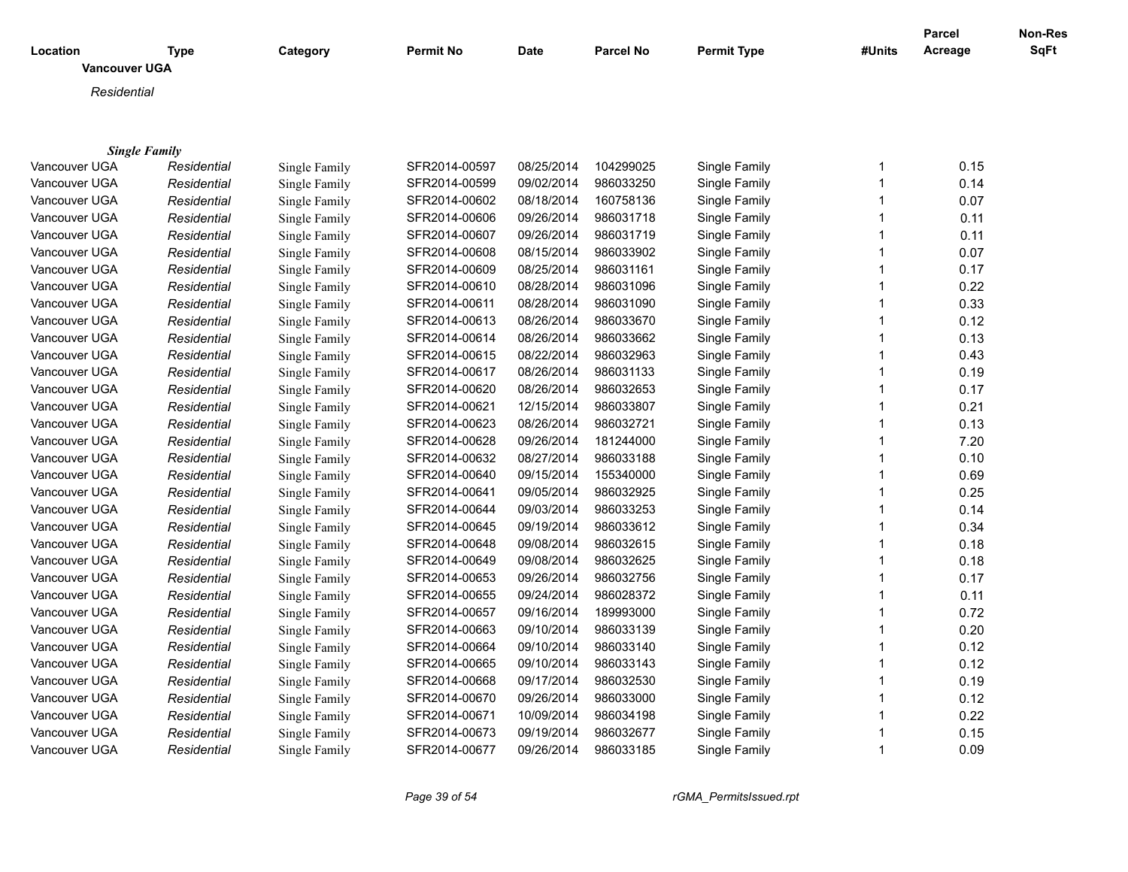|                                  |                                     |               |               |            |                  |                    |              | <b>Parcel</b> | Non-Res |
|----------------------------------|-------------------------------------|---------------|---------------|------------|------------------|--------------------|--------------|---------------|---------|
| Location<br><b>Vancouver UGA</b> | <b>Type</b>                         | Category      | Permit No     | Date       | <b>Parcel No</b> | <b>Permit Type</b> | #Units       | Acreage       | SqFt    |
|                                  |                                     |               |               |            |                  |                    |              |               |         |
| Residential                      |                                     |               |               |            |                  |                    |              |               |         |
|                                  |                                     |               |               |            |                  |                    |              |               |         |
|                                  |                                     |               |               |            |                  |                    |              |               |         |
| Vancouver UGA                    | <b>Single Family</b><br>Residential | Single Family | SFR2014-00597 | 08/25/2014 | 104299025        | Single Family      | $\mathbf{1}$ | 0.15          |         |
| Vancouver UGA                    | Residential                         | Single Family | SFR2014-00599 | 09/02/2014 | 986033250        | Single Family      | $\mathbf{1}$ | 0.14          |         |
| Vancouver UGA                    | Residential                         | Single Family | SFR2014-00602 | 08/18/2014 | 160758136        | Single Family      | $\mathbf{1}$ | 0.07          |         |
| Vancouver UGA                    | Residential                         | Single Family | SFR2014-00606 | 09/26/2014 | 986031718        | Single Family      | $\mathbf{1}$ | 0.11          |         |
| Vancouver UGA                    | Residential                         | Single Family | SFR2014-00607 | 09/26/2014 | 986031719        | Single Family      | $\mathbf{1}$ | 0.11          |         |
| Vancouver UGA                    | Residential                         | Single Family | SFR2014-00608 | 08/15/2014 | 986033902        | Single Family      | 1            | 0.07          |         |
| Vancouver UGA                    | Residential                         | Single Family | SFR2014-00609 | 08/25/2014 | 986031161        | Single Family      | $\mathbf{1}$ | 0.17          |         |
| Vancouver UGA                    | Residential                         | Single Family | SFR2014-00610 | 08/28/2014 | 986031096        | Single Family      | $\mathbf{1}$ | 0.22          |         |
| Vancouver UGA                    | Residential                         | Single Family | SFR2014-00611 | 08/28/2014 | 986031090        | Single Family      | $\mathbf{1}$ | 0.33          |         |
| Vancouver UGA                    | Residential                         | Single Family | SFR2014-00613 | 08/26/2014 | 986033670        | Single Family      | $\mathbf{1}$ | 0.12          |         |
| Vancouver UGA                    | Residential                         | Single Family | SFR2014-00614 | 08/26/2014 | 986033662        | Single Family      | $\mathbf{1}$ | 0.13          |         |
| Vancouver UGA                    | Residential                         | Single Family | SFR2014-00615 | 08/22/2014 | 986032963        | Single Family      | $\mathbf{1}$ | 0.43          |         |
| Vancouver UGA                    | Residential                         | Single Family | SFR2014-00617 | 08/26/2014 | 986031133        | Single Family      | $\mathbf{1}$ | 0.19          |         |
| Vancouver UGA                    | Residential                         | Single Family | SFR2014-00620 | 08/26/2014 | 986032653        | Single Family      | 1            | 0.17          |         |
| Vancouver UGA                    | Residential                         | Single Family | SFR2014-00621 | 12/15/2014 | 986033807        | Single Family      | $\mathbf 1$  | 0.21          |         |
|                                  |                                     |               |               | 08/26/2014 |                  | Single Family      | $\mathbf 1$  | 0.13          |         |
| Vancouver UGA                    | Residential                         | Single Family | SFR2014-00623 |            | 986032721        |                    | $\mathbf{1}$ |               |         |
| Vancouver UGA                    | Residential                         | Single Family | SFR2014-00628 | 09/26/2014 | 181244000        | Single Family      | $\mathbf{1}$ | 7.20          |         |
| Vancouver UGA                    | Residential                         | Single Family | SFR2014-00632 | 08/27/2014 | 986033188        | Single Family      |              | 0.10          |         |
| Vancouver UGA                    | Residential                         | Single Family | SFR2014-00640 | 09/15/2014 | 155340000        | Single Family      | $\mathbf{1}$ | 0.69          |         |
| Vancouver UGA                    | Residential                         | Single Family | SFR2014-00641 | 09/05/2014 | 986032925        | Single Family      | $\mathbf{1}$ | 0.25          |         |
| Vancouver UGA                    | Residential                         | Single Family | SFR2014-00644 | 09/03/2014 | 986033253        | Single Family      | $\mathbf{1}$ | 0.14          |         |
| Vancouver UGA                    | Residential                         | Single Family | SFR2014-00645 | 09/19/2014 | 986033612        | Single Family      | $\mathbf{1}$ | 0.34          |         |
| Vancouver UGA                    | Residential                         | Single Family | SFR2014-00648 | 09/08/2014 | 986032615        | Single Family      | $\mathbf{1}$ | 0.18          |         |
| Vancouver UGA                    | Residential                         | Single Family | SFR2014-00649 | 09/08/2014 | 986032625        | Single Family      | $\mathbf{1}$ | 0.18          |         |
| Vancouver UGA                    | Residential                         | Single Family | SFR2014-00653 | 09/26/2014 | 986032756        | Single Family      | $\mathbf{1}$ | 0.17          |         |
| Vancouver UGA                    | Residential                         | Single Family | SFR2014-00655 | 09/24/2014 | 986028372        | Single Family      | $\mathbf{1}$ | 0.11          |         |
| Vancouver UGA                    | Residential                         | Single Family | SFR2014-00657 | 09/16/2014 | 189993000        | Single Family      | $\mathbf{1}$ | 0.72          |         |
| Vancouver UGA                    | Residential                         | Single Family | SFR2014-00663 | 09/10/2014 | 986033139        | Single Family      | $\mathbf{1}$ | 0.20          |         |
| Vancouver UGA                    | Residential                         | Single Family | SFR2014-00664 | 09/10/2014 | 986033140        | Single Family      | $\mathbf{1}$ | 0.12          |         |
| Vancouver UGA                    | Residential                         | Single Family | SFR2014-00665 | 09/10/2014 | 986033143        | Single Family      | $\mathbf{1}$ | 0.12          |         |
| Vancouver UGA                    | Residential                         | Single Family | SFR2014-00668 | 09/17/2014 | 986032530        | Single Family      | 1            | 0.19          |         |
| Vancouver UGA                    | Residential                         | Single Family | SFR2014-00670 | 09/26/2014 | 986033000        | Single Family      | $\mathbf{1}$ | 0.12          |         |
| Vancouver UGA                    | Residential                         | Single Family | SFR2014-00671 | 10/09/2014 | 986034198        | Single Family      | $\mathbf 1$  | 0.22          |         |
| Vancouver UGA                    | Residential                         | Single Family | SFR2014-00673 | 09/19/2014 | 986032677        | Single Family      | 1            | 0.15          |         |
| Vancouver UGA                    | Residential                         | Single Family | SFR2014-00677 | 09/26/2014 | 986033185        | Single Family      | $\mathbf{1}$ | 0.09          |         |

*Page 39 of 54 rGMA\_PermitsIssued.rpt*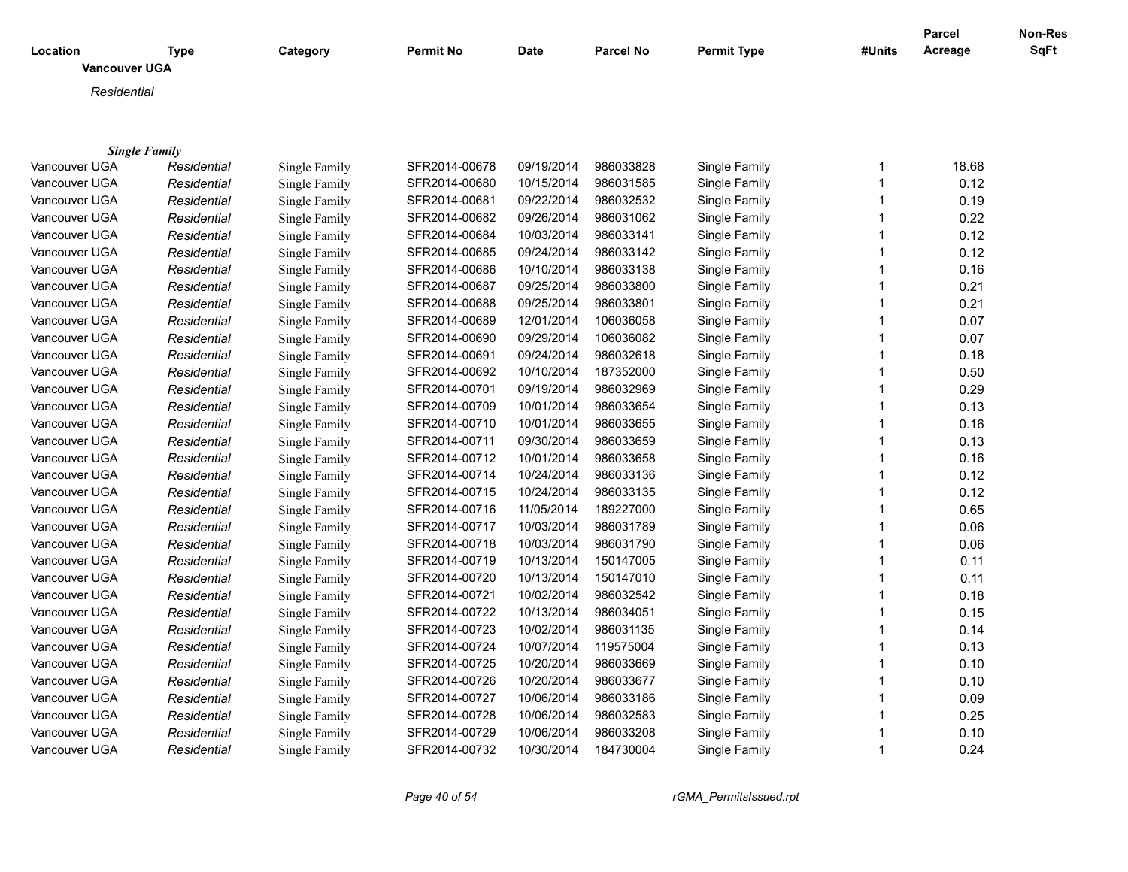| <b>Vancouver UGA</b>                                                                                                     |  |
|--------------------------------------------------------------------------------------------------------------------------|--|
|                                                                                                                          |  |
| Residential                                                                                                              |  |
|                                                                                                                          |  |
|                                                                                                                          |  |
| <b>Single Family</b>                                                                                                     |  |
| 09/19/2014<br>18.68<br>Vancouver UGA<br>SFR2014-00678<br>986033828<br>Single Family<br>Residential<br>Single Family<br>1 |  |
| 10/15/2014<br>986031585<br>0.12<br>Vancouver UGA<br>SFR2014-00680<br>Single Family<br>1<br>Residential<br>Single Family  |  |
| SFR2014-00681<br>09/22/2014<br>986032532<br>0.19<br>Vancouver UGA<br>Single Family<br>Single Family<br>1<br>Residential  |  |
| SFR2014-00682<br>09/26/2014<br>986031062<br>Single Family<br>0.22<br>Vancouver UGA<br>Residential<br>Single Family<br>1  |  |
| SFR2014-00684<br>10/03/2014<br>986033141<br>Single Family<br>0.12<br>Vancouver UGA<br>Residential<br>Single Family<br>1  |  |
| SFR2014-00685<br>09/24/2014<br>986033142<br>Vancouver UGA<br>Single Family<br>1<br>0.12<br>Residential<br>Single Family  |  |
| 10/10/2014<br>986033138<br>0.16<br>SFR2014-00686<br>Single Family<br>Vancouver UGA<br>Residential<br>Single Family       |  |
| 09/25/2014<br>0.21<br>Single Family<br>SFR2014-00687<br>986033800<br>Single Family<br>Vancouver UGA<br>Residential<br>1  |  |
| 09/25/2014<br>986033801<br>0.21<br>Single Family<br>SFR2014-00688<br>Single Family<br>Vancouver UGA<br>Residential<br>1  |  |
| 12/01/2014<br>0.07<br>SFR2014-00689<br>106036058<br>Single Family<br>1<br>Vancouver UGA<br>Residential<br>Single Family  |  |
| SFR2014-00690<br>09/29/2014<br>106036082<br>0.07<br>Vancouver UGA<br>Single Family<br>Single Family<br>Residential       |  |
| SFR2014-00691<br>09/24/2014<br>986032618<br>0.18<br>Vancouver UGA<br>Residential<br>Single Family<br>Single Family<br>1  |  |
| SFR2014-00692<br>10/10/2014<br>187352000<br>Vancouver UGA<br>Single Family<br>1<br>0.50<br>Residential<br>Single Family  |  |
| SFR2014-00701<br>09/19/2014<br>986032969<br>Vancouver UGA<br>Single Family<br>1<br>0.29<br>Residential<br>Single Family  |  |
| 10/01/2014<br>SFR2014-00709<br>986033654<br>Single Family<br>0.13<br>Vancouver UGA<br>Residential<br>Single Family       |  |
| 10/01/2014<br>SFR2014-00710<br>986033655<br>Single Family<br>0.16<br>Vancouver UGA<br>Residential<br>Single Family<br>1  |  |
| 09/30/2014<br>0.13<br>Single Family<br>SFR2014-00711<br>986033659<br>Single Family<br>Vancouver UGA<br>Residential<br>1  |  |
| 10/01/2014<br>SFR2014-00712<br>986033658<br>Single Family<br>1<br>0.16<br>Vancouver UGA<br>Residential<br>Single Family  |  |
| 10/24/2014<br>986033136<br>0.12<br>Vancouver UGA<br>Single Family<br>SFR2014-00714<br>Single Family<br>Residential<br>1  |  |
| 10/24/2014<br>0.12<br>Vancouver UGA<br>Residential<br>SFR2014-00715<br>986033135<br>Single Family<br>Single Family<br>1  |  |
| 11/05/2014<br>189227000<br>Vancouver UGA<br>SFR2014-00716<br>Single Family<br>0.65<br>Residential<br>Single Family<br>1  |  |
| 10/03/2014<br>986031789<br>0.06<br>Vancouver UGA<br>Residential<br>Single Family<br>SFR2014-00717<br>Single Family<br>1  |  |
| SFR2014-00718<br>10/03/2014<br>986031790<br>Single Family<br>0.06<br>Vancouver UGA<br>Residential<br>Single Family       |  |
| SFR2014-00719<br>10/13/2014<br>Single Family<br>0.11<br>Vancouver UGA<br>Residential<br>Single Family<br>150147005<br>1  |  |
| 10/13/2014<br>0.11<br>SFR2014-00720<br>150147010<br>Single Family<br>Vancouver UGA<br>Residential<br>Single Family<br>1  |  |
| SFR2014-00721<br>10/02/2014<br>986032542<br>Single Family<br>1<br>0.18<br>Vancouver UGA<br>Residential<br>Single Family  |  |
| 10/13/2014<br>0.15<br>SFR2014-00722<br>986034051<br>Single Family<br>Vancouver UGA<br>Residential<br>Single Family<br>1  |  |
| 10/02/2014<br>SFR2014-00723<br>986031135<br>Single Family<br>0.14<br>Vancouver UGA<br>Residential<br>Single Family<br>1  |  |
| 10/07/2014<br>119575004<br>Vancouver UGA<br>SFR2014-00724<br>Single Family<br>0.13<br>Residential<br>Single Family<br>1  |  |
| 10/20/2014<br>Vancouver UGA<br>Residential<br>Single Family<br>SFR2014-00725<br>986033669<br>Single Family<br>1<br>0.10  |  |
| SFR2014-00726<br>10/20/2014<br>986033677<br>Single Family<br>0.10<br>Vancouver UGA<br>Residential<br>Single Family<br>1  |  |
| SFR2014-00727<br>10/06/2014<br>986033186<br>Single Family<br>0.09<br>Vancouver UGA<br>Residential<br>Single Family<br>1  |  |
| 10/06/2014<br>986032583<br>Single Family<br>0.25<br>Vancouver UGA<br>Residential<br>Single Family<br>SFR2014-00728<br>1  |  |
| 10/06/2014<br>986033208<br>Single Family<br>0.10<br>Vancouver UGA<br>Residential<br>Single Family<br>SFR2014-00729<br>1  |  |
| 10/30/2014<br>SFR2014-00732<br>184730004<br>Single Family<br>0.24<br>Vancouver UGA<br>Residential<br>1<br>Single Family  |  |

*Page 40 of 54 rGMA\_PermitsIssued.rpt*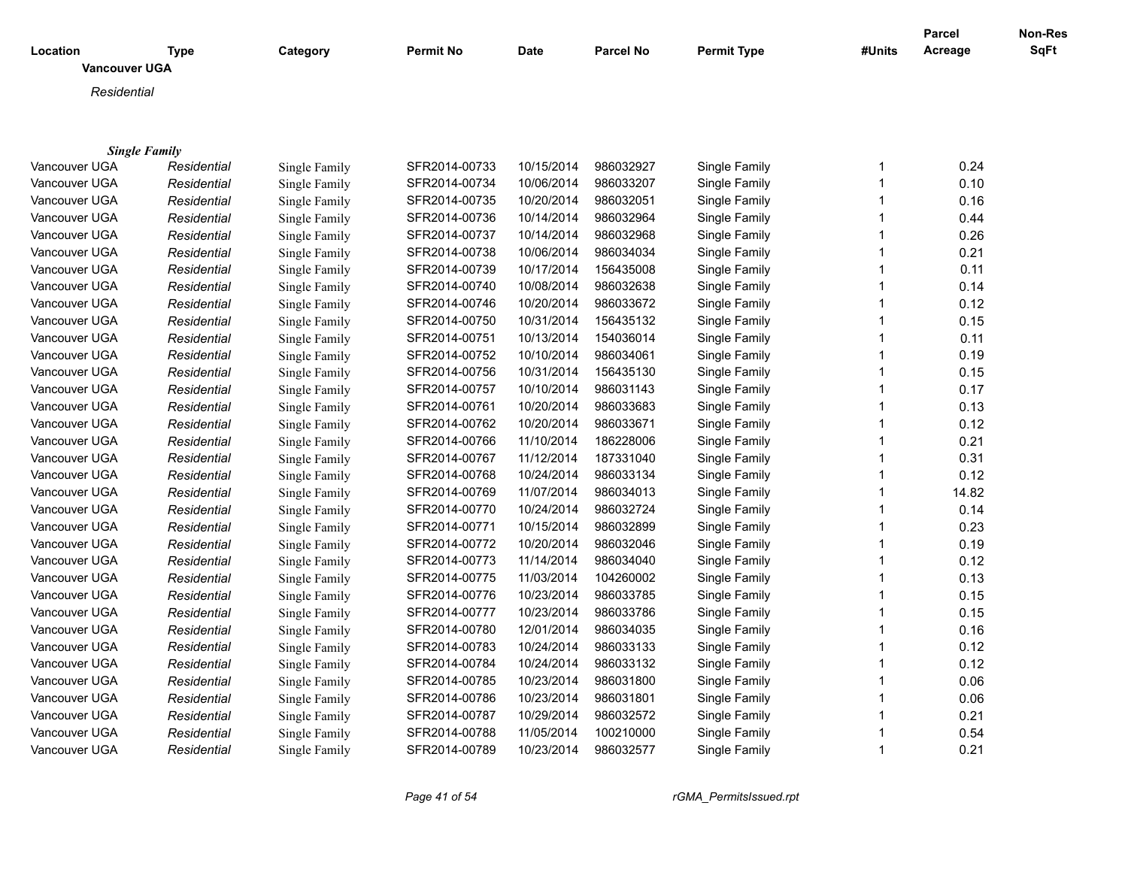|                                  |             |               |               |            |                  |                    |              | <b>Parcel</b> | Non-Res |
|----------------------------------|-------------|---------------|---------------|------------|------------------|--------------------|--------------|---------------|---------|
| Location<br><b>Vancouver UGA</b> | <b>Type</b> | Category      | Permit No     | Date       | <b>Parcel No</b> | <b>Permit Type</b> | #Units       | Acreage       | SqFt    |
|                                  |             |               |               |            |                  |                    |              |               |         |
| Residential                      |             |               |               |            |                  |                    |              |               |         |
|                                  |             |               |               |            |                  |                    |              |               |         |
| <b>Single Family</b>             |             |               |               |            |                  |                    |              |               |         |
| Vancouver UGA                    | Residential | Single Family | SFR2014-00733 | 10/15/2014 | 986032927        | Single Family      | 1            | 0.24          |         |
| Vancouver UGA                    | Residential | Single Family | SFR2014-00734 | 10/06/2014 | 986033207        | Single Family      | $\mathbf{1}$ | 0.10          |         |
| Vancouver UGA                    | Residential | Single Family | SFR2014-00735 | 10/20/2014 | 986032051        | Single Family      | $\mathbf{1}$ | 0.16          |         |
| Vancouver UGA                    | Residential | Single Family | SFR2014-00736 | 10/14/2014 | 986032964        | Single Family      | $\mathbf{1}$ | 0.44          |         |
| Vancouver UGA                    | Residential | Single Family | SFR2014-00737 | 10/14/2014 | 986032968        | Single Family      | $\mathbf{1}$ | 0.26          |         |
| Vancouver UGA                    | Residential | Single Family | SFR2014-00738 | 10/06/2014 | 986034034        | Single Family      | 1            | 0.21          |         |
| Vancouver UGA                    | Residential | Single Family | SFR2014-00739 | 10/17/2014 | 156435008        | Single Family      | $\mathbf{1}$ | 0.11          |         |
| Vancouver UGA                    | Residential | Single Family | SFR2014-00740 | 10/08/2014 | 986032638        | Single Family      | $\mathbf{1}$ | 0.14          |         |
| Vancouver UGA                    | Residential | Single Family | SFR2014-00746 | 10/20/2014 | 986033672        | Single Family      | $\mathbf{1}$ | 0.12          |         |
| Vancouver UGA                    | Residential | Single Family | SFR2014-00750 | 10/31/2014 | 156435132        | Single Family      | $\mathbf{1}$ | 0.15          |         |
| Vancouver UGA                    | Residential | Single Family | SFR2014-00751 | 10/13/2014 | 154036014        | Single Family      | $\mathbf{1}$ | 0.11          |         |
| Vancouver UGA                    | Residential | Single Family | SFR2014-00752 | 10/10/2014 | 986034061        | Single Family      | $\mathbf{1}$ | 0.19          |         |
| Vancouver UGA                    | Residential | Single Family | SFR2014-00756 | 10/31/2014 | 156435130        | Single Family      | $\mathbf{1}$ | 0.15          |         |
| Vancouver UGA                    | Residential | Single Family | SFR2014-00757 | 10/10/2014 | 986031143        | Single Family      | 1            | 0.17          |         |
| Vancouver UGA                    | Residential | Single Family | SFR2014-00761 | 10/20/2014 | 986033683        | Single Family      | $\mathbf 1$  | 0.13          |         |
| Vancouver UGA                    | Residential | Single Family | SFR2014-00762 | 10/20/2014 | 986033671        | Single Family      | $\mathbf 1$  | 0.12          |         |
| Vancouver UGA                    | Residential | Single Family | SFR2014-00766 | 11/10/2014 | 186228006        | Single Family      | $\mathbf{1}$ | 0.21          |         |
| Vancouver UGA                    | Residential | Single Family | SFR2014-00767 | 11/12/2014 | 187331040        | Single Family      | $\mathbf{1}$ | 0.31          |         |
| Vancouver UGA                    | Residential | Single Family | SFR2014-00768 | 10/24/2014 | 986033134        | Single Family      | $\mathbf{1}$ | 0.12          |         |
| Vancouver UGA                    | Residential | Single Family | SFR2014-00769 | 11/07/2014 | 986034013        | Single Family      | $\mathbf{1}$ | 14.82         |         |
| Vancouver UGA                    | Residential | Single Family | SFR2014-00770 | 10/24/2014 | 986032724        | Single Family      | $\mathbf{1}$ | 0.14          |         |
| Vancouver UGA                    | Residential | Single Family | SFR2014-00771 | 10/15/2014 | 986032899        | Single Family      | $\mathbf{1}$ | 0.23          |         |
| Vancouver UGA                    | Residential | Single Family | SFR2014-00772 | 10/20/2014 | 986032046        | Single Family      | $\mathbf{1}$ | 0.19          |         |
| Vancouver UGA                    | Residential | Single Family | SFR2014-00773 | 11/14/2014 | 986034040        | Single Family      | $\mathbf{1}$ | 0.12          |         |
| Vancouver UGA                    | Residential | Single Family | SFR2014-00775 | 11/03/2014 | 104260002        | Single Family      | $\mathbf{1}$ | 0.13          |         |
| Vancouver UGA                    | Residential | Single Family | SFR2014-00776 | 10/23/2014 | 986033785        | Single Family      | $\mathbf{1}$ | 0.15          |         |
| Vancouver UGA                    | Residential | Single Family | SFR2014-00777 | 10/23/2014 | 986033786        | Single Family      | $\mathbf{1}$ | 0.15          |         |
| Vancouver UGA                    | Residential | Single Family | SFR2014-00780 | 12/01/2014 | 986034035        | Single Family      | $\mathbf{1}$ | 0.16          |         |
| Vancouver UGA                    | Residential | Single Family | SFR2014-00783 | 10/24/2014 | 986033133        | Single Family      | $\mathbf{1}$ | 0.12          |         |
| Vancouver UGA                    | Residential | Single Family | SFR2014-00784 | 10/24/2014 | 986033132        | Single Family      | $\mathbf{1}$ | 0.12          |         |
| Vancouver UGA                    | Residential | Single Family | SFR2014-00785 | 10/23/2014 | 986031800        | Single Family      | 1            | 0.06          |         |
| Vancouver UGA                    | Residential | Single Family | SFR2014-00786 | 10/23/2014 | 986031801        | Single Family      | $\mathbf{1}$ | 0.06          |         |
| Vancouver UGA                    | Residential | Single Family | SFR2014-00787 | 10/29/2014 | 986032572        | Single Family      | $\mathbf 1$  | 0.21          |         |
| Vancouver UGA                    | Residential | Single Family | SFR2014-00788 | 11/05/2014 | 100210000        | Single Family      | 1            | 0.54          |         |
| Vancouver UGA                    | Residential | Single Family | SFR2014-00789 | 10/23/2014 | 986032577        | Single Family      | $\mathbf{1}$ | 0.21          |         |

*Page 41 of 54 rGMA\_PermitsIssued.rpt*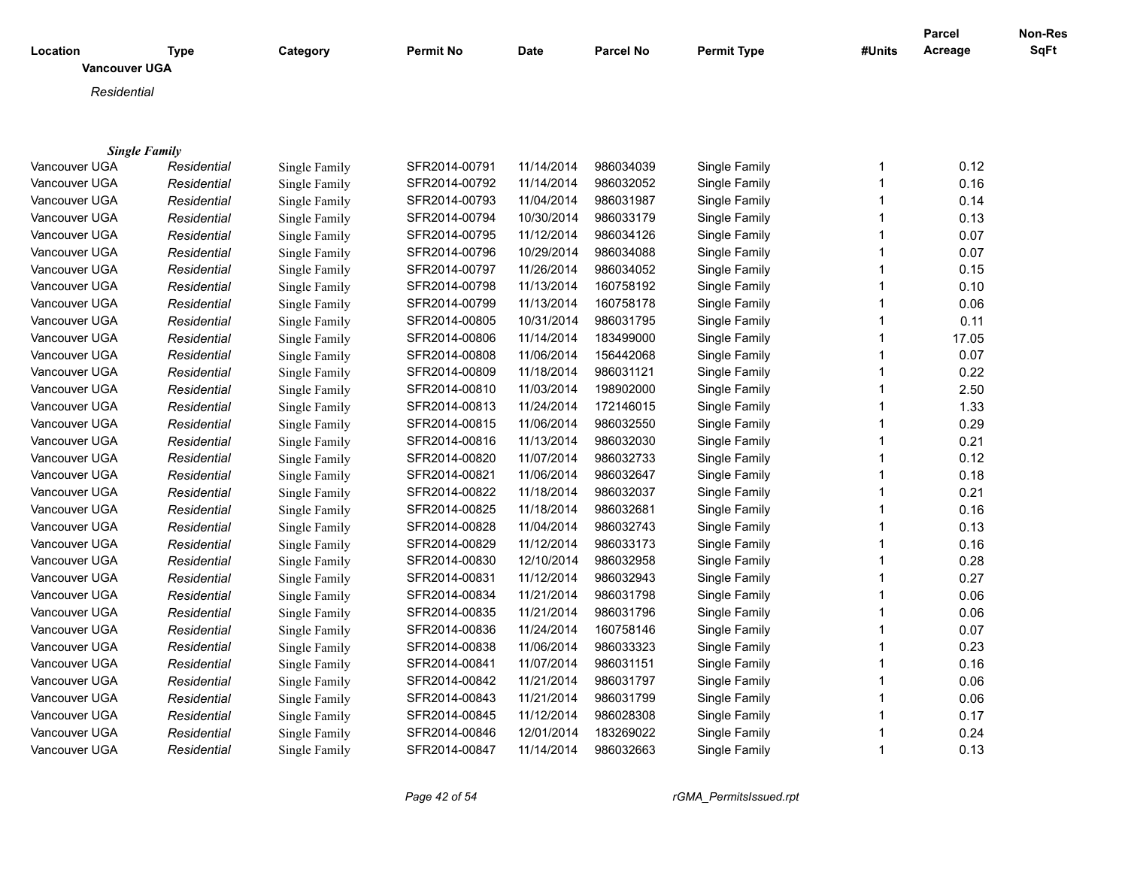|                                  |                      |               |               |            |                  |                    |              | <b>Parcel</b> | Non-Res |
|----------------------------------|----------------------|---------------|---------------|------------|------------------|--------------------|--------------|---------------|---------|
| Location<br><b>Vancouver UGA</b> | <b>Type</b>          | Category      | Permit No     | Date       | <b>Parcel No</b> | <b>Permit Type</b> | #Units       | Acreage       | SqFt    |
|                                  |                      |               |               |            |                  |                    |              |               |         |
| Residential                      |                      |               |               |            |                  |                    |              |               |         |
|                                  |                      |               |               |            |                  |                    |              |               |         |
|                                  | <b>Single Family</b> |               |               |            |                  |                    |              |               |         |
| Vancouver UGA                    | Residential          | Single Family | SFR2014-00791 | 11/14/2014 | 986034039        | Single Family      | 1            | 0.12          |         |
| Vancouver UGA                    | Residential          | Single Family | SFR2014-00792 | 11/14/2014 | 986032052        | Single Family      | $\mathbf{1}$ | 0.16          |         |
| Vancouver UGA                    | Residential          | Single Family | SFR2014-00793 | 11/04/2014 | 986031987        | Single Family      | $\mathbf{1}$ | 0.14          |         |
| Vancouver UGA                    | Residential          | Single Family | SFR2014-00794 | 10/30/2014 | 986033179        | Single Family      | $\mathbf{1}$ | 0.13          |         |
| Vancouver UGA                    | Residential          | Single Family | SFR2014-00795 | 11/12/2014 | 986034126        | Single Family      | $\mathbf{1}$ | 0.07          |         |
| Vancouver UGA                    | Residential          | Single Family | SFR2014-00796 | 10/29/2014 | 986034088        | Single Family      | 1            | 0.07          |         |
| Vancouver UGA                    | Residential          | Single Family | SFR2014-00797 | 11/26/2014 | 986034052        | Single Family      | $\mathbf{1}$ | 0.15          |         |
| Vancouver UGA                    | Residential          | Single Family | SFR2014-00798 | 11/13/2014 | 160758192        | Single Family      | $\mathbf{1}$ | 0.10          |         |
| Vancouver UGA                    | Residential          | Single Family | SFR2014-00799 | 11/13/2014 | 160758178        | Single Family      | $\mathbf{1}$ | 0.06          |         |
| Vancouver UGA                    | Residential          | Single Family | SFR2014-00805 | 10/31/2014 | 986031795        | Single Family      | $\mathbf{1}$ | 0.11          |         |
| Vancouver UGA                    | Residential          | Single Family | SFR2014-00806 | 11/14/2014 | 183499000        | Single Family      | $\mathbf{1}$ | 17.05         |         |
| Vancouver UGA                    | Residential          | Single Family | SFR2014-00808 | 11/06/2014 | 156442068        | Single Family      | $\mathbf{1}$ | 0.07          |         |
| Vancouver UGA                    | Residential          | Single Family | SFR2014-00809 | 11/18/2014 | 986031121        | Single Family      | $\mathbf{1}$ | 0.22          |         |
| Vancouver UGA                    | Residential          | Single Family | SFR2014-00810 | 11/03/2014 | 198902000        | Single Family      | 1            | 2.50          |         |
| Vancouver UGA                    | Residential          | Single Family | SFR2014-00813 | 11/24/2014 | 172146015        | Single Family      | $\mathbf 1$  | 1.33          |         |
| Vancouver UGA                    | Residential          | Single Family | SFR2014-00815 | 11/06/2014 | 986032550        | Single Family      | $\mathbf{1}$ | 0.29          |         |
| Vancouver UGA                    | Residential          | Single Family | SFR2014-00816 | 11/13/2014 | 986032030        | Single Family      | $\mathbf{1}$ | 0.21          |         |
| Vancouver UGA                    | Residential          | Single Family | SFR2014-00820 | 11/07/2014 | 986032733        | Single Family      | $\mathbf{1}$ | 0.12          |         |
| Vancouver UGA                    | Residential          | Single Family | SFR2014-00821 | 11/06/2014 | 986032647        | Single Family      | $\mathbf{1}$ | 0.18          |         |
| Vancouver UGA                    | Residential          | Single Family | SFR2014-00822 | 11/18/2014 | 986032037        | Single Family      | $\mathbf{1}$ | 0.21          |         |
| Vancouver UGA                    | Residential          | Single Family | SFR2014-00825 | 11/18/2014 | 986032681        | Single Family      | $\mathbf{1}$ | 0.16          |         |
| Vancouver UGA                    | Residential          | Single Family | SFR2014-00828 | 11/04/2014 | 986032743        | Single Family      | $\mathbf{1}$ | 0.13          |         |
| Vancouver UGA                    | Residential          | Single Family | SFR2014-00829 | 11/12/2014 | 986033173        | Single Family      | $\mathbf{1}$ | 0.16          |         |
| Vancouver UGA                    | Residential          | Single Family | SFR2014-00830 | 12/10/2014 | 986032958        | Single Family      | $\mathbf{1}$ | 0.28          |         |
| Vancouver UGA                    | Residential          | Single Family | SFR2014-00831 | 11/12/2014 | 986032943        | Single Family      | $\mathbf{1}$ | 0.27          |         |
| Vancouver UGA                    | Residential          | Single Family | SFR2014-00834 | 11/21/2014 | 986031798        | Single Family      | $\mathbf{1}$ | 0.06          |         |
| Vancouver UGA                    | Residential          | Single Family | SFR2014-00835 | 11/21/2014 | 986031796        | Single Family      | $\mathbf{1}$ | 0.06          |         |
| Vancouver UGA                    | Residential          | Single Family | SFR2014-00836 | 11/24/2014 | 160758146        | Single Family      | $\mathbf{1}$ | 0.07          |         |
| Vancouver UGA                    | Residential          | Single Family | SFR2014-00838 | 11/06/2014 | 986033323        | Single Family      | $\mathbf{1}$ | 0.23          |         |
| Vancouver UGA                    | Residential          | Single Family | SFR2014-00841 | 11/07/2014 | 986031151        | Single Family      | $\mathbf{1}$ | 0.16          |         |
| Vancouver UGA                    | Residential          | Single Family | SFR2014-00842 | 11/21/2014 | 986031797        | Single Family      | 1            | 0.06          |         |
| Vancouver UGA                    | Residential          | Single Family | SFR2014-00843 | 11/21/2014 | 986031799        | Single Family      | $\mathbf{1}$ | 0.06          |         |
| Vancouver UGA                    | Residential          | Single Family | SFR2014-00845 | 11/12/2014 | 986028308        | Single Family      | $\mathbf{1}$ | 0.17          |         |
| Vancouver UGA                    | Residential          | Single Family | SFR2014-00846 | 12/01/2014 | 183269022        | Single Family      | 1            | 0.24          |         |
| Vancouver UGA                    | Residential          | Single Family | SFR2014-00847 | 11/14/2014 | 986032663        | Single Family      | $\mathbf{1}$ | 0.13          |         |

*Page 42 of 54 rGMA\_PermitsIssued.rpt*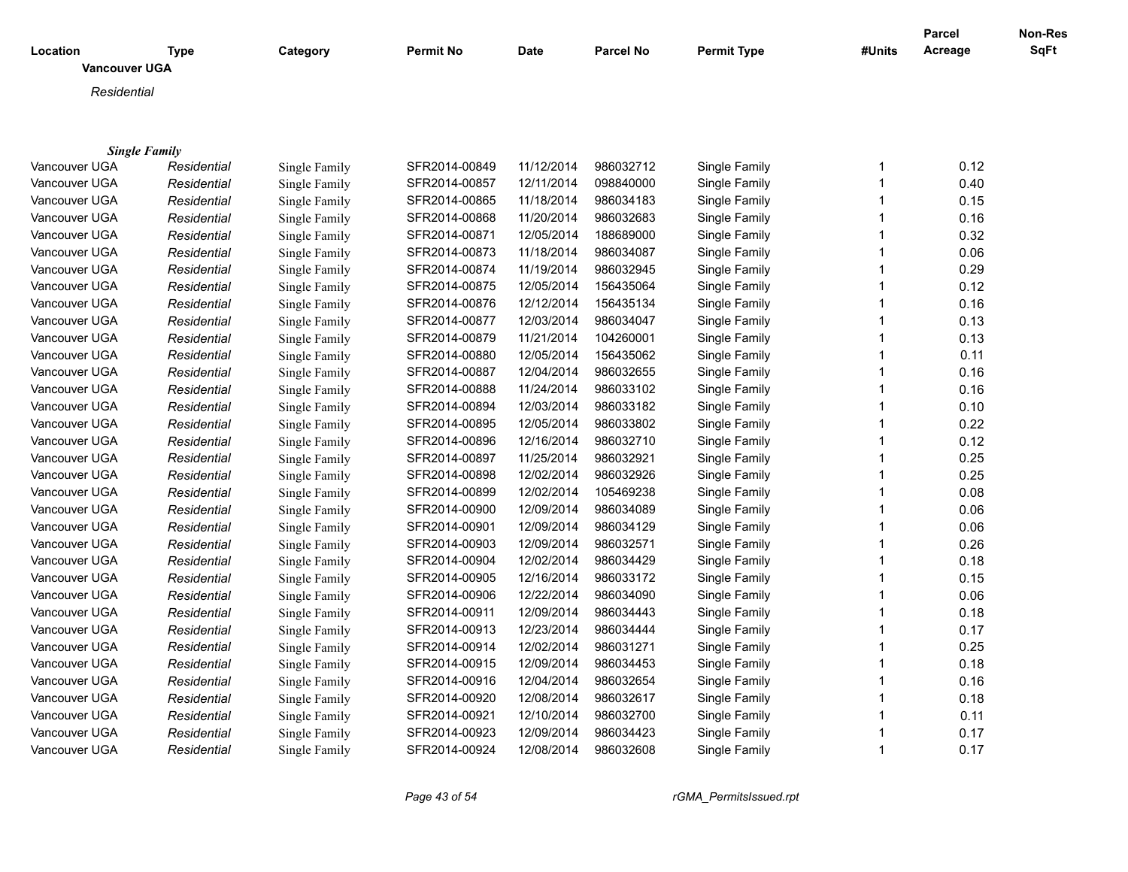|                                  |                      |                      |                  |             |                  |                    |              | <b>Parcel</b> | <b>Non-Res</b> |
|----------------------------------|----------------------|----------------------|------------------|-------------|------------------|--------------------|--------------|---------------|----------------|
| Location<br><b>Vancouver UGA</b> | Type                 | Category             | <b>Permit No</b> | <b>Date</b> | <b>Parcel No</b> | <b>Permit Type</b> | #Units       | Acreage       | SqFt           |
|                                  |                      |                      |                  |             |                  |                    |              |               |                |
| Residential                      |                      |                      |                  |             |                  |                    |              |               |                |
|                                  |                      |                      |                  |             |                  |                    |              |               |                |
|                                  |                      |                      |                  |             |                  |                    |              |               |                |
|                                  | <b>Single Family</b> |                      |                  |             |                  |                    |              |               |                |
| Vancouver UGA                    | Residential          | Single Family        | SFR2014-00849    | 11/12/2014  | 986032712        | Single Family      | 1            | 0.12          |                |
| Vancouver UGA                    | Residential          | Single Family        | SFR2014-00857    | 12/11/2014  | 098840000        | Single Family      | $\mathbf{1}$ | 0.40          |                |
| Vancouver UGA                    | Residential          | Single Family        | SFR2014-00865    | 11/18/2014  | 986034183        | Single Family      | 1            | 0.15          |                |
| Vancouver UGA                    | Residential          | Single Family        | SFR2014-00868    | 11/20/2014  | 986032683        | Single Family      |              | 0.16          |                |
| Vancouver UGA                    | Residential          | Single Family        | SFR2014-00871    | 12/05/2014  | 188689000        | Single Family      | 1            | 0.32          |                |
| Vancouver UGA                    | Residential          | Single Family        | SFR2014-00873    | 11/18/2014  | 986034087        | Single Family      |              | 0.06          |                |
| Vancouver UGA                    | Residential          | Single Family        | SFR2014-00874    | 11/19/2014  | 986032945        | Single Family      | $\mathbf 1$  | 0.29          |                |
| Vancouver UGA                    | Residential          | Single Family        | SFR2014-00875    | 12/05/2014  | 156435064        | Single Family      | 1            | 0.12          |                |
| Vancouver UGA                    | Residential          | Single Family        | SFR2014-00876    | 12/12/2014  | 156435134        | Single Family      | 1            | 0.16          |                |
| Vancouver UGA                    | Residential          | Single Family        | SFR2014-00877    | 12/03/2014  | 986034047        | Single Family      | 1            | 0.13          |                |
| Vancouver UGA                    | Residential          | Single Family        | SFR2014-00879    | 11/21/2014  | 104260001        | Single Family      | 1            | 0.13          |                |
| Vancouver UGA                    | Residential          | Single Family        | SFR2014-00880    | 12/05/2014  | 156435062        | Single Family      | 1            | 0.11          |                |
| Vancouver UGA                    | Residential          | Single Family        | SFR2014-00887    | 12/04/2014  | 986032655        | Single Family      | 1            | 0.16          |                |
| Vancouver UGA                    | Residential          | Single Family        | SFR2014-00888    | 11/24/2014  | 986033102        | Single Family      | 1            | 0.16          |                |
| Vancouver UGA                    | Residential          | Single Family        | SFR2014-00894    | 12/03/2014  | 986033182        | Single Family      |              | 0.10          |                |
| Vancouver UGA                    | Residential          | Single Family        | SFR2014-00895    | 12/05/2014  | 986033802        | Single Family      | 1            | 0.22          |                |
| Vancouver UGA                    | Residential          | Single Family        | SFR2014-00896    | 12/16/2014  | 986032710        | Single Family      | 1            | 0.12          |                |
| Vancouver UGA                    | Residential          | Single Family        | SFR2014-00897    | 11/25/2014  | 986032921        | Single Family      | 1            | 0.25          |                |
| Vancouver UGA                    | Residential          | Single Family        | SFR2014-00898    | 12/02/2014  | 986032926        | Single Family      | 1            | 0.25          |                |
| Vancouver UGA                    | Residential          | Single Family        | SFR2014-00899    | 12/02/2014  | 105469238        | Single Family      | 1            | 0.08          |                |
| Vancouver UGA                    | Residential          | Single Family        | SFR2014-00900    | 12/09/2014  | 986034089        | Single Family      | 1            | 0.06          |                |
| Vancouver UGA                    | Residential          | Single Family        | SFR2014-00901    | 12/09/2014  | 986034129        | Single Family      | 1            | 0.06          |                |
| Vancouver UGA                    | Residential          | Single Family        | SFR2014-00903    | 12/09/2014  | 986032571        | Single Family      |              | 0.26          |                |
| Vancouver UGA                    | Residential          | Single Family        | SFR2014-00904    | 12/02/2014  | 986034429        | Single Family      | 1            | 0.18          |                |
| Vancouver UGA                    | Residential          | Single Family        | SFR2014-00905    | 12/16/2014  | 986033172        | Single Family      | 1            | 0.15          |                |
| Vancouver UGA                    | Residential          | Single Family        | SFR2014-00906    | 12/22/2014  | 986034090        | Single Family      | 1            | 0.06          |                |
| Vancouver UGA                    | Residential          | Single Family        | SFR2014-00911    | 12/09/2014  | 986034443        | Single Family      |              | 0.18          |                |
| Vancouver UGA                    | Residential          | Single Family        | SFR2014-00913    | 12/23/2014  | 986034444        | Single Family      | 1            | 0.17          |                |
| Vancouver UGA                    | Residential          | Single Family        | SFR2014-00914    | 12/02/2014  | 986031271        | Single Family      |              | 0.25          |                |
| Vancouver UGA                    | Residential          | Single Family        | SFR2014-00915    | 12/09/2014  | 986034453        | Single Family      | 1            | 0.18          |                |
|                                  |                      |                      |                  | 12/04/2014  | 986032654        |                    |              | 0.16          |                |
| Vancouver UGA                    | Residential          | Single Family        | SFR2014-00916    |             |                  | Single Family      | 1            |               |                |
| Vancouver UGA                    | Residential          | Single Family        | SFR2014-00920    | 12/08/2014  | 986032617        | Single Family      |              | 0.18          |                |
| Vancouver UGA                    | Residential          | Single Family        | SFR2014-00921    | 12/10/2014  | 986032700        | Single Family      |              | 0.11          |                |
| Vancouver UGA                    | Residential          | <b>Single Family</b> | SFR2014-00923    | 12/09/2014  | 986034423        | Single Family      | 1            | 0.17          |                |
| Vancouver UGA                    | Residential          | Single Family        | SFR2014-00924    | 12/08/2014  | 986032608        | Single Family      | 1            | 0.17          |                |

*Page 43 of 54 rGMA\_PermitsIssued.rpt*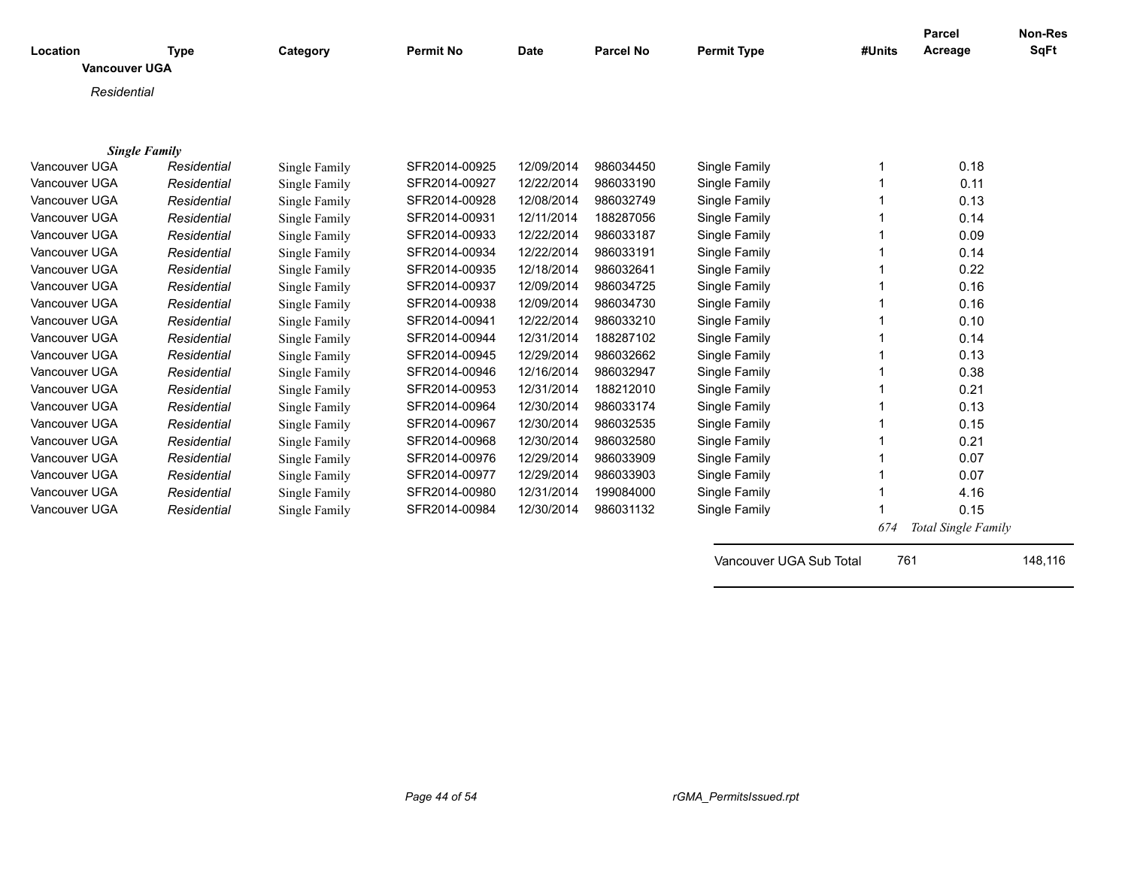| Location<br><b>Vancouver UGA</b>      | <b>Type</b> | Category      | <b>Permit No</b> | <b>Date</b> | <b>Parcel No</b> | <b>Permit Type</b>      | #Units | <b>Parcel</b><br>Acreage | <b>Non-Res</b><br><b>SqFt</b> |
|---------------------------------------|-------------|---------------|------------------|-------------|------------------|-------------------------|--------|--------------------------|-------------------------------|
| Residential                           |             |               |                  |             |                  |                         |        |                          |                               |
|                                       |             |               |                  |             |                  |                         |        |                          |                               |
|                                       |             |               |                  |             |                  |                         |        |                          |                               |
| <b>Single Family</b><br>Vancouver UGA | Residential |               | SFR2014-00925    | 12/09/2014  | 986034450        | Single Family           |        | 0.18                     |                               |
| Vancouver UGA                         | Residential | Single Family | SFR2014-00927    | 12/22/2014  | 986033190        |                         |        | 0.11                     |                               |
| Vancouver UGA                         |             | Single Family |                  | 12/08/2014  | 986032749        | Single Family           |        |                          |                               |
| Vancouver UGA                         | Residential | Single Family | SFR2014-00928    |             | 188287056        | Single Family           |        | 0.13                     |                               |
| Vancouver UGA                         | Residential | Single Family | SFR2014-00931    | 12/11/2014  |                  | Single Family           |        | 0.14                     |                               |
| Vancouver UGA                         | Residential | Single Family | SFR2014-00933    | 12/22/2014  | 986033187        | Single Family           |        | 0.09                     |                               |
|                                       | Residential | Single Family | SFR2014-00934    | 12/22/2014  | 986033191        | Single Family           |        | 0.14                     |                               |
| Vancouver UGA                         | Residential | Single Family | SFR2014-00935    | 12/18/2014  | 986032641        | Single Family           |        | 0.22                     |                               |
| Vancouver UGA                         | Residential | Single Family | SFR2014-00937    | 12/09/2014  | 986034725        | Single Family           |        | 0.16                     |                               |
| Vancouver UGA                         | Residential | Single Family | SFR2014-00938    | 12/09/2014  | 986034730        | Single Family           |        | 0.16                     |                               |
| Vancouver UGA                         | Residential | Single Family | SFR2014-00941    | 12/22/2014  | 986033210        | Single Family           |        | 0.10                     |                               |
| Vancouver UGA                         | Residential | Single Family | SFR2014-00944    | 12/31/2014  | 188287102        | Single Family           |        | 0.14                     |                               |
| Vancouver UGA                         | Residential | Single Family | SFR2014-00945    | 12/29/2014  | 986032662        | Single Family           |        | 0.13                     |                               |
| Vancouver UGA                         | Residential | Single Family | SFR2014-00946    | 12/16/2014  | 986032947        | Single Family           |        | 0.38                     |                               |
| Vancouver UGA                         | Residential | Single Family | SFR2014-00953    | 12/31/2014  | 188212010        | Single Family           |        | 0.21                     |                               |
| Vancouver UGA                         | Residential | Single Family | SFR2014-00964    | 12/30/2014  | 986033174        | Single Family           |        | 0.13                     |                               |
| Vancouver UGA                         | Residential | Single Family | SFR2014-00967    | 12/30/2014  | 986032535        | Single Family           |        | 0.15                     |                               |
| Vancouver UGA                         | Residential | Single Family | SFR2014-00968    | 12/30/2014  | 986032580        | Single Family           |        | 0.21                     |                               |
| Vancouver UGA                         | Residential | Single Family | SFR2014-00976    | 12/29/2014  | 986033909        | Single Family           |        | 0.07                     |                               |
| Vancouver UGA                         | Residential | Single Family | SFR2014-00977    | 12/29/2014  | 986033903        | Single Family           |        | 0.07                     |                               |
| Vancouver UGA                         | Residential | Single Family | SFR2014-00980    | 12/31/2014  | 199084000        | Single Family           |        | 4.16                     |                               |
| Vancouver UGA                         | Residential | Single Family | SFR2014-00984    | 12/30/2014  | 986031132        | Single Family           |        | 0.15                     |                               |
|                                       |             |               |                  |             |                  |                         | 674    | Total Single Family      |                               |
|                                       |             |               |                  |             |                  | Vancouver UGA Sub Total | 761    |                          | 148,116                       |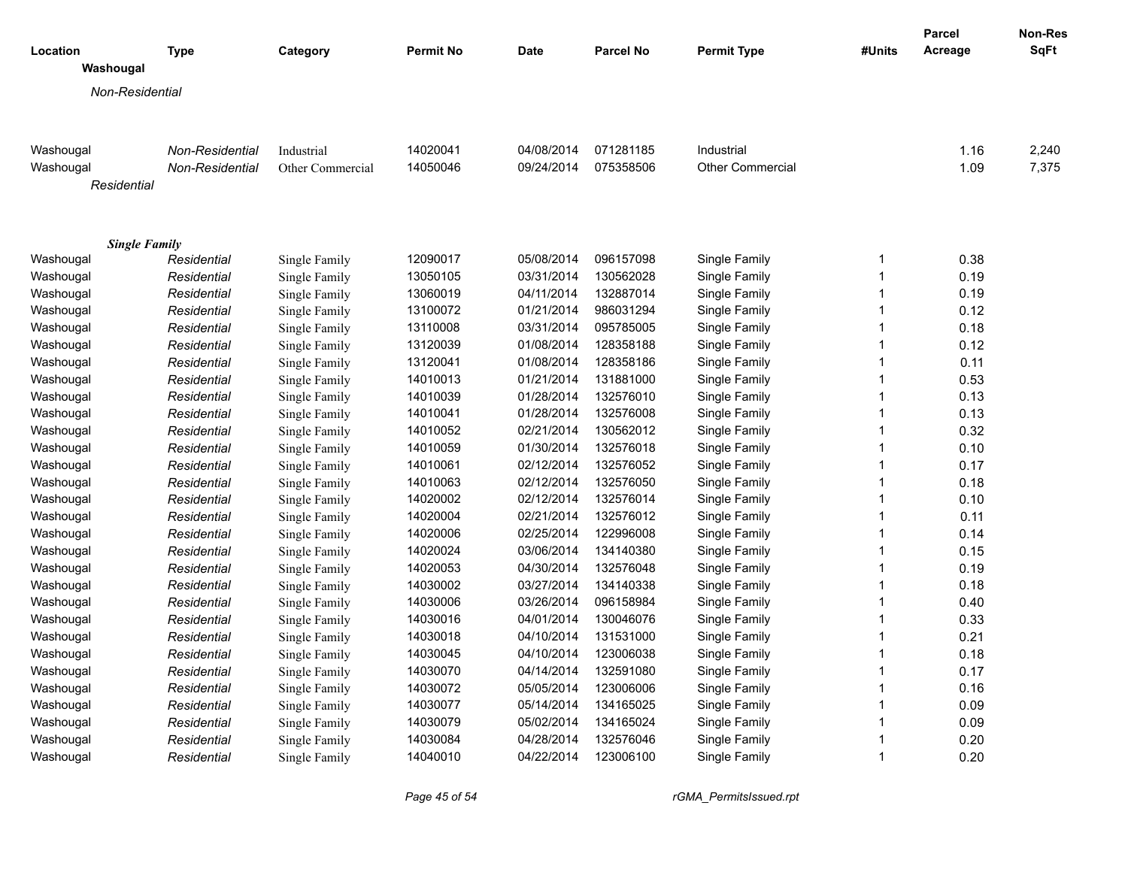|                                   |                 |                  |                  |             |                  |                    |                | Parcel  | Non-Res |
|-----------------------------------|-----------------|------------------|------------------|-------------|------------------|--------------------|----------------|---------|---------|
| Location                          | <b>Type</b>     | Category         | <b>Permit No</b> | <b>Date</b> | <b>Parcel No</b> | <b>Permit Type</b> | #Units         | Acreage | SqFt    |
| Washougal                         |                 |                  |                  |             |                  |                    |                |         |         |
| Non-Residential                   |                 |                  |                  |             |                  |                    |                |         |         |
|                                   |                 |                  |                  |             |                  |                    |                |         |         |
|                                   |                 |                  |                  |             |                  |                    |                |         |         |
| Washougal                         | Non-Residential | Industrial       | 14020041         | 04/08/2014  | 071281185        | Industrial         |                | 1.16    | 2,240   |
| Washougal                         | Non-Residential | Other Commercial | 14050046         | 09/24/2014  | 075358506        | Other Commercial   |                | 1.09    | 7,375   |
| Residential                       |                 |                  |                  |             |                  |                    |                |         |         |
|                                   |                 |                  |                  |             |                  |                    |                |         |         |
|                                   |                 |                  |                  |             |                  |                    |                |         |         |
| <b>Single Family</b><br>Washougal | Residential     | Single Family    | 12090017         | 05/08/2014  | 096157098        | Single Family      | 1              | 0.38    |         |
| Washougal                         | Residential     | Single Family    | 13050105         | 03/31/2014  | 130562028        | Single Family      | 1              | 0.19    |         |
| Washougal                         | Residential     | Single Family    | 13060019         | 04/11/2014  | 132887014        | Single Family      | $\mathbf 1$    | 0.19    |         |
| Washougal                         | Residential     | Single Family    | 13100072         | 01/21/2014  | 986031294        | Single Family      | 1              | 0.12    |         |
| Washougal                         | Residential     | Single Family    | 13110008         | 03/31/2014  | 095785005        | Single Family      | $\overline{1}$ | 0.18    |         |
| Washougal                         | Residential     | Single Family    | 13120039         | 01/08/2014  | 128358188        | Single Family      | 1              | 0.12    |         |
| Washougal                         | Residential     | Single Family    | 13120041         | 01/08/2014  | 128358186        | Single Family      | $\mathbf 1$    | 0.11    |         |
| Washougal                         | Residential     | Single Family    | 14010013         | 01/21/2014  | 131881000        | Single Family      | $\overline{1}$ | 0.53    |         |
| Washougal                         | Residential     | Single Family    | 14010039         | 01/28/2014  | 132576010        | Single Family      | 1              | 0.13    |         |
| Washougal                         | Residential     | Single Family    | 14010041         | 01/28/2014  | 132576008        | Single Family      | $\overline{1}$ | 0.13    |         |
| Washougal                         | Residential     | Single Family    | 14010052         | 02/21/2014  | 130562012        | Single Family      | $\overline{1}$ | 0.32    |         |
| Washougal                         | Residential     | Single Family    | 14010059         | 01/30/2014  | 132576018        | Single Family      | $\overline{1}$ | 0.10    |         |
| Washougal                         | Residential     | Single Family    | 14010061         | 02/12/2014  | 132576052        | Single Family      | 1              | 0.17    |         |
| Washougal                         | Residential     | Single Family    | 14010063         | 02/12/2014  | 132576050        | Single Family      | $\overline{1}$ | 0.18    |         |
| Washougal                         | Residential     | Single Family    | 14020002         | 02/12/2014  | 132576014        | Single Family      | $\mathbf 1$    | 0.10    |         |
| Washougal                         | Residential     | Single Family    | 14020004         | 02/21/2014  | 132576012        | Single Family      | $\mathbf 1$    | 0.11    |         |
| Washougal                         | Residential     | Single Family    | 14020006         | 02/25/2014  | 122996008        | Single Family      | 1              | 0.14    |         |
| Washougal                         | Residential     | Single Family    | 14020024         | 03/06/2014  | 134140380        | Single Family      | $\overline{1}$ | 0.15    |         |
| Washougal                         | Residential     | Single Family    | 14020053         | 04/30/2014  | 132576048        | Single Family      | $\overline{1}$ | 0.19    |         |
| Washougal                         | Residential     | Single Family    | 14030002         | 03/27/2014  | 134140338        | Single Family      | $\overline{1}$ | 0.18    |         |
| Washougal                         | Residential     | Single Family    | 14030006         | 03/26/2014  | 096158984        | Single Family      | $\overline{1}$ | 0.40    |         |
| Washougal                         | Residential     | Single Family    | 14030016         | 04/01/2014  | 130046076        | Single Family      | $\mathbf 1$    | 0.33    |         |
| Washougal                         | Residential     | Single Family    | 14030018         | 04/10/2014  | 131531000        | Single Family      | 1              | 0.21    |         |
| Washougal                         | Residential     | Single Family    | 14030045         | 04/10/2014  | 123006038        | Single Family      | $\mathbf 1$    | 0.18    |         |
| Washougal                         | Residential     | Single Family    | 14030070         | 04/14/2014  | 132591080        | Single Family      | 1              | 0.17    |         |
| Washougal                         | Residential     | Single Family    | 14030072         | 05/05/2014  | 123006006        | Single Family      | 1              | 0.16    |         |
| Washougal                         | Residential     | Single Family    | 14030077         | 05/14/2014  | 134165025        | Single Family      | 1              | 0.09    |         |
| Washougal                         | Residential     | Single Family    | 14030079         | 05/02/2014  | 134165024        | Single Family      | $\mathbf 1$    | 0.09    |         |
| Washougal                         | Residential     | Single Family    | 14030084         | 04/28/2014  | 132576046        | Single Family      | $\mathbf 1$    | 0.20    |         |
| Washougal                         | Residential     | Single Family    | 14040010         | 04/22/2014  | 123006100        | Single Family      | $\overline{1}$ | 0.20    |         |
|                                   |                 |                  |                  |             |                  |                    |                |         |         |

*Page 45 of 54 rGMA\_PermitsIssued.rpt*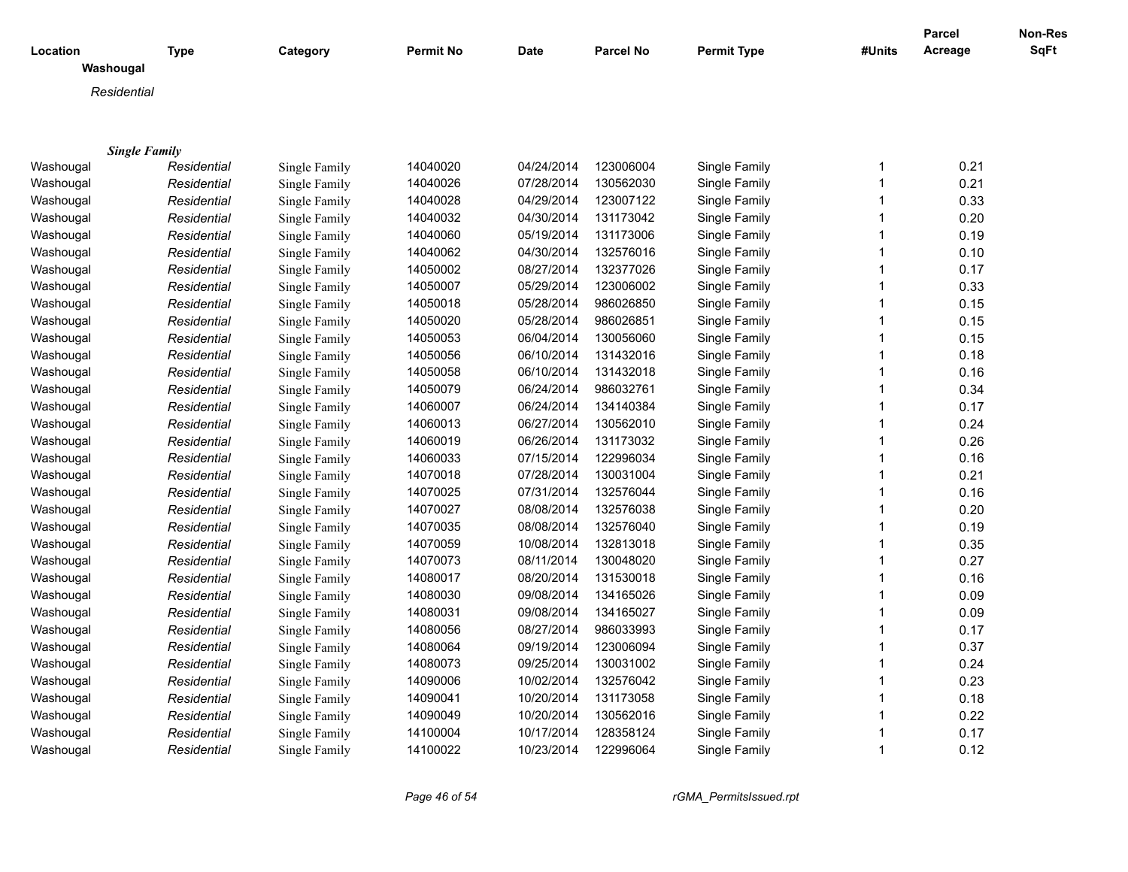|                       |             |               |           |             |                  |                    |              | Parcel  | Non-Res |
|-----------------------|-------------|---------------|-----------|-------------|------------------|--------------------|--------------|---------|---------|
| Location<br>Washougal | <b>Type</b> | Category      | Permit No | <b>Date</b> | <b>Parcel No</b> | <b>Permit Type</b> | #Units       | Acreage | SqFt    |
|                       |             |               |           |             |                  |                    |              |         |         |
| Residential           |             |               |           |             |                  |                    |              |         |         |
|                       |             |               |           |             |                  |                    |              |         |         |
|                       |             |               |           |             |                  |                    |              |         |         |
| <b>Single Family</b>  |             |               |           |             |                  |                    |              |         |         |
| Washougal             | Residential | Single Family | 14040020  | 04/24/2014  | 123006004        | Single Family      | 1            | 0.21    |         |
| Washougal             | Residential | Single Family | 14040026  | 07/28/2014  | 130562030        | Single Family      | 1            | 0.21    |         |
| Washougal             | Residential | Single Family | 14040028  | 04/29/2014  | 123007122        | Single Family      | 1            | 0.33    |         |
| Washougal             | Residential | Single Family | 14040032  | 04/30/2014  | 131173042        | Single Family      | 1            | 0.20    |         |
| Washougal             | Residential | Single Family | 14040060  | 05/19/2014  | 131173006        | Single Family      | 1            | 0.19    |         |
| Washougal             | Residential | Single Family | 14040062  | 04/30/2014  | 132576016        | Single Family      | 1            | 0.10    |         |
| Washougal             | Residential | Single Family | 14050002  | 08/27/2014  | 132377026        | Single Family      | 1            | 0.17    |         |
| Washougal             | Residential | Single Family | 14050007  | 05/29/2014  | 123006002        | Single Family      | 1            | 0.33    |         |
| Washougal             | Residential | Single Family | 14050018  | 05/28/2014  | 986026850        | Single Family      | 1            | 0.15    |         |
| Washougal             | Residential | Single Family | 14050020  | 05/28/2014  | 986026851        | Single Family      | 1            | 0.15    |         |
| Washougal             | Residential | Single Family | 14050053  | 06/04/2014  | 130056060        | Single Family      | 1            | 0.15    |         |
| Washougal             | Residential | Single Family | 14050056  | 06/10/2014  | 131432016        | Single Family      | 1            | 0.18    |         |
| Washougal             | Residential | Single Family | 14050058  | 06/10/2014  | 131432018        | Single Family      | 1            | 0.16    |         |
| Washougal             | Residential | Single Family | 14050079  | 06/24/2014  | 986032761        | Single Family      | 1            | 0.34    |         |
| Washougal             | Residential | Single Family | 14060007  | 06/24/2014  | 134140384        | Single Family      | 1            | 0.17    |         |
| Washougal             | Residential | Single Family | 14060013  | 06/27/2014  | 130562010        | Single Family      | 1            | 0.24    |         |
| Washougal             | Residential | Single Family | 14060019  | 06/26/2014  | 131173032        | Single Family      | 1            | 0.26    |         |
| Washougal             | Residential | Single Family | 14060033  | 07/15/2014  | 122996034        | Single Family      | 1            | 0.16    |         |
| Washougal             | Residential | Single Family | 14070018  | 07/28/2014  | 130031004        | Single Family      | $\mathbf{1}$ | 0.21    |         |
| Washougal             | Residential | Single Family | 14070025  | 07/31/2014  | 132576044        | Single Family      | 1            | 0.16    |         |
| Washougal             | Residential | Single Family | 14070027  | 08/08/2014  | 132576038        | Single Family      | $\mathbf{1}$ | 0.20    |         |
| Washougal             | Residential | Single Family | 14070035  | 08/08/2014  | 132576040        | Single Family      | 1            | 0.19    |         |
| Washougal             | Residential | Single Family | 14070059  | 10/08/2014  | 132813018        | Single Family      | 1            | 0.35    |         |
| Washougal             | Residential | Single Family | 14070073  | 08/11/2014  | 130048020        | Single Family      | 1            | 0.27    |         |
| Washougal             | Residential | Single Family | 14080017  | 08/20/2014  | 131530018        | Single Family      | $\mathbf{1}$ | 0.16    |         |
| Washougal             | Residential | Single Family | 14080030  | 09/08/2014  | 134165026        | Single Family      |              | 0.09    |         |
| Washougal             | Residential | Single Family | 14080031  | 09/08/2014  | 134165027        | Single Family      | 1            | 0.09    |         |
| Washougal             | Residential | Single Family | 14080056  | 08/27/2014  | 986033993        | Single Family      | 1            | 0.17    |         |
| Washougal             | Residential | Single Family | 14080064  | 09/19/2014  | 123006094        | Single Family      | 1            | 0.37    |         |
| Washougal             | Residential | Single Family | 14080073  | 09/25/2014  | 130031002        | Single Family      |              | 0.24    |         |
| Washougal             | Residential | Single Family | 14090006  | 10/02/2014  | 132576042        | Single Family      | 1            | 0.23    |         |
| Washougal             | Residential | Single Family | 14090041  | 10/20/2014  | 131173058        | Single Family      | 1            | 0.18    |         |
| Washougal             | Residential | Single Family | 14090049  | 10/20/2014  | 130562016        | Single Family      | 1            | 0.22    |         |
|                       |             | Single Family | 14100004  | 10/17/2014  | 128358124        | Single Family      |              | 0.17    |         |
| Washougal             | Residential |               |           |             |                  |                    | 1            |         |         |
| Washougal             | Residential | Single Family | 14100022  | 10/23/2014  | 122996064        | Single Family      |              | 0.12    |         |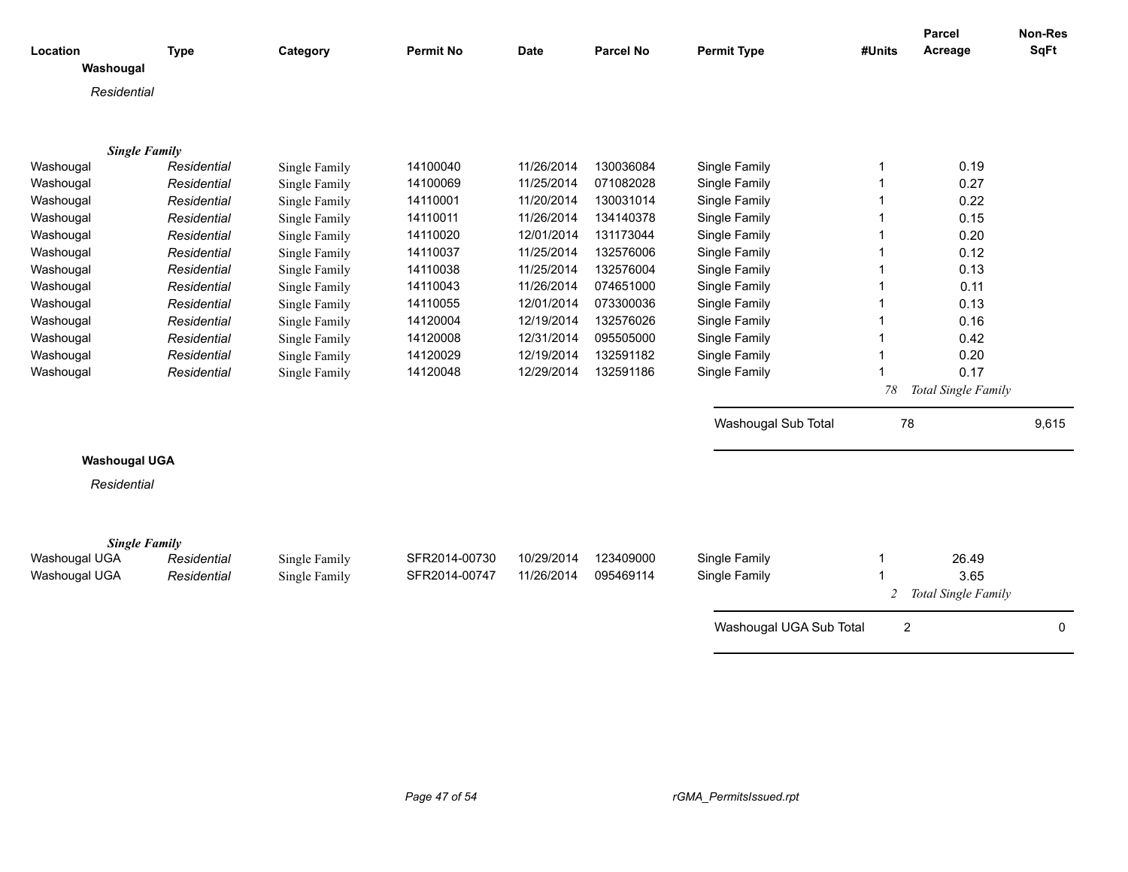| Location<br>Washougal | <b>Type</b> | Category      | <b>Permit No</b> | <b>Date</b> | <b>Parcel No</b> | <b>Permit Type</b>      | #Units                  | <b>Parcel</b><br>Acreage | <b>Non-Res</b><br><b>SqFt</b> |
|-----------------------|-------------|---------------|------------------|-------------|------------------|-------------------------|-------------------------|--------------------------|-------------------------------|
| Residential           |             |               |                  |             |                  |                         |                         |                          |                               |
|                       |             |               |                  |             |                  |                         |                         |                          |                               |
|                       |             |               |                  |             |                  |                         |                         |                          |                               |
| <b>Single Family</b>  |             |               |                  |             |                  |                         |                         |                          |                               |
| Washougal             | Residential | Single Family | 14100040         | 11/26/2014  | 130036084        | Single Family           | 1                       | 0.19                     |                               |
| Washougal             | Residential | Single Family | 14100069         | 11/25/2014  | 071082028        | Single Family           | 1                       | 0.27                     |                               |
| Washougal             | Residential | Single Family | 14110001         | 11/20/2014  | 130031014        | Single Family           | 1                       | 0.22                     |                               |
| Washougal             | Residential | Single Family | 14110011         | 11/26/2014  | 134140378        | Single Family           | -1                      | 0.15                     |                               |
| Washougal             | Residential | Single Family | 14110020         | 12/01/2014  | 131173044        | Single Family           | -1                      | 0.20                     |                               |
| Washougal             | Residential | Single Family | 14110037         | 11/25/2014  | 132576006        | Single Family           | -1                      | 0.12                     |                               |
| Washougal             | Residential | Single Family | 14110038         | 11/25/2014  | 132576004        | Single Family           | 1                       | 0.13                     |                               |
| Washougal             | Residential | Single Family | 14110043         | 11/26/2014  | 074651000        | Single Family           | $\overline{\mathbf{1}}$ | 0.11                     |                               |
| Washougal             | Residential | Single Family | 14110055         | 12/01/2014  | 073300036        | Single Family           | $\overline{\mathbf{1}}$ | 0.13                     |                               |
| Washougal             | Residential | Single Family | 14120004         | 12/19/2014  | 132576026        | Single Family           | $\overline{\mathbf{1}}$ | 0.16                     |                               |
| Washougal             | Residential | Single Family | 14120008         | 12/31/2014  | 095505000        | Single Family           | $\overline{\mathbf{1}}$ | 0.42                     |                               |
| Washougal             | Residential | Single Family | 14120029         | 12/19/2014  | 132591182        | Single Family           | 1                       | 0.20                     |                               |
| Washougal             | Residential | Single Family | 14120048         | 12/29/2014  | 132591186        | Single Family           | 1                       | 0.17                     |                               |
|                       |             |               |                  |             |                  |                         | 78                      | Total Single Family      |                               |
|                       |             |               |                  |             |                  | Washougal Sub Total     | 78                      |                          | 9,615                         |
| <b>Washougal UGA</b>  |             |               |                  |             |                  |                         |                         |                          |                               |
|                       |             |               |                  |             |                  |                         |                         |                          |                               |
| Residential           |             |               |                  |             |                  |                         |                         |                          |                               |
|                       |             |               |                  |             |                  |                         |                         |                          |                               |
| <b>Single Family</b>  |             |               |                  |             |                  |                         |                         |                          |                               |
| Washougal UGA         | Residential | Single Family | SFR2014-00730    | 10/29/2014  | 123409000        | Single Family           | 1                       | 26.49                    |                               |
| Washougal UGA         | Residential | Single Family | SFR2014-00747    | 11/26/2014  | 095469114        | Single Family           |                         | 3.65                     |                               |
|                       |             |               |                  |             |                  |                         | 2                       | Total Single Family      |                               |
|                       |             |               |                  |             |                  | Washougal UGA Sub Total | 2                       |                          | 0                             |
|                       |             |               |                  |             |                  |                         |                         |                          |                               |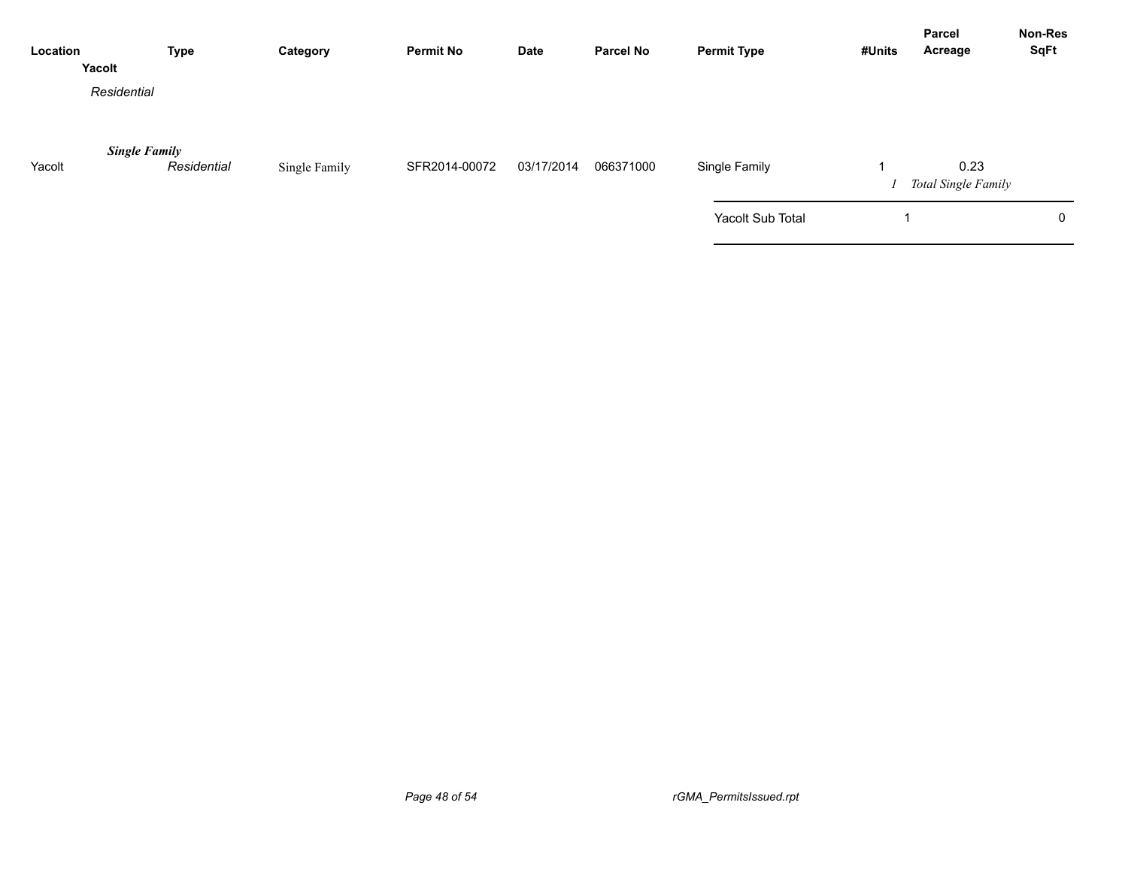| Location | <b>Type</b><br>Yacolt               | Category      | <b>Permit No</b> | <b>Date</b> | <b>Parcel No</b> | <b>Permit Type</b> | #Units | Parcel<br>Acreage           | <b>Non-Res</b><br><b>SqFt</b> |
|----------|-------------------------------------|---------------|------------------|-------------|------------------|--------------------|--------|-----------------------------|-------------------------------|
|          | Residential                         |               |                  |             |                  |                    |        |                             |                               |
| Yacolt   | <b>Single Family</b><br>Residential | Single Family | SFR2014-00072    | 03/17/2014  | 066371000        | Single Family      |        | 0.23<br>Total Single Family |                               |
|          |                                     |               |                  |             |                  | Yacolt Sub Total   |        |                             | 0                             |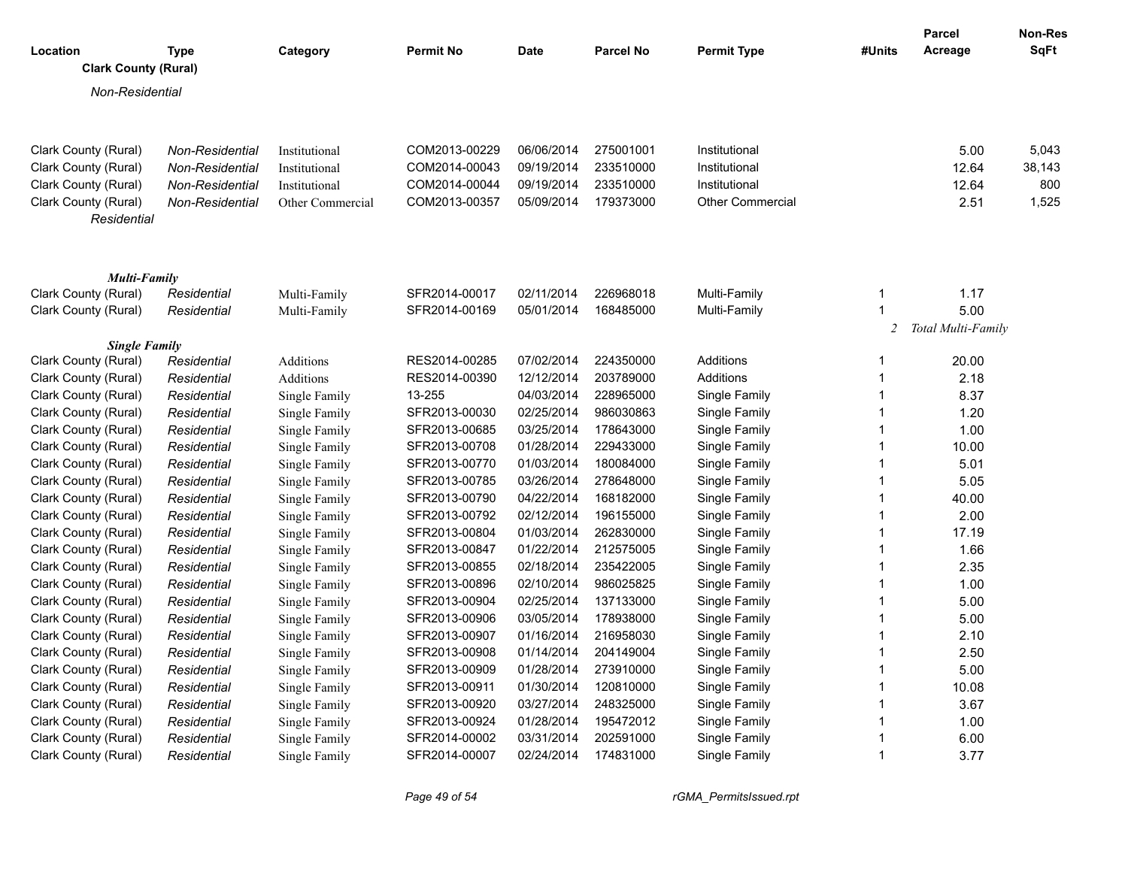| Location<br><b>Clark County (Rural)</b>      | <b>Type</b>                | Category                       | <b>Permit No</b>               | <b>Date</b>              | <b>Parcel No</b>       | <b>Permit Type</b>             | #Units | Parcel<br>Acreage  | Non-Res<br><b>SqFt</b> |
|----------------------------------------------|----------------------------|--------------------------------|--------------------------------|--------------------------|------------------------|--------------------------------|--------|--------------------|------------------------|
| Non-Residential                              |                            |                                |                                |                          |                        |                                |        |                    |                        |
| Clark County (Rural)                         | Non-Residential            | Institutional                  | COM2013-00229                  | 06/06/2014               | 275001001              | Institutional                  |        | 5.00               | 5,043                  |
| Clark County (Rural)                         | Non-Residential            | Institutional                  | COM2014-00043                  | 09/19/2014               | 233510000              | Institutional                  |        | 12.64              | 38,143                 |
| Clark County (Rural)                         | <b>Non-Residential</b>     | Institutional                  | COM2014-00044                  | 09/19/2014               | 233510000              | Institutional                  |        | 12.64              | 800                    |
| Clark County (Rural)<br>Residential          | Non-Residential            | Other Commercial               | COM2013-00357                  | 05/09/2014               | 179373000              | <b>Other Commercial</b>        |        | 2.51               | 1,525                  |
| Multi-Family                                 |                            |                                |                                |                          |                        |                                |        |                    |                        |
| Clark County (Rural)                         | Residential                | Multi-Family                   | SFR2014-00017                  | 02/11/2014               | 226968018              | Multi-Family                   | -1     | 1.17               |                        |
| Clark County (Rural)                         | Residential                | Multi-Family                   | SFR2014-00169                  | 05/01/2014               | 168485000              | Multi-Family                   | 1      | 5.00               |                        |
|                                              |                            |                                |                                |                          |                        |                                | 2      | Total Multi-Family |                        |
| <b>Single Family</b>                         |                            |                                |                                |                          |                        |                                |        |                    |                        |
| Clark County (Rural)                         | Residential                | Additions                      | RES2014-00285                  | 07/02/2014               | 224350000              | Additions                      |        | 20.00              |                        |
| Clark County (Rural)                         | Residential                | Additions                      | RES2014-00390                  | 12/12/2014               | 203789000              | Additions                      |        | 2.18               |                        |
| Clark County (Rural)                         | Residential                | Single Family                  | 13-255                         | 04/03/2014               | 228965000              | Single Family                  |        | 8.37               |                        |
| Clark County (Rural)                         | Residential                | Single Family                  | SFR2013-00030                  | 02/25/2014               | 986030863              | Single Family                  |        | 1.20               |                        |
| Clark County (Rural)                         | Residential                | Single Family                  | SFR2013-00685                  | 03/25/2014               | 178643000              | Single Family                  |        | 1.00               |                        |
| Clark County (Rural)                         | Residential                | Single Family                  | SFR2013-00708                  | 01/28/2014               | 229433000              | Single Family                  |        | 10.00              |                        |
| Clark County (Rural)                         | Residential                | Single Family                  | SFR2013-00770                  | 01/03/2014               | 180084000              | Single Family                  |        | 5.01               |                        |
| Clark County (Rural)                         | Residential                | Single Family                  | SFR2013-00785                  | 03/26/2014               | 278648000              | Single Family                  |        | 5.05               |                        |
| Clark County (Rural)                         | Residential                | Single Family                  | SFR2013-00790                  | 04/22/2014               | 168182000              | Single Family                  |        | 40.00              |                        |
| Clark County (Rural)                         | Residential                | Single Family                  | SFR2013-00792                  | 02/12/2014               | 196155000              | Single Family                  |        | 2.00               |                        |
| Clark County (Rural)                         | Residential                | Single Family                  | SFR2013-00804                  | 01/03/2014               | 262830000              | Single Family                  |        | 17.19              |                        |
| Clark County (Rural)                         | Residential                | Single Family                  | SFR2013-00847                  | 01/22/2014               | 212575005              | Single Family                  |        | 1.66               |                        |
| Clark County (Rural)<br>Clark County (Rural) | Residential<br>Residential | Single Family                  | SFR2013-00855<br>SFR2013-00896 | 02/18/2014<br>02/10/2014 | 235422005<br>986025825 | Single Family<br>Single Family |        | 2.35<br>1.00       |                        |
| Clark County (Rural)                         | Residential                | Single Family<br>Single Family | SFR2013-00904                  | 02/25/2014               | 137133000              | Single Family                  |        | 5.00               |                        |
|                                              | Residential                |                                | SFR2013-00906                  | 03/05/2014               | 178938000              | Single Family                  |        | 5.00               |                        |
| Clark County (Rural)                         |                            | Single Family                  | SFR2013-00907                  | 01/16/2014               | 216958030              | Single Family                  |        | 2.10               |                        |
| Clark County (Rural)<br>Clark County (Rural) | Residential                | Single Family                  | SFR2013-00908                  | 01/14/2014               | 204149004              | Single Family                  |        |                    |                        |
|                                              | Residential                | Single Family                  | SFR2013-00909                  | 01/28/2014               | 273910000              |                                |        | 2.50               |                        |
| Clark County (Rural)                         | Residential                | Single Family                  |                                |                          |                        | Single Family                  | -1     | 5.00               |                        |
| Clark County (Rural)                         | Residential                | Single Family                  | SFR2013-00911                  | 01/30/2014               | 120810000              | Single Family                  |        | 10.08              |                        |
| Clark County (Rural)<br>Clark County (Rural) | Residential                | Single Family                  | SFR2013-00920                  | 03/27/2014               | 248325000              | Single Family                  |        | 3.67               |                        |
| Clark County (Rural)                         | Residential                | Single Family                  | SFR2013-00924<br>SFR2014-00002 | 01/28/2014               | 195472012              | Single Family<br>Single Family |        | 1.00               |                        |
| Clark County (Rural)                         | Residential                | Single Family                  | SFR2014-00007                  | 03/31/2014<br>02/24/2014 | 202591000<br>174831000 |                                | 1      | 6.00<br>3.77       |                        |
|                                              | Residential                | Single Family                  |                                |                          |                        | Single Family                  |        |                    |                        |

*Page 49 of 54 rGMA\_PermitsIssued.rpt*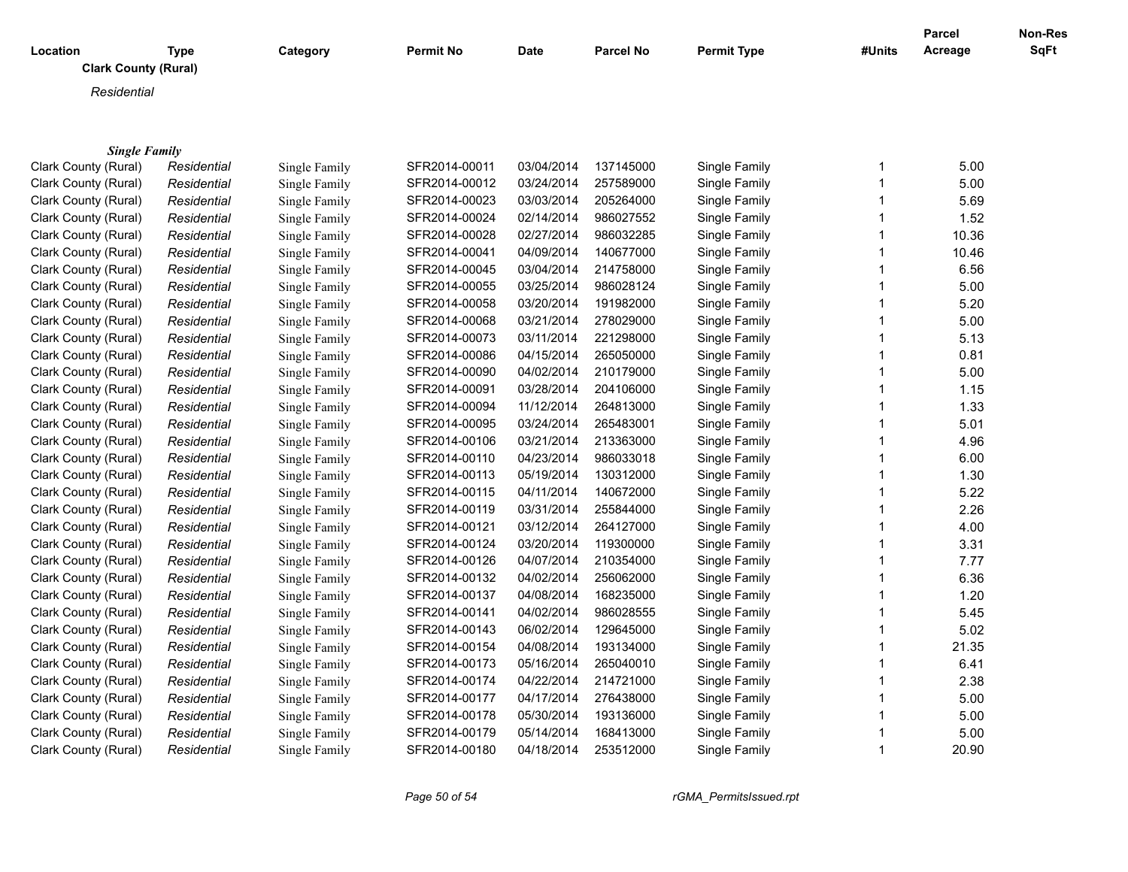| Location                    | <b>Type</b> | Category      | <b>Permit No</b> | Date       | <b>Parcel No</b> | <b>Permit Type</b> | #Units | Parcel<br>Acreage | Non-Res<br><b>SqFt</b> |
|-----------------------------|-------------|---------------|------------------|------------|------------------|--------------------|--------|-------------------|------------------------|
| <b>Clark County (Rural)</b> |             |               |                  |            |                  |                    |        |                   |                        |
| Residential                 |             |               |                  |            |                  |                    |        |                   |                        |
|                             |             |               |                  |            |                  |                    |        |                   |                        |
|                             |             |               |                  |            |                  |                    |        |                   |                        |
| <b>Single Family</b>        |             |               |                  |            |                  |                    |        |                   |                        |
| Clark County (Rural)        | Residential | Single Family | SFR2014-00011    | 03/04/2014 | 137145000        | Single Family      | 1      | 5.00              |                        |
| Clark County (Rural)        | Residential | Single Family | SFR2014-00012    | 03/24/2014 | 257589000        | Single Family      | 1      | 5.00              |                        |
| Clark County (Rural)        | Residential | Single Family | SFR2014-00023    | 03/03/2014 | 205264000        | Single Family      | 1      | 5.69              |                        |
| Clark County (Rural)        | Residential | Single Family | SFR2014-00024    | 02/14/2014 | 986027552        | Single Family      | 1      | 1.52              |                        |
| Clark County (Rural)        | Residential | Single Family | SFR2014-00028    | 02/27/2014 | 986032285        | Single Family      | 1      | 10.36             |                        |
| Clark County (Rural)        | Residential | Single Family | SFR2014-00041    | 04/09/2014 | 140677000        | Single Family      | 1      | 10.46             |                        |
| Clark County (Rural)        | Residential | Single Family | SFR2014-00045    | 03/04/2014 | 214758000        | Single Family      |        | 6.56              |                        |
| Clark County (Rural)        | Residential | Single Family | SFR2014-00055    | 03/25/2014 | 986028124        | Single Family      | 1      | 5.00              |                        |
| Clark County (Rural)        | Residential | Single Family | SFR2014-00058    | 03/20/2014 | 191982000        | Single Family      |        | 5.20              |                        |
| Clark County (Rural)        | Residential | Single Family | SFR2014-00068    | 03/21/2014 | 278029000        | Single Family      | 1      | 5.00              |                        |
| Clark County (Rural)        | Residential | Single Family | SFR2014-00073    | 03/11/2014 | 221298000        | Single Family      |        | 5.13              |                        |
| Clark County (Rural)        | Residential | Single Family | SFR2014-00086    | 04/15/2014 | 265050000        | Single Family      | 1      | 0.81              |                        |
| Clark County (Rural)        | Residential | Single Family | SFR2014-00090    | 04/02/2014 | 210179000        | Single Family      |        | 5.00              |                        |
| Clark County (Rural)        | Residential | Single Family | SFR2014-00091    | 03/28/2014 | 204106000        | Single Family      | 1      | 1.15              |                        |
| Clark County (Rural)        | Residential | Single Family | SFR2014-00094    | 11/12/2014 | 264813000        | Single Family      |        | 1.33              |                        |
| Clark County (Rural)        | Residential | Single Family | SFR2014-00095    | 03/24/2014 | 265483001        | Single Family      | 1      | 5.01              |                        |
| Clark County (Rural)        | Residential | Single Family | SFR2014-00106    | 03/21/2014 | 213363000        | Single Family      |        | 4.96              |                        |
| Clark County (Rural)        | Residential | Single Family | SFR2014-00110    | 04/23/2014 | 986033018        | Single Family      | 1      | 6.00              |                        |
| Clark County (Rural)        | Residential | Single Family | SFR2014-00113    | 05/19/2014 | 130312000        | Single Family      |        | 1.30              |                        |
| Clark County (Rural)        | Residential | Single Family | SFR2014-00115    | 04/11/2014 | 140672000        | Single Family      | 1      | 5.22              |                        |
| Clark County (Rural)        | Residential | Single Family | SFR2014-00119    | 03/31/2014 | 255844000        | Single Family      |        | 2.26              |                        |
| Clark County (Rural)        | Residential | Single Family | SFR2014-00121    | 03/12/2014 | 264127000        | Single Family      | 1      | 4.00              |                        |
| Clark County (Rural)        | Residential | Single Family | SFR2014-00124    | 03/20/2014 | 119300000        | Single Family      |        | 3.31              |                        |
| Clark County (Rural)        | Residential | Single Family | SFR2014-00126    | 04/07/2014 | 210354000        | Single Family      | 1      | 7.77              |                        |
| Clark County (Rural)        | Residential | Single Family | SFR2014-00132    | 04/02/2014 | 256062000        | Single Family      | 1      | 6.36              |                        |
| Clark County (Rural)        | Residential | Single Family | SFR2014-00137    | 04/08/2014 | 168235000        | Single Family      | 1      | 1.20              |                        |
| Clark County (Rural)        | Residential | Single Family | SFR2014-00141    | 04/02/2014 | 986028555        | Single Family      | 1      | 5.45              |                        |
| Clark County (Rural)        | Residential | Single Family | SFR2014-00143    | 06/02/2014 | 129645000        | Single Family      | 1      | 5.02              |                        |
| Clark County (Rural)        | Residential | Single Family | SFR2014-00154    | 04/08/2014 | 193134000        | Single Family      | 1      | 21.35             |                        |
| Clark County (Rural)        | Residential | Single Family | SFR2014-00173    | 05/16/2014 | 265040010        | Single Family      | 1      | 6.41              |                        |
| Clark County (Rural)        | Residential | Single Family | SFR2014-00174    | 04/22/2014 | 214721000        | Single Family      |        | 2.38              |                        |
| Clark County (Rural)        | Residential | Single Family | SFR2014-00177    | 04/17/2014 | 276438000        | Single Family      |        | 5.00              |                        |
| Clark County (Rural)        | Residential | Single Family | SFR2014-00178    | 05/30/2014 | 193136000        | Single Family      |        | 5.00              |                        |
| Clark County (Rural)        | Residential | Single Family | SFR2014-00179    | 05/14/2014 | 168413000        | Single Family      |        | 5.00              |                        |
| Clark County (Rural)        | Residential | Single Family | SFR2014-00180    | 04/18/2014 | 253512000        | Single Family      | 1      | 20.90             |                        |

*Page 50 of 54 rGMA\_PermitsIssued.rpt*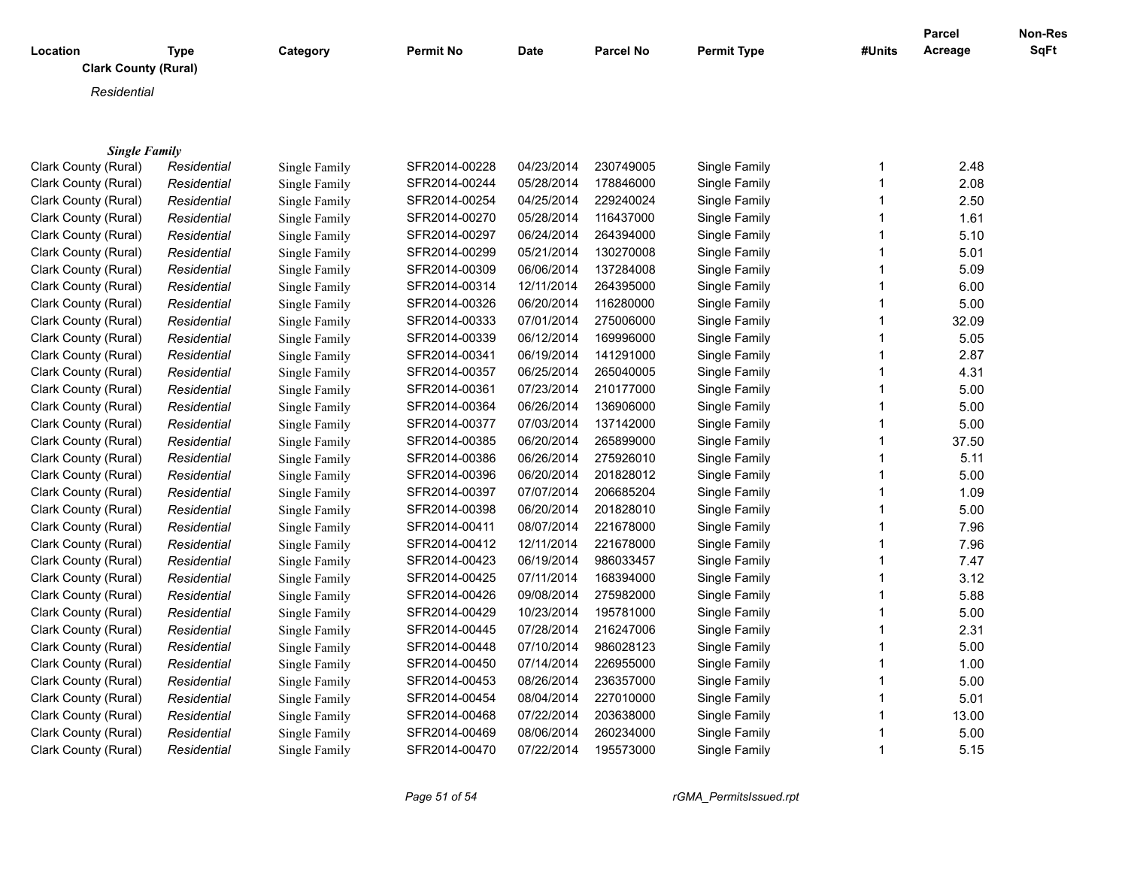| Location                    | <b>Type</b> | Category      | <b>Permit No</b> | <b>Date</b> | <b>Parcel No</b> | <b>Permit Type</b> | #Units      | <b>Parcel</b><br>Acreage | Non-Res<br>SqFt |
|-----------------------------|-------------|---------------|------------------|-------------|------------------|--------------------|-------------|--------------------------|-----------------|
| <b>Clark County (Rural)</b> |             |               |                  |             |                  |                    |             |                          |                 |
| Residential                 |             |               |                  |             |                  |                    |             |                          |                 |
|                             |             |               |                  |             |                  |                    |             |                          |                 |
|                             |             |               |                  |             |                  |                    |             |                          |                 |
| <b>Single Family</b>        |             |               |                  |             |                  |                    |             |                          |                 |
| Clark County (Rural)        | Residential | Single Family | SFR2014-00228    | 04/23/2014  | 230749005        | Single Family      | $\mathbf 1$ | 2.48                     |                 |
| Clark County (Rural)        | Residential | Single Family | SFR2014-00244    | 05/28/2014  | 178846000        | Single Family      | 1           | 2.08                     |                 |
| Clark County (Rural)        | Residential | Single Family | SFR2014-00254    | 04/25/2014  | 229240024        | Single Family      | 1           | 2.50                     |                 |
| Clark County (Rural)        | Residential | Single Family | SFR2014-00270    | 05/28/2014  | 116437000        | Single Family      | 1           | 1.61                     |                 |
| Clark County (Rural)        | Residential | Single Family | SFR2014-00297    | 06/24/2014  | 264394000        | Single Family      | 1           | 5.10                     |                 |
| Clark County (Rural)        | Residential | Single Family | SFR2014-00299    | 05/21/2014  | 130270008        | Single Family      | 1           | 5.01                     |                 |
| Clark County (Rural)        | Residential | Single Family | SFR2014-00309    | 06/06/2014  | 137284008        | Single Family      | 1           | 5.09                     |                 |
| Clark County (Rural)        | Residential | Single Family | SFR2014-00314    | 12/11/2014  | 264395000        | Single Family      | 1           | 6.00                     |                 |
| Clark County (Rural)        | Residential | Single Family | SFR2014-00326    | 06/20/2014  | 116280000        | Single Family      | 1           | 5.00                     |                 |
| Clark County (Rural)        | Residential | Single Family | SFR2014-00333    | 07/01/2014  | 275006000        | Single Family      | 1           | 32.09                    |                 |
| Clark County (Rural)        | Residential | Single Family | SFR2014-00339    | 06/12/2014  | 169996000        | Single Family      | 1           | 5.05                     |                 |
| Clark County (Rural)        | Residential | Single Family | SFR2014-00341    | 06/19/2014  | 141291000        | Single Family      | 1           | 2.87                     |                 |
| Clark County (Rural)        | Residential | Single Family | SFR2014-00357    | 06/25/2014  | 265040005        | Single Family      | 1           | 4.31                     |                 |
| Clark County (Rural)        | Residential | Single Family | SFR2014-00361    | 07/23/2014  | 210177000        | Single Family      | 1           | 5.00                     |                 |
| Clark County (Rural)        | Residential | Single Family | SFR2014-00364    | 06/26/2014  | 136906000        | Single Family      | 1           | 5.00                     |                 |
| Clark County (Rural)        | Residential | Single Family | SFR2014-00377    | 07/03/2014  | 137142000        | Single Family      | 1           | 5.00                     |                 |
| Clark County (Rural)        | Residential | Single Family | SFR2014-00385    | 06/20/2014  | 265899000        | Single Family      | 1           | 37.50                    |                 |
| Clark County (Rural)        | Residential | Single Family | SFR2014-00386    | 06/26/2014  | 275926010        | Single Family      | 1           | 5.11                     |                 |
| Clark County (Rural)        | Residential | Single Family | SFR2014-00396    | 06/20/2014  | 201828012        | Single Family      | 1           | 5.00                     |                 |
| Clark County (Rural)        | Residential | Single Family | SFR2014-00397    | 07/07/2014  | 206685204        | Single Family      | 1           | 1.09                     |                 |
| Clark County (Rural)        | Residential | Single Family | SFR2014-00398    | 06/20/2014  | 201828010        | Single Family      | 1           | 5.00                     |                 |
| Clark County (Rural)        | Residential | Single Family | SFR2014-00411    | 08/07/2014  | 221678000        | Single Family      | 1           | 7.96                     |                 |
| Clark County (Rural)        | Residential | Single Family | SFR2014-00412    | 12/11/2014  | 221678000        | Single Family      | 1           | 7.96                     |                 |
| Clark County (Rural)        | Residential | Single Family | SFR2014-00423    | 06/19/2014  | 986033457        | Single Family      | 1           | 7.47                     |                 |
| Clark County (Rural)        | Residential | Single Family | SFR2014-00425    | 07/11/2014  | 168394000        | Single Family      | 1           | 3.12                     |                 |
| Clark County (Rural)        | Residential | Single Family | SFR2014-00426    | 09/08/2014  | 275982000        | Single Family      | 1           | 5.88                     |                 |
| Clark County (Rural)        | Residential | Single Family | SFR2014-00429    | 10/23/2014  | 195781000        | Single Family      | 1           | 5.00                     |                 |
| Clark County (Rural)        | Residential | Single Family | SFR2014-00445    | 07/28/2014  | 216247006        | Single Family      | 1           | 2.31                     |                 |
| Clark County (Rural)        | Residential | Single Family | SFR2014-00448    | 07/10/2014  | 986028123        | Single Family      | 1           | 5.00                     |                 |
| Clark County (Rural)        | Residential | Single Family | SFR2014-00450    | 07/14/2014  | 226955000        | Single Family      | 1           | 1.00                     |                 |
| Clark County (Rural)        | Residential | Single Family | SFR2014-00453    | 08/26/2014  | 236357000        | Single Family      | 1           | 5.00                     |                 |
| Clark County (Rural)        | Residential | Single Family | SFR2014-00454    | 08/04/2014  | 227010000        | Single Family      | 1           | 5.01                     |                 |
| Clark County (Rural)        | Residential | Single Family | SFR2014-00468    | 07/22/2014  | 203638000        | Single Family      | 1           | 13.00                    |                 |
| Clark County (Rural)        | Residential | Single Family | SFR2014-00469    | 08/06/2014  | 260234000        | Single Family      | 1           | 5.00                     |                 |
| Clark County (Rural)        | Residential | Single Family | SFR2014-00470    | 07/22/2014  | 195573000        | Single Family      | 1           | 5.15                     |                 |

*Page 51 of 54 rGMA\_PermitsIssued.rpt*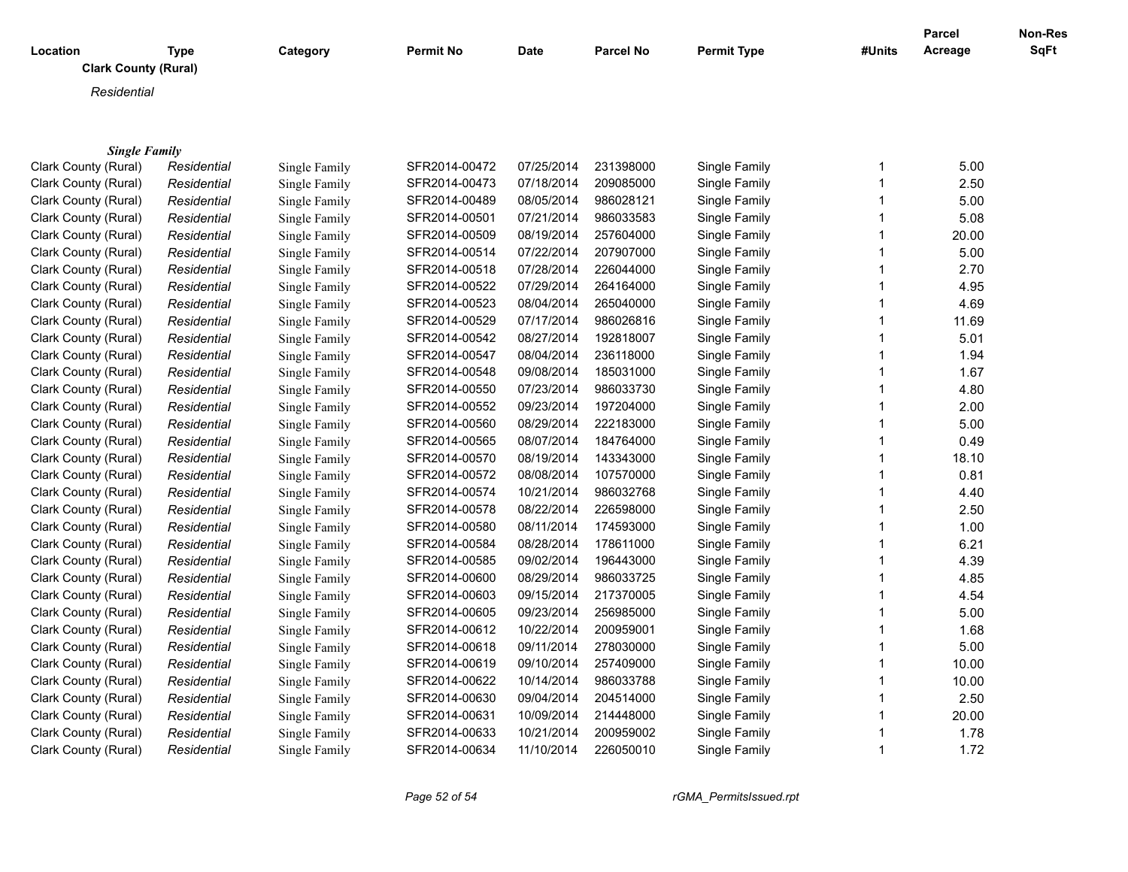|                             |             |               |                  |             |                  |                    |             | <b>Parcel</b> | Non-Res |
|-----------------------------|-------------|---------------|------------------|-------------|------------------|--------------------|-------------|---------------|---------|
| Location                    | <b>Type</b> | Category      | <b>Permit No</b> | <b>Date</b> | <b>Parcel No</b> | <b>Permit Type</b> | #Units      | Acreage       | SqFt    |
| <b>Clark County (Rural)</b> |             |               |                  |             |                  |                    |             |               |         |
| Residential                 |             |               |                  |             |                  |                    |             |               |         |
|                             |             |               |                  |             |                  |                    |             |               |         |
|                             |             |               |                  |             |                  |                    |             |               |         |
| <b>Single Family</b>        |             |               |                  |             |                  |                    |             |               |         |
| Clark County (Rural)        | Residential | Single Family | SFR2014-00472    | 07/25/2014  | 231398000        | Single Family      | 1           | 5.00          |         |
| Clark County (Rural)        | Residential | Single Family | SFR2014-00473    | 07/18/2014  | 209085000        | Single Family      | 1           | 2.50          |         |
| Clark County (Rural)        | Residential | Single Family | SFR2014-00489    | 08/05/2014  | 986028121        | Single Family      | $\mathbf 1$ | 5.00          |         |
| Clark County (Rural)        | Residential | Single Family | SFR2014-00501    | 07/21/2014  | 986033583        | Single Family      | 1           | 5.08          |         |
| Clark County (Rural)        | Residential | Single Family | SFR2014-00509    | 08/19/2014  | 257604000        | Single Family      | 1           | 20.00         |         |
| Clark County (Rural)        | Residential | Single Family | SFR2014-00514    | 07/22/2014  | 207907000        | Single Family      | 1           | 5.00          |         |
| Clark County (Rural)        | Residential | Single Family | SFR2014-00518    | 07/28/2014  | 226044000        | Single Family      | 1           | 2.70          |         |
| Clark County (Rural)        | Residential | Single Family | SFR2014-00522    | 07/29/2014  | 264164000        | Single Family      | 1           | 4.95          |         |
| Clark County (Rural)        | Residential | Single Family | SFR2014-00523    | 08/04/2014  | 265040000        | Single Family      | 1           | 4.69          |         |
| Clark County (Rural)        | Residential | Single Family | SFR2014-00529    | 07/17/2014  | 986026816        | Single Family      | 1           | 11.69         |         |
| Clark County (Rural)        | Residential | Single Family | SFR2014-00542    | 08/27/2014  | 192818007        | Single Family      | 1           | 5.01          |         |
| Clark County (Rural)        | Residential | Single Family | SFR2014-00547    | 08/04/2014  | 236118000        | Single Family      | 1           | 1.94          |         |
| Clark County (Rural)        | Residential | Single Family | SFR2014-00548    | 09/08/2014  | 185031000        | Single Family      | 1           | 1.67          |         |
| Clark County (Rural)        | Residential | Single Family | SFR2014-00550    | 07/23/2014  | 986033730        | Single Family      | 1           | 4.80          |         |
| Clark County (Rural)        | Residential | Single Family | SFR2014-00552    | 09/23/2014  | 197204000        | Single Family      | 1           | 2.00          |         |
| Clark County (Rural)        | Residential | Single Family | SFR2014-00560    | 08/29/2014  | 222183000        | Single Family      | 1           | 5.00          |         |
| Clark County (Rural)        | Residential | Single Family | SFR2014-00565    | 08/07/2014  | 184764000        | Single Family      | 1           | 0.49          |         |
| Clark County (Rural)        | Residential | Single Family | SFR2014-00570    | 08/19/2014  | 143343000        | Single Family      | 1           | 18.10         |         |
| Clark County (Rural)        | Residential | Single Family | SFR2014-00572    | 08/08/2014  | 107570000        | Single Family      | 1           | 0.81          |         |
| Clark County (Rural)        | Residential | Single Family | SFR2014-00574    | 10/21/2014  | 986032768        | Single Family      | 1           | 4.40          |         |
| Clark County (Rural)        | Residential | Single Family | SFR2014-00578    | 08/22/2014  | 226598000        | Single Family      | 1           | 2.50          |         |
| Clark County (Rural)        | Residential | Single Family | SFR2014-00580    | 08/11/2014  | 174593000        | Single Family      | 1           | 1.00          |         |
| Clark County (Rural)        | Residential | Single Family | SFR2014-00584    | 08/28/2014  | 178611000        | Single Family      | 1           | 6.21          |         |
| Clark County (Rural)        | Residential | Single Family | SFR2014-00585    | 09/02/2014  | 196443000        | Single Family      | 1           | 4.39          |         |
| Clark County (Rural)        | Residential | Single Family | SFR2014-00600    | 08/29/2014  | 986033725        | Single Family      | 1           | 4.85          |         |
| Clark County (Rural)        | Residential | Single Family | SFR2014-00603    | 09/15/2014  | 217370005        | Single Family      | 1           | 4.54          |         |
| Clark County (Rural)        | Residential | Single Family | SFR2014-00605    | 09/23/2014  | 256985000        | Single Family      | 1           | 5.00          |         |
| Clark County (Rural)        | Residential | Single Family | SFR2014-00612    | 10/22/2014  | 200959001        | Single Family      | 1           | 1.68          |         |
| Clark County (Rural)        | Residential | Single Family | SFR2014-00618    | 09/11/2014  | 278030000        | Single Family      | 1           | 5.00          |         |
| Clark County (Rural)        | Residential | Single Family | SFR2014-00619    | 09/10/2014  | 257409000        | Single Family      | 1           | 10.00         |         |
| Clark County (Rural)        | Residential | Single Family | SFR2014-00622    | 10/14/2014  | 986033788        | Single Family      | 1           | 10.00         |         |
| Clark County (Rural)        | Residential | Single Family | SFR2014-00630    | 09/04/2014  | 204514000        | Single Family      | 1           | 2.50          |         |
| Clark County (Rural)        | Residential | Single Family | SFR2014-00631    | 10/09/2014  | 214448000        | Single Family      | 1           | 20.00         |         |
| Clark County (Rural)        | Residential | Single Family | SFR2014-00633    | 10/21/2014  | 200959002        | Single Family      | 1           | 1.78          |         |
| Clark County (Rural)        | Residential | Single Family | SFR2014-00634    | 11/10/2014  | 226050010        | Single Family      | 1           | 1.72          |         |
|                             |             |               |                  |             |                  |                    |             |               |         |

*Page 52 of 54 rGMA\_PermitsIssued.rpt*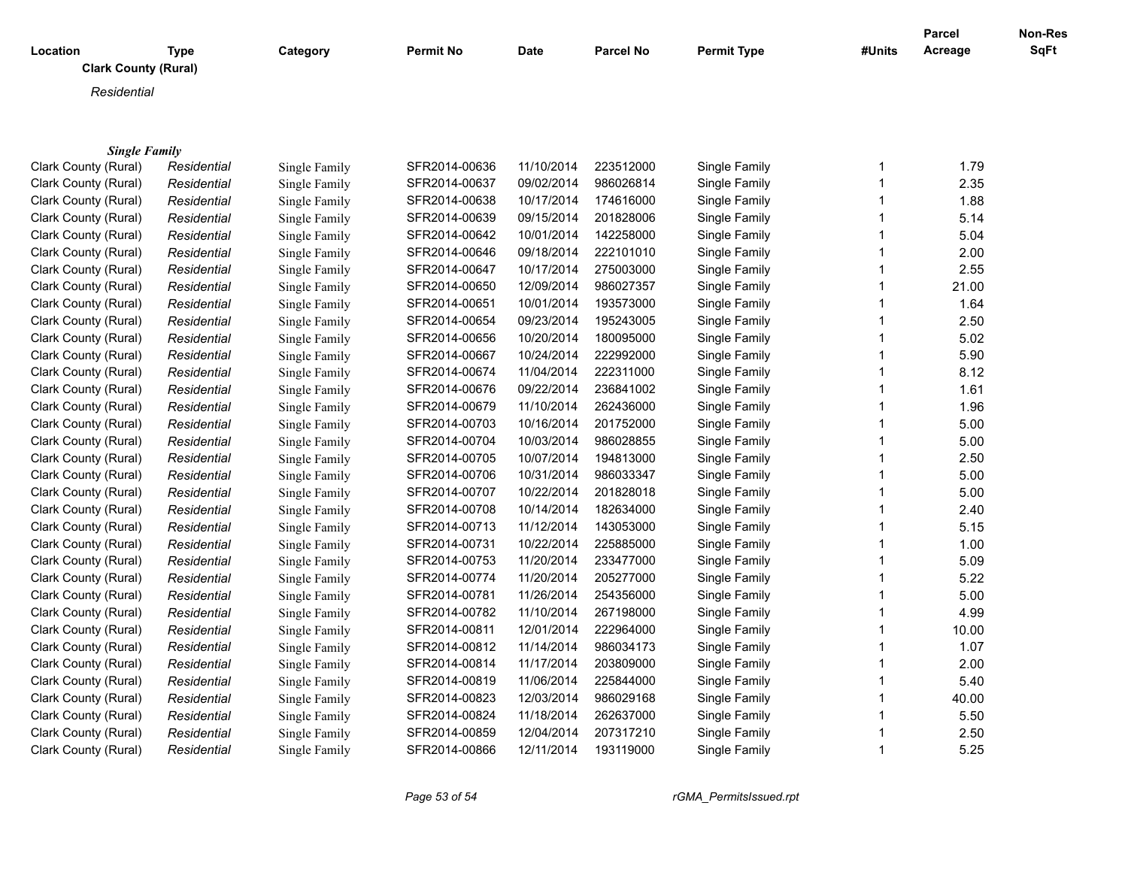|                                              |             |               |                  |             |                  |                                |              | <b>Parcel</b> | Non-Res |
|----------------------------------------------|-------------|---------------|------------------|-------------|------------------|--------------------------------|--------------|---------------|---------|
| Location                                     | <b>Type</b> | Category      | <b>Permit No</b> | <b>Date</b> | <b>Parcel No</b> | <b>Permit Type</b>             | #Units       | Acreage       | SqFt    |
| <b>Clark County (Rural)</b>                  |             |               |                  |             |                  |                                |              |               |         |
| Residential                                  |             |               |                  |             |                  |                                |              |               |         |
|                                              |             |               |                  |             |                  |                                |              |               |         |
|                                              |             |               |                  |             |                  |                                |              |               |         |
| <b>Single Family</b><br>Clark County (Rural) |             |               | SFR2014-00636    | 11/10/2014  | 223512000        | Single Family                  | $\mathbf{1}$ | 1.79          |         |
|                                              | Residential | Single Family |                  | 09/02/2014  | 986026814        |                                | 1            | 2.35          |         |
| Clark County (Rural)                         | Residential | Single Family | SFR2014-00637    |             |                  | Single Family<br>Single Family | 1            | 1.88          |         |
| Clark County (Rural)                         | Residential | Single Family | SFR2014-00638    | 10/17/2014  | 174616000        |                                | 1            |               |         |
| Clark County (Rural)                         | Residential | Single Family | SFR2014-00639    | 09/15/2014  | 201828006        | Single Family                  |              | 5.14          |         |
| Clark County (Rural)                         | Residential | Single Family | SFR2014-00642    | 10/01/2014  | 142258000        | Single Family                  | 1            | 5.04          |         |
| Clark County (Rural)                         | Residential | Single Family | SFR2014-00646    | 09/18/2014  | 222101010        | Single Family                  | 1            | 2.00          |         |
| Clark County (Rural)                         | Residential | Single Family | SFR2014-00647    | 10/17/2014  | 275003000        | Single Family                  | 1            | 2.55          |         |
| Clark County (Rural)                         | Residential | Single Family | SFR2014-00650    | 12/09/2014  | 986027357        | Single Family                  | 1            | 21.00         |         |
| Clark County (Rural)                         | Residential | Single Family | SFR2014-00651    | 10/01/2014  | 193573000        | Single Family                  | 1            | 1.64          |         |
| Clark County (Rural)                         | Residential | Single Family | SFR2014-00654    | 09/23/2014  | 195243005        | Single Family                  | 1            | 2.50          |         |
| Clark County (Rural)                         | Residential | Single Family | SFR2014-00656    | 10/20/2014  | 180095000        | Single Family                  | 1            | 5.02          |         |
| Clark County (Rural)                         | Residential | Single Family | SFR2014-00667    | 10/24/2014  | 222992000        | Single Family                  | 1            | 5.90          |         |
| Clark County (Rural)                         | Residential | Single Family | SFR2014-00674    | 11/04/2014  | 222311000        | Single Family                  | 1            | 8.12          |         |
| Clark County (Rural)                         | Residential | Single Family | SFR2014-00676    | 09/22/2014  | 236841002        | Single Family                  | 1            | 1.61          |         |
| Clark County (Rural)                         | Residential | Single Family | SFR2014-00679    | 11/10/2014  | 262436000        | Single Family                  | 1            | 1.96          |         |
| Clark County (Rural)                         | Residential | Single Family | SFR2014-00703    | 10/16/2014  | 201752000        | Single Family                  | 1            | 5.00          |         |
| Clark County (Rural)                         | Residential | Single Family | SFR2014-00704    | 10/03/2014  | 986028855        | Single Family                  | 1            | 5.00          |         |
| Clark County (Rural)                         | Residential | Single Family | SFR2014-00705    | 10/07/2014  | 194813000        | Single Family                  | 1            | 2.50          |         |
| Clark County (Rural)                         | Residential | Single Family | SFR2014-00706    | 10/31/2014  | 986033347        | Single Family                  | 1            | 5.00          |         |
| Clark County (Rural)                         | Residential | Single Family | SFR2014-00707    | 10/22/2014  | 201828018        | Single Family                  | 1            | 5.00          |         |
| Clark County (Rural)                         | Residential | Single Family | SFR2014-00708    | 10/14/2014  | 182634000        | Single Family                  | 1            | 2.40          |         |
| Clark County (Rural)                         | Residential | Single Family | SFR2014-00713    | 11/12/2014  | 143053000        | Single Family                  | 1            | 5.15          |         |
| Clark County (Rural)                         | Residential | Single Family | SFR2014-00731    | 10/22/2014  | 225885000        | Single Family                  | 1            | 1.00          |         |
| Clark County (Rural)                         | Residential | Single Family | SFR2014-00753    | 11/20/2014  | 233477000        | Single Family                  | 1            | 5.09          |         |
| Clark County (Rural)                         | Residential | Single Family | SFR2014-00774    | 11/20/2014  | 205277000        | Single Family                  | 1            | 5.22          |         |
| Clark County (Rural)                         | Residential | Single Family | SFR2014-00781    | 11/26/2014  | 254356000        | Single Family                  | 1            | 5.00          |         |
| Clark County (Rural)                         | Residential | Single Family | SFR2014-00782    | 11/10/2014  | 267198000        | Single Family                  | 1            | 4.99          |         |
| Clark County (Rural)                         | Residential | Single Family | SFR2014-00811    | 12/01/2014  | 222964000        | Single Family                  | 1            | 10.00         |         |
| Clark County (Rural)                         | Residential | Single Family | SFR2014-00812    | 11/14/2014  | 986034173        | Single Family                  | 1            | 1.07          |         |
| Clark County (Rural)                         | Residential | Single Family | SFR2014-00814    | 11/17/2014  | 203809000        | Single Family                  | 1            | 2.00          |         |
| Clark County (Rural)                         | Residential | Single Family | SFR2014-00819    | 11/06/2014  | 225844000        | Single Family                  | 1            | 5.40          |         |
| Clark County (Rural)                         | Residential | Single Family | SFR2014-00823    | 12/03/2014  | 986029168        | Single Family                  | 1            | 40.00         |         |
| Clark County (Rural)                         | Residential | Single Family | SFR2014-00824    | 11/18/2014  | 262637000        | Single Family                  | 1            | 5.50          |         |
| Clark County (Rural)                         | Residential | Single Family | SFR2014-00859    | 12/04/2014  | 207317210        | Single Family                  | 1            | 2.50          |         |
| Clark County (Rural)                         | Residential | Single Family | SFR2014-00866    | 12/11/2014  | 193119000        | Single Family                  | 1            | 5.25          |         |
|                                              |             |               |                  |             |                  |                                |              |               |         |

*Page 53 of 54 rGMA\_PermitsIssued.rpt*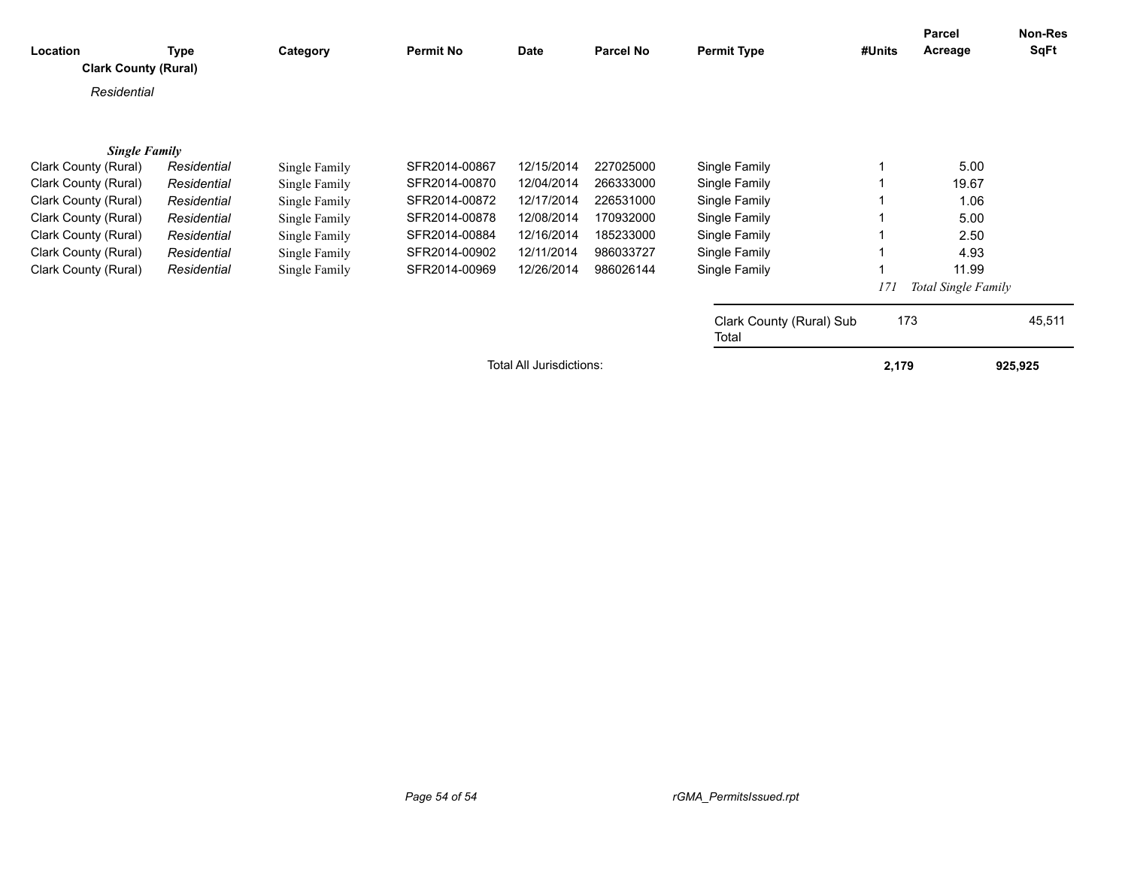| Location<br><b>Clark County (Rural)</b> | Type        | Category      | <b>Permit No</b> | Date                            | <b>Parcel No</b> | <b>Permit Type</b>                | #Units | Parcel<br>Acreage          | Non-Res<br><b>SqFt</b> |
|-----------------------------------------|-------------|---------------|------------------|---------------------------------|------------------|-----------------------------------|--------|----------------------------|------------------------|
| Residential                             |             |               |                  |                                 |                  |                                   |        |                            |                        |
| <b>Single Family</b>                    |             |               |                  |                                 |                  |                                   |        |                            |                        |
| Clark County (Rural)                    | Residential | Single Family | SFR2014-00867    | 12/15/2014                      | 227025000        | Single Family                     |        | 5.00                       |                        |
| Clark County (Rural)                    | Residential | Single Family | SFR2014-00870    | 12/04/2014                      | 266333000        | Single Family                     |        | 19.67                      |                        |
| Clark County (Rural)                    | Residential | Single Family | SFR2014-00872    | 12/17/2014                      | 226531000        | Single Family                     |        | 1.06                       |                        |
| Clark County (Rural)                    | Residential | Single Family | SFR2014-00878    | 12/08/2014                      | 170932000        | Single Family                     |        | 5.00                       |                        |
| Clark County (Rural)                    | Residential | Single Family | SFR2014-00884    | 12/16/2014                      | 185233000        | Single Family                     |        | 2.50                       |                        |
| Clark County (Rural)                    | Residential | Single Family | SFR2014-00902    | 12/11/2014                      | 986033727        | Single Family                     |        | 4.93                       |                        |
| Clark County (Rural)                    | Residential | Single Family | SFR2014-00969    | 12/26/2014                      | 986026144        | Single Family                     |        | 11.99                      |                        |
|                                         |             |               |                  |                                 |                  |                                   | 171    | <b>Total Single Family</b> |                        |
|                                         |             |               |                  |                                 |                  | Clark County (Rural) Sub<br>Total | 173    |                            | 45,511                 |
|                                         |             |               |                  | <b>Total All Jurisdictions:</b> |                  |                                   | 2,179  |                            | 925,925                |